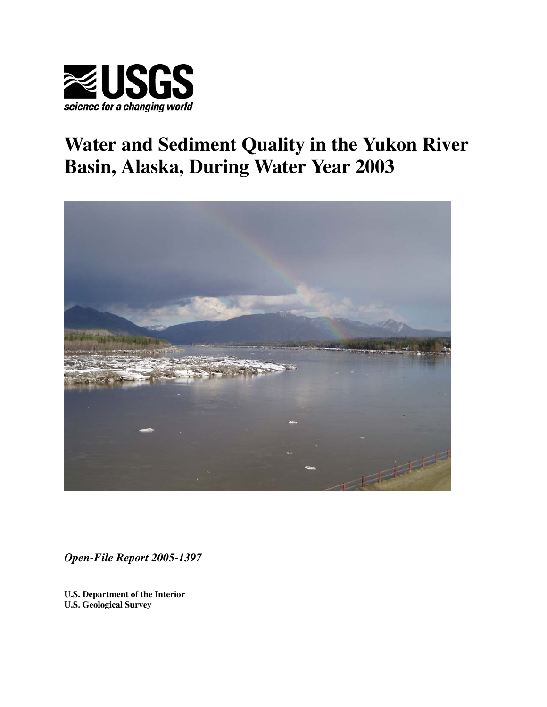

# **Water and Sediment Quality in the Yukon River Basin, Alaska, During Water Year 2003**



*Open-File Report 2005-1397* 

**U.S. Department of the Interior U.S. Geological Survey**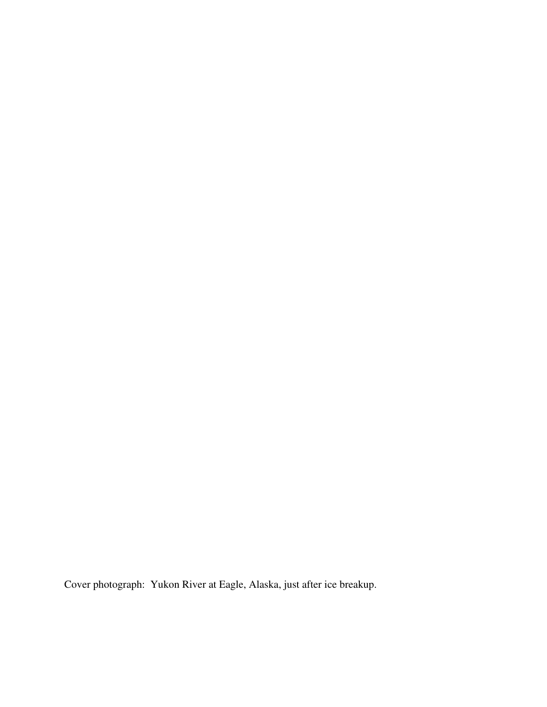Cover photograph: Yukon River at Eagle, Alaska, just after ice breakup.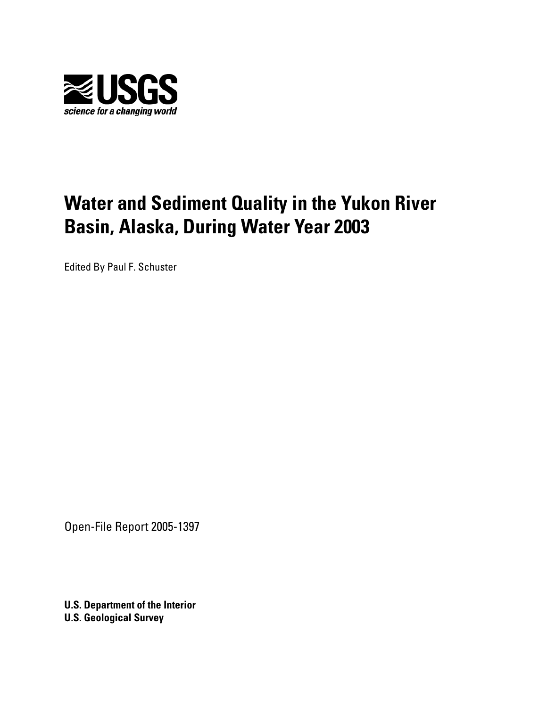

# **Water and Sediment Quality in the Yukon River Basin, Alaska, During Water Year 2003**

Edited By Paul F. Schuster

Open-File Report 2005-1397

**U.S. Department of the Interior U.S. Geological Survey**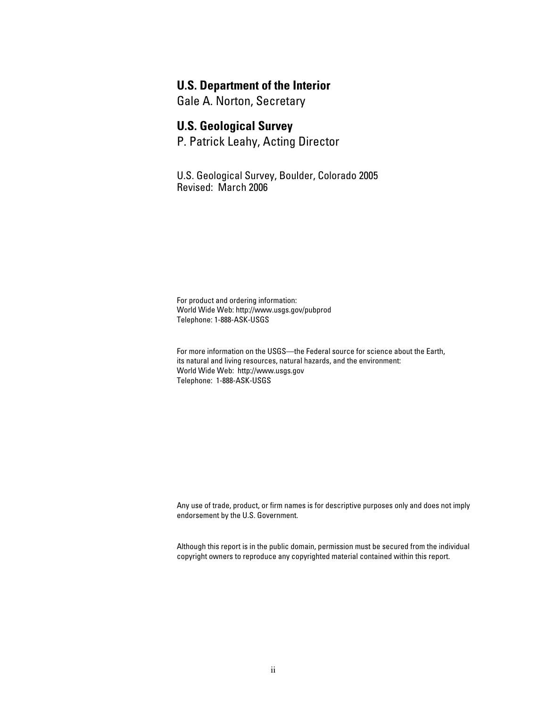#### **U.S. Department of the Interior**

Gale A. Norton, Secretary

#### **U.S. Geological Survey**

P. Patrick Leahy, Acting Director

U.S. Geological Survey, Boulder, Colorado 2005 Revised: March 2006

For product and ordering information: World Wide Web: http://www.usgs.gov/pubprod Telephone: 1-888-ASK-USGS

For more information on the USGS—the Federal source for science about the Earth, its natural and living resources, natural hazards, and the environment: World Wide Web: http://www.usgs.gov Telephone: 1-888-ASK-USGS

Any use of trade, product, or firm names is for descriptive purposes only and does not imply endorsement by the U.S. Government.

Although this report is in the public domain, permission must be secured from the individual copyright owners to reproduce any copyrighted material contained within this report.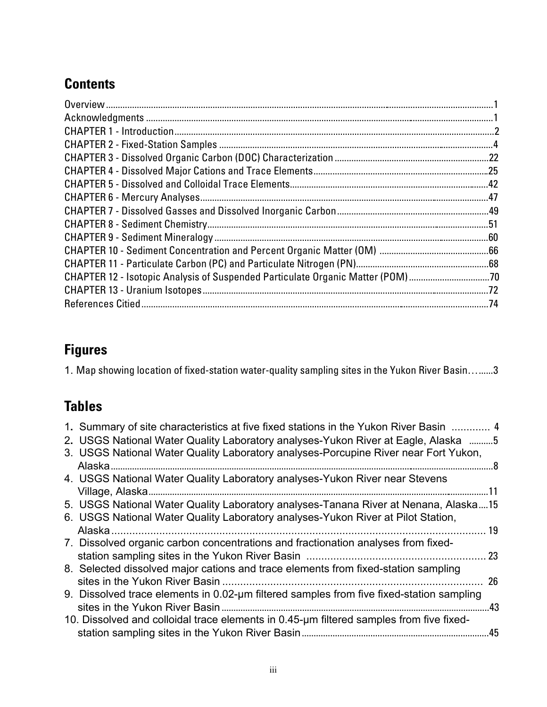## **Contents**

| CHAPTER 12 - Isotopic Analysis of Suspended Particulate Organic Matter (POM) 70 |  |
|---------------------------------------------------------------------------------|--|
|                                                                                 |  |
|                                                                                 |  |
|                                                                                 |  |

## **Figures**

1. Map showing location of fixed-station water-quality sampling sites in the Yukon River Basin…......3

## **Tables**

| 1. Summary of site characteristics at five fixed stations in the Yukon River Basin  4    |     |
|------------------------------------------------------------------------------------------|-----|
| 2. USGS National Water Quality Laboratory analyses-Yukon River at Eagle, Alaska 5        |     |
| 3. USGS National Water Quality Laboratory analyses-Porcupine River near Fort Yukon,      |     |
|                                                                                          |     |
| 4. USGS National Water Quality Laboratory analyses-Yukon River near Stevens              |     |
|                                                                                          |     |
| 5. USGS National Water Quality Laboratory analyses-Tanana River at Nenana, Alaska15      |     |
| 6. USGS National Water Quality Laboratory analyses-Yukon River at Pilot Station,         |     |
| Alaska.                                                                                  |     |
| 7. Dissolved organic carbon concentrations and fractionation analyses from fixed-        |     |
|                                                                                          | 23  |
| 8. Selected dissolved major cations and trace elements from fixed-station sampling       |     |
|                                                                                          | 26  |
| 9. Dissolved trace elements in 0.02-um filtered samples from five fixed-station sampling |     |
|                                                                                          | .43 |
| 10. Dissolved and colloidal trace elements in 0.45-um filtered samples from five fixed-  |     |
|                                                                                          | .45 |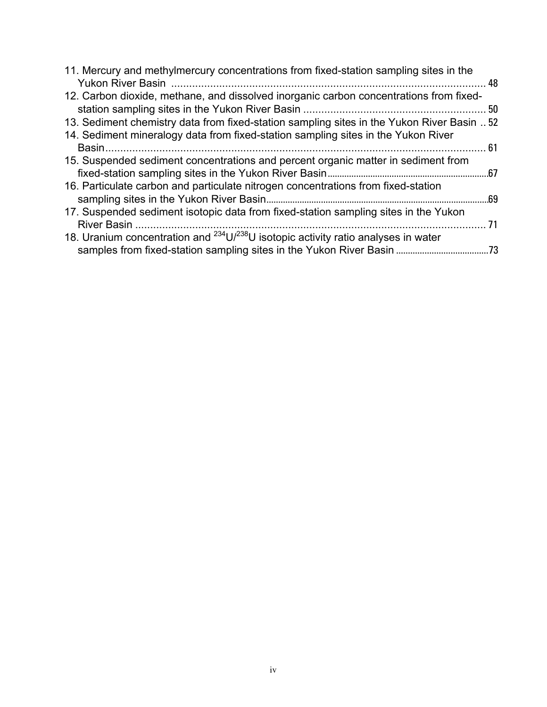| 11. Mercury and methylmercury concentrations from fixed-station sampling sites in the              |    |
|----------------------------------------------------------------------------------------------------|----|
| 12. Carbon dioxide, methane, and dissolved inorganic carbon concentrations from fixed-             |    |
| 13. Sediment chemistry data from fixed-station sampling sites in the Yukon River Basin  52         |    |
| 14. Sediment mineralogy data from fixed-station sampling sites in the Yukon River                  |    |
| Basin.                                                                                             |    |
| 15. Suspended sediment concentrations and percent organic matter in sediment from                  |    |
|                                                                                                    |    |
| 16. Particulate carbon and particulate nitrogen concentrations from fixed-station                  |    |
| 17. Suspended sediment isotopic data from fixed-station sampling sites in the Yukon<br>River Basin | 71 |
| 18. Uranium concentration and $^{234}$ U/ $^{238}$ U isotopic activity ratio analyses in water     |    |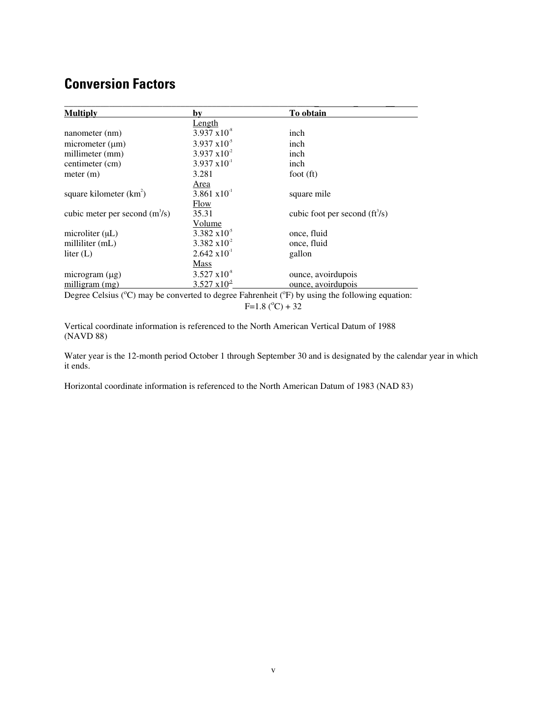### **Conversion Factors**

| <b>Multiply</b>                  | by                     | To obtain                      |
|----------------------------------|------------------------|--------------------------------|
|                                  | Length                 |                                |
| nanometer (nm)                   | $3.937 \times 10^{8}$  | inch                           |
| micrometer $(\mu m)$             | $3.937 \times 10^{-5}$ | inch                           |
| millimeter (mm)                  | $3.937 \times 10^{-2}$ | inch                           |
| centimeter (cm)                  | $3.937 \times 10^{-1}$ | inch                           |
| meter (m)                        | 3.281                  | foot $(ft)$                    |
|                                  | <u>Area</u>            |                                |
| square kilometer $(km^2)$        | $3.861 \times 10^{-1}$ | square mile                    |
|                                  | Flow                   |                                |
| cubic meter per second $(m^3/s)$ | 35.31                  | cubic foot per second $(f3/s)$ |
|                                  | Volume                 |                                |
| microliter $(\mu L)$             | $3.382 \times 10^{-5}$ | once, fluid                    |
| milliliter (mL)                  | $3.382 \times 10^{-2}$ | once, fluid                    |
| liter $(L)$                      | $2.642 \times 10^{-1}$ | gallon                         |
|                                  | <b>Mass</b>            |                                |
| microgram $(\mu g)$              | $3.527 \times 10^{-8}$ | ounce, avoirdupois             |
| milligram (mg)                   | $3.527 \times 10^{-5}$ | ounce, avoirdupois             |

Degree Celsius (°C) may be converted to degree Fahrenheit (°F) by using the following equation:  $F=1.8$  ( $^{\circ}$ C) + 32

Vertical coordinate information is referenced to the North American Vertical Datum of 1988 (NAVD 88)

Water year is the 12-month period October 1 through September 30 and is designated by the calendar year in which it ends.

Horizontal coordinate information is referenced to the North American Datum of 1983 (NAD 83)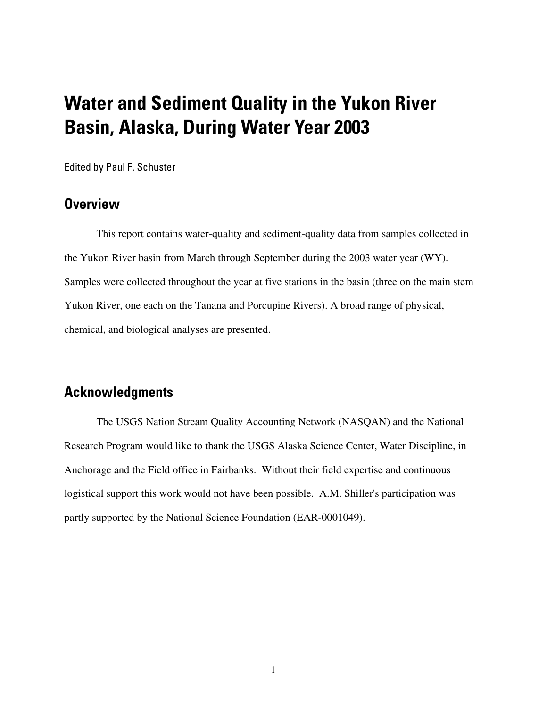# <span id="page-7-0"></span>**Water and Sediment Quality in the Yukon River Basin, Alaska, During Water Year 2003**

Edited by Paul F. Schuster

### **Overview**

This report contains water-quality and sediment-quality data from samples collected in the Yukon River basin from March through September during the 2003 water year (WY). Samples were collected throughout the year at five stations in the basin (three on the main stem Yukon River, one each on the Tanana and Porcupine Rivers). A broad range of physical, chemical, and biological analyses are presented.

### **Acknowledgments**

The USGS Nation Stream Quality Accounting Network (NASQAN) and the National Research Program would like to thank the USGS Alaska Science Center, Water Discipline, in Anchorage and the Field office in Fairbanks. Without their field expertise and continuous logistical support this work would not have been possible. A.M. Shiller's participation was partly supported by the National Science Foundation (EAR-0001049).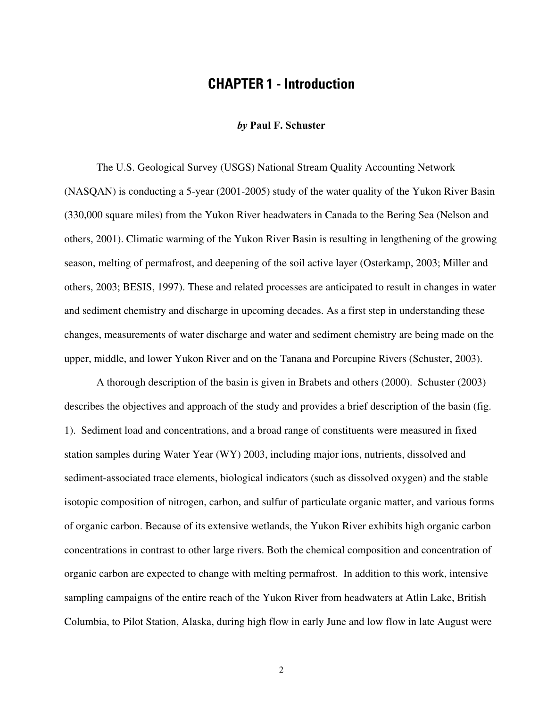### **CHAPTER 1 - Introduction**

#### *by* **Paul F. Schuster**

<span id="page-8-0"></span>The U.S. Geological Survey (USGS) National Stream Quality Accounting Network (NASQAN) is conducting a 5-year (2001-2005) study of the water quality of the Yukon River Basin (330,000 square miles) from the Yukon River headwaters in Canada to the Bering Sea (Nelson and others, 2001). Climatic warming of the Yukon River Basin is resulting in lengthening of the growing season, melting of permafrost, and deepening of the soil active layer (Osterkamp, 2003; Miller and others, 2003; BESIS, 1997). These and related processes are anticipated to result in changes in water and sediment chemistry and discharge in upcoming decades. As a first step in understanding these changes, measurements of water discharge and water and sediment chemistry are being made on the upper, middle, and lower Yukon River and on the Tanana and Porcupine Rivers (Schuster, 2003).

A thorough description of the basin is given in Brabets and others (2000). Schuster (2003) describes the objectives and approach of the study and provides a brief description of the basin (fig. 1). Sediment load and concentrations, and a broad range of constituents were measured in fixed station samples during Water Year (WY) 2003, including major ions, nutrients, dissolved and sediment-associated trace elements, biological indicators (such as dissolved oxygen) and the stable isotopic composition of nitrogen, carbon, and sulfur of particulate organic matter, and various forms of organic carbon. Because of its extensive wetlands, the Yukon River exhibits high organic carbon concentrations in contrast to other large rivers. Both the chemical composition and concentration of organic carbon are expected to change with melting permafrost. In addition to this work, intensive sampling campaigns of the entire reach of the Yukon River from headwaters at Atlin Lake, British Columbia, to Pilot Station, Alaska, during high flow in early June and low flow in late August were

2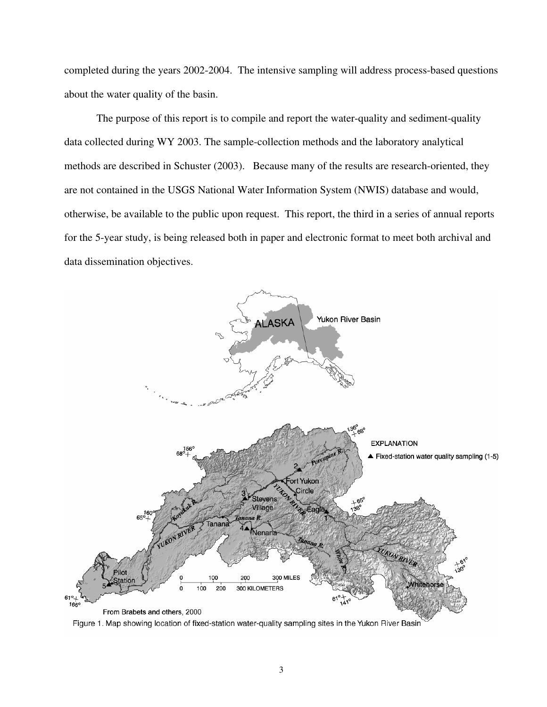completed during the years 2002-2004. The intensive sampling will address process-based questions about the water quality of the basin.

The purpose of this report is to compile and report the water-quality and sediment-quality data collected during WY 2003. The sample-collection methods and the laboratory analytical methods are described in Schuster (2003). Because many of the results are research-oriented, they are not contained in the USGS National Water Information System (NWIS) database and would, otherwise, be available to the public upon request. This report, the third in a series of annual reports for the 5-year study, is being released both in paper and electronic format to meet both archival and data dissemination objectives.



Figure 1. Map showing location of fixed-station water-quality sampling sites in the Yukon River Basin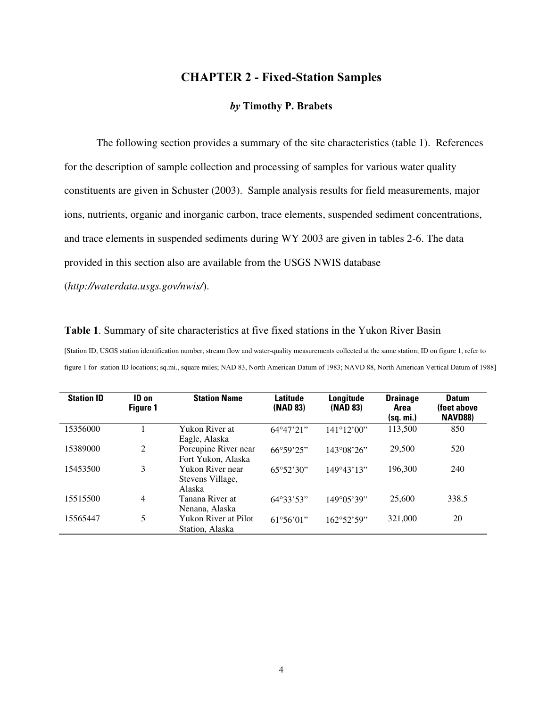#### **CHAPTER 2 - Fixed-Station Samples**

#### *by* **Timothy P. Brabets**

<span id="page-10-0"></span>The following section provides a summary of the site characteristics (table 1). References for the description of sample collection and processing of samples for various water quality constituents are given in Schuster (2003). Sample analysis results for field measurements, major ions, nutrients, organic and inorganic carbon, trace elements, suspended sediment concentrations, and trace elements in suspended sediments during WY 2003 are given in tables 2-6. The data provided in this section also are available from the USGS NWIS database

(*<http://waterdata.usgs.gov/nwis/>*).

**Table 1**. Summary of site characteristics at five fixed stations in the Yukon River Basin

[Station ID, USGS station identification number, stream flow and water-quality measurements collected at the same station; ID on figure 1, refer to figure 1 for station ID locations; sq.mi., square miles; NAD 83, North American Datum of 1983; NAVD 88, North American Vertical Datum of 1988]

| <b>Station ID</b> | ID on<br><b>Figure 1</b> | <b>Station Name</b>                            | Latitude<br>(NAD 83)      | Longitude<br>(NAD 83) | <b>Drainage</b><br>Area<br>(sq. mi.) | <b>Datum</b><br>(feet above<br><b>NAVD88)</b> |
|-------------------|--------------------------|------------------------------------------------|---------------------------|-----------------------|--------------------------------------|-----------------------------------------------|
| 15356000          |                          | Yukon River at<br>Eagle, Alaska                | $64^{\circ}47'21"$        | 141°12'00"            | 113,500                              | 850                                           |
| 15389000          | $\overline{2}$           | Porcupine River near<br>Fort Yukon, Alaska     | $66^{\circ}59'25"$        | $143^{\circ}08'26"$   | 29,500                               | 520                                           |
| 15453500          | 3                        | Yukon River near<br>Stevens Village,<br>Alaska | 65°52'30"                 | 149°43'13"            | 196.300                              | 240                                           |
| 15515500          | $\overline{4}$           | Tanana River at<br>Nenana, Alaska              | $64^{\circ}33'53"$        | $149^{\circ}05'39"$   | 25,600                               | 338.5                                         |
| 15565447          | 5                        | Yukon River at Pilot<br>Station, Alaska        | $61^{\circ}56^{\circ}01"$ | 162°52'59"            | 321,000                              | 20                                            |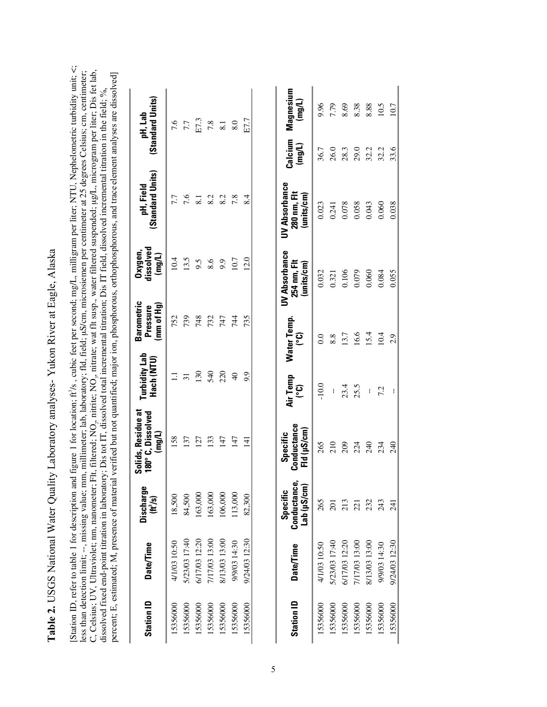Table 2. USGS National Water Quality Laboratory analyses-Yukon River at Eagle, Alaska **Table 2.** USGS National Water Quality Laboratory analyses- Yukon River at Eagle, Alaska

[Station ID, refer to table 1 for description and figure 1 for location; ft /s , cubic feet per second; mg/L, milligram per liter; NTU, Nephelometric turbidity unit; <; less than detection limit; --, missing value; mm, millimeter; lab, laboratory; fld, field; µS/cm, microsiemen per centimeter at 25 degrees Celsius; cm, centimeter;<br>C, Celsius; UV, Ultraviolet; nm, nanometer; Flt, filtered; C, Celsius; UV, Ultraviolet; nm, nanometer; Flt, filtered; NO<sub>3</sub>, nitrate; wat flt susp., water filtered suspended; µg/L, microgram per liter; Dis fet lab, less than detection limit; --, missing value; mm, millimeter; lab, laboratory; fld, field; µS/cm, microsiemen per centimeter at 25 degrees Celsius; cm, centimeter; percent; E, estimated; M, presence of material verified but not quantified; major ion, phosphorous, orthophosphorous, and trace element analyses are dissolved] percent; E, estimated; M, presence of material verified but not quantified; major ion, phosphorous, orthophosphorous, and trace element analyses are dissolved] solved incremental titration in the field; %, dissolved fixed end-point titration in laboratory; Dis tot IT, dissolved total incremental titration; Dis IT field, dis  $22$   $-22$   $-22$   $-22$ 69.

| <b>Station ID</b> | <b>Date/Time</b> | Discharge<br>$(\mathbf{t}^3/\mathbf{s})$       | Solids, Residue at<br>180° C, Dissolved<br>(mg/L)   | Turbidity Lab<br>Hach (NTU) | Barometric<br>(mm of Hg)<br>Pressure | dissolved<br>Oxygen,<br>(mg/L)             | (Standard Units)<br>pH, Field             |                      | (Standard Units)<br>pH, Lab                              |
|-------------------|------------------|------------------------------------------------|-----------------------------------------------------|-----------------------------|--------------------------------------|--------------------------------------------|-------------------------------------------|----------------------|----------------------------------------------------------|
| 15356000          | 4/1/03 10:50     | 18,500                                         | 158                                                 | Ξ                           | 752                                  | 10.4                                       | 7.7                                       |                      | 7.6                                                      |
| 15356000          | 5/23/03 17:40    | 84,500                                         | 137                                                 | $\overline{31}$             | 739                                  | 13.5                                       | 7.6                                       |                      |                                                          |
| 15356000          | 6/17/03 12:20    | 163,000                                        | 127                                                 | 130                         | 748                                  | 9.5                                        | $\overline{8.1}$                          |                      | $\begin{array}{c} 7.7 \\ \text{E}7.3 \\ 7.8 \end{array}$ |
| 15356000          | 7/17/03 13:00    | 163,000                                        | 133                                                 | 540                         | 732                                  | 8.6                                        | 8.2                                       |                      |                                                          |
| 15356000          | 8/13/03 13:00    | 106,000                                        | 147                                                 | 220                         | 747                                  | 9.9                                        | 8.2                                       |                      |                                                          |
| 15356000          | 9/9/03 14:30     | 113,000                                        | 147                                                 | $\overline{40}$             | 744                                  | 10.7                                       | 7.8                                       |                      | 8.0                                                      |
| 15356000          | 9/24/03 12:30    | 82,300                                         | $\overline{11}$                                     | 9.9                         | 735                                  | 12.0                                       | $\frac{4}{3}$                             |                      | E7.7                                                     |
| <b>Station ID</b> | Date/Time        | Conductance,<br>Lab (µS/cm)<br><b>Specific</b> | Conductance<br>Fid ( $\mu$ S/cm)<br><b>Specific</b> | Air Temp<br>(၁°)            | Water Temp.<br>ၟ                     | UV Absorbance<br>254 nm, Flt<br>(units/cm) | UV Absorbance<br>280 nm, Flt<br>units/cm) | Calcium<br>$($ mg/L) | Magnesium<br>(mg/L)                                      |
| 15356000          | 4/1/03 10:50     | 265                                            | 265                                                 | $-10.0$                     | 0.0                                  | 0.032                                      | 0.023                                     | 36.7                 | 9.96                                                     |
| 15356000          | 5/23/03 17:40    | $\overline{201}$                               | 210                                                 | ł,                          | $8.8\,$                              | 0.321                                      | 0.241                                     | 26.0                 | 7.79                                                     |
| 15356000          | 6/17/03 12:20    | 213                                            | 209                                                 | 23.4                        | 13.7                                 | 0.106                                      | 0.078                                     | 28.3                 | 8.69                                                     |
| 15356000          | 7/17/03 13:00    | 221                                            | 224                                                 | 25.5                        | 16.6                                 | 0.079                                      | 0.058                                     | 29.0                 | 8.38                                                     |
| 15356000          | 8/13/03 13:00    | 232                                            | 240                                                 | $\mathop{!}\nolimits$       | 15.4                                 | 0.060                                      | 0.043                                     | 32.2                 | 8.88                                                     |
| 15356000          | 9/9/03 14:30     | 243                                            | 234                                                 | 7.2                         | 10.4                                 | 0.084                                      | 0.060                                     | 32.2                 | 10.5                                                     |

1,000 90000 9000 0.035600 0.03560 0.035 -- 2.9 0.035 12:03 12:03 12:03 12:03 12:03 13:06 12:04 0.03 13:06 12:0

240

241

9/24/03 12:30

<span id="page-11-0"></span>15356000

 $2.9$ 

10.7

33.6

0.038

0.055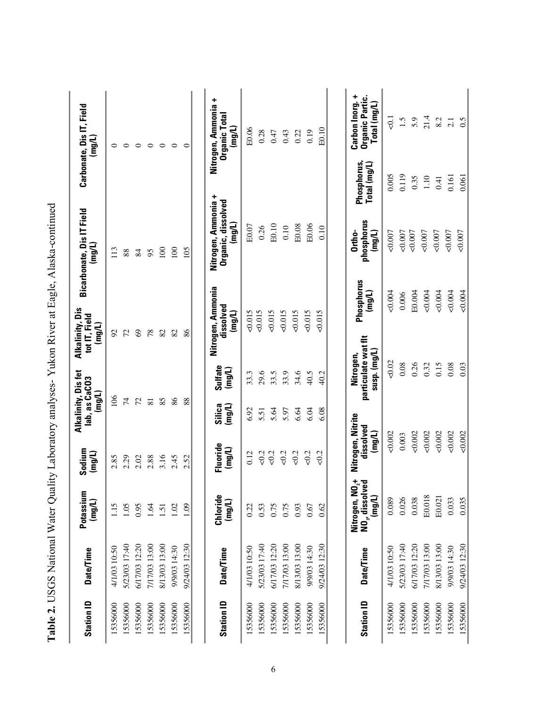|                   |                  |                                                  |                                          | ŕ.                                             |                                                  |                                               |                      |                                                     |                             |                                                                                 |
|-------------------|------------------|--------------------------------------------------|------------------------------------------|------------------------------------------------|--------------------------------------------------|-----------------------------------------------|----------------------|-----------------------------------------------------|-----------------------------|---------------------------------------------------------------------------------|
| <b>Station ID</b> | <b>Date/Time</b> | Potassium<br>(mg/L)                              | Sodium<br>(mg/L)                         | Alkalinity, Dis fet<br>lab, as CaCO3<br>(mg/L) |                                                  | Alkalinity, Dis<br>tot IT, Field<br>$($ mg/L) |                      | <b>Bicarbonate, Dis IT Field</b><br>(mg/L)          |                             | Carbonate, Dis IT, Field<br>(mg/L)                                              |
| 15356000          | 4/1/03 10:50     | 1.15                                             | 2.85                                     | 106                                            |                                                  | $\overline{56}$                               |                      | 113                                                 |                             | 0                                                                               |
| 15356000          | 5/23/03 17:40    | 1.05                                             | 2.29                                     | $\overline{7}$                                 |                                                  | 72                                            |                      | 88                                                  |                             | $\circ$                                                                         |
| 15356000          | 6/17/03 12:20    | 0.95                                             | 2.02                                     | 72                                             |                                                  | $\mathcal{S}$                                 |                      | 84                                                  |                             | $\circ$                                                                         |
| 15356000          | 7/17/03 13:00    | 1.64                                             | 2.88                                     | $\overline{8}$                                 |                                                  | 78                                            |                      | 95                                                  |                             | $\circ$                                                                         |
| 15356000          | 8/13/03 13:00    | 1.51                                             | 3.16                                     | 85                                             |                                                  | 82                                            |                      | 100                                                 |                             | $\circ$                                                                         |
| 15356000          | 9/9/03 14:30     | 1.02                                             | 2.45                                     | 86                                             |                                                  | 82                                            |                      | 100                                                 |                             | $\circ$                                                                         |
| 15356000          | 9/24/03 12:30    | 09                                               | 2.52                                     | 88                                             |                                                  | 86                                            |                      | 105                                                 |                             | $\circ$                                                                         |
|                   |                  |                                                  |                                          |                                                |                                                  |                                               |                      |                                                     |                             |                                                                                 |
| <b>Station ID</b> | Date/Time        | Chloride<br>(mg/L)                               | Fluoride<br>(mg/L)                       | (mg/L)<br>Silica                               | Sulfate<br>(mg/L)                                | Nitrogen, Ammonia<br>dissolved<br>$($ mg/L)   |                      | Nitrogen, Ammonia +<br>Organic, dissolved<br>(mg/L) |                             | Nitrogen, Ammonia +<br>Organic Total<br>(mg/L)                                  |
| 15356000          | 4/1/03 10:50     | 0.22                                             | 0.12                                     | 6.92                                           | 33.3                                             | 510.015                                       |                      | E0.07                                               |                             | E0.06                                                                           |
| 15356000          | 5/23/03 17:40    | 0.53                                             | 50.2                                     | 5.51                                           | 29.6                                             | 0.015                                         |                      | 0.26                                                |                             | 0.28                                                                            |
| 15356000          | 6/17/03 12:20    | 0.75                                             | 502                                      | 5.64                                           | 33.5                                             | 0.015                                         |                      | E0.10                                               |                             | 0.47                                                                            |
| 15356000          | 7/17/03 13:00    | 0.75                                             | 50.2                                     | 5.97                                           | 33.9                                             | 0.015                                         |                      | 0.10                                                |                             | 0.43                                                                            |
| 15356000          | 8/13/03 13:00    | 0.93                                             | 502                                      | 6.64                                           | 34.6                                             | 510.015                                       |                      | E0.08                                               |                             | 0.22                                                                            |
| 15356000          | 9/9/03 14:30     | 0.67                                             | 502                                      | 6.04                                           | 40.5                                             | 0.015                                         |                      | E0.06                                               |                             | 0.19                                                                            |
| 15356000          | 9/24/03 12:30    | 0.62                                             | 50.2                                     | 6.08                                           | 40.2                                             | 510.015                                       |                      | 0.10                                                |                             | E0.10                                                                           |
|                   |                  |                                                  |                                          |                                                |                                                  |                                               |                      |                                                     |                             |                                                                                 |
| <b>Station ID</b> | Date/Time        | ក្ដុំ គួ<br>NO, dissolv<br>Nitrogen, N<br>(mg/L) | Nitrogen, Nitrite<br>dissolved<br>(mg/L) |                                                | particulate wat flt<br>susp. (mg/L)<br>Nitrogen, |                                               | Phosphorus<br>(mg/L) | phosphorus<br>Ortho-<br>(mg/L)                      | Phosphorus,<br>Total (mg/L) | Carbon Inorg. +<br>Organic Partic.<br>$\mathsf{Tota}\left(\mathsf{mq/L}\right)$ |
| 15356000          | 4/1/03 10:50     | 0.089                                            | 0.002                                    |                                                | 0.02                                             |                                               | 0.004                | 0.007                                               | 0.005                       | $\overline{0}$ .                                                                |
| 15356000          | 5/23/03 17:40    | 0.026                                            | 0.003                                    |                                                | 0.08                                             |                                               | 0.006                | $<\!\!0.007$                                        | 0.119                       | 1.5                                                                             |
| 15356000          | 6/17/03 12:20    | 0.038                                            | 0.002                                    |                                                | 0.26                                             |                                               | E0.004               | 0.007                                               | 0.35                        | 5.9                                                                             |
| 15356000          | 7/17/03 13:00    | E0.018                                           | 0.002                                    |                                                | 0.32                                             |                                               | 0.004                | 0.007                                               | $1.10\,$                    | 21.4                                                                            |
| 15356000          | 8/13/03 13:00    | E0.021                                           | 0.002                                    |                                                | 0.15                                             |                                               | 0.004                | 0.007                                               | 0.41                        | 8.2                                                                             |
| 15356000          | 9/9/03 14:30     | 0.033                                            | 0.002                                    |                                                | 0.08                                             |                                               | &0.004               | 0.007                                               | 0.161                       | 2.1                                                                             |
| 15356000          | 9/24/03 12:30    | 0.035                                            | 0.002                                    |                                                | 0.03                                             |                                               | 0.004                | 0.007                                               | 0.061                       | 0.5                                                                             |

Table 2. USGS National Water Quality Laboratory analyses-Yukon River at Eagle, Alaska-continued **Table 2.** USGS National Water Quality Laboratory analyses- Yukon River at Eagle, Alaska-continued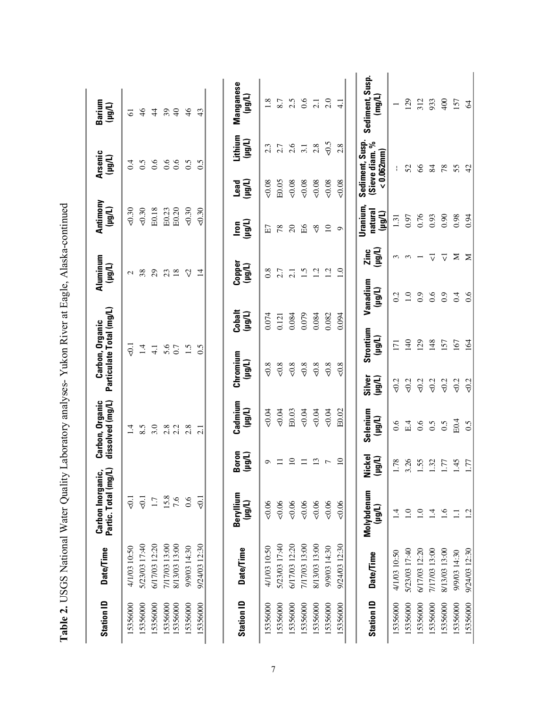| <b>Station ID</b> | <b>Date/Time</b> | Carbon Inorganic,<br>Partic. Total (mg/L   |                       | Carbon, Organic<br>dissolved (mg/L) | Particulate Total (mg/L) | Carbon, Organic   | Aluminum<br>(1001) |                   | Antimony<br>(Llou) |                               | <b>Arsenic</b><br>(Llou) | Barium<br>(loh)      |
|-------------------|------------------|--------------------------------------------|-----------------------|-------------------------------------|--------------------------|-------------------|--------------------|-------------------|--------------------|-------------------------------|--------------------------|----------------------|
| 5356000           | 4/1/03 10:50     | $\overline{0}$ .                           |                       | 1.4                                 |                          | $-0.1$            | $\mathcal{L}$      |                   | 0.30               |                               | 0.4                      | 5                    |
| 15356000          | 5/23/03 17:40    | $\overline{6}$                             |                       | 8.5                                 |                          | 1.4               | 38                 |                   | 0.30               |                               | 0.5                      | $\frac{4}{6}$        |
| 15356000          | 6/17/03 12:20    | 1.7                                        |                       | 3.0                                 |                          | $\frac{1}{4}$     | $\overline{29}$    |                   | E0.18              |                               | 0.6                      | $\ddot{4}$           |
| 15356000          | 7/17/03 13:00    |                                            |                       | 2.8                                 |                          | 5.6               | 23                 |                   | E0.23              |                               | 0.6                      | 39                   |
| 15356000          | 8/13/03 13:00    | $\begin{array}{c} 15.8 \\ 7.6 \end{array}$ |                       | 2.2                                 | 0.7                      |                   | 18                 |                   | E0.20              |                               | 0.6                      | $\overline{4}$       |
| 15356000          | 9/9/03 14:30     | 0.6                                        |                       | 2.8                                 |                          | 1.5               | $\heartsuit$       |                   | 0.30               |                               | 0.5                      | 46                   |
| 15356000          | 9/24/03 12:30    | $\overline{5}$                             |                       | $\overline{2.1}$                    |                          | 0.5               | $\overline{4}$     |                   | 50.30              |                               | 0.5                      | 43                   |
|                   |                  |                                            |                       |                                     |                          |                   |                    |                   |                    |                               |                          |                      |
| <b>Station ID</b> | <b>Date/Time</b> | Beryllium<br>(Llgul)                       | 3oron<br>(Thân        | Cadmium<br>(µg/L)                   | Chromium<br>(Llou)       | Cobalt<br>(Hight) | Copper<br>(Llgul)  |                   | lron<br>(µg/L)     | (Hêri)<br>Lead                | Lithium<br>(Lligul       | Manganese<br>(Ll0h1) |
| 15356000          | 4/1/03 10:50     | 0.06                                       | ç                     | 50.04                               | 50.8                     | 0.074             | 0.8                |                   | 日                  | 0.08                          | 2.3                      | 1.8                  |
| 15356000          | 5/23/03 17:40    | 0.06                                       | $\equiv$              | 0.04                                | $<0.8$                   | 0.121             | 2.7                |                   | 78                 | E0.05                         | 2.7                      | 8.7                  |
| 15356000          | 6/17/03 12:20    | 0.06                                       | $\Omega$              | E0.03                               | 50.8                     | 0.084             | $\overline{2.1}$   |                   | $\Omega$           | 0.08                          | 2.6                      | 2.5                  |
| 15356000          | 7/17/03 13:00    | 0.06                                       | $\equiv$              | $-0.04$                             | 50.8                     | 0.079             | $\ddot{1.5}$       |                   | ВÃ                 | 0.08                          | 3.1                      | 0.6                  |
| 15356000          | 8/13/03 13:00    | 0.06                                       | $\overline{13}$       | 0.04                                | 50.8                     | 0.084             | 1.2                |                   | $\frac{8}{5}$      | 50.08                         | 2.8                      | $\overline{2.1}$     |
| 15356000          | 9/9/03 14:30     | 0.06                                       | $\overline{ }$        | 0.04                                | 50.8                     | 0.082             | 1.2                |                   | $\overline{10}$    | 50.08                         | $50 - 5$                 | 2.0                  |
| 15356000          | 9/24/03 12:30    | 0.06                                       | $\Omega$              | E0.02                               | 50,8                     | 0.094             | $\overline{1.0}$   |                   | $\circ$            | 0.08                          | 2.8                      | $\frac{1}{4}$        |
|                   |                  | Molybdenum                                 | Nickel                | Selenium                            | Silver                   | Strontium         | Vanadium           | Zinc              | Uranium,           | Sediment, Susp.               |                          | Sediment, Susp.      |
| <b>Station ID</b> | Date/Time        | (Llûrl)                                    | (1001)                | (Llorl)                             | (Llûn)                   | (Llou)            | (1001)             | (Llon)            | natural<br>(Tlon)  | Sieve diam. %<br>$< 0.062$ mm |                          | (mg/L)               |
| 15356000          | 4/1/03 10:50     | $\overline{4}$                             | .78                   | 0.6                                 | 50.2                     | $\overline{171}$  | 0.2                | $\epsilon$        | 1.31               | Ł                             |                          |                      |
| 15356000          | 5/23/03 17:40    | $\ddot{=}$                                 | $\tilde{\mathcal{L}}$ | E.4                                 | 50.2                     | 140               | $\overline{1.0}$   | $\epsilon$        | 0.97               | 52                            |                          | 129                  |
| 15356000          | 6/17/03 12:20    | $\ddot{0}$                                 | 55                    | 0.6                                 | 50.2                     | 129               | 0.9                |                   | 0.76               | $\infty$                      |                          | 312                  |
| 15356000          | 7/17/03 13:00    | $\ddot{1}$                                 | 32                    | 0.5                                 | 50.2                     | 148               | 0.6                | $\overline{\vee}$ | 0.93               | 84                            |                          | 933                  |
| 15356000          | 8/13/03 13:00    | $\ddot{0}$                                 | LĹ.                   | 0.5                                 | 50.2                     | 157               | 0.9                | $\overline{\vee}$ | 0.90               | 78                            |                          | 400                  |
| 15356000          | 9/9/03 14:30     | $\Xi$                                      | 45                    | E0.4                                | 50.2                     | 167               | 0.4                | Σ                 | 0.98               | 55                            |                          | 157                  |
| 15356000          | 9/24/03 12:30    | 12                                         | $\overline{51}$       | 0.5                                 | 50.2                     | 164               | 6.6                | Σ                 | 0.94               | $\ddot{a}$                    |                          | $\mathcal{Z}$        |

<span id="page-13-0"></span>Table 2. USGS National Water Quality Laboratory analyses-Yukon River at Eagle, Alaska-continued **Table 2.** USGS National Water Quality Laboratory analyses- Yukon River at Eagle, Alaska-continued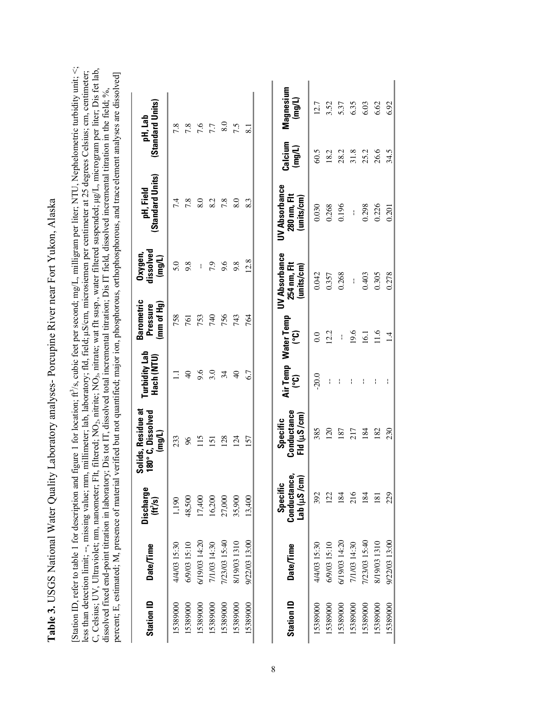<span id="page-14-0"></span>**Table 3.** USGS National Water Quality Laboratory analyses- Porcupine River near Fort Yukon, Alaska Table 3. USGS National Water Quality Laboratory analyses- Porcupine River near Fort Yukon, Alaska

[Station ID, refer to table 1 for description and figure 1 for location; ft<sup>2</sup>/s, cubic feet per second; mg/L, milligram per liter; NTU, Nephelometric turbidity unit; <; less than detection limit; --, missing value; mm, millimeter; lab, laboratory; fld, field; µS/cm, microsiemen per centimeter at 25 degrees Celsius; cm, centimeter;<br>C, Celsius; UV, Ultraviolet; mm, nanometer; Flt, filtered; C, Celsius; UV, Ultraviolet; nm, nanometer; Flt, filtered; NO<sub>2</sub>, nitrite; NO<sub>3</sub>, nitrate; wat flt susp., water filtered suspended; µg/L, microgram per liter; Dis fet lab, less than detection limit; --, missing value; mm, millimeter; lab, laboratory; fld, field; !S/cm, microsiemen per centimeter at 25 degrees Celsius; cm, centimeter; percent; E, estimated; M, presence of material verified but not quantified; major ion, phosphorous, orthophosphorous, and trace element analyses are dissolved] percent; E, estimated; M, presence of material verified but not quantified; major ion, phosphorous, orthophosphorous, and trace element analyses are dissolved] dissolved fixed end-point titration in laboratory; Dis tot IT, dissolved total incremental titration; Dis IT field, dissolved incremental titration in the field; %, olved incremental titration in the field; %, dissolved fixed end-point titration in laboratory; Dis tot IT, dissolved total incremental titration; Dis IT field, diss 2, 1111111U, 17V3 نى

| <b>Station ID</b> | <b>Date/Time</b> | <b>Discharge</b><br>(H <sup>3</sup> /s) | Solids, Residue at<br>180°C, Dissolved<br>(Ingul | Turbidity Lab<br>Hach (NTU) | Barometric<br>(mm of Hg)<br>Pressure | dissolved<br>Oxygen,<br>(mg/L)                    | (Standard Units)<br>pH, Field                     |                   | (Standard Units)<br>pH, Lab |
|-------------------|------------------|-----------------------------------------|--------------------------------------------------|-----------------------------|--------------------------------------|---------------------------------------------------|---------------------------------------------------|-------------------|-----------------------------|
| 15389000          | 4/4/03 15:30     | 1,190                                   | 233                                              | Ξ                           | 758                                  | 5.0                                               | 7.4                                               |                   | 7.8                         |
| 15389000          | 6/9/03 15:10     | 48,500                                  | 86                                               | $\Theta$                    | 761                                  | 9.8                                               | 7.8                                               |                   |                             |
| 15389000          | 6/19/03 14:20    | 17,400                                  | 115                                              | 9.6                         | 753                                  | ł                                                 | 8.0                                               |                   | 7.6<br>7.6                  |
| 15389000          | 7/1/03 14:30     | 16,200                                  | $\overline{5}$                                   | 3.0                         | 740                                  | 7.9                                               | 8.2                                               |                   | 7.7                         |
| 15389000          | 7/23/03 15:40    | 27,000                                  | 128                                              | 34                          | 756                                  | 9.6                                               | 7.8                                               |                   | 8.0                         |
| 15389000          | 8/19/03 1310     | 35,900                                  | 124                                              | $\Theta$                    | 743                                  | 9.8                                               | 8.0                                               |                   | 7.5                         |
| 15389000          | 9/22/03 13:00    | 13,400                                  | 157                                              | 6.7                         | 764                                  | 12.8                                              | 8.3                                               |                   | $\overline{\infty}$         |
| <b>Station ID</b> | <b>Date/Time</b> | Conductance,<br>lab (µS/cm)<br>Specific | Conductance<br>Fld ( $\mu$ S /cm)<br>Specific    | Air Temp Water Temp<br>၉၅   | ၟ                                    | <b>UV Absorbance</b><br>254 nm, Flt<br>(units/cm) | <b>UV Absorbance</b><br>280 nm, Flt<br>(units/cm) | Calcium<br>(mg/L) | Magnesium<br>(mg/L)         |
| 15389000          | 4/4/03 15:30     | 392                                     | 385                                              | $-20.0$                     | 0.0                                  | 0.042                                             | 0.030                                             | 60.5              | 12.7                        |
| 15389000          | 6/9/03 15:10     | 122                                     | 120                                              | I                           | 12.2                                 | 0.357                                             | 0.268                                             | 18.2              | 3.52                        |
| 15389000          | 6/19/03 14:20    | 184                                     | 187                                              | $\mathbf{I}$                | $\overline{\phantom{a}}$             | 0.268                                             | 0.196                                             | 28.2              | 5.37                        |
| 15389000          | 7/1/03 14:30     | 216                                     | 217                                              | ł                           | 19.6                                 | $\mathbf{I}$                                      | $\mathbf{I}$                                      | 31.8              | 6.35                        |
| 15389000          | 7/23/03 15:40    | 184                                     | 184                                              | ł                           | 16.1                                 | 0.403                                             | 0.298                                             | 25.2              | 6.03                        |
| 15389000          | 8/19/03 1310     | 181                                     | 182                                              | I                           | 11.6                                 | 0.305                                             | 0.226                                             | 26.6              | 6.62                        |
| 15389000          | 9/22/03 13:00    | 229                                     | 230                                              |                             | 1.4                                  | 0.278                                             | 0.201                                             | 34.5              | 6.92                        |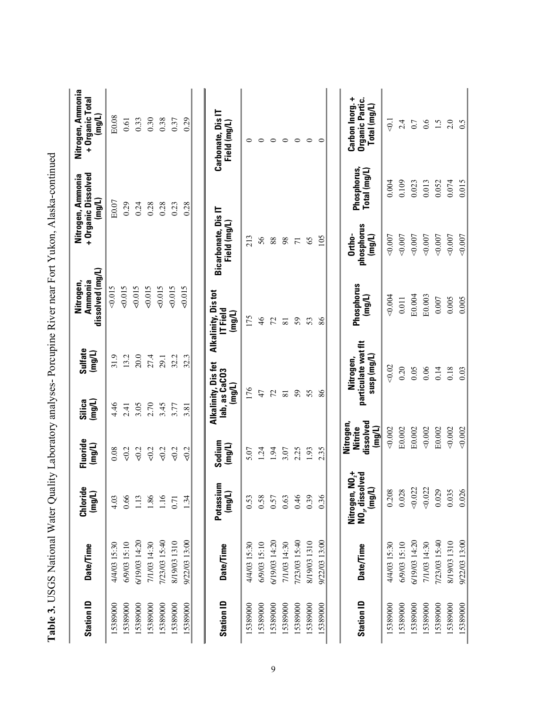|                                                                                                             | Nitrogen, Ammonia<br>+ Organic Total<br>(mg/L)     | E0.08        | 0.61         | 0.33          | 0.30         | 0.38          | 0.37         | 0.29          | Carbonate, Dis IT<br>Field (mg/L)                 | $\circ$      | $\circ$       | $\circ$       | $\circ$         | $\circ$        | $\circ$      | $\circ$       | Carbon Inorg. +<br>Organic Partic.<br>Total (mg/L)                                  | $\overline{0}$ | 2.4          | 0.7           | 0.6          | $\ddot{1}.\ddot{5}$ | 2.0          | 0.5           |
|-------------------------------------------------------------------------------------------------------------|----------------------------------------------------|--------------|--------------|---------------|--------------|---------------|--------------|---------------|---------------------------------------------------|--------------|---------------|---------------|-----------------|----------------|--------------|---------------|-------------------------------------------------------------------------------------|----------------|--------------|---------------|--------------|---------------------|--------------|---------------|
| Table 3. USGS National Water Quality Laboratory analyses- Porcupine River near Fort Yukon, Alaska-continued | + Organic Dissolved<br>Nitrogen, Ammonia<br>(mg/L) | E0.07        | 0.29         | 0.24          | 0.28         | 0.28          | 0.23         | 0.28          |                                                   |              |               |               |                 |                |              |               | Phosphorus,<br>$\mathsf{Tota}(\mathsf{mglL})$                                       | 0.004          | 0.109        | 0.023         | 0.013        | 0.052               | 0.074        | 0.015         |
|                                                                                                             |                                                    |              |              |               |              |               |              |               | Bicarbonate, Dis IT<br>Field (mg/L)               | 213          | 56            | $88\,$        | 98              | $\overline{7}$ | 65           | 105           | phosphorus<br>Ortho-<br>(mg/L)                                                      | 0.007          | 0.007        | 0.007         | 0.007        | 0.007               | 0.007        | 0.007         |
|                                                                                                             | dissolved (mg/L)<br>Ammonia<br>Nitrogen,           | 0.015        | 0.015        | 500.015       | 500.015      | 0.015         | 0.015        | 0.015         | Alkalinity, Distot<br>IT Field<br>(mg/L)          | 175          | $\frac{4}{6}$ | 72            | $\overline{81}$ | 59             | 53           | 86            | Phosphorus<br>(mg/L)                                                                | 0.004          | 0.011        | E0.004        | E0.003       | 0.007               | 0.005        | 0.005         |
|                                                                                                             | Sulfate<br>(mg/L)                                  | 31.9         | 13.2         | 20.0          | 27.4         | 29.1          | 32.2         | 32.3          |                                                   |              |               |               |                 |                |              |               | particulate wat fit<br>$\mathsf{sum}(\mathsf{m}\mathsf{g}/\mathsf{L})$<br>Nitrogen, | 0.02           | 0.20         | 0.05          | 0.06         | 0.14                | 0.18         | 0.03          |
|                                                                                                             | Silica<br>(mg/L)                                   | 4.46         | 2.41         | 3.05          | 2.70         | 3.45          | 3.77         | 3.81          | Alkalinity, Dis fet<br>lab, as CaCO3<br>$($ mg/L) | 176          | 47            | 72            | $\overline{8}$  | 59             | 55           | 86            |                                                                                     |                |              |               |              |                     |              |               |
|                                                                                                             | Fluoride<br>(mg/L)                                 | 0.08         | 50.2         | 50.2          | 50.2         | 50.2          | 50.2         | 50.2          | Sodium<br>(mg/L)                                  | 5.07         | 1.24          | 1.94          | 3.07            | 2.25           | 1.93         | 2.35          | dissolved<br>Nitrogen,<br>(mg/L)<br>Nitrite                                         | 0.002          | E0.002       | E0.002        | 0.002        | E0.002              | 0.002        | 0.002         |
|                                                                                                             | Chloride<br>(mg/L)                                 | 4.03         | 0.66         | 1.13          | 1.86         | 1.16          | 0.71         | 1.34          | ε<br>Potassiu<br>$(\text{mg/L})$                  | 0.53         | 0.58          | 0.57          | 0.63            | 0.46           | 0.39         | 0.36          | $N02$ +<br>NO <sub>3</sub> , dissolved<br>(mg/L)<br>Nitrogen,                       | 0.208          | 0.028        | 0.022         | 0.022        | 0.029               | 0.035        | 0.026         |
|                                                                                                             | Date/Time                                          | 4/4/03 15:30 | 6/9/03 15:10 | 6/19/03 14:20 | 7/1/03 14:30 | 7/23/03 15:40 | 8/19/03 1310 | 9/22/03 13:00 | Date/Time                                         | 4/4/03 15:30 | 6/9/03 15:10  | 6/19/03 14:20 | 7/1/03 14:30    | 7/23/03 15:40  | 8/19/03 1310 | 9/22/03 13:00 | <b>Date/Time</b>                                                                    | 4/4/03 15:30   | 6/9/03 15:10 | 6/19/03 14:20 | 7/1/03 14:30 | 7/23/03 15:40       | 8/19/03 1310 | 9/22/03 13:00 |
|                                                                                                             | <b>Station ID</b>                                  | 15389000     | 15389000     | 15389000      | 15389000     | 15389000      | 15389000     | 15389000      | <b>Station ID</b>                                 | 15389000     | 15389000      | 15389000      | 15389000        | 5389000        | 15389000     | 15389000      | <b>Station ID</b>                                                                   | 15389000       | 15389000     | 15389000      | 15389000     | 5389000             | 5389000      | 15389000      |

| I                                                                               |
|---------------------------------------------------------------------------------|
|                                                                                 |
|                                                                                 |
|                                                                                 |
|                                                                                 |
|                                                                                 |
|                                                                                 |
|                                                                                 |
| ו<br>ו                                                                          |
|                                                                                 |
|                                                                                 |
|                                                                                 |
|                                                                                 |
|                                                                                 |
|                                                                                 |
|                                                                                 |
| $\sqrt{2}$                                                                      |
|                                                                                 |
|                                                                                 |
| l                                                                               |
|                                                                                 |
|                                                                                 |
|                                                                                 |
|                                                                                 |
|                                                                                 |
|                                                                                 |
|                                                                                 |
|                                                                                 |
|                                                                                 |
|                                                                                 |
|                                                                                 |
|                                                                                 |
|                                                                                 |
| $\frac{1}{2}$                                                                   |
|                                                                                 |
|                                                                                 |
|                                                                                 |
| er Line Hit Loboratoris analige Doround Diver near hort Villen Allacizo antinua |
|                                                                                 |
|                                                                                 |
|                                                                                 |
| stand under Anne<br>$\sim$ -ronal Metal                                         |
|                                                                                 |
|                                                                                 |
|                                                                                 |
| ・・てして                                                                           |
|                                                                                 |
|                                                                                 |
|                                                                                 |
|                                                                                 |
| :<br>:                                                                          |
|                                                                                 |
| <br> <br>                                                                       |
|                                                                                 |
|                                                                                 |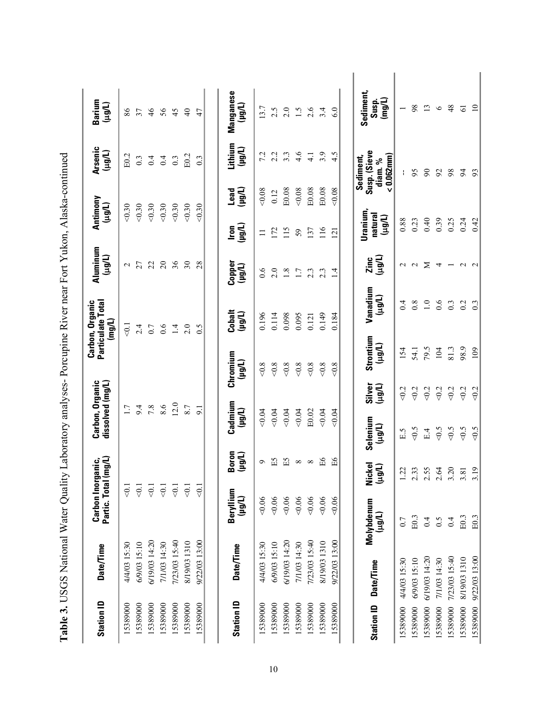| <b>Station ID</b>                     | Date/Time     | Carbon Inorganic,<br>Partic. Total (mg/L)<br>Partic. Total ( |                                      | Carbon, Organic<br>dissolved (mg/L) |                               |                     | Carbon, Organic<br>Particulate Total<br>(mg/L) | Aluminum<br>(Ll0rt)      |                                | Antimony<br>(10 <sub>8</sub> ) | <b>Arsenic</b><br>(Llgu)                            | Barium<br>(Llgu)             |
|---------------------------------------|---------------|--------------------------------------------------------------|--------------------------------------|-------------------------------------|-------------------------------|---------------------|------------------------------------------------|--------------------------|--------------------------------|--------------------------------|-----------------------------------------------------|------------------------------|
| 15389000                              | 4/4/03 15:30  | $< 0.1$                                                      |                                      | $\overline{1.7}$                    |                               |                     | $\overline{5}$                                 | $\sim$                   |                                | 0.30                           | E0.2                                                | $86\,$                       |
| 15389000                              | 6/9/03 15:10  | $\overline{Q}$                                               |                                      | 9.4                                 |                               |                     | 2.4                                            | 27                       |                                | 0.30                           | 0.3                                                 | 37                           |
| 15389000                              | 6/19/03 14:20 | $\overline{0}$ .                                             |                                      | 7.8                                 |                               |                     | 0.7                                            | 22                       |                                | < 0.30                         | 0.4                                                 | $\frac{4}{6}$                |
| 5389000                               | 7/1/03 14:30  | $\overline{5}$                                               |                                      | 8.6                                 |                               |                     | 0.6                                            | $\overline{c}$           |                                | < 0.30                         | 0.4                                                 | 56                           |
| 15389000                              | 7/23/03 15:40 | $\overline{Q}$                                               |                                      | 12.0                                |                               |                     | $\overline{4}$                                 | 36                       |                                | < 0.30                         | $0.3\,$                                             | 45                           |
| 15389000                              | 8/19/03 1310  | $\overline{Q}$                                               |                                      | 8.7                                 |                               |                     | 2.0                                            | 30                       |                                | 0.30                           | E0.2                                                | $\overline{40}$              |
| 15389000                              | 9/22/03 13:00 | $\overline{5}$                                               |                                      | $\overline{5}$                      |                               |                     | 0.5                                            | 28                       |                                | 0.30                           | 0.3                                                 | 47                           |
| <b>Station ID</b>                     | Date/Time     | Beryllium<br>(Llon)                                          | Boron<br>(Tlêri)                     | Cadmium<br>(Llou)                   |                               | Chromium<br>(hôrl)  | Cobalt<br>(µg/L)                               | Copper<br>(Light)        | (Tlêri)<br>lron                | (Ingri<br>Lead                 | Lithium<br>(1001)                                   | Manganese<br>(hârl)          |
| 15389000                              | 4/4/03 15:30  | 0.06                                                         | $\sigma$                             | 0.04                                |                               | $<0.8$              | 0.196                                          | 0.6                      | $\equiv$                       | 0.08                           | 7.2                                                 | 13.7                         |
| 15389000                              | 6/9/03 15:10  | 0.06                                                         | ĚБ                                   | 0.04                                |                               | $<\!\!0.8$          | 0.114                                          | 2.0                      | 172                            | 0.12                           | 2.2                                                 | 2.5                          |
| 15389000                              | 6/19/03 14:20 | 0.06                                                         | $\Xi$                                | 0.04                                |                               | $<\!\!0.8$          | 0.098                                          | $1.8\,$                  | 115                            | E0.08                          | 3.3                                                 | 2.0                          |
| 15389000                              | 7/1/03 14:30  | 0.06                                                         | $\infty$                             | 0.04                                |                               | $<\!\!0.8$          | 0.095                                          | $1.7\,$                  | 59                             | 0.08                           | 4.6                                                 | 1.5                          |
| 15389000                              | 7/23/03 15:40 | 0.06                                                         | $\infty$                             | E0.02                               |                               | $<\!\!0.8$          | 0.121                                          | $2.\overline{3}$         | 137                            | E0.08                          | $\frac{1}{4}$                                       | 2.6                          |
| 15389000                              | 8/19/03 1310  | 0.06                                                         | Я                                    | 0.04                                |                               | $<0.8$              | 0.149                                          | 2.3                      | 116                            | E0.08                          | 3.9                                                 | 3.4                          |
| 15389000                              | 9/22/03 13:00 | 0.06                                                         | Я                                    | 0.04                                |                               | $<0.8$              | 0.184                                          | $\overline{14}$          | $\overline{2}$                 | 0.08                           | 4.5                                                 | 6.0                          |
| <b>Date/Time</b><br><b>Station ID</b> |               | Molybdenum<br>(1001)                                         | kel<br>(Llgu)<br>ιğ                  | Selenium<br>(1001)                  | Silver<br>(10 <sup>th</sup> ) | Strontium<br>(Llgu) | Vanadium<br>(Llgu)                             | (Llgu)<br>Zinc           | Uranium,<br>natural<br>(Llert) |                                | Susp. (Sieve<br>$< 0.062$ mm<br>Sediment,<br>diam.% | Sediment,<br>(mg/L)<br>Susp. |
| 4/4/03 15:30<br>15389000              |               | 0.7                                                          | 1.22                                 | E.5                                 | 50.2                          | 154                 | 0.4                                            | $\sim$                   | 0.88                           |                                |                                                     | $\overline{\phantom{0}}$     |
| 6/9/03 15:10<br>15389000              |               | E0.3                                                         | 2.33                                 | &0.5                                | 50.2                          | 54.1                | 0.8                                            | $\sim$                   | 0.23                           |                                | 95                                                  | 98                           |
| 6/19/03 14:20<br>15389000             |               | 0.4                                                          | 2.55                                 | E.4                                 | 50.2                          | 79.5                | $\overline{1.0}$                               | Σ                        | 0.40                           |                                | $\infty$                                            | $\overline{13}$              |
| 7/1/03 14:30<br>15389000              |               | 6.5                                                          | $2.54$<br>$3.20$<br>$3.81$<br>$3.19$ | $<0.5$                              | 50.2                          | 104                 | 0.6                                            | 4                        | 0.39                           |                                | 92                                                  | $\circ$                      |
| 7/23/03 15:40<br>15389000             |               | 0.4                                                          |                                      | $<\!\!0.5$                          | 50.2                          | 81.3                | $0.\overline{3}$                               | $\overline{\phantom{0}}$ | 0.25                           |                                | 98                                                  | 48                           |
| 8/19/03 1310<br>15389000              |               | E0.3                                                         |                                      | &0.5                                | 502                           | 98.9                | 0.2                                            | $\sim$                   | 0.24                           |                                | $\frac{5}{4}$                                       | $\overline{6}$               |
| 9/22/03 13:00<br>15389000             |               | E0.3                                                         |                                      | 50                                  | $\leqslant$                   | 109                 | $0.\overline{3}$                               | $\sim$                   | 0.42                           |                                | 93                                                  | $\overline{10}$              |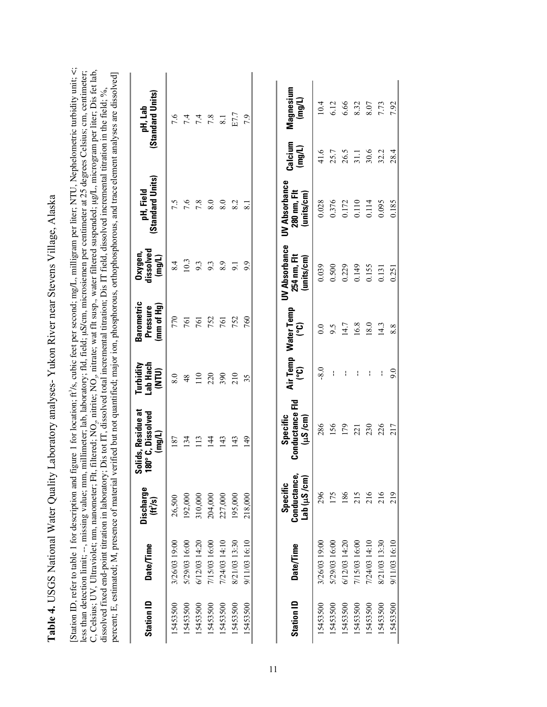| ١                                                                 |
|-------------------------------------------------------------------|
|                                                                   |
| .<br>.<br>.<br>.                                                  |
| $\ddot{\phantom{a}}$<br>$\overline{1}$                            |
|                                                                   |
|                                                                   |
|                                                                   |
| יש<br>נא<br>,,,,                                                  |
|                                                                   |
| てしし                                                               |
| $\frac{1}{2}$<br>$\ddot{\phantom{a}}$<br>$\overline{\phantom{a}}$ |

[Station ID, refer to table 1 for description and figure 1 for location; ft /s, cubic feet per second; mg/L, milligram per liter; NTU, Nephelometric turbidity unit; <; less than detection limit; --, missing value; mm, millimeter; lab, laboratory; fld, field; µS/cm, microsiemen per centimeter at 25 degrees Celsius; cm, centimeter;<br>C, Celsius; UV, Ultraviolet; nm, nanometer; Flt, filtered; C, Celsius; UV, Ultraviolet; nm, nanometer; Flt, filtered; NO<sub>3</sub>, nitrate; wat flt susp., water filtered suspended; µg/L, microgram per liter; Dis fet lab, less than detection limit; --, missing value; mm, millimeter; lab, laboratory; fld, field; µS/cm, microsiemen per centimeter at 25 degrees Celsius; cm, centimeter; percent; E, estimated; M, presence of material verified but not quantified; major ion, phosphorous, orthophosphorous, and trace element analyses are dissolved] percent; E, estimated; M, presence of material verified but not quantified; major ion, phosphorous, orthophosphorous, and trace element analyses are dissolved] ssolved incremental titration in the field;  $\%$ , dissolved fixed end-point titration in laboratory; Dis tot IT, dissolved total incremental titration; Dis IT field, di  $22$   $-22$   $-22$   $-22$ ઌ,

| (Standard Units)<br>pH, Lab                      | 7.6           |               | $74$<br>$74$<br>$78$ |                | $8.1\,$       | E7.7          | 7.9           | Magnesium<br>(mg/L)                                | 10.4          | 6.12          | 6.66          | 8.32          | 8.07          | 7.73          |
|--------------------------------------------------|---------------|---------------|----------------------|----------------|---------------|---------------|---------------|----------------------------------------------------|---------------|---------------|---------------|---------------|---------------|---------------|
|                                                  |               |               |                      |                |               |               |               | Calcium<br>(mg/L)                                  | 41.6          | 25.7          | 26.5          | 31.1          | 30.6          | 32.2          |
| (Standard Units)<br>pH, Field                    | 7.5           | 7.6           | 7.8                  | 8.0            | 8.0           | 8.2           |               | <b>UV Absorbance</b><br>280 nm, Flt<br>(units/cm)  | 0.028         | 0.376         | 0.172         | 0.110         | 0.114         | 0.095         |
| dissolved<br>Oxygen<br>(mg/L)                    | 8.4           | 10.3          | 9.3                  | 9.3            | 8.9           | 9.1           | 9.9           | <b>UV Absorbance</b><br>254 nm, Flt<br>(units/cm)  | 0.039         | 0.500         | 0.229         | 0.149         | 0.155         | 0.131         |
| <b>Barometric</b><br>(mm of Hg)<br>Pressure      | 770           | 761           | 761                  | 752            | 761           | 752           | 760           | Air Temp Water Temp<br>ၟႄ                          | 0.0           | 9.5           | 14.7          | 16.8          | 18.0          | 14.3          |
| Lab Hach<br>Turbidity<br>(NTU)                   | 8.0           | 48            | 110                  | 220            | 390           | 210           | 35            | ၟ                                                  | $-8.0$        | ł             | ł             | ł             | ł             |               |
| Solids, Residue at<br>180°C, Dissolved<br>(mg/L) | 187           | 134           | 113                  | $\frac{14}{4}$ | 143           | 143           | 149           | <b>Conductance Fld</b><br>Specific<br>$(\mu S/cm)$ | 286           | 156           | 179           | 221           | 230           | 226           |
| <b>Discharge</b><br>(H <sup>3</sup> /s)          | 26,500        | 192,000       | 310,000              | 204,000        | 227,000       | 195,000       | 218,000       | Conductance<br>Lab (uS/cm)<br><b>Specific</b>      | 296           | 175           | 186           | 215           | 216           | 216           |
| <b>Date/Time</b>                                 | 3/26/03 19:00 | 5/29/03 16:00 | 6/12/03 14:20        | 7/15/03 16:00  | 7/24/03 14:10 | 8/21/03 13:30 | 9/11/03 16:10 | <b>Date/Time</b>                                   | 3/26/03 19:00 | 5/29/03 16:00 | 6/12/03 14:20 | 7/15/03 16:00 | 7/24/03 14:10 | 8/21/03 13:30 |
| <b>Station ID</b>                                | 15453500      | 5453500       | 5453500              | 5453500        | 5453500       | 15453500      | 15453500      | <b>Station ID</b>                                  | 15453500      | 5453500       | 5453500       | 5453500       | 5453500       | 15453500      |

15453500 9/11/03 16:10 219 217 9.0 8.8 0.251 0.185 28.4 7.92

 $9.0$ 

217

219

9/11/03 16:10

<span id="page-17-0"></span>15453500

8.8

7.92

28.4

0.185

0.251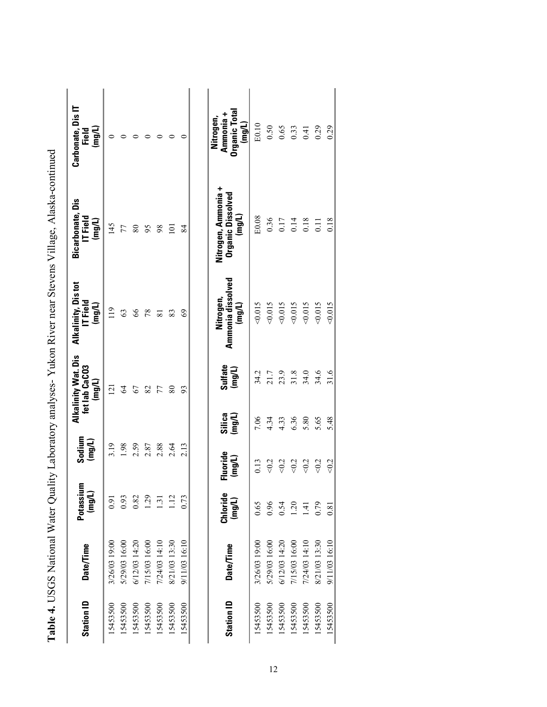| <b>Station ID</b> | <b>Date/Time</b> | Potassium<br>(mg/L) | Sodium<br>(mg/L)   | <b>Alkalinity Wat. Dis</b><br>fet lab CaCO3<br>(mg/L) | Alkalinity, Dis tot<br>T Field<br>(mg/L) | <b>Bicarbonate, Dis</b><br>IT Field<br>(mg/L)      | Carbonate, Dis IT<br>$($ mg/L)<br>Field           |
|-------------------|------------------|---------------------|--------------------|-------------------------------------------------------|------------------------------------------|----------------------------------------------------|---------------------------------------------------|
| 15453500          | 3/26/03 19:00    | 16.0                | 3.19               | 121                                                   | 119                                      | 145                                                |                                                   |
| 5453500           | 5/29/03 16:00    | 0.93                | 1.98               | 2                                                     | 63                                       | 77                                                 |                                                   |
| 15453500          | 6/12/03 14:20    | 0.82                | 2.59               | 67                                                    | 89                                       | $80\,$                                             |                                                   |
| 15453500          | 7/15/03 16:00    | $\overline{29}$     | 2.87               | 82                                                    | 78                                       | 95                                                 |                                                   |
| 15453500          | 7/24/03 14:10    | $\overline{3}$      | 2.88               | 77                                                    | $\overline{8}$                           | 98                                                 |                                                   |
| 15453500          | 8/21/03 13:30    | 112                 | 2.64               | 80                                                    | 83                                       | $\overline{5}$                                     |                                                   |
| 15453500          | 9/11/03 16:10    | 0.73                | 2.13               | 93                                                    | 69                                       | 84                                                 |                                                   |
| <b>Station ID</b> | <b>Date/Time</b> | Chloride<br>(mg/L)  | Fluoride<br>(mg/L) | Sulfate<br>(mg/L)<br>Silica<br>(mg/L)                 | Ammonia dissolved<br>Nitrogen,<br>(mg/L) | Nitrogen, Ammonia +<br>Organic Dissolved<br>(mg/L) | Organic Total<br>Ammonia +<br>Nitrogen,<br>(mg/L) |
| 15453500          | 3/26/03 19:00    | 0.65                | 0.13               | 34.2<br>7.06                                          | 51000                                    | E0.08                                              | E0.10                                             |
| 15453500          | 5/29/03 16:00    | 0.96                | $<0.2$             | 21.7<br>4.34                                          | 0.015                                    | 0.36                                               | 0.50                                              |
| 5453500           | 6/12/03 14:20    | 0.54                | <0.2               | 23.9<br>4.33                                          | 0.015                                    | 0.17                                               | 0.65                                              |
| 5453500           | 7/15/03 16:00    | 1.20                | $<0.2$             | 31.8<br>6.36                                          | 0.015                                    | 0.14                                               | 0.33                                              |
| 15453500          | 7/24/03 14:10    | $\overline{14}$     | $<0.2$             | 34.0<br>5.80                                          | 0.015                                    | 0.18                                               | 0.41                                              |
| 15453500          | 8/21/03 13:30    | 0.79                | $<0.2$             | 34.6<br>5.65                                          | 0.015                                    | 0.11                                               | 0.29                                              |
| 15453500          | 9/11/03 16:10    | 0.81                | < 0.2              | 31.6<br>5.48                                          | 50.015                                   | 0.18                                               | 0.29                                              |

|                | .<br>.<br>.<br>.                                |
|----------------|-------------------------------------------------|
|                |                                                 |
|                | l<br>$\mathbf{I}$                               |
|                |                                                 |
|                |                                                 |
|                |                                                 |
|                |                                                 |
|                | $\frac{1}{2}$                                   |
|                |                                                 |
|                |                                                 |
| -<br>;<br>;    |                                                 |
|                |                                                 |
|                |                                                 |
|                |                                                 |
|                |                                                 |
| Ì              |                                                 |
|                | in Virar naar Stariar                           |
|                |                                                 |
|                |                                                 |
|                |                                                 |
|                |                                                 |
| $\overline{1}$ |                                                 |
|                |                                                 |
|                |                                                 |
|                | $\ddot{\phantom{a}}$                            |
|                |                                                 |
| ו<br>ו         | ֧֖֚֚֞֝֝֝<br>֧֚֝<br>֖֖֖֖֚֚֚֚֚֚֚֚֝֝֝֝֝֝֝ <u>֚</u> |
|                |                                                 |
|                | $5.1$ and $1.25$<br>いりしょう りょう こうりょく             |
|                |                                                 |
|                |                                                 |
|                |                                                 |
|                |                                                 |
|                |                                                 |
|                |                                                 |
|                |                                                 |
|                |                                                 |
|                |                                                 |
|                |                                                 |
|                |                                                 |
|                |                                                 |
|                |                                                 |
|                |                                                 |
|                |                                                 |
|                |                                                 |
|                |                                                 |
|                | - 1011                                          |
|                |                                                 |
| $\frac{1}{2}$  | $\frac{1}{2}$                                   |
|                |                                                 |
|                | $\ddot{ }$<br>ra<br>R                           |
|                |                                                 |
|                |                                                 |
|                |                                                 |
| ļ              |                                                 |
| $\overline{a}$ | I                                               |
|                |                                                 |
|                |                                                 |
|                |                                                 |
|                |                                                 |
|                | I                                               |
| ľ              |                                                 |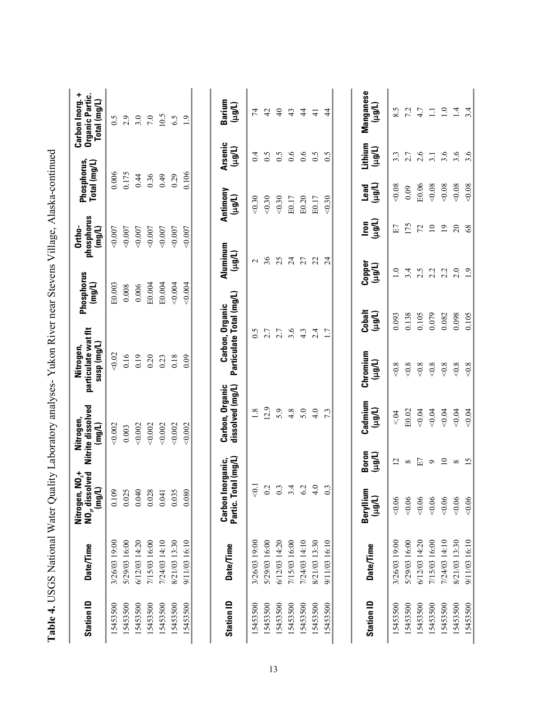| <b>Station ID</b> | Date/Time     | lved<br>Nitrogen, NO <sub>2</sub> +<br>$($ mg/L $)$<br>NO, dissol | Nitrite dissolved<br>Nitrogen,<br>$(\text{mgn})$ | particulate wat flt<br>susp (mg/L)<br>Nitrogen, | Phosphorus<br>(mg/L) |                    | phosphorus<br>Ortho-<br>(mg/L) | Phosphorus,<br>Total (mg/L) |                           | Carbon Inorg. +<br>Organic Partic.<br>Total (mg/L) |
|-------------------|---------------|-------------------------------------------------------------------|--------------------------------------------------|-------------------------------------------------|----------------------|--------------------|--------------------------------|-----------------------------|---------------------------|----------------------------------------------------|
| 15453500          | 3/26/03 19:00 | 0.109                                                             | 0.002                                            | 0.02                                            | E0.003               |                    | $<\!\!0.007$                   | 0.006                       |                           | 0.5                                                |
| 15453500          | 5/29/03 16:00 | 0.025                                                             | 0.003                                            | 0.16                                            | 0.008                |                    | 0.007                          | 0.175                       |                           | 2.9                                                |
| 15453500          | 6/12/03 14:20 | 0.040                                                             | 0.002                                            | 0.19                                            | 0.006                |                    | 0.007                          | 0.44                        |                           | $3.0\,$                                            |
| 15453500          | 7/15/03 16:00 | 0.028                                                             | 0.002                                            | 0.20                                            | E0.004               |                    | 0.007                          | 0.36                        |                           | 7.0                                                |
| 15453500          | 7/24/03 14:10 | 0.041                                                             | 0.002                                            | 0.23                                            | E0.004               |                    | 0.007                          | 64.0                        |                           | 10.5                                               |
| 15453500          | 8/21/03 13:30 | 0.035                                                             | 0.002                                            | $0.18\,$                                        | 0.004                |                    | $<\!\!0.007$                   | 0.29                        |                           | 6.5                                                |
| 15453500          | 9/11/03 16:10 | 0.080                                                             | 0.002                                            | 0.09                                            | < 0.004              |                    | 0.007                          | 0.106                       |                           | 1.9                                                |
|                   |               |                                                                   |                                                  |                                                 |                      |                    |                                |                             |                           |                                                    |
| <b>Station ID</b> | Date/Time     | Partic. Total (mg/L)<br>Carbon Inorganic,                         | Carbon, Organic<br>dissolved (mg/L)              | Carbon, Organic<br>Particulate Total (mg/L)     |                      | Aluminum<br>(Llgu) |                                | Antimony<br>(Llgul)         | <b>Arsenic</b><br>(Llgul) | Barium<br>(Llgul)                                  |
| 15453500          | 3/26/03 19:00 | $\overline{5}$                                                    | 1.8                                              | 0.5                                             |                      | $\mathbf{\sim}$    |                                | 50.30                       | 0.4                       | 74                                                 |
| 15453500          | 5/29/03 16:00 | 0.2                                                               | 12.9                                             | 2.7                                             |                      | 36                 |                                | 0.30                        | $\widetilde{S}$ :0        | $\overline{c}$                                     |
| 15453500          | 6/12/03 14:20 | $0.3\,$                                                           | 5.9                                              | 2.7                                             |                      | 25                 |                                | < 0.30                      | 0.5                       | $\overline{40}$                                    |
| 15453500          | 7/15/03 16:00 | 3.4                                                               | 4.8                                              | 3.6                                             |                      | $\overline{24}$    |                                | E0.17                       | 0.6                       | 43                                                 |
| 15453500          | 7/24/03 14:10 | 6.2                                                               | 5.0                                              | 4.3                                             |                      | 27                 |                                | E0.20                       | 0.6                       | $\overline{4}$                                     |
| 15453500          | 8/21/03 13:30 | 4.0                                                               | 4.0                                              | 2.4                                             |                      | 22                 |                                | E0.17                       | 0.5                       | $\overline{4}$                                     |
| 15453500          | 9/11/03 16:10 | $0.\overline{3}$                                                  | 7.3                                              | 1.7                                             |                      | $\overline{24}$    |                                | < 0.30                      | 0.5                       | $\overline{4}$                                     |
|                   |               |                                                                   |                                                  |                                                 |                      |                    |                                |                             |                           |                                                    |
| <b>Station ID</b> | Date/Time     | Beryllium<br>(Llgu)                                               | Cadmium<br>(Llgu)<br>Boron<br>(Tlêri)            | Chromium<br>(Llgu)                              | Cobalt<br>(Llert)    | Copper<br>(Ligul)  | (Tlêri)<br>lron                | (Inani)<br>Lead             | Lithium<br>(1001)         | Manganese<br>(T/Bri)                               |
| 15453500          | 3/26/03 19:00 | 0.06                                                              | $\leq 04$<br>$\overline{c}$                      | $<\!\!0.8$                                      | 0.093                | $\overline{1.0}$   | E                              | 0.08                        | $3.\overline{3}$          | 8.5                                                |
| 15453500          | 5/29/03 16:00 | 0.06                                                              | E0.02<br>$\infty$                                | $<\!\!0.8$                                      | 0.138                | 3.4                | 175                            | 0.09                        | 2.7                       | 7.2                                                |
| 15453500          | 6/12/03 14:20 | 0.06                                                              | 0.04<br>E7                                       | $<\!\!0.8$                                      | 0.105                | 2.5                | 72                             | E0.06                       | 2.6                       | 4.7                                                |
| 15453500          | 7/15/03 16:00 | 0.06                                                              | 0.04<br>$\bullet$                                | $<\!\!0.8$                                      | 0.079                | 2.2                | $\overline{10}$                | 0.08                        | 3.1                       | $\Xi$                                              |
| 15453500          | 7/24/03 14:10 | 0.06                                                              | 0.04<br>$\overline{10}$                          | $<\!\!0.8$                                      | 0.082                | 2.2                | $\overline{0}$                 | 0.08                        | 3.6                       | $\overline{1.0}$                                   |
| 15453500          | 8/21/03 13:30 | 0.06                                                              | 0.04<br>$\infty$                                 | $<\!\!0.8$                                      | 0.098                | 2.0                | $\overline{c}$                 | 0.08                        | 3.6                       | $\overline{1}$                                     |
| 15453500          | 9/11/03 16:10 | 0.06                                                              | 0.04<br>$\overline{15}$                          | $<0.8$                                          | 0.105                | $\overline{1.9}$   | 68                             | 0.08                        | 3.6                       | 3.4                                                |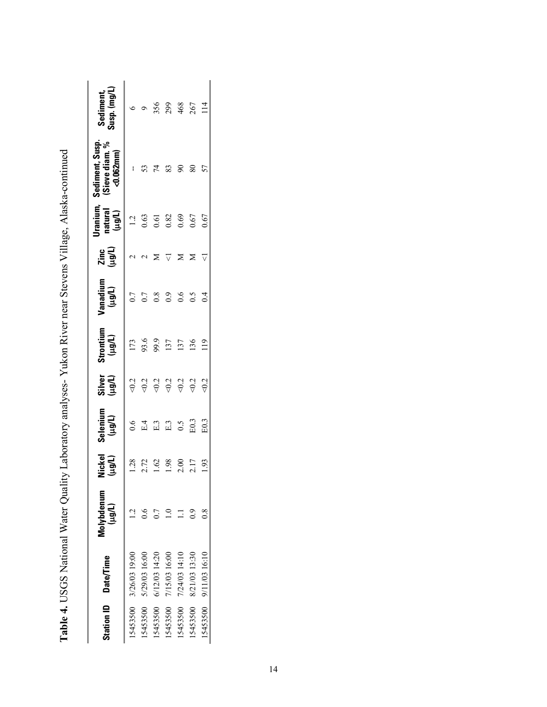|          | Station ID Date/Time | Molybdenum<br>(10p1) | <b>Nickel</b><br>(10p1) | Selenium<br>(10p1) | Silver<br>(Ligul) | Strontium<br>(µg/L) | Vanadium<br>(µg/L) | Zinc<br>(µg/L) | <b>Iranium,</b><br>natural<br>(µg/L) | Sediment, Susp.<br>(Sieve diam. %<br>$< 0.062$ mm $)$ | Sediment,<br>Susp. (mg/L) |
|----------|----------------------|----------------------|-------------------------|--------------------|-------------------|---------------------|--------------------|----------------|--------------------------------------|-------------------------------------------------------|---------------------------|
| 5453500  | 3/26/03 19:00        | $\overline{C}$       | 1.28                    | $\overline{6}$     |                   | 173                 | 0.7                |                | 1.2                                  | ł                                                     | ≎                         |
| 5453500  | 5/29/03 16:00        | $\epsilon$           | 2.72                    | E.4                |                   | 93.6                | 0.7                |                | 0.63                                 |                                                       |                           |
| 5453500  | 6/12/03 14:20        |                      | 1.62                    | E.3                |                   | 99.9                | 0.8                |                | 0.61                                 | 74                                                    |                           |
| 5453500  | 7/15/03 16:00        |                      | 98                      | E.3                |                   | 137                 | $_{0.9}$           |                | $0.82$<br>0.69                       | 83                                                    | 356<br>299                |
| 5453500  | 7/24/03 14:10        |                      | 2.00                    | $\sim 0$           |                   | 137                 | 0.6                |                |                                      | $\infty$                                              |                           |
| 5453500  | 8/21/03 13:30        | 2                    | 2.17                    | E0.3               |                   | 136                 | 0.5                |                | 0.67                                 | $80\,$                                                | 468<br>267                |
| 15453500 | 9/11/03 16:10        | $\frac{8}{1}$        | 1.93                    | E0.3               | 502               | 119                 | $\overline{5}$     |                | $0.67$                               | 57                                                    | $\overline{14}$           |

Table 4. USGS National Water Quality Laboratory analyses- Yukon River near Stevens Village, Alaska-continued **Table 4.** USGS National Water Quality Laboratory analyses- Yukon River near Stevens Village, Alaska-continued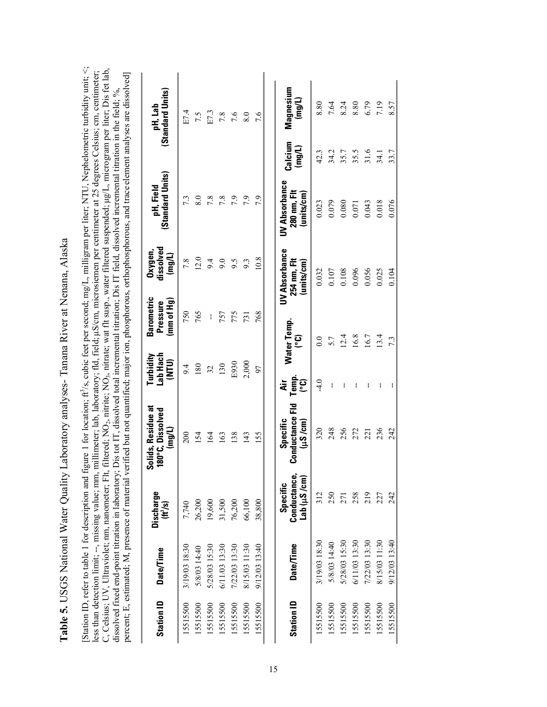<span id="page-21-0"></span>**Table 5.** USGS National Water Quality Laboratory analyses- Tanana River at Nenana, Alaska Table 5. USGS National Water Quality Laboratory analyses- Tanana River at Nenana, Alaska [Station ID, refer to table 1 for description and figure 1 for location; ft<sup>2</sup>/s, cubic feet per second; mg/L, milligram per liter; NTU, Nephelometric turbidity unit; <; [Station ID, refer to table 1 for description and figure 1 for location;  $\hat{\pi}^2$ /s, cubic feet per second; mg/L, milligram per liter; NTU, Nephelometric turbidity unit; <; C, Celsius; UV, Ultraviolet; nm, nanometer; Flt, filtered; NO<sub>2</sub>, nitrite; NO<sub>3</sub>, nitrate; wat filt susp., water filtered suspended; µg/L, microgram per liter; Dis fet lab, C, Celsius; UV, Ultraviolet; nm, nanometer; Flt, filtered; NO<sub>2</sub>, nitrite; NO<sub>3</sub>, nitrate; wat flt susp., water filtered suspended; µg/L, microgram per liter; Dis fet lab, less than detection limit; --, missing value; mm, millimeter; lab, laboratory; fld, field; µS/cm, microsiemen per centimeter at 25 degrees Celsius; cm, centimeter; less than detection limit; --, missing value; mm, millimeter; lab, laboratory; fld, field; µS/cm, microsiemen per centimeter at 25 degrees Celsius; cm, centimeter; percent; E, estimated; M, presence of material verified but not quantified; major ion, phosphorous, orthophosphorous, and trace element analyses are dissolved] percent; E, estimated; M, presence of material verified but not quantified; major ion, phosphorous, orthophosphorous, and trace element analyses are dissolved] dissolved fixed end-point titration in laboratory; Dis tot IT, dissolved total incremental titration; Dis IT field, dissolved incremental titration in the field; %, dissolved fixed end-point titration in laboratory; Dis tot IT, dissolved total incremental titration; Dis IT field, dissolved incremental titration in the field; %,

| <b>Station ID</b> | Date/Time        | <b>Discharge</b><br>(H <sup>3</sup> /s) | Solids, Residue at<br>180°C, Dissolved<br>(mg/L)   | Lab Hach<br>Turbidity<br>(NTU) | <b>Barometric</b><br>(mm of Hg)<br>Pressure | dissolved<br>Oxygen<br>(mg/L)                     | (Standard Units)<br>pH, Field                     |                            | (Standard Units)<br>pH, Lab |
|-------------------|------------------|-----------------------------------------|----------------------------------------------------|--------------------------------|---------------------------------------------|---------------------------------------------------|---------------------------------------------------|----------------------------|-----------------------------|
| 15515500          | 3/19/03 18:30    | 7,740                                   | 200                                                | 9.4                            | 750                                         | $7.8\,$                                           | 7.3                                               |                            | E7.4                        |
| 15515500          | 5/8/03 14:40     | 26,200                                  | 154                                                | 180                            | 765                                         | 12.0                                              | 8.0                                               |                            | 7.5                         |
| 15515500          | 5/28/03 15:30    | 19,600                                  | 164                                                | 32                             | $\mathbf i$                                 | 9.4                                               | 7.8                                               |                            | E7.3                        |
| 15515500          | 6/11/03 13:30    | 31,500                                  | 163                                                | 130                            | 757                                         | 9.0                                               | 7.8                                               |                            |                             |
| 15515500          | 7/22/03 13:30    | 76,200                                  | 138                                                | E930                           | 775                                         | 9.5                                               | 7.9                                               |                            | $7.8$<br>7.6                |
| 15515500          | 8/15/03 11:30    | 66,100                                  | 143                                                | 2,000                          | 731                                         | 9.3                                               | 7.9                                               |                            | 8.0                         |
| 15515500          | 9/12/03 13:40    | 38,800                                  | 155                                                | 60                             | 768                                         | 10.8                                              | 7.9                                               |                            | 7.6                         |
|                   |                  |                                         |                                                    |                                |                                             |                                                   |                                                   |                            |                             |
| <b>Station ID</b> | <b>Date/Time</b> | Conductance,<br>Lab (µS/cm)<br>Specific | <b>Conductance Fld</b><br>Specific<br>$(\mu S/cm)$ | $T$ emp.<br>$(^{\circ}C)$<br>₹ | Water Temp.<br>၉၁                           | <b>UV Absorbance</b><br>254 nm, Flt<br>(units/cm) | <b>UV Absorbance</b><br>280 nm, Flt<br>(units/cm) | Calcium<br>(mg/L)          | Magnesium<br>(mg/L)         |
| 15515500          | 3/19/03 18:30    | 312                                     | 320                                                | $-4.0$                         | $0.0\,$                                     | 0.032                                             | 0.023                                             | 42.3                       | 8.80                        |
| 15515500          | 5/8/03 14:40     | 250                                     | 248                                                | $\mathbf i$                    | 5.7                                         | 0.107                                             | 0.079                                             | 34.2                       | 7.64                        |
| 15515500          | 5/28/03 15:30    | 271                                     | 256                                                | ł                              | 12.4                                        | $0.108$                                           | 0.080                                             | 35.7                       | 8.24                        |
| 15515500          | 6/11/03 13:30    | 258                                     | 272                                                | ł                              | 16.8                                        | 0.096                                             | 0.071                                             |                            | $8.80\,$                    |
| 15515500          | 7/22/03 13:30    | 219                                     | $\overline{21}$                                    | ł                              | 16.7                                        | 0.056                                             | 0.043                                             | $35.5$<br>$31.6$<br>$34.1$ | 6.79                        |
| 15515500          | 8/15/03 11:30    | 227                                     | 236                                                | ł                              | 13.4                                        | 0.025                                             | 0.018                                             |                            | 7.19                        |
| 15515500          | 9/12/03 13:40    | 242                                     | 242                                                |                                | 7.3                                         | 0.104                                             | 0.076                                             | 33.7                       | 8.57                        |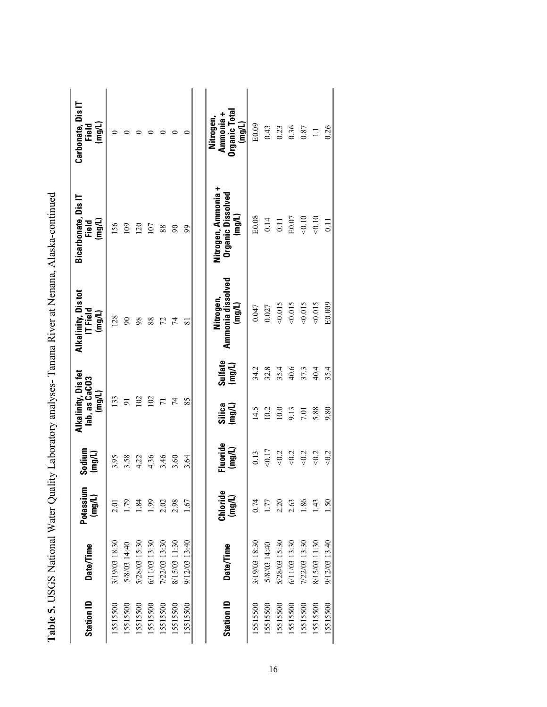| <b>Station ID</b> | <b>Date/Time</b> | Potassium<br>(mg/L) | Sodium<br>$($ mg/L) | Alkalinity, Dis fet<br>lab, as CaCO3<br>(mg/L) | Alkalinity, Distot<br>$T$ Field<br>(mg/L) | <b>Bicarbonate, Dis IT</b><br>(mg/L)<br><b>Tield</b>      | Carbonate, Dis IT<br>(mg/L)<br>Field              |
|-------------------|------------------|---------------------|---------------------|------------------------------------------------|-------------------------------------------|-----------------------------------------------------------|---------------------------------------------------|
| 15515500          | 3/19/03 18:30    | 2.01                | 3.95                | 133                                            | 128                                       | 156                                                       |                                                   |
| 15515500          | 5/8/03 14:40     | 1.79                | 3.58                | $\overline{5}$                                 | $\infty$                                  | 109                                                       | 0                                                 |
| 15515500          | 5/28/03 15:30    | 1.84                | 4.22                | 102                                            | 98                                        | 120                                                       | 0                                                 |
| 15515500          | 6/11/03 13:30    | 1.99                | 4.36                | 102                                            | 88                                        | 107                                                       |                                                   |
| 15515500          | 7/22/03 13:30    | 2.02                | 3.46                |                                                | 72                                        | 88                                                        |                                                   |
| 15515500          | 8/15/03 11:30    | 2.98                | 3.60                | 74                                             | 74                                        | $\infty$                                                  |                                                   |
| 15515500          | 9/12/03 13:40    | 1.67                | 3.64                | 85                                             | ವ                                         | 99                                                        |                                                   |
|                   |                  |                     |                     |                                                |                                           |                                                           |                                                   |
| <b>Station ID</b> | <b>Date/Time</b> | Chloride<br>(mg/L)  | Fluoride<br>(mg/L)  | Sulfate<br>(mg/L)<br>Silica<br>(mg/L)          | Ammonia dissolved<br>Nitrogen,<br>(mg/L)  | Nitrogen, Ammonia +<br><b>Organic Dissolved</b><br>(mg/L) | Organic Total<br>Ammonia +<br>Nitrogen,<br>(mg/L) |
| 15515500          | 3/19/03 18:30    | 0.74                | 0.13                | 34.2<br>14.5                                   | 0.047                                     | E0.08                                                     | E0.09                                             |
| 15515500          | 5/8/03 14:40     | 1.77                | 50.17               | 32.8<br>10.2                                   | 0.027                                     | 0.14                                                      | 0.43                                              |
| 15515500          | 5/28/03 15:30    | 2.20                | $<\!\!0.2$          | 35.4<br>$10.0$                                 | 0.015                                     | 0.11                                                      | 0.23                                              |
| 15515500          | 6/11/03 13:30    | 2.63                | $< 0.2$             | 40.6<br>9.13                                   | 0.015                                     | E0.07                                                     | 0.36                                              |
| 15515500          | 7/22/03 13:30    | 1.86                | $<0.2$              | 37.3<br>7.01                                   | 0.015                                     | 0.10                                                      | 0.87                                              |
| 15515500          | 8/15/03 11:30    | 43                  | $<0.2$              | 40.4<br>5.88                                   | 0.015                                     | 0.10                                                      | $\Box$                                            |
| 15515500          | 9/12/03 13:40    | 1.50                | <0.2                | 35.4<br>9.80                                   | E0.009                                    | $\overline{0}$ .                                          | 0.26                                              |

| $\frac{1}{2}$                              |
|--------------------------------------------|
| l                                          |
| $\ddot{\phantom{a}}$<br>$\frac{1}{3}$<br>ļ |
| I<br>I<br>$\frac{1}{2}$                    |
| $\frac{1}{2}$<br>$\overline{\phantom{a}}$  |
| I                                          |
| -<br>221<br>$\frac{1}{2}$                  |
|                                            |
| シートイ てててきせいしょう きょうせい                       |
| $\frac{1}{2}$<br>Í                         |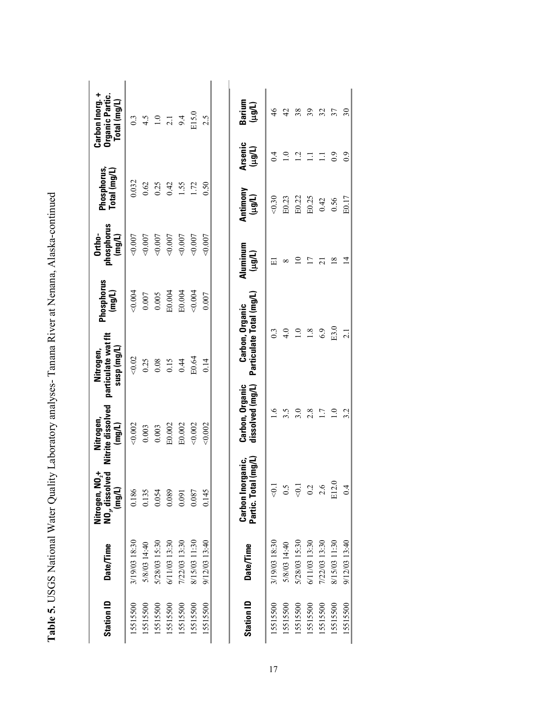| Nitrogen, NO <sub>2</sub> +<br>NO <sub>3</sub> , dissolved<br>(mg/L) | Nitrite dissolved<br>Nitrogen,<br>(mg/L) | particulate wat fit<br>(J/Guu) dsns<br>Nitrogen, | Phosphorus<br>(mg/L) | phosphorus<br>Ortho-<br>(mg/L) | Phosphorus,<br>$\lceil$ otal (mg/L) |                          | Carbon Inorg. +<br>Organic Partic.<br>$\sf Total$ (mg/L) |
|----------------------------------------------------------------------|------------------------------------------|--------------------------------------------------|----------------------|--------------------------------|-------------------------------------|--------------------------|----------------------------------------------------------|
| 0.186                                                                | 0.002                                    | 0.02                                             | 0.004                | 0.007                          | 0.032                               |                          | $0.\overline{3}$                                         |
| 0.135                                                                | 0.003                                    | 0.25                                             | $0.007$              | $<\!\!0.007$                   | 0.62                                |                          |                                                          |
| 0.054                                                                | 0.003                                    | 0.08                                             | 0.005                | 0.007                          | 0.25                                |                          | $4.5$<br>1.0<br>2.1                                      |
| 0.089                                                                | E0.002                                   | 0.15                                             | E0.004               | 0.007                          | 0.42                                |                          |                                                          |
| 0.091                                                                | E0.002                                   | 0.44                                             | E0.004               | 0.007                          | 1.55                                |                          | 9.4                                                      |
| 0.087                                                                | 0.002                                    | E0.64                                            | 0.004                | 0.007                          | 1.72                                |                          | E15.0                                                    |
| 0.145                                                                | 0.002                                    | 0.14                                             | 0.007                | 0.007                          | 0.50                                |                          | 2.5                                                      |
| (mg/L)<br>Carbon Inorganic,<br>Partic. Total                         | Carbon, Organic<br>dissolved (mg/L)      | Particulate Total (mg/L)<br>Carbon, Organic      |                      | Aluminum<br>(Llorl)            | Antimony<br>(Llgu)                  | <b>Arsenic</b><br>(Llgu) | Barium<br>(µg/L)                                         |
| $\overline{0}$ .                                                     | $\overline{6}$                           | $0.\overline{3}$                                 |                      | Щ                              | 0.30                                | 0.4                      | $\frac{4}{6}$                                            |
| 0.5                                                                  | 3.5                                      | 4.0                                              |                      | ${}^{\circ}$                   | E0.23                               | $\overline{0}$           | $\overline{c}$                                           |
| $\leq 0.1$                                                           | 3.0                                      | $\overline{1}$ .                                 |                      | $\overline{10}$                | E0.22                               | $\overline{c}$           | 38                                                       |
| 0.2                                                                  | 2.8                                      | 1.8                                              |                      | n                              | E0.25                               | $\Xi$                    | 39                                                       |
| 2.6                                                                  | 1.7                                      | 6.9                                              |                      | $\overline{z}$                 | 0.42                                | $\Xi$                    | 32                                                       |
| E12.0                                                                | $\overline{1}$                           | E3.0                                             |                      | $\frac{8}{18}$                 | 0.56                                | 0.9                      | 37                                                       |

| ļ              |  |
|----------------|--|
|                |  |
|                |  |
|                |  |
| I              |  |
|                |  |
|                |  |
|                |  |
|                |  |
|                |  |
|                |  |
|                |  |
|                |  |
|                |  |
|                |  |
|                |  |
|                |  |
|                |  |
|                |  |
|                |  |
|                |  |
|                |  |
|                |  |
| .<br>ו         |  |
|                |  |
|                |  |
| $\overline{a}$ |  |
|                |  |
|                |  |
|                |  |
|                |  |
|                |  |
|                |  |
|                |  |
| )<br>ג         |  |
|                |  |
|                |  |
|                |  |
|                |  |
|                |  |
| $\frac{1}{2}$  |  |
|                |  |

15515515500 9/12/03 13:40 14 14 I4 B0.17 90.2 2.1 2.1 2.1 2.1 14 B0.17 9.0 3.0

 $3.2$ 

 $0.4$ 

9/12/03 13:40

15515500

I

 $\overline{2.1}$ 

 $30\,$ 

 $_{0.9}$ 

E0.17

 $\overline{4}$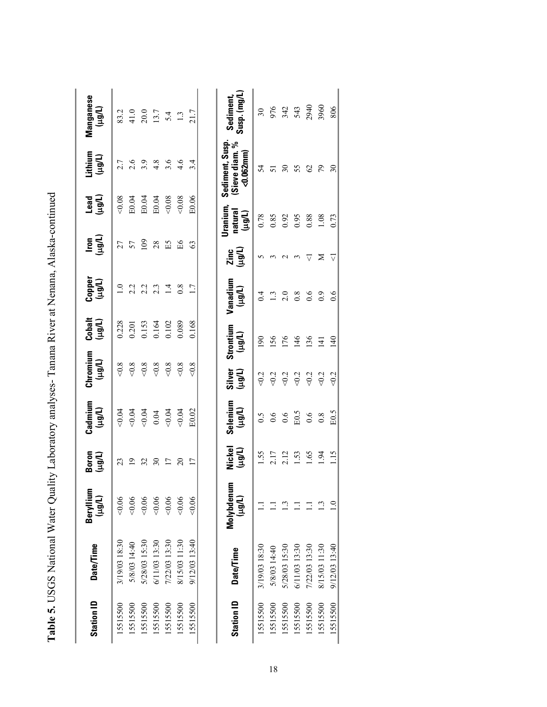| <b>Station ID</b> | <b>Date/Time</b> | Beryllium<br>(Llorl)     | Boron<br>(1001)          | Cadmium<br>(Lugut)                                                                                                                                                                                                                                                                                                                                | Chromium<br>(Llêrt) | Cobalt<br>(µg/L)     | (Tiêrt)<br>(Trân)                | lron)<br>(الوبا) | اسقى<br>1991)                  | Lithium<br>(µg/L)                                 | Manganese<br>(Lleu)                                     |
|-------------------|------------------|--------------------------|--------------------------|---------------------------------------------------------------------------------------------------------------------------------------------------------------------------------------------------------------------------------------------------------------------------------------------------------------------------------------------------|---------------------|----------------------|----------------------------------|------------------|--------------------------------|---------------------------------------------------|---------------------------------------------------------|
| 15515500          | 3/19/03 18:30    | 0.06                     |                          |                                                                                                                                                                                                                                                                                                                                                   | $<\!\!0.8$          | 0.228                |                                  |                  | 0.08                           |                                                   |                                                         |
| 15515500          | 5/8/03 14:40     | 0.06                     | $\overline{0}$           |                                                                                                                                                                                                                                                                                                                                                   | $<\!\!0.8$          |                      |                                  |                  | E0.04                          |                                                   |                                                         |
| 15515500          | 5/28/03 15:30    | 0.06                     | 32                       | $\begin{array}{c}\n 24 \\  0.04 \\  0.04 \\  0.04 \\  0.04 \\  0.04 \\  0.04 \\  0.04 \\  0.04 \\  0.04 \\  0.04 \\  0.04 \\  0.04 \\  0.04 \\  0.04 \\  0.04 \\  0.04 \\  0.04 \\  0.04 \\  0.04 \\  0.04 \\  0.04 \\  0.04 \\  0.04 \\  0.04 \\  0.04 \\  0.04 \\  0.04 \\  0.04 \\  0.04 \\  0.04 \\  0.04 \\  0.04 \\  0.04 \\  0.04 \\  0.0$ | $<\!\!0.8$          | 0.201<br>0.153       | $1.0$<br>$2.3$<br>$2.3$<br>$2.3$ | $27$ 57          | E0.04                          | 7. 6. 9. 9. 9. 9.<br>7. 7. 9. 9. 9. 9. 9.         | $83.0$<br>$41.0$<br>$33.7$<br>$54.3$<br>$13.7$<br>$1.3$ |
| 15515500          | 6/11/03 13:30    | 0.06                     | $\overline{\mathcal{E}}$ |                                                                                                                                                                                                                                                                                                                                                   | $<\!\!0.8$          | 0.164                |                                  | $28$ ES          | E0.04                          |                                                   |                                                         |
| 15515500          | 7/22/03 13:30    | 0.06                     | $\overline{17}$          |                                                                                                                                                                                                                                                                                                                                                   | $<\!\!0.8$          | 0.102                | $1.4$<br>0.8                     |                  | 0.08                           |                                                   |                                                         |
| 15515500          | 8/15/03 11:30    | 0.06                     | $\overline{c}$           | 0.04                                                                                                                                                                                                                                                                                                                                              | $<\!\!0.8$          | 0.089                |                                  | Я                | 0.08                           |                                                   |                                                         |
| 15515500          | 9/12/03 13:40    | 0.06                     | $\overline{17}$          | E0.02                                                                                                                                                                                                                                                                                                                                             | $<0.8$              | 0.168                | 1.7                              | 63               | E0.06                          | $3.\overline{4}$                                  |                                                         |
|                   |                  |                          |                          |                                                                                                                                                                                                                                                                                                                                                   |                     |                      |                                  |                  |                                |                                                   |                                                         |
| <b>Station ID</b> | <b>Date/Time</b> | ε<br>Molybdenu<br>(Llgu) | Nickel<br>(µg/L)         | Selenium<br>(1001)                                                                                                                                                                                                                                                                                                                                | Silver<br>(µg/L)    | Strontium<br>(Tlêri) | Vanadium<br>(Tlêrt)              | Zinc<br>(µg/L)   | Uranium,<br>natural<br>(Trênt) | Sediment, Susp.<br>(Sieve diam. %<br>$< 0.062$ mm | Sediment,<br>Susp. (mg/L)                               |
| 15515500          | 3/19/03 18:30    |                          | 1.55                     |                                                                                                                                                                                                                                                                                                                                                   | $<0.2$              | 190                  | 0.4                              |                  | 0.78                           | 54                                                | $30\,$                                                  |
| 15515500          | 5/8/03 14:40     |                          | 2.17                     | $\begin{array}{ccc} 0.5 & 0.6 \\ 0.6 & 0.5 \\ \hline \text{E0.5} & 0.6 \\ 0.8 & 0.8 \\ \end{array}$                                                                                                                                                                                                                                               | $\leqslant$         | 156                  |                                  | $\epsilon$       | 0.85<br>0.92<br>0.95           | 51                                                |                                                         |
| 15515500          | 5/28/03 15:30    |                          | 2.12                     |                                                                                                                                                                                                                                                                                                                                                   | $\leqslant$         | $\frac{176}{146}$    | $1.\overline{3}$<br>2.0          | $\sim$           |                                | $\overline{\mathbf{30}}$                          | 974<br>343<br>543<br>2940                               |
| 15515500          | 6/11/03 13:30    |                          | 1.53                     |                                                                                                                                                                                                                                                                                                                                                   | $\leq 0.2$          |                      | 0.8                              | $\epsilon$       |                                | 55                                                |                                                         |
| 15515500          | 7/22/03 13:30    |                          | 1.65                     |                                                                                                                                                                                                                                                                                                                                                   | $<0.2$              | 136                  | 0.6                              | $\triangledown$  | $0.88\,$                       | $\mathcal{O}$                                     |                                                         |
| 15515500          | 8/15/03 11:30    |                          | $\frac{54}{5}$           |                                                                                                                                                                                                                                                                                                                                                   | $\leqslant$         | $\overline{14}$      | $_{0.9}$                         | ⋝                | 1.08                           | $\mathcal{L}_{\mathcal{D}}$                       | 3960                                                    |
| 15515500          | 9/12/03 13:40    |                          | 1.15                     | E0.5                                                                                                                                                                                                                                                                                                                                              | 50.2                | 140                  | 0.6                              | $\triangledown$  | 0.73                           | $\overline{30}$                                   | 806                                                     |

| ļ                                                                                                            |
|--------------------------------------------------------------------------------------------------------------|
| I                                                                                                            |
|                                                                                                              |
| ֺ<br>;                                                                                                       |
| I<br>$\begin{array}{c}\n1 \\ 2 \\ 3\n\end{array}$                                                            |
| ֧֧֖֖֖֚֚֚֚֝֟֓֓֝֬<br>֧֧֧֖֖֧֧֖֧֖֖֧֖֧֧֧֧֧֧֧֧֧֧֧֧֧֧֧֧֚֚֚֚֚֚֚֚֚֚֝֝֓֝֬֝֓֝֬֝֓֝֓֝֬֝֬֝֬֝֬֩֩֓֝֬֓֝֬֝֬֝֬֝֬<br>֧֧֪֪֧֜<br>ī |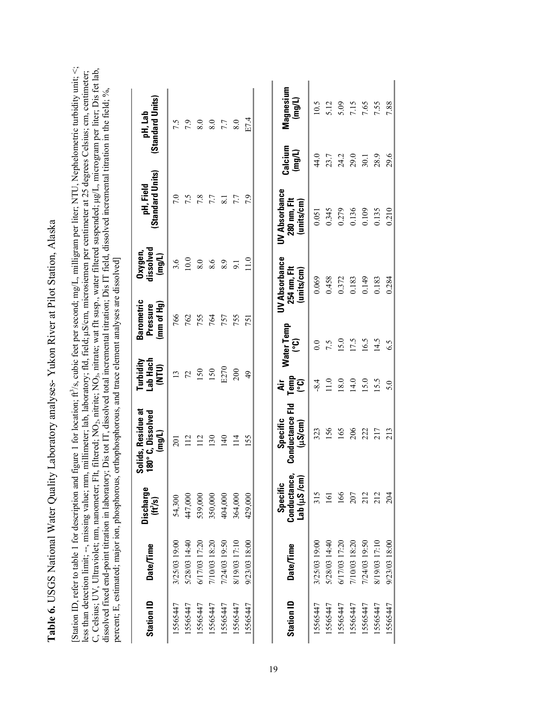<span id="page-25-0"></span>**Table 6.** USGS National Water Quality Laboratory analyses- Yukon River at Pilot Station, Alaska Table 6. USGS National Water Quality Laboratory analyses-Yukon River at Pilot Station, Alaska

[Station ID, refer to table 1 for description and figure 1 for location; ft<sup>2</sup>/s, cubic feet per second; mg/L, milligram per liter; NTU, Nephelometric turbidity unit; <; less than detection limit; --, missing value; mm, millimeter; lab, laboratory; fld, field; µS/cm, microsiemen per centimeter at 25 degrees Celsius; cm, centimeter;<br>C, Celsius; UV, Ultraviolet; mm, nanometer; Flt, filtered; C, Celsius; UV, Ultraviolet; nm, nanometer; Flt, filtered; NO<sub>2</sub>, nitrite; NO<sub>3</sub>, nitrate; wat flt susp., water filtered suspended; µg/L, microgram per liter; Dis fet lab, less than detection limit; --, missing value; mm, millimeter; lab, laboratory; fld, field; !S/cm, microsiemen per centimeter at 25 degrees Celsius; cm, centimeter; dissolved fixed end-point titration in laboratory; Dis tot IT, dissolved total incremental titration; Dis IT field, dissolved incremental titration in the field; %, percent; E, estimated; major ion, phosphorous, orthophosphorous, and trace element analyses are dissolved] percent; E, estimated; major ion, phosphorous, orthophosphorous, and trace element analyses are dissolved] 2, 1111111U, 17V3 نى

| <b>Station ID</b> | <b>Date/Time</b> | Discharge<br>(H/s)                            | Solids, Residue at<br>180°C, Dissolved<br>(mg/L)   | Lab Hach<br>Turbidity<br>(UIN) | Barometric<br>(mm of Hg)<br>Pressure | dissolved<br>Oxygen<br>(mg/L)              | (Standard Units)<br>pH, Field                     |                              | (Standard Units)<br>pH, Lab |
|-------------------|------------------|-----------------------------------------------|----------------------------------------------------|--------------------------------|--------------------------------------|--------------------------------------------|---------------------------------------------------|------------------------------|-----------------------------|
| 15565447          | 3/25/03 19:00    | 54,300                                        | 201                                                | $\overline{13}$                | 766                                  | 3.6                                        | 7.0                                               |                              | 7.5                         |
| 15565447          | 5/28/03 14:40    | 447,000                                       | 112                                                | $\mathcal{L}$                  | 762                                  | $10.0\,$                                   | $\sim$                                            |                              |                             |
| 15565447          | 6/17/03 17:20    | 539,000                                       | 112                                                | 150                            | 755                                  | $\rm 8.0$                                  | 7.8                                               |                              |                             |
| 15565447          | 7/10/03 18:20    | 350,000                                       | 130                                                | 150                            | 764                                  | $8.6$<br>$8.9$                             |                                                   |                              | $7.800$<br>0.887            |
| 15565447          | 7/24/03 19:50    | 404,000                                       | 140                                                | E270                           | 757                                  |                                            | 7.7<br>8.1                                        |                              |                             |
| 15565447          | 8/19/03 17:10    | 364,000                                       | $\frac{14}{1}$                                     | 200                            | 755                                  | $\overline{9}$ .                           | 7.7                                               |                              | 8.0                         |
| 15565447          | 9/23/03 18:00    | 429,000                                       | 155                                                | $\overline{6}$                 | 751                                  | $\frac{0}{11}$                             | 7.9                                               |                              | E7.4                        |
| <b>Station ID</b> | <b>Date/Time</b> | Conductance<br>Lab ( $\mu S$ /cm)<br>Specific | <b>Conductance Fld</b><br>Specific<br>$(\mu S/cm)$ | dir<br>Tempo<br>C              | Water Temp<br>ၟႄ                     | UV Absorbance<br>254 nm, Flt<br>(units/cm) | <b>UV Absorbance</b><br>280 nm, Flt<br>(units/cm) | Calcium<br>$($ mg/L)         | Magnesium<br>(mg/L)         |
| 15565447          | 3/25/03 19:00    | 315                                           | 323                                                | $-8.4$                         | 0.0                                  | 0.069                                      | 0.051                                             | 44.0                         | 10.5                        |
| 15565447          | 5/28/03 14:40    | $\Xi$                                         | 156                                                | 11.0                           |                                      | 0.458                                      | 0.345                                             |                              | 5.12                        |
| 15565447          | 6/17/03 17:20    | 166                                           | 165                                                | 18.0                           | $7.5$<br>15.0                        | 0.372                                      | 0.279                                             | 23.7<br>24.2<br>29.0<br>30.1 | 5.09                        |
| 15565447          | 7/10/03 18:20    | 207                                           | 206                                                | 14.0                           | 17.5                                 | 0.183                                      | 0.136                                             |                              |                             |
| 15565447          | 7/24/03 19:50    | 212                                           | 222                                                | 15.0                           | 16.5                                 | 0.149                                      | 0.109                                             |                              | 7.15<br>7.65                |
| 15565447          | 8/19/03 17:10    | 212                                           | 217                                                | 15.5                           | 14.5                                 | 0.183                                      | 0.135                                             | 28.9                         | 7.55                        |
| 15565447          | 9/23/03 18:00    | 204                                           | 213                                                | 5.0                            | 6.5                                  | 0.284                                      | 0.210                                             | 29.6                         | 7.88                        |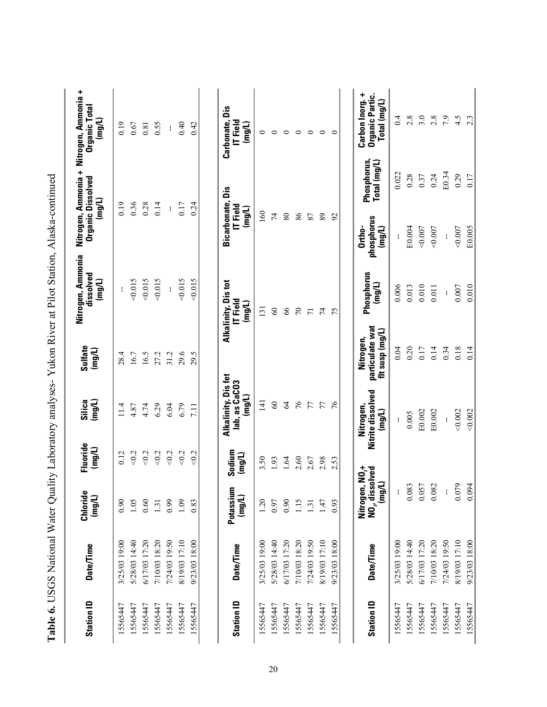|                   |                  |                                                                         |                             |                                               |                                                 | Table 6. USGS National Water Quality Laboratory analyses-Yukon River at Pilot Station, Alaska-continued |                                        |                             |                                                                           |
|-------------------|------------------|-------------------------------------------------------------------------|-----------------------------|-----------------------------------------------|-------------------------------------------------|---------------------------------------------------------------------------------------------------------|----------------------------------------|-----------------------------|---------------------------------------------------------------------------|
| <b>Station ID</b> | Date/Time        | Chloride<br>(mg/L)                                                      | Fluoride<br>$(\text{mg/L})$ | Silica<br>$($ mg/L)                           | Sulfate<br>(mg/L)                               | Nitrogen, Ammonia<br>dissolved<br>(mg/L)                                                                | <b>Organic Dissolved</b><br>(mg/L)     |                             | Nitrogen, Ammonia + Nitrogen, Ammonia +<br><b>Organic Total</b><br>(mg/L) |
| 15565447          | 3/25/03 19:00    | 0.90                                                                    | 0.12                        | 11.4                                          | 28.4                                            | ł                                                                                                       | 0.19                                   |                             | 0.19                                                                      |
| 15565447          | 5/28/03 14:40    | 1.05                                                                    | $<0.2$                      | 4.87                                          | 16.7                                            | 0.015                                                                                                   | 0.36                                   |                             | 0.67                                                                      |
| 15565447          | 6/17/03 17:20    | 0.60                                                                    | 50.2                        | 4.74                                          | 16.5                                            | 0.015                                                                                                   | 0.28                                   |                             | 0.81                                                                      |
| 15565447          | 7/10/03 18:20    | 1.31                                                                    | 50.2                        | 6.29                                          | 27.2                                            | 0.015                                                                                                   | 0.14                                   |                             | 0.55                                                                      |
| 15565447          | 7/24/03 19:50    | 0.99                                                                    | 50.2                        | $6.04$                                        | 31.2                                            |                                                                                                         | ł                                      |                             | ł.                                                                        |
| 15565447          | 8/19/03 17:10    | 1.09                                                                    | 502                         | 6.79                                          | 29.6                                            | 0.015                                                                                                   | 0.17                                   |                             | 0.40                                                                      |
| 15565447          | 9/23/03 18:00    | 0.83                                                                    | <0.2                        | 7.11                                          | 29.5                                            | 0.015                                                                                                   | 0.24                                   |                             | 0.42                                                                      |
|                   |                  |                                                                         |                             |                                               |                                                 |                                                                                                         |                                        |                             |                                                                           |
| <b>Station ID</b> | <b>Date/Time</b> | Potassium<br>(mg/L)                                                     | Sodium<br>(mg/L)            | Alkalinity, Disfet<br>lab, as CaCO3<br>(mg/L) |                                                 | Alkalinity, Dis tot<br>IT Field<br>(mg/L)                                                               | Bicarbonate, Dis<br>IT Field<br>(mg/L) |                             | Carbonate, Dis<br>IT Field<br>(mg/L)                                      |
| 15565447          | 3/25/03 19:00    | 1.20                                                                    | 3.50                        | 141                                           |                                                 | 131                                                                                                     | 160                                    |                             | 0                                                                         |
| 15565447          | 5/28/03 14:40    | 0.97                                                                    | 1.93                        | $\infty$                                      |                                                 | $\infty$                                                                                                | $\overline{7}$                         |                             | $\circ$                                                                   |
| 15565447          | 6/17/03 17:20    | 0.90                                                                    | 1.64                        | $\mathcal{L}$                                 |                                                 | $\delta$                                                                                                | $80\,$                                 |                             | $\circ$                                                                   |
| 15565447          | 7/10/03 18:20    | 1.15                                                                    | 2.60                        | 76                                            |                                                 | $\sqrt{2}$                                                                                              | 86                                     |                             | $\circ$                                                                   |
| 15565447          | 7/24/03 19:50    | 1.31                                                                    | 2.67                        | 77                                            |                                                 | $\overline{7}$                                                                                          | 87                                     |                             | $\circ$                                                                   |
| 15565447          | 8/19/03 17:10    | 1.47                                                                    | 2.98                        | 77                                            |                                                 | $\overline{7}$                                                                                          | 89                                     |                             | $\circ$                                                                   |
| 15565447          | 9/23/03 18:00    | 0.93                                                                    | 2.53                        | 76                                            |                                                 | 75                                                                                                      | 92                                     |                             | $\circ$                                                                   |
|                   |                  |                                                                         |                             |                                               |                                                 |                                                                                                         |                                        |                             |                                                                           |
| <b>Station ID</b> | Date/Time        | Nitrogen, NO <sub>z</sub> +<br>NO <sub>z</sub> , dissolved<br>$($ mg/L) |                             | Nitrite dissolved<br>Nitrogen,<br>(mg/L)      | particulate wat<br>fit susp (mg/L)<br>Nitrogen, | Phosphorus<br>(mg/L)                                                                                    | phosphorus<br>Ortho-<br>$($ mg/L $)$   | Phosphorus,<br>Total (mg/L) | Carbon Inorg. +<br>Organic Partic.<br>Total (mg/L)                        |
| 15565447          | 3/25/03 19:00    | ł                                                                       |                             |                                               | 0.04                                            | 0.006                                                                                                   |                                        | 0.022                       | 0.4                                                                       |
| 15565447          | 5/28/03 14:40    | 0.083                                                                   |                             | 0.005                                         | 0.20                                            | 0.013                                                                                                   | E0.004                                 | 0.28                        | 2.8                                                                       |
| 15565447          | 6/17/03 17:20    | 0.057                                                                   |                             | E0.002                                        | 0.17                                            | 0.010                                                                                                   | 0.007                                  | 0.37                        | 3.0                                                                       |
| 15565447          | 7/10/03 18:20    | 0.082                                                                   |                             | E0.002                                        | 0.14                                            | $0.011$                                                                                                 | 0.007                                  | 0.24                        | 2.8                                                                       |
| 15565447          | 7/24/03 19:50    | $\mathbf i$                                                             |                             | ł                                             | 0.34                                            | ł                                                                                                       | ł                                      | E0.34                       | 7.9                                                                       |
| 15565447          | 8/19/03 17:10    | Ó<br>0.07                                                               |                             | 0.002                                         | 0.18                                            | $0.007$                                                                                                 | 0.007                                  | 0.29                        | 4.5                                                                       |
| 15565447          | 9/23/03 18:00    | 0.094                                                                   |                             | 0.002                                         | 0.14                                            | 0.010                                                                                                   | E0.005                                 | 0.17                        | $2.\overline{3}$                                                          |

|                      | ֚֚֚֬                     |
|----------------------|--------------------------|
|                      |                          |
|                      |                          |
|                      |                          |
|                      |                          |
|                      |                          |
|                      |                          |
|                      |                          |
|                      |                          |
|                      |                          |
| く・・・・・・・・            |                          |
|                      |                          |
|                      |                          |
|                      |                          |
|                      |                          |
|                      |                          |
|                      |                          |
|                      |                          |
|                      |                          |
| $\overline{1}$       | ֚֚֚֡֬                    |
|                      |                          |
|                      |                          |
|                      |                          |
|                      |                          |
| ;                    |                          |
|                      |                          |
|                      |                          |
|                      |                          |
|                      |                          |
|                      |                          |
|                      | j                        |
|                      | Ì                        |
|                      |                          |
|                      |                          |
|                      |                          |
|                      |                          |
|                      |                          |
|                      | ・・・・・・ つまり ・・・・・・・・・・・・  |
|                      |                          |
|                      | $\overline{\phantom{a}}$ |
|                      |                          |
|                      |                          |
|                      |                          |
|                      |                          |
|                      |                          |
|                      |                          |
|                      |                          |
|                      | י<br>אי                  |
|                      |                          |
|                      |                          |
|                      |                          |
|                      |                          |
|                      |                          |
|                      |                          |
|                      |                          |
|                      |                          |
| $\ddot{\phantom{0}}$ | <b>NO-40-40</b>          |
|                      |                          |
|                      | )                        |
|                      |                          |
|                      |                          |
|                      |                          |
| くしくししゃ               |                          |
|                      |                          |
|                      | ì<br>į                   |
|                      |                          |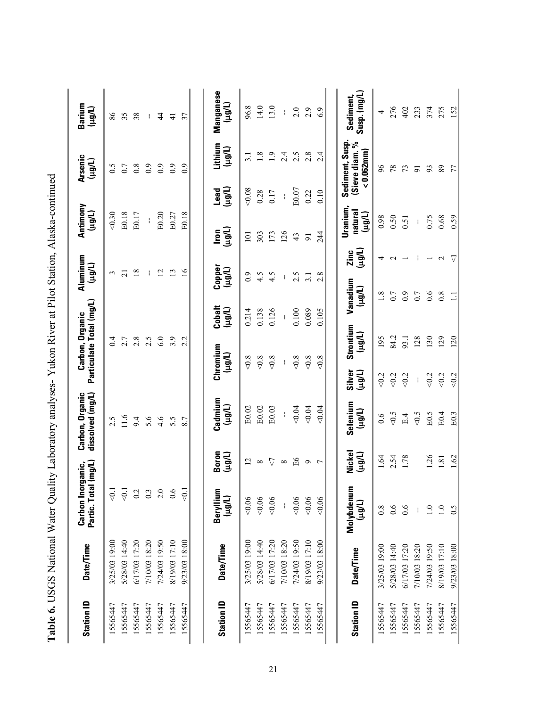| <b>Station ID</b> | <b>Date/Time</b> | Carbon Inor<br>Partic. Total | il (mg/L)<br>rganic, | dissolved (mg/L)<br>Carbon, Organic |                    | Particulate Total (mg/L)<br>Carbon, Organic | Aluminum<br>(Llgu)  |                          | Antimony<br>(Llgu)                   |                | <b>Arsenic</b><br>(Llgu)                          | Barium<br>(Light)        |
|-------------------|------------------|------------------------------|----------------------|-------------------------------------|--------------------|---------------------------------------------|---------------------|--------------------------|--------------------------------------|----------------|---------------------------------------------------|--------------------------|
| 15565447          | 3/25/03 19:00    | $\overline{0}$ .             |                      | 2.5                                 |                    | 0.4                                         | $\epsilon$          |                          | 0.30                                 |                | 6.5                                               | 86                       |
| 15565447          | 5/28/03 14:40    | $\overline{0}$ .             |                      | 1.6                                 |                    | 2.7                                         | $\overline{c}$      |                          | E0.18                                |                | 0.7                                               | 35                       |
| 15565447          | 6/17/03 17:20    | $0.2\,$                      |                      | 9.4                                 |                    | 2.8                                         | 18                  |                          | E0.17                                |                | $0.\overline{8}$                                  | 38                       |
| 15565447          | 7/10/03 18:20    | 0.3                          |                      | 5.6                                 |                    | 2.5                                         | ł                   |                          | ł                                    |                | $\overline{0}$ .                                  | ł.                       |
| 15565447          | 7/24/03 19:50    | 2.0                          |                      | 4.6                                 |                    | 6.0                                         | $\overline{c}$      |                          | E0.20                                |                | 6.0                                               | 4                        |
| 15565447          | 8/19/03 17:10    | 0.6                          |                      | 5.5                                 |                    | 3.9                                         | $\overline{13}$     |                          | E0.27                                |                | $\overline{0}$ .                                  | $\frac{1}{4}$            |
| 15565447          | 9/23/03 18:00    | $\overline{5}$               |                      | 8.7                                 |                    | 2.2                                         | $\frac{8}{1}$       |                          | E0.18                                |                | 0.9                                               | 37                       |
|                   |                  |                              |                      |                                     |                    |                                             |                     |                          |                                      |                |                                                   |                          |
| <b>Station ID</b> | Date/Time        | Beryllium<br>(Llgu)          | Boron<br>(Thârt)     | Cadmium<br>(Llêrt)                  | Chromium<br>(Llgu) | Cobalt<br>(Llorl)                           | Copper<br>(Llort)   |                          | (Lleu)<br>$\mathsf{I}\mathsf{con}$   | (Llgu)<br>Lead | Lithium<br>(Llgul)                                | Manganese<br>(Llgu)      |
| 15565447          | 3/25/03 19:00    | 0.06                         | $\overline{2}$       | E0.02                               | 0.8                | 0.214                                       | 0.9                 |                          | $\overline{101}$                     | 0.08           | $\overline{3}$ .                                  | 96.8                     |
| 15565447          | 5/28/03 14:40    | 0.06                         | $\infty$             | E0.02                               | $<\!\!0.8$         | 0.138                                       | 4.5                 |                          | 303                                  | 0.28           | 1.8                                               | 14.0                     |
| 15565447          | 6/17/03 17:20    | 0.06                         | $\sqrt{2}$           | E0.03                               | $<\!\!0.8$         | 0.126                                       | 4.5                 |                          | 173                                  | 0.17           | $1.9$                                             | 13.0                     |
| 15565447          | 7/10/03 18:20    | $\mathbf i$                  | $\infty$             | ł                                   | ÷                  | ł                                           | ł                   |                          | 126                                  | $\mathfrak l$  | 2.4                                               | ł                        |
| 15565447          | 7/24/03 19:50    | 0.06                         | Еб                   | 0.04                                | $<\!\!0.8$         | 0.100                                       | 2.5                 |                          | 43                                   | E0.07          | 2.5                                               | 2.0                      |
| 15565447          | 8/19/03 17:10    | 0.06                         | $\mathsf{\sigma}$    | 0.04                                | $<0.8$             | 0.089                                       | 3.1                 |                          | $\overline{9}$                       | 0.22           | 2.8                                               | 2.9                      |
| 15565447          | 9/23/03 18:00    | 0.06                         | $\overline{ }$       | <0.04                               | $<0.8$             | 0.105                                       | 2.8                 |                          | 244                                  | 0.10           | 2.4                                               | 6.9                      |
|                   |                  |                              |                      |                                     |                    |                                             |                     |                          |                                      |                |                                                   |                          |
| <b>Station ID</b> | Date/Time        | Molybdenum<br>(10p1)         | Nickel<br>(Llgu)     | Selenium<br>(Llgu)                  | Silver<br>(Llgul)  | Strontium<br>(Llgu)                         | Vanadium<br>(Llgul) | (Light)<br>Zinc          | <b>Uranium</b><br>natural<br>(Llort) |                | Sediment, Susp.<br>(Sieve diam. %<br>$< 0.062$ mm | Susp. (mg/L<br>Sediment, |
| 15565447          | 3/25/03 19:00    | $\overline{0.8}$             | 1.64                 | 0.6                                 | $\leq 0.2$         | 195                                         | 1.8                 | 4                        | 0.98                                 |                | $\delta$                                          | 4                        |
| 15565447          | 5/28/03 14:40    | 0.6                          | 2.54                 | $<0.5$                              | $< 0.2$            | 84.2                                        | 0.7                 | $\sim$                   | 0.50                                 |                | 78                                                | 276                      |
| 15565447          | 6/17/03 17:20    | 0.6                          | 1.78                 | E.4                                 | $\leqslant$        | 93.1                                        | 0.9                 | $\overline{\phantom{0}}$ | 0.51                                 |                | 73                                                | 402                      |
| 15565447          | 7/10/03 18:20    | Ŧ                            |                      | 50                                  | ł                  | 128                                         | 0.7                 |                          | ł                                    |                | $\overline{5}$                                    | 233                      |
| 5565447           | 7/24/03 19:50    | $\overline{1.0}$             | 26                   | E0.5                                | 50.2               | 130                                         | 0.6                 |                          | 0.75                                 |                | 93                                                | 374                      |
| 15565447          | 8/19/03 17:10    | $\overline{1.0}$             | $\overline{8}$       | E0.4                                | 50.2               | 129                                         | 0.8                 | $\mathcal{L}$            | 0.68                                 |                | 89                                                | 275                      |
| 15565447          | 9/23/03 18:00    | 0.5                          | 1.62                 | E0.3                                | $\lesssim$         | 120                                         | $\Xi$               | $\overline{\vee}$        | 0.59                                 |                | 77                                                | 152                      |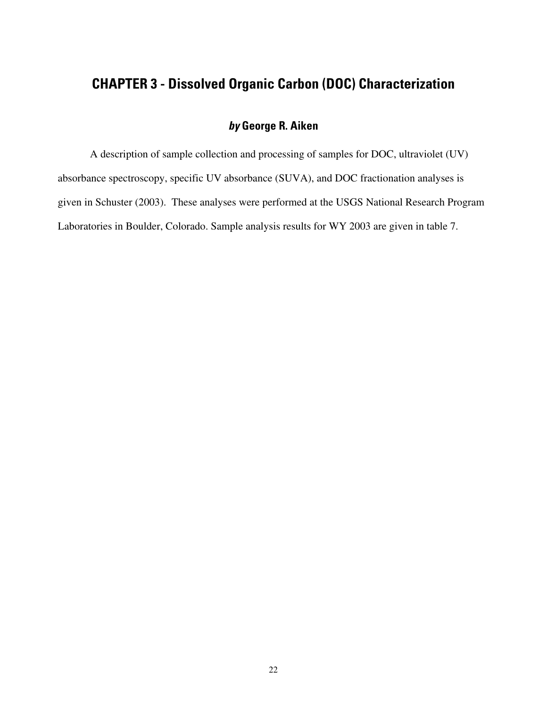### <span id="page-28-0"></span>**CHAPTER 3 - Dissolved Organic Carbon (DOC) Characterization**

### **by George R. Aiken**

A description of sample collection and processing of samples for DOC, ultraviolet (UV) absorbance spectroscopy, specific UV absorbance (SUVA), and DOC fractionation analyses is given in Schuster (2003). These analyses were performed at the USGS National Research Program Laboratories in Boulder, Colorado. Sample analysis results for WY 2003 are given in table 7.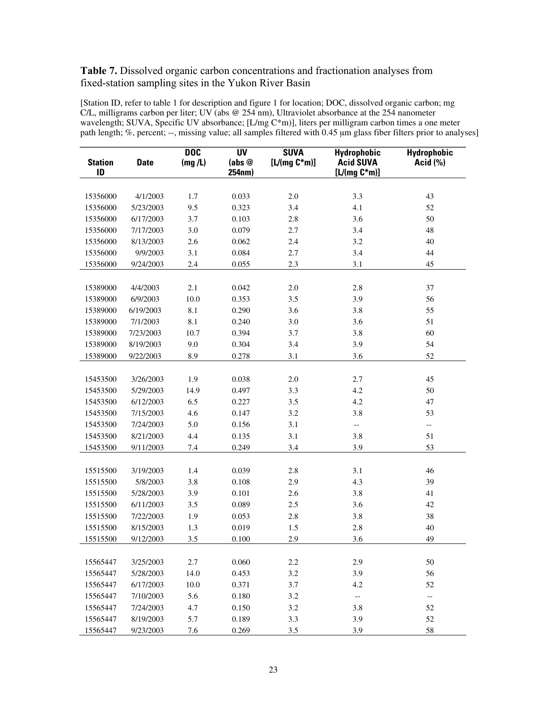#### **Table 7.** Dissolved organic carbon concentrations and fractionation analyses from fixed-station sampling sites in the Yukon River Basin

[Station ID, refer to table 1 for description and figure 1 for location; DOC, dissolved organic carbon; mg C/L, milligrams carbon per liter; UV (abs @ 254 nm), Ultraviolet absorbance at the 254 nanometer wavelength; SUVA, Specific UV absorbance; [L/mg C\*m)], liters per milligram carbon times a one meter path length; %, percent; --, missing value; all samples filtered with 0.45  $\mu$ m glass fiber filters prior to analyses]

| <b>Station</b><br>ID | <b>Date</b>           | <b>DOC</b><br>(mg/L) | <b>UV</b><br>(abs@<br>254nm) | <b>SUVA</b><br>$[L/(mg C*m)]$ | <b>Hydrophobic</b><br><b>Acid SUVA</b><br>$[L/(mg C*m)]$ | <b>Hydrophobic</b><br><b>Acid</b> (%) |
|----------------------|-----------------------|----------------------|------------------------------|-------------------------------|----------------------------------------------------------|---------------------------------------|
|                      |                       |                      |                              |                               |                                                          |                                       |
| 15356000             | 4/1/2003              | 1.7                  | 0.033                        | $2.0\,$                       | 3.3                                                      | 43                                    |
| 15356000             | 5/23/2003             | 9.5                  | 0.323                        | 3.4                           | 4.1                                                      | 52                                    |
| 15356000             | 6/17/2003             | 3.7                  | 0.103                        | 2.8                           | 3.6                                                      | 50                                    |
| 15356000             | 7/17/2003             | 3.0                  | 0.079                        | 2.7                           | 3.4                                                      | $48\,$                                |
| 15356000             | 8/13/2003             | 2.6                  | 0.062                        | 2.4                           | 3.2                                                      | 40                                    |
| 15356000             | 9/9/2003              | 3.1                  | 0.084                        | 2.7                           | 3.4                                                      | 44                                    |
| 15356000             | 9/24/2003             | 2.4                  | 0.055                        | 2.3                           | 3.1                                                      | 45                                    |
|                      |                       |                      |                              |                               |                                                          |                                       |
| 15389000             | 4/4/2003              | 2.1                  | 0.042                        | $2.0\,$                       | 2.8                                                      | 37                                    |
| 15389000             | 6/9/2003              | 10.0                 | 0.353                        | 3.5                           | 3.9                                                      | 56                                    |
| 15389000             | 6/19/2003             | 8.1                  | 0.290                        | 3.6                           | 3.8                                                      | 55                                    |
| 15389000             | 7/1/2003              | 8.1                  | 0.240                        | 3.0                           | 3.6                                                      | 51                                    |
| 15389000             | 7/23/2003             | 10.7                 | 0.394                        | 3.7                           | 3.8                                                      | 60                                    |
| 15389000             | 8/19/2003             | 9.0                  | 0.304                        | 3.4                           | 3.9                                                      | 54                                    |
| 15389000             | 9/22/2003             | 8.9                  | 0.278                        | 3.1                           | 3.6                                                      | 52                                    |
|                      |                       |                      |                              |                               |                                                          |                                       |
| 15453500             | 3/26/2003             | 1.9                  | 0.038                        | $2.0\,$                       | 2.7                                                      | 45                                    |
| 15453500             | 5/29/2003             | 14.9                 | 0.497                        | 3.3                           | 4.2                                                      | 50                                    |
| 15453500             | 6/12/2003             | 6.5                  | 0.227                        | 3.5                           | 4.2                                                      | 47                                    |
| 15453500             | 7/15/2003             | 4.6                  | 0.147                        | 3.2                           | 3.8                                                      | 53                                    |
| 15453500             | 7/24/2003             | 5.0                  | 0.156                        | 3.1                           | $- -$                                                    | --                                    |
| 15453500             | 8/21/2003             | 4.4                  | 0.135                        | 3.1                           | 3.8                                                      | 51                                    |
| 15453500             | 9/11/2003             | 7.4                  | 0.249                        | 3.4                           | 3.9                                                      | 53                                    |
| 15515500             |                       | 1.4                  | 0.039                        | 2.8                           | 3.1                                                      | 46                                    |
| 15515500             | 3/19/2003<br>5/8/2003 | 3.8                  | 0.108                        | 2.9                           | 4.3                                                      | 39                                    |
| 15515500             | 5/28/2003             | 3.9                  | 0.101                        | 2.6                           | 3.8                                                      | 41                                    |
| 15515500             | 6/11/2003             | 3.5                  | 0.089                        | 2.5                           | 3.6                                                      | 42                                    |
| 15515500             | 7/22/2003             | 1.9                  | 0.053                        | 2.8                           | 3.8                                                      | 38                                    |
| 15515500             | 8/15/2003             | 1.3                  | 0.019                        | 1.5                           | 2.8                                                      | 40                                    |
| 15515500             |                       | 3.5                  |                              | 2.9                           |                                                          | 49                                    |
|                      | 9/12/2003             |                      | 0.100                        |                               | 3.6                                                      |                                       |
| 15565447             | 3/25/2003             | 2.7                  | 0.060                        | 2.2                           | 2.9                                                      | 50                                    |
| 15565447             | 5/28/2003             | 14.0                 | 0.453                        | 3.2                           | 3.9                                                      | 56                                    |
| 15565447             | 6/17/2003             | 10.0                 | 0.371                        | 3.7                           | 4.2                                                      | 52                                    |
| 15565447             | 7/10/2003             | 5.6                  | 0.180                        | 3.2                           | $-$                                                      | $-\, -$                               |
| 15565447             | 7/24/2003             | 4.7                  | 0.150                        | 3.2                           | 3.8                                                      | 52                                    |
| 15565447             | 8/19/2003             | 5.7                  | 0.189                        | 3.3                           | 3.9                                                      | 52                                    |
| 15565447             | 9/23/2003             | 7.6                  | 0.269                        | 3.5                           | 3.9                                                      | 58                                    |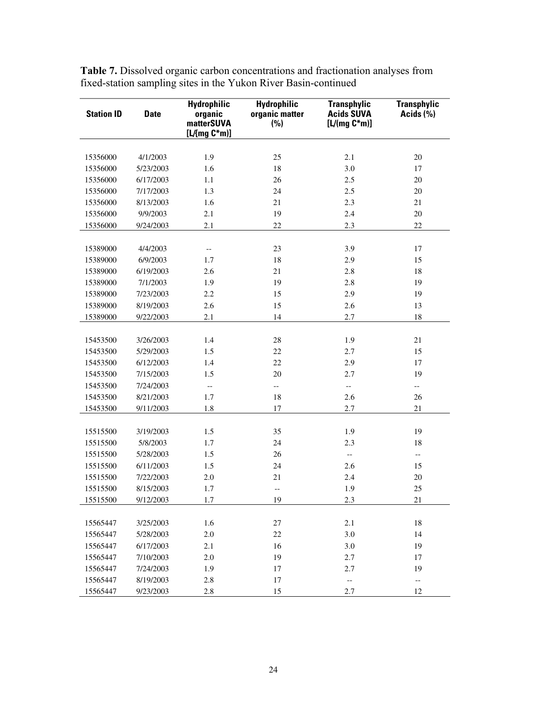| <b>Station ID</b> | <b>Date</b> | <b>Hydrophilic</b><br>organic<br>matterSUVA | <b>Hydrophilic</b><br>organic matter<br>(%) | <b>Transphylic</b><br><b>Acids SUVA</b><br>$[L/(mg C*m)]$ | <b>Transphylic</b><br>Acids (%) |
|-------------------|-------------|---------------------------------------------|---------------------------------------------|-----------------------------------------------------------|---------------------------------|
|                   |             | $[L/Img C*m)]$                              |                                             |                                                           |                                 |
|                   |             |                                             |                                             |                                                           |                                 |
| 15356000          | 4/1/2003    | 1.9                                         | 25                                          | 2.1                                                       | 20                              |
| 15356000          | 5/23/2003   | 1.6                                         | 18                                          | 3.0                                                       | 17                              |
| 15356000          | 6/17/2003   | 1.1                                         | 26                                          | 2.5                                                       | 20                              |
| 15356000          | 7/17/2003   | 1.3                                         | 24                                          | 2.5                                                       | $20\,$                          |
| 15356000          | 8/13/2003   | 1.6                                         | 21                                          | 2.3                                                       | 21                              |
| 15356000          | 9/9/2003    | 2.1                                         | 19                                          | 2.4                                                       | $20\,$                          |
| 15356000          | 9/24/2003   | 2.1                                         | 22                                          | 2.3                                                       | 22                              |
|                   |             |                                             |                                             |                                                           |                                 |
| 15389000          | 4/4/2003    | $\overline{\phantom{a}}$                    | 23                                          | 3.9                                                       | 17                              |
| 15389000          | 6/9/2003    | 1.7                                         | 18                                          | 2.9                                                       | 15                              |
| 15389000          | 6/19/2003   | 2.6                                         | 21                                          | 2.8                                                       | 18                              |
| 15389000          | 7/1/2003    | 1.9                                         | 19                                          | 2.8                                                       | 19                              |
| 15389000          | 7/23/2003   | 2.2                                         | 15                                          | 2.9                                                       | 19                              |
| 15389000          | 8/19/2003   | 2.6                                         | 15                                          | 2.6                                                       | 13                              |
| 15389000          | 9/22/2003   | 2.1                                         | 14                                          | 2.7                                                       | 18                              |
|                   |             |                                             |                                             |                                                           |                                 |
| 15453500          | 3/26/2003   | 1.4                                         | 28                                          | 1.9                                                       | 21                              |
| 15453500          | 5/29/2003   | 1.5                                         | 22                                          | 2.7                                                       | 15                              |
| 15453500          | 6/12/2003   | 1.4                                         | 22                                          | 2.9                                                       | 17                              |
| 15453500          | 7/15/2003   | 1.5                                         | 20                                          | 2.7                                                       | 19                              |
| 15453500          | 7/24/2003   | $\overline{\phantom{a}}$                    | --                                          | $\overline{\phantom{a}}$                                  | $\overline{\phantom{a}}$        |
| 15453500          | 8/21/2003   | 1.7                                         | 18                                          | 2.6                                                       | 26                              |
| 15453500          | 9/11/2003   | 1.8                                         | 17                                          | 2.7                                                       | 21                              |
|                   |             |                                             |                                             |                                                           |                                 |
| 15515500          | 3/19/2003   | 1.5                                         | 35                                          | 1.9                                                       | 19                              |
| 15515500          | 5/8/2003    | 1.7                                         | 24                                          | 2.3                                                       | 18                              |
| 15515500          | 5/28/2003   | 1.5                                         | 26                                          | $\overline{\phantom{a}}$                                  | $-$                             |
| 15515500          | 6/11/2003   | 1.5                                         | 24                                          | 2.6                                                       | 15                              |
| 15515500          | 7/22/2003   | 2.0                                         | 21                                          | 2.4                                                       | 20                              |
| 15515500          | 8/15/2003   | 1.7                                         | $-\, -$                                     | 1.9                                                       | 25                              |
| 15515500          | 9/12/2003   | 1.7                                         | 19                                          | 2.3                                                       | 21                              |
|                   |             |                                             |                                             |                                                           |                                 |
| 15565447          | 3/25/2003   | 1.6                                         | 27                                          | 2.1                                                       | 18                              |
| 15565447          | 5/28/2003   | $2.0\,$                                     | 22                                          | 3.0                                                       | 14                              |
| 15565447          | 6/17/2003   | 2.1                                         | 16                                          | 3.0                                                       | 19                              |
| 15565447          | 7/10/2003   | 2.0                                         | 19                                          | 2.7                                                       | 17                              |
| 15565447          | 7/24/2003   | 1.9                                         | 17                                          | 2.7                                                       | 19                              |
| 15565447          | 8/19/2003   | 2.8                                         | 17                                          | --                                                        | $\overline{\phantom{a}}$        |
| 15565447          | 9/23/2003   | 2.8                                         | 15                                          | 2.7                                                       | 12                              |

**Table 7.** Dissolved organic carbon concentrations and fractionation analyses from fixed-station sampling sites in the Yukon River Basin-continued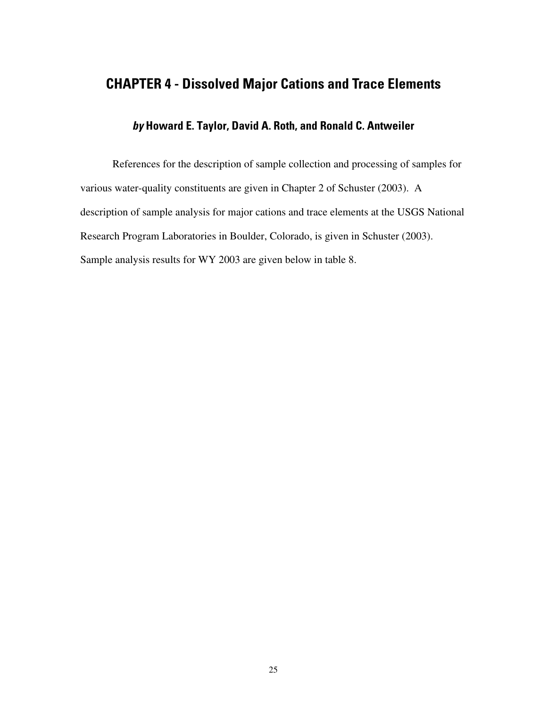## <span id="page-31-0"></span>**CHAPTER 4 - Dissolved Major Cations and Trace Elements**

#### **by Howard E. Taylor, David A. Roth, and Ronald C. Antweiler**

References for the description of sample collection and processing of samples for various water-quality constituents are given in Chapter 2 of Schuster (2003). A description of sample analysis for major cations and trace elements at the USGS National Research Program Laboratories in Boulder, Colorado, is given in Schuster (2003). Sample analysis results for WY 2003 are given below in table 8.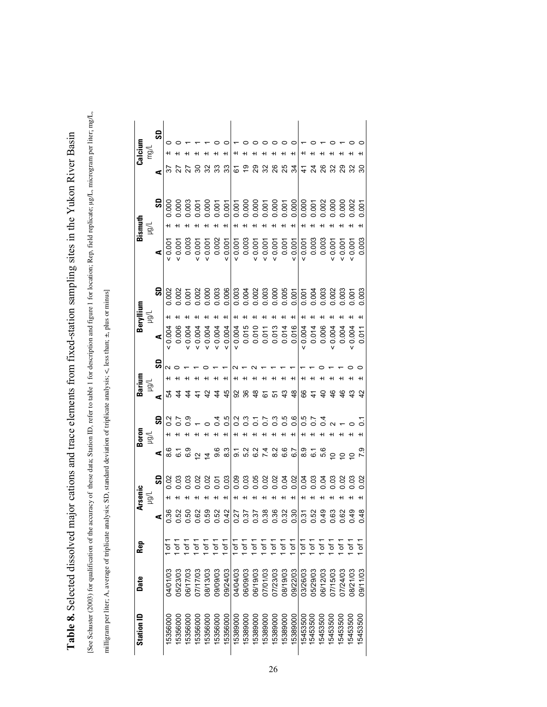[See Schuster (2003) for qualification of the accuracy of these data; Station ID, refer to table 1 for description and figure 1 for location; Rep, field replicate; µg/L, microgram per liter; mg/L, [See Schuster (2003) for qualification of the accuracy of these data; Station ID, refer to table 1 for description and figure 1 for location; Rep, field replicate; µg/L, microgram per liter; mg/L, Table 8. Selected dissolved major cations and trace elements from fixed-station sampling sites in the Yukon River Basin **Table 8.** Selected dissolved major cations and trace elements from fixed-station sampling sites in the Yukon River Basin

milligram per liter; A, average of triplicate analysis; SD, standard deviation of triplicate analysis; <, less than; ±, plus or minus] milligram per liter; A, average of triplicate analysis; SD, standard deviation of triplicate analysis; <, less than; ±, plus or minus]

| <b>Station ID</b>    | Date     | Rep                 |                                                                                             | <b>Arsenic</b> |     |                         |                 |                | Barium | Beryllium |       |                       |                      |       |                      | Calcium |
|----------------------|----------|---------------------|---------------------------------------------------------------------------------------------|----------------|-----|-------------------------|-----------------|----------------|--------|-----------|-------|-----------------------|----------------------|-------|----------------------|---------|
|                      |          |                     |                                                                                             | $\geq$         |     |                         | Boron<br>Hg/L   |                |        | $\geqq$   |       |                       | Bismuth<br>$\mu g/L$ |       |                      | mg/l    |
|                      |          |                     |                                                                                             |                | င္တ | ⋖                       | င္တ             | ⋖              | င္တ    | ⋖         | င္တ   | ⋖                     |                      | SD    | ⋖                    |         |
| 15356000             | 04/01/03 |                     |                                                                                             |                |     |                         |                 |                |        | 0.004     | 0.002 | 0.001                 |                      | 0.000 |                      |         |
| 1535600              | 05/23/03 |                     |                                                                                             |                |     | <u>ی</u>                |                 |                |        | 0.004     |       |                       |                      |       |                      |         |
| 15356000             | 06/17/03 | ৳                   |                                                                                             |                |     |                         | $\frac{5}{2}$ . |                |        |           |       | 0.001                 |                      |       | 278                  |         |
| 5356000              | 07/17/03 |                     | $\begin{vmatrix} 0 & 0 & 0 & 0 & 0 \\ 0 & 0 & 0 & 0 & 0 \\ 0 & 0 & 0 & 0 & 0 \end{vmatrix}$ |                |     | ၜ<br>ၜ <u>ၑ</u> ႜႜ      |                 |                |        | 0.004     |       | : 0.007               |                      |       |                      |         |
| 5356000              | 08/13/03 | ৳                   |                                                                                             |                |     |                         |                 | $\frac{1}{4}$  |        | 20.004    |       | 50.001                |                      |       | 32                   |         |
| 15356000             | 09/09/03 | Ⴆ                   |                                                                                             |                |     | 9.6                     |                 | $\frac{4}{4}$  |        | 0.004     |       | 0.002                 |                      |       | 33                   |         |
| 15356000             | 09/24/03 | $\sigma$            |                                                                                             |                |     | $8.\overline{3}$        | 0.5             | 45             |        |           |       |                       |                      |       | 33                   |         |
| 15389000             | 04/04/03 | $\frac{1}{\sigma}$  |                                                                                             |                |     |                         | $\frac{2}{2}$   |                |        | H         |       |                       |                      |       | 61                   |         |
| 15389000             | 06/09/03 | of 1                |                                                                                             |                |     |                         |                 | <b>8885588</b> |        |           |       |                       |                      |       | စ္                   |         |
| 15389000             | 06/19/03 | $\sigma$            |                                                                                             |                |     |                         |                 |                |        |           |       |                       |                      |       | <u>ನಿ ನಿ</u>         |         |
| 15389000             | 07/01/03 | $\sigma$            |                                                                                             |                |     |                         |                 |                |        |           |       |                       |                      |       |                      |         |
| 15389000             | 07/23/03 | Ġ                   |                                                                                             |                |     | 8.2                     |                 |                |        |           |       |                       |                      |       |                      |         |
| 5389000              | 08/19/03 | $\sigma$            |                                                                                             |                |     |                         |                 |                |        |           |       |                       |                      |       |                      |         |
| 5389000              | 09/22/03 | $\sigma$            |                                                                                             |                |     | 6.7<br>6.7              |                 |                |        |           |       |                       |                      |       | នយូងន្ន្រី ដូចទី និង |         |
| 15453500<br>15453500 | 03/26/03 | خ                   |                                                                                             |                |     |                         |                 |                |        | H         |       |                       |                      |       |                      |         |
|                      | 05/29/03 | Ġ                   |                                                                                             |                |     |                         |                 | 64             |        |           |       |                       |                      |       |                      |         |
| 15453500             | 06/12/03 | $\sigma$            |                                                                                             |                |     | 0, – 0,<br>∞ - 0, 0 0 0 | $\overline{a}$  | 7990           |        |           |       |                       |                      |       |                      |         |
| 5453500              | 07/15/03 | $\sigma$            |                                                                                             |                |     |                         |                 |                |        |           |       |                       |                      |       |                      |         |
| 15453500             | 07/24/03 | $\sigma$            |                                                                                             |                |     |                         |                 |                |        |           |       |                       |                      |       |                      |         |
| 15453500             | 08/21/03 | $\overline{\sigma}$ |                                                                                             |                |     |                         |                 | $\frac{3}{4}$  |        |           |       | $\frac{0.001}{0.001}$ |                      |       |                      |         |
| 15453500             | 09/11/03 | $\sigma$            | $\frac{4}{3}$                                                                               |                |     | 79                      |                 |                |        |           |       |                       |                      |       | ್ದ                   |         |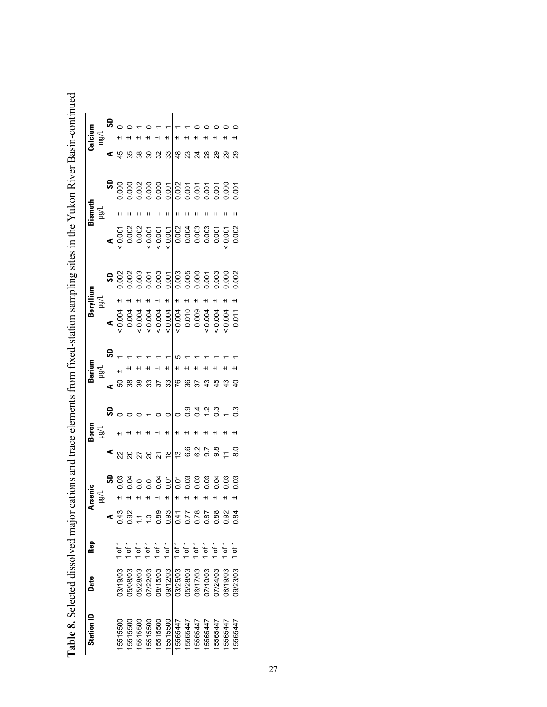|   | Truthpoon Randa                                                          |
|---|--------------------------------------------------------------------------|
|   |                                                                          |
|   |                                                                          |
|   |                                                                          |
|   |                                                                          |
|   |                                                                          |
|   | 14 14 14 14 14 14 14                                                     |
|   |                                                                          |
|   |                                                                          |
|   |                                                                          |
|   |                                                                          |
|   |                                                                          |
| ; |                                                                          |
|   |                                                                          |
|   |                                                                          |
|   |                                                                          |
|   |                                                                          |
|   |                                                                          |
|   |                                                                          |
|   |                                                                          |
|   |                                                                          |
|   |                                                                          |
|   |                                                                          |
|   |                                                                          |
|   | s ann an a                                                               |
|   | $-2 - 2 - 3 - 3 - 2 - 1$                                                 |
|   |                                                                          |
|   |                                                                          |
|   |                                                                          |
|   |                                                                          |
|   |                                                                          |
|   |                                                                          |
|   |                                                                          |
|   |                                                                          |
|   |                                                                          |
|   |                                                                          |
|   |                                                                          |
|   |                                                                          |
|   |                                                                          |
|   |                                                                          |
|   |                                                                          |
|   |                                                                          |
|   |                                                                          |
|   |                                                                          |
|   |                                                                          |
|   |                                                                          |
|   |                                                                          |
|   |                                                                          |
|   |                                                                          |
|   |                                                                          |
|   |                                                                          |
|   |                                                                          |
|   |                                                                          |
|   |                                                                          |
|   |                                                                          |
|   |                                                                          |
|   |                                                                          |
|   |                                                                          |
|   |                                                                          |
|   |                                                                          |
|   |                                                                          |
|   |                                                                          |
|   |                                                                          |
|   |                                                                          |
|   |                                                                          |
|   |                                                                          |
|   |                                                                          |
|   | יי ני שבש שש א                                                           |
|   |                                                                          |
|   |                                                                          |
|   |                                                                          |
|   |                                                                          |
|   |                                                                          |
|   | and trace alaments trom tived station sampling sites in the Vilkon River |
|   |                                                                          |
|   |                                                                          |
|   |                                                                          |
|   |                                                                          |
|   |                                                                          |
|   |                                                                          |
|   |                                                                          |
|   |                                                                          |
|   |                                                                          |
|   |                                                                          |
|   |                                                                          |
|   |                                                                          |
|   |                                                                          |
|   |                                                                          |
|   |                                                                          |
|   |                                                                          |
|   |                                                                          |
|   |                                                                          |
|   |                                                                          |
|   |                                                                          |
|   |                                                                          |
|   |                                                                          |
|   |                                                                          |
|   |                                                                          |
|   |                                                                          |
|   |                                                                          |
|   |                                                                          |
|   |                                                                          |
|   |                                                                          |

| <b>Station ID</b> | Date     | Rep      |      |                                                       |                                                                                                                               |               |      | Barium        | 3erylliun |    |       | Bismuth |                                                                                                                                                                                                                                                                                                                                                                                        |                                   | Calcium |
|-------------------|----------|----------|------|-------------------------------------------------------|-------------------------------------------------------------------------------------------------------------------------------|---------------|------|---------------|-----------|----|-------|---------|----------------------------------------------------------------------------------------------------------------------------------------------------------------------------------------------------------------------------------------------------------------------------------------------------------------------------------------------------------------------------------------|-----------------------------------|---------|
|                   |          |          |      | Arsenic<br>µg/L                                       |                                                                                                                               | Boron<br>Hg/L |      |               | l/gu      |    |       | ğ       |                                                                                                                                                                                                                                                                                                                                                                                        |                                   | mg/l    |
|                   |          |          |      | ဒ                                                     |                                                                                                                               |               | င္တ  | ⋖             | ⋖         | SD |       |         |                                                                                                                                                                                                                                                                                                                                                                                        | ⋖                                 |         |
| 5515500           | 03/19/03 |          | ) 43 |                                                       | $\mathbf{a}$ ន្ត្រ                                                                                                            |               |      | 69            |           |    |       |         | $\frac{5}{3}$<br>$\frac{1}{3}$<br>$\frac{1}{3}$<br>$\frac{1}{3}$<br>$\frac{1}{3}$<br>$\frac{1}{3}$<br>$\frac{1}{3}$<br>$\frac{1}{3}$<br>$\frac{1}{3}$<br>$\frac{1}{3}$<br>$\frac{1}{3}$<br>$\frac{1}{3}$<br>$\frac{1}{3}$<br>$\frac{1}{3}$<br>$\frac{1}{3}$<br>$\frac{1}{3}$<br>$\frac{1}{3}$<br>$\frac{1}{3}$<br>$\frac{1}{3}$<br>$\frac{1}{3}$<br>$\frac{1}{3}$<br>$\frac{1}{3}$<br> | $\frac{1}{4}$                     |         |
| 5515500           | 05/08/03 |          | 0.92 |                                                       |                                                                                                                               |               |      | 38            |           |    |       |         |                                                                                                                                                                                                                                                                                                                                                                                        | 35                                |         |
| 5515500           | 15/28/03 |          |      |                                                       | $\frac{27}{20}$                                                                                                               |               |      | 38            |           |    |       |         |                                                                                                                                                                                                                                                                                                                                                                                        | ននន                               |         |
| 5515500           | 17/22/03 |          |      |                                                       |                                                                                                                               |               |      | 33            |           |    |       |         |                                                                                                                                                                                                                                                                                                                                                                                        |                                   |         |
| 15515500          | 08/15/03 | 51<br>Ծ  | 0.89 |                                                       |                                                                                                                               |               |      |               |           |    |       |         |                                                                                                                                                                                                                                                                                                                                                                                        |                                   |         |
| 5515500           | 09/12/03 | ا of 1   | 0.93 |                                                       |                                                                                                                               |               |      | 33            |           |    |       |         |                                                                                                                                                                                                                                                                                                                                                                                        |                                   | +1      |
| 5565447           | 03/25/03 | $1$ of 1 | 0.41 | 8 3 9 9 9 9 9 8 8 9 9<br>8 3 9 9 9 9 9 8 8 9 9 9<br>ᅱ | $\frac{1}{2}$ $\frac{1}{2}$ $\frac{1}{2}$ $\frac{1}{2}$ $\frac{1}{2}$ $\frac{1}{2}$ $\frac{1}{2}$ $\frac{1}{2}$ $\frac{1}{2}$ |               |      | 76            |           |    |       |         |                                                                                                                                                                                                                                                                                                                                                                                        | ឌ <mark> </mark> ឌុ ឌុ ສຸ ສຸ ສຸ ສ | $\pm$   |
| 5565447           | 05/28/03 | of 1     | 77   | +1                                                    |                                                                                                                               |               | ္ပ   | 36            |           |    |       |         |                                                                                                                                                                                                                                                                                                                                                                                        |                                   |         |
| 5565447           | 06/17/03 | τ<br>σ   | 1878 |                                                       |                                                                                                                               |               |      | 57            |           |    |       |         |                                                                                                                                                                                                                                                                                                                                                                                        |                                   |         |
| 5565447           | 07/10/03 |          |      |                                                       |                                                                                                                               |               | 0.78 | 43            |           |    |       |         |                                                                                                                                                                                                                                                                                                                                                                                        |                                   |         |
| 5565447           | 17/24/03 | لہ<br>کا | 1.88 |                                                       |                                                                                                                               |               |      | $\frac{4}{2}$ |           |    |       |         |                                                                                                                                                                                                                                                                                                                                                                                        |                                   |         |
| 5565447           | 08/19/03 | .<br>ک   | 92   | 0.03                                                  |                                                                                                                               |               |      | 43            | 0.0011    |    |       |         |                                                                                                                                                                                                                                                                                                                                                                                        |                                   |         |
| 15565447          | 09/23/03 |          | 0.84 | 0.03                                                  | 8.0                                                                                                                           |               | 5.0  |               |           |    | 0.002 |         |                                                                                                                                                                                                                                                                                                                                                                                        | 29                                |         |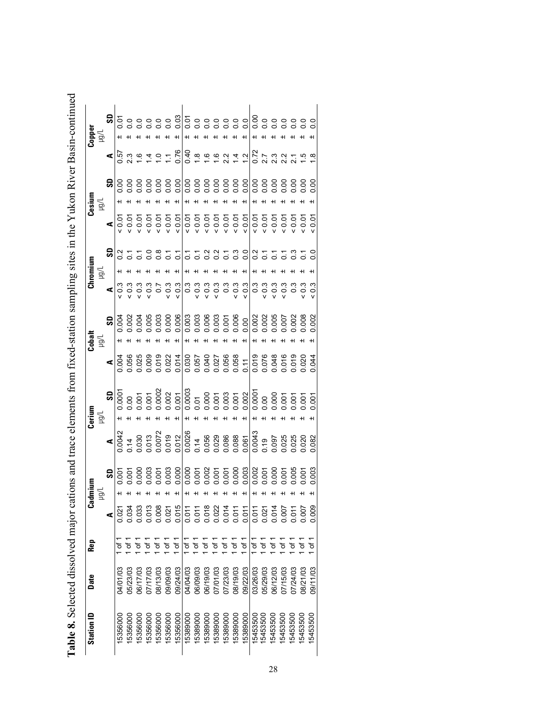Table 8. Selected dissolved major cations and trace elements from fixed-station sampling sites in the Yukon River Basin-continued **Table 8.** Selected dissolved major cations and trace elements from fixed-station sampling sites in the Yukon River Basin-continued

| Copper<br>Hg/L                                      |             | $\mathbf{g}$ |                                                                                                                                                                                                                                                                                                                                                      |          |                  |          |                |                                   |                |          |               |                    |               |          |                                  |               |               |                    |                     |          |                                  |                                                   |          |
|-----------------------------------------------------|-------------|--------------|------------------------------------------------------------------------------------------------------------------------------------------------------------------------------------------------------------------------------------------------------------------------------------------------------------------------------------------------------|----------|------------------|----------|----------------|-----------------------------------|----------------|----------|---------------|--------------------|---------------|----------|----------------------------------|---------------|---------------|--------------------|---------------------|----------|----------------------------------|---------------------------------------------------|----------|
|                                                     |             |              | $\frac{1}{6}$ $\frac{1}{6}$ $\frac{1}{6}$ $\frac{1}{6}$ $\frac{1}{6}$ $\frac{1}{6}$ $\frac{1}{6}$ $\frac{1}{6}$ $\frac{1}{6}$ $\frac{1}{6}$ $\frac{1}{6}$ $\frac{1}{6}$ $\frac{1}{6}$ $\frac{1}{6}$ $\frac{1}{6}$ $\frac{1}{6}$ $\frac{1}{6}$ $\frac{1}{6}$ $\frac{1}{6}$ $\frac{1}{6}$ $\frac{1}{6}$ $\frac{1}{6}$                                  |          |                  |          |                |                                   |                |          |               |                    |               |          |                                  |               |               |                    |                     |          |                                  | $\frac{1}{2}$ 5 5 $\frac{1}{2}$ 5 6 $\frac{1}{2}$ |          |
|                                                     |             |              |                                                                                                                                                                                                                                                                                                                                                      |          |                  |          |                |                                   |                |          |               |                    |               |          |                                  |               |               |                    |                     |          |                                  |                                                   |          |
| $\mathbf{Cesium}_{\textrm{H}\mathbb{U}/\mathbb{L}}$ |             |              |                                                                                                                                                                                                                                                                                                                                                      |          |                  |          |                |                                   |                |          |               |                    |               |          |                                  |               |               |                    |                     |          |                                  |                                                   |          |
|                                                     |             |              |                                                                                                                                                                                                                                                                                                                                                      |          |                  |          |                |                                   |                |          |               |                    |               |          |                                  |               |               |                    |                     |          |                                  |                                                   |          |
|                                                     |             | ဌ            | $\frac{2}{5}$                                                                                                                                                                                                                                                                                                                                        |          |                  |          | $\frac{8}{5}$  | $\overline{c}$                    | $\overline{c}$ |          |               |                    |               |          |                                  |               | $\frac{2}{5}$ |                    |                     |          | 5550                             |                                                   |          |
| Chromium                                            | $\bar{\Xi}$ |              |                                                                                                                                                                                                                                                                                                                                                      |          |                  |          |                |                                   |                |          |               |                    |               |          |                                  |               |               |                    |                     |          |                                  |                                                   |          |
|                                                     |             |              |                                                                                                                                                                                                                                                                                                                                                      |          |                  |          |                |                                   |                |          |               |                    |               |          |                                  |               |               |                    |                     |          |                                  |                                                   |          |
|                                                     |             | ౚి           | 0.004                                                                                                                                                                                                                                                                                                                                                |          |                  |          |                |                                   |                |          |               |                    |               |          |                                  |               |               |                    |                     |          |                                  |                                                   |          |
| $\frac{1}{100}$                                     |             |              |                                                                                                                                                                                                                                                                                                                                                      |          |                  |          |                |                                   |                |          |               |                    |               |          |                                  |               |               |                    |                     |          |                                  |                                                   |          |
|                                                     |             |              |                                                                                                                                                                                                                                                                                                                                                      |          |                  |          |                |                                   |                |          |               |                    |               |          |                                  |               |               |                    |                     |          |                                  |                                                   |          |
|                                                     |             |              | $\begin{array}{r} 925 \\ 1000 \\ 0000 \\ 00000 \\ 00000 \\ 00000 \\ 00000 \\ 00000 \\ 00000 \\ 00000 \\ 00000 \\ 00000 \\ 00000 \\ 00000 \\ 00000 \\ 00000 \\ 00000 \\ 00000 \\ 00000 \\ 00000 \\ 00000 \\ 00000 \\ 00000 \\ 00000 \\ 00000 \\ 00000 \\ 00000 \\ 00000 \\ 00000 \\ 00000 \\ 00000 \\$                                                |          |                  |          |                |                                   |                |          |               |                    |               |          |                                  |               |               |                    |                     |          |                                  |                                                   |          |
| <b>Cerium</b><br>197L                               |             |              |                                                                                                                                                                                                                                                                                                                                                      |          |                  |          |                |                                   |                |          |               |                    |               |          |                                  |               |               |                    |                     |          |                                  |                                                   |          |
|                                                     |             |              | $\begin{array}{r} \n 1004 \\  004 \\  42 \\  3000 \\  5000 \\  6000 \\  7000 \\  800 \\  7000 \\  7000 \\  800 \\  7000 \\  7000 \\  7000 \\  7000 \\  7000 \\  7000 \\  7000 \\  7000 \\  7000 \\  7000 \\  7000 \\  7000 \\  7000 \\  7000 \\  7000 \\  7000 \\  7000 \\  7000 \\  7000 \\  7000 \\  7000 \\  7000 \\  7000 \\  7000 \\  7000 \\ $ |          |                  |          |                |                                   |                |          |               |                    |               |          |                                  |               |               |                    |                     |          |                                  |                                                   | 0.082    |
|                                                     |             | ဒ္တ          | 0.007                                                                                                                                                                                                                                                                                                                                                |          | $rac{200}{1000}$ |          |                |                                   |                |          |               |                    |               |          |                                  |               |               |                    |                     |          |                                  |                                                   | 0.003    |
| mium                                                |             |              |                                                                                                                                                                                                                                                                                                                                                      |          |                  |          |                |                                   |                |          |               |                    |               |          |                                  |               |               |                    |                     |          |                                  |                                                   |          |
| ತ                                                   |             |              |                                                                                                                                                                                                                                                                                                                                                      | 0.034    |                  |          |                | 0.033<br>0.013<br>0.0021<br>0.015 |                | 0.011    |               |                    |               |          | 0.011<br>0.012<br>0.014<br>0.011 |               | 0.011         |                    |                     |          | 10011<br>00014<br>00011<br>00011 |                                                   | 0.009    |
| Rep                                                 |             |              |                                                                                                                                                                                                                                                                                                                                                      | Ⴆ        | đ                | đ        | $\overline{a}$ | $\overline{0}$                    | $\frac{1}{2}$  | Ⴆ<br>მ   | $\frac{1}{6}$ | $\frac{1}{\sigma}$ | $\frac{1}{2}$ | of 1     | $\sigma$                         | $\frac{1}{6}$ | đ             | $\frac{1}{\sigma}$ | $\overline{\sigma}$ | đ        | $\overline{\sigma}$              | Ⴆ<br>შ                                            | Ⴆ<br>მ   |
| Date                                                |             |              | <b>SO/LO/KC</b>                                                                                                                                                                                                                                                                                                                                      | 05/23/03 | 00/17/03         | 27/17/03 | 08/13/03       | 09/09/03                          | 09/24/03       | 04/04/03 | 06/09/03      | 06/19/03           | 07/01/03      | 07/23/03 | 08/19/03                         | 09/22/03      | 03/26/03      | 05/29/03           | 06/12/03            | 07/15/03 | 0/24/03                          | 00/12/80                                          | 09/11/03 |
| Station ID                                          |             |              | 15356000                                                                                                                                                                                                                                                                                                                                             | 5356000  | 5356000          | 5356000  | 5356000        | 5356000                           | 5356000        | 15389000 | 15389000      | 5389000            | 5389000       | 5389000  | 5389000                          | 5389000       | 15453500      | 5453500            | 15453500            | 15453500 | 15453500                         | 15453500                                          | 15453500 |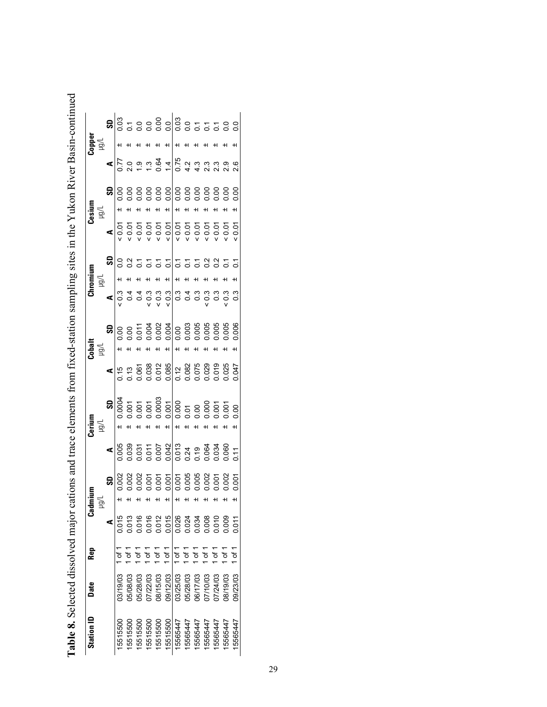|   | uven maailli eenima                                                                                                                                                                                                            |
|---|--------------------------------------------------------------------------------------------------------------------------------------------------------------------------------------------------------------------------------|
|   |                                                                                                                                                                                                                                |
|   |                                                                                                                                                                                                                                |
|   |                                                                                                                                                                                                                                |
|   |                                                                                                                                                                                                                                |
| I |                                                                                                                                                                                                                                |
|   |                                                                                                                                                                                                                                |
|   |                                                                                                                                                                                                                                |
|   |                                                                                                                                                                                                                                |
|   |                                                                                                                                                                                                                                |
|   |                                                                                                                                                                                                                                |
|   |                                                                                                                                                                                                                                |
|   |                                                                                                                                                                                                                                |
|   |                                                                                                                                                                                                                                |
|   |                                                                                                                                                                                                                                |
|   |                                                                                                                                                                                                                                |
|   |                                                                                                                                                                                                                                |
|   |                                                                                                                                                                                                                                |
|   | ite from fived-station sampling sites in the Vilkon River Rasin-continue<br>$\sim$ . The state of the state of $\sim$                                                                                                          |
|   |                                                                                                                                                                                                                                |
|   |                                                                                                                                                                                                                                |
|   |                                                                                                                                                                                                                                |
|   |                                                                                                                                                                                                                                |
|   |                                                                                                                                                                                                                                |
|   |                                                                                                                                                                                                                                |
|   |                                                                                                                                                                                                                                |
|   |                                                                                                                                                                                                                                |
|   |                                                                                                                                                                                                                                |
|   |                                                                                                                                                                                                                                |
|   |                                                                                                                                                                                                                                |
|   |                                                                                                                                                                                                                                |
|   |                                                                                                                                                                                                                                |
|   |                                                                                                                                                                                                                                |
|   |                                                                                                                                                                                                                                |
|   |                                                                                                                                                                                                                                |
|   |                                                                                                                                                                                                                                |
|   |                                                                                                                                                                                                                                |
|   |                                                                                                                                                                                                                                |
|   |                                                                                                                                                                                                                                |
|   |                                                                                                                                                                                                                                |
|   |                                                                                                                                                                                                                                |
|   |                                                                                                                                                                                                                                |
|   |                                                                                                                                                                                                                                |
|   |                                                                                                                                                                                                                                |
|   |                                                                                                                                                                                                                                |
|   |                                                                                                                                                                                                                                |
|   | sham mm crici                                                                                                                                                                                                                  |
|   |                                                                                                                                                                                                                                |
|   |                                                                                                                                                                                                                                |
|   |                                                                                                                                                                                                                                |
|   |                                                                                                                                                                                                                                |
|   |                                                                                                                                                                                                                                |
|   |                                                                                                                                                                                                                                |
|   |                                                                                                                                                                                                                                |
|   |                                                                                                                                                                                                                                |
|   |                                                                                                                                                                                                                                |
|   |                                                                                                                                                                                                                                |
|   | concertation and the concertation of the concertation of the concertation of the concertation of the concertation of the concertation of the concertation of the concertation of the concertation of the concertation of the c |
|   |                                                                                                                                                                                                                                |
|   |                                                                                                                                                                                                                                |
|   | i                                                                                                                                                                                                                              |
|   |                                                                                                                                                                                                                                |
|   |                                                                                                                                                                                                                                |
|   |                                                                                                                                                                                                                                |
|   |                                                                                                                                                                                                                                |
|   | ا<br>ا                                                                                                                                                                                                                         |
|   |                                                                                                                                                                                                                                |
|   |                                                                                                                                                                                                                                |
|   |                                                                                                                                                                                                                                |
|   |                                                                                                                                                                                                                                |
|   |                                                                                                                                                                                                                                |
|   |                                                                                                                                                                                                                                |
|   |                                                                                                                                                                                                                                |
|   |                                                                                                                                                                                                                                |
|   |                                                                                                                                                                                                                                |
|   |                                                                                                                                                                                                                                |
|   |                                                                                                                                                                                                                                |
|   |                                                                                                                                                                                                                                |
|   |                                                                                                                                                                                                                                |
|   |                                                                                                                                                                                                                                |

| Station ID | <b>Oate</b> | Rep           |       | င်<br>ဒီ    | Cerium                                                                                                                                                                                                                                                                                                                 |                                                                                                                                                                                                                                                                                                                                            | $\frac{1}{2}$ |                      | hromiun |              |                                                                                                                                                                                                                                                                                                      | nuize:                | Tribit<br>Tablo: |  |
|------------|-------------|---------------|-------|-------------|------------------------------------------------------------------------------------------------------------------------------------------------------------------------------------------------------------------------------------------------------------------------------------------------------------------------|--------------------------------------------------------------------------------------------------------------------------------------------------------------------------------------------------------------------------------------------------------------------------------------------------------------------------------------------|---------------|----------------------|---------|--------------|------------------------------------------------------------------------------------------------------------------------------------------------------------------------------------------------------------------------------------------------------------------------------------------------------|-----------------------|------------------|--|
|            |             |               |       | 힢           | ्वृत्                                                                                                                                                                                                                                                                                                                  |                                                                                                                                                                                                                                                                                                                                            |               |                      |         |              |                                                                                                                                                                                                                                                                                                      | $\sum_{i=1}^{\infty}$ |                  |  |
|            |             |               |       | <u>ချ</u>   |                                                                                                                                                                                                                                                                                                                        |                                                                                                                                                                                                                                                                                                                                            | ္ဘု           | $\blacktriangleleft$ |         | ္တု          |                                                                                                                                                                                                                                                                                                      | $\overline{\text{S}}$ |                  |  |
| 5515500    | 03/19/03    |               | 0.015 | ᅱ           | $\frac{5}{3}$<br>$\frac{1}{3}$ $\frac{1}{3}$ $\frac{1}{3}$ $\frac{1}{3}$ $\frac{1}{3}$ $\frac{1}{3}$ $\frac{1}{3}$ $\frac{1}{3}$ $\frac{1}{3}$ $\frac{1}{3}$ $\frac{1}{3}$ $\frac{1}{3}$ $\frac{1}{3}$ $\frac{1}{3}$ $\frac{1}{3}$ $\frac{1}{3}$ $\frac{1}{3}$ $\frac{1}{3}$ $\frac{1}{3}$ $\frac{1}{3}$ $\frac{1}{3}$ | $\begin{array}{c l} \textbf{4} & \textbf{9} & \textbf{1} & \textbf{1} & \textbf{1} \\ \hline 1 & 0 & 0 & 0 & 0 & 0 & 0 \\ 0 & 0 & 0 & 0 & 0 & 0 & 0 & 0 \\ 0 & 0 & 0 & 0 & 0 & 0 & 0 & 0 \\ 0 & 0 & 0 & 0 & 0 & 0 & 0 & 0 \\ 0 & 0 & 0 & 0 & 0 & 0 & 0 & 0 \\ 0 & 0 & 0 & 0 & 0 & 0 & 0 & 0 \\ 0 & 0 & 0 & 0 & 0 & 0 & 0 & 0 \\ 0 & 0 & 0$ |               |                      |         |              | $\begin{array}{c}\n 0.5550000 \\  0.55000000 \\  0.5500000 \\  0.5500000 \\  0.550000 \\  0.550000 \\  0.550000 \\  0.550000 \\  0.550000 \\  0.550000 \\  0.550000 \\  0.550000 \\  0.550000 \\  0.550000 \\  0.550000 \\  0.550000 \\  0.550000 \\  0.550000 \\  0.550000 \\  0.550000 \\  0.5500$ |                       |                  |  |
| 5515500    | 508003      |               | 0.013 | ᅱ           |                                                                                                                                                                                                                                                                                                                        |                                                                                                                                                                                                                                                                                                                                            |               |                      |         |              |                                                                                                                                                                                                                                                                                                      |                       |                  |  |
| 5515500    | 5/28/03     |               | 0.016 | ᅱ           |                                                                                                                                                                                                                                                                                                                        |                                                                                                                                                                                                                                                                                                                                            |               |                      |         |              |                                                                                                                                                                                                                                                                                                      |                       |                  |  |
| 15515500   | 17/22/03    |               |       | ᅱ           |                                                                                                                                                                                                                                                                                                                        |                                                                                                                                                                                                                                                                                                                                            |               |                      |         |              |                                                                                                                                                                                                                                                                                                      |                       |                  |  |
| 15515500   | 08/15/03    | ե1            | 0.012 | ᅱ           |                                                                                                                                                                                                                                                                                                                        |                                                                                                                                                                                                                                                                                                                                            |               |                      |         |              |                                                                                                                                                                                                                                                                                                      |                       |                  |  |
| 5515500    | 00/12/03    | $\frac{1}{2}$ | 0.015 |             |                                                                                                                                                                                                                                                                                                                        |                                                                                                                                                                                                                                                                                                                                            |               |                      |         |              |                                                                                                                                                                                                                                                                                                      |                       |                  |  |
| 15565447   | 03/25/03    | $1$ of 1      | 0.026 | $\pm$       |                                                                                                                                                                                                                                                                                                                        |                                                                                                                                                                                                                                                                                                                                            |               |                      |         | 885555558855 |                                                                                                                                                                                                                                                                                                      |                       |                  |  |
| 15565447   | 05/28/03    | ъr<br>Б       | 0.024 | +1          |                                                                                                                                                                                                                                                                                                                        |                                                                                                                                                                                                                                                                                                                                            |               |                      |         |              |                                                                                                                                                                                                                                                                                                      |                       |                  |  |
| 5565447    | 00/17/03    | 51<br>Ծ       | 0.34  | H           |                                                                                                                                                                                                                                                                                                                        |                                                                                                                                                                                                                                                                                                                                            |               |                      |         |              |                                                                                                                                                                                                                                                                                                      |                       |                  |  |
| 5565447    | 0/110/03    | 5۳            | 0.008 | ᅱ           |                                                                                                                                                                                                                                                                                                                        |                                                                                                                                                                                                                                                                                                                                            |               |                      |         |              |                                                                                                                                                                                                                                                                                                      |                       |                  |  |
| 5565447    | 17/24/03    | of 1          | 0.010 | +1          |                                                                                                                                                                                                                                                                                                                        |                                                                                                                                                                                                                                                                                                                                            |               |                      |         |              |                                                                                                                                                                                                                                                                                                      |                       |                  |  |
| 5565447    | 08/19/03    | 5<br>آه       | 0.009 | 0.002<br>+1 |                                                                                                                                                                                                                                                                                                                        |                                                                                                                                                                                                                                                                                                                                            |               |                      |         |              |                                                                                                                                                                                                                                                                                                      |                       |                  |  |
| 15565447   | 09/23/03    | ե<br>7        |       | 0.001       |                                                                                                                                                                                                                                                                                                                        |                                                                                                                                                                                                                                                                                                                                            | 0.006         |                      |         |              |                                                                                                                                                                                                                                                                                                      |                       |                  |  |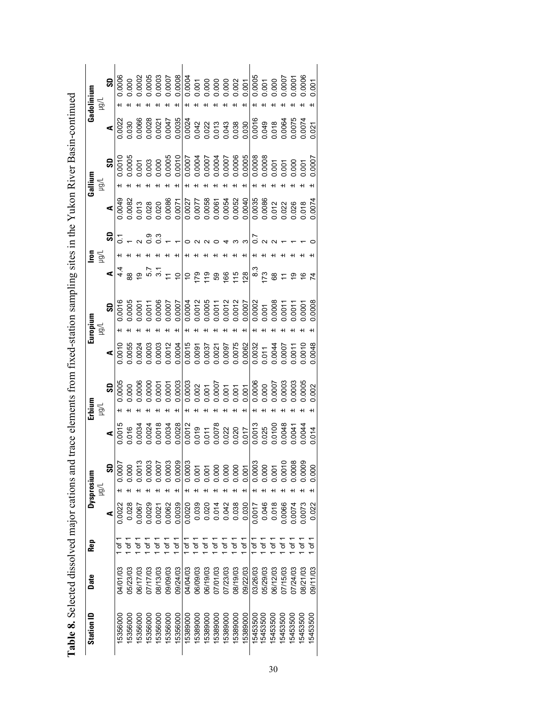| $\frac{1}{1}$ |                                                                                                                                                                                                                                |
|---------------|--------------------------------------------------------------------------------------------------------------------------------------------------------------------------------------------------------------------------------|
|               |                                                                                                                                                                                                                                |
|               |                                                                                                                                                                                                                                |
|               |                                                                                                                                                                                                                                |
|               | in the structure of the control distribution is a second that the control of the control of the control of the control of the control of the control of the control of the control of the control of the control of the contro |
|               |                                                                                                                                                                                                                                |
|               |                                                                                                                                                                                                                                |
|               |                                                                                                                                                                                                                                |
|               |                                                                                                                                                                                                                                |
|               |                                                                                                                                                                                                                                |
|               |                                                                                                                                                                                                                                |
|               |                                                                                                                                                                                                                                |
|               |                                                                                                                                                                                                                                |
|               |                                                                                                                                                                                                                                |
|               |                                                                                                                                                                                                                                |
|               |                                                                                                                                                                                                                                |
|               |                                                                                                                                                                                                                                |
|               |                                                                                                                                                                                                                                |
|               |                                                                                                                                                                                                                                |
|               |                                                                                                                                                                                                                                |
|               |                                                                                                                                                                                                                                |
|               |                                                                                                                                                                                                                                |
|               |                                                                                                                                                                                                                                |
|               |                                                                                                                                                                                                                                |
|               |                                                                                                                                                                                                                                |
|               |                                                                                                                                                                                                                                |
|               |                                                                                                                                                                                                                                |
|               |                                                                                                                                                                                                                                |
|               | Ì                                                                                                                                                                                                                              |
|               |                                                                                                                                                                                                                                |
|               |                                                                                                                                                                                                                                |
|               |                                                                                                                                                                                                                                |
|               |                                                                                                                                                                                                                                |
|               |                                                                                                                                                                                                                                |
|               |                                                                                                                                                                                                                                |
|               |                                                                                                                                                                                                                                |
|               |                                                                                                                                                                                                                                |
|               |                                                                                                                                                                                                                                |
|               |                                                                                                                                                                                                                                |
|               |                                                                                                                                                                                                                                |
|               |                                                                                                                                                                                                                                |
|               |                                                                                                                                                                                                                                |
|               |                                                                                                                                                                                                                                |
|               |                                                                                                                                                                                                                                |
|               |                                                                                                                                                                                                                                |
|               |                                                                                                                                                                                                                                |
|               |                                                                                                                                                                                                                                |
|               |                                                                                                                                                                                                                                |
|               |                                                                                                                                                                                                                                |
|               |                                                                                                                                                                                                                                |
|               |                                                                                                                                                                                                                                |
|               |                                                                                                                                                                                                                                |
|               |                                                                                                                                                                                                                                |
|               |                                                                                                                                                                                                                                |
|               |                                                                                                                                                                                                                                |
|               |                                                                                                                                                                                                                                |
|               |                                                                                                                                                                                                                                |
|               |                                                                                                                                                                                                                                |
|               |                                                                                                                                                                                                                                |
|               |                                                                                                                                                                                                                                |
|               |                                                                                                                                                                                                                                |
|               | he and trace elements trom tryed station sampling sites in the Virkon River Rasin-continued                                                                                                                                    |
|               |                                                                                                                                                                                                                                |
|               |                                                                                                                                                                                                                                |
|               |                                                                                                                                                                                                                                |
|               |                                                                                                                                                                                                                                |
|               |                                                                                                                                                                                                                                |
|               |                                                                                                                                                                                                                                |
|               |                                                                                                                                                                                                                                |
|               |                                                                                                                                                                                                                                |
|               |                                                                                                                                                                                                                                |
|               |                                                                                                                                                                                                                                |
|               |                                                                                                                                                                                                                                |
|               |                                                                                                                                                                                                                                |
|               |                                                                                                                                                                                                                                |
|               |                                                                                                                                                                                                                                |
|               |                                                                                                                                                                                                                                |
|               |                                                                                                                                                                                                                                |
|               |                                                                                                                                                                                                                                |
|               |                                                                                                                                                                                                                                |
|               |                                                                                                                                                                                                                                |
|               |                                                                                                                                                                                                                                |
|               |                                                                                                                                                                                                                                |
|               |                                                                                                                                                                                                                                |
|               |                                                                                                                                                                                                                                |
|               |                                                                                                                                                                                                                                |
|               |                                                                                                                                                                                                                                |
|               |                                                                                                                                                                                                                                |
|               |                                                                                                                                                                                                                                |
|               |                                                                                                                                                                                                                                |
|               |                                                                                                                                                                                                                                |
|               |                                                                                                                                                                                                                                |
|               |                                                                                                                                                                                                                                |
|               |                                                                                                                                                                                                                                |
|               |                                                                                                                                                                                                                                |
|               |                                                                                                                                                                                                                                |
|               |                                                                                                                                                                                                                                |
| י<br>         |                                                                                                                                                                                                                                |

| $\begin{array}{l} 1.0055 \\ 0.0024 \\ 0.0003 \\ 0.0003 \\ 0.0003 \\ 0.004 \end{array}$<br>$\begin{array}{r} 0.0016 \\ 0.0018 \\ 0.0087 \\ 0.0037 \\ 0.0037 \\ 0.0008 \\ 0.0008 \\ 0.0008 \\ 0.0008 \\ 0.0008 \\ 0.0007 \\ 0.0007 \\ 0.0007 \\ 0.0007 \\ 0.0007 \\ 0.0000 \\ 0.0000 \\ 0.0000 \\ 0.0000 \\ 0.0000 \\ 0.0000 \\ 0.0000 \\ 0.0000 \\ 0.0000 \\ 0.0000 \\ 0.0000 \\ 0.00$<br>$rac{1}{2}$<br>⋖<br>$\begin{array}{r} {\bf SD} \ {\bf SO(5)} \ \hline 0.0005 \ 0.00000 \ 0.00001 \ 0.00001 \ 0.0001 \end{array}$<br>$\begin{array}{r} 0.0003\\ 0.0003\\ 0.007\\ 0.0007\\ 0.0007\\ 0.0007\\ 0.0000\\ 0.0000\\ 0.00000\\ 0.00000\\ 0.00000\\ 0.00000\\ 0.00000\\ 0.0000\\ 0.0000\\ 0.0000\\ 0.0000\\ 0.0000\\ 0.0000\\ 0.0000\\ 0.0000\\ 0.0000\\ 0.0000\\ 0.0000\\ 0.0000\\ 0.0000\\ $<br>$\geq$ |                                                                                                                                                                                                                                                                                               |
|----------------------------------------------------------------------------------------------------------------------------------------------------------------------------------------------------------------------------------------------------------------------------------------------------------------------------------------------------------------------------------------------------------------------------------------------------------------------------------------------------------------------------------------------------------------------------------------------------------------------------------------------------------------------------------------------------------------------------------------------------------------------------------------------------------|-----------------------------------------------------------------------------------------------------------------------------------------------------------------------------------------------------------------------------------------------------------------------------------------------|
|                                                                                                                                                                                                                                                                                                                                                                                                                                                                                                                                                                                                                                                                                                                                                                                                          | $\begin{array}{r} 0.0015 \\ 0.016 \\ 0.0034 \\ 0.0024 \\ 0.0018 \\ 0.0018 \\ 0.0034 \\ 0.0034 \end{array}$                                                                                                                                                                                    |
|                                                                                                                                                                                                                                                                                                                                                                                                                                                                                                                                                                                                                                                                                                                                                                                                          |                                                                                                                                                                                                                                                                                               |
|                                                                                                                                                                                                                                                                                                                                                                                                                                                                                                                                                                                                                                                                                                                                                                                                          |                                                                                                                                                                                                                                                                                               |
|                                                                                                                                                                                                                                                                                                                                                                                                                                                                                                                                                                                                                                                                                                                                                                                                          |                                                                                                                                                                                                                                                                                               |
|                                                                                                                                                                                                                                                                                                                                                                                                                                                                                                                                                                                                                                                                                                                                                                                                          |                                                                                                                                                                                                                                                                                               |
|                                                                                                                                                                                                                                                                                                                                                                                                                                                                                                                                                                                                                                                                                                                                                                                                          | $\begin{array}{r} 100072 \\ 0.0079 \\ 0.019 \\ 0.017 \\ 0.0028 \\ 0.020 \\ 0.0100 \\ 0.0000 \\ 0.0000 \\ 0.0000 \\ 0.0004 \\ 0.0004 \\ 0.0004 \\ 0.0004 \\ 0.0004 \\ 0.0004 \\ 0.0004 \\ 0.0004 \\ 0.0004 \\ 0.0004 \\ 0.0004 \\ 0.0004 \\ 0.0004 \\ 0.0004 \\ 0.0004 \\ 0.0004 \\ 0.0004 \\$ |
|                                                                                                                                                                                                                                                                                                                                                                                                                                                                                                                                                                                                                                                                                                                                                                                                          |                                                                                                                                                                                                                                                                                               |
|                                                                                                                                                                                                                                                                                                                                                                                                                                                                                                                                                                                                                                                                                                                                                                                                          |                                                                                                                                                                                                                                                                                               |
|                                                                                                                                                                                                                                                                                                                                                                                                                                                                                                                                                                                                                                                                                                                                                                                                          |                                                                                                                                                                                                                                                                                               |
|                                                                                                                                                                                                                                                                                                                                                                                                                                                                                                                                                                                                                                                                                                                                                                                                          |                                                                                                                                                                                                                                                                                               |
|                                                                                                                                                                                                                                                                                                                                                                                                                                                                                                                                                                                                                                                                                                                                                                                                          |                                                                                                                                                                                                                                                                                               |
|                                                                                                                                                                                                                                                                                                                                                                                                                                                                                                                                                                                                                                                                                                                                                                                                          |                                                                                                                                                                                                                                                                                               |
|                                                                                                                                                                                                                                                                                                                                                                                                                                                                                                                                                                                                                                                                                                                                                                                                          |                                                                                                                                                                                                                                                                                               |
|                                                                                                                                                                                                                                                                                                                                                                                                                                                                                                                                                                                                                                                                                                                                                                                                          |                                                                                                                                                                                                                                                                                               |
|                                                                                                                                                                                                                                                                                                                                                                                                                                                                                                                                                                                                                                                                                                                                                                                                          |                                                                                                                                                                                                                                                                                               |
|                                                                                                                                                                                                                                                                                                                                                                                                                                                                                                                                                                                                                                                                                                                                                                                                          |                                                                                                                                                                                                                                                                                               |
|                                                                                                                                                                                                                                                                                                                                                                                                                                                                                                                                                                                                                                                                                                                                                                                                          |                                                                                                                                                                                                                                                                                               |
|                                                                                                                                                                                                                                                                                                                                                                                                                                                                                                                                                                                                                                                                                                                                                                                                          |                                                                                                                                                                                                                                                                                               |
|                                                                                                                                                                                                                                                                                                                                                                                                                                                                                                                                                                                                                                                                                                                                                                                                          |                                                                                                                                                                                                                                                                                               |
|                                                                                                                                                                                                                                                                                                                                                                                                                                                                                                                                                                                                                                                                                                                                                                                                          |                                                                                                                                                                                                                                                                                               |
|                                                                                                                                                                                                                                                                                                                                                                                                                                                                                                                                                                                                                                                                                                                                                                                                          | 0.0044                                                                                                                                                                                                                                                                                        |
| 0.0048<br>0.002                                                                                                                                                                                                                                                                                                                                                                                                                                                                                                                                                                                                                                                                                                                                                                                          | 0.014                                                                                                                                                                                                                                                                                         |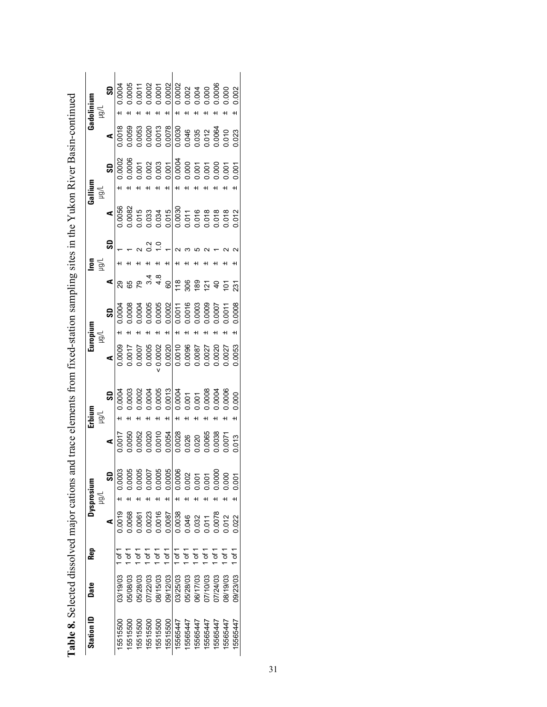| Station ID | Date     | Rep                |        | Dysprosium<br>Jlğı |        | Erbium<br>lg1 |        | Europium<br>$\geq$ |                  | lron<br>$\geq$ |                                  | Gallium<br>)<br>Lgu                      |                         | Gadolinium<br>)<br>Lgu |
|------------|----------|--------------------|--------|--------------------|--------|---------------|--------|--------------------|------------------|----------------|----------------------------------|------------------------------------------|-------------------------|------------------------|
|            |          |                    | ⋖      | SD                 | ⋖      | SD            | ⋖      | S                  | ⋖                |                | ⋖<br>S                           | SD                                       | ⋖                       | SD                     |
| 15515500   | 03/19/03 | 'of                | 0.0019 | 0.0003<br>$\pm$    | 0.0017 | 0.0004        | 0.0009 | 0.0004             | 29               |                | 0.0056                           | 0.0002                                   | 0.0018                  | 0.0004<br>+1           |
| 15515500   | 08/08/03 | 1 of 1             | 0.0068 | 0.0005             | 0.0050 | 0.0003        | 0.0017 | 0.0008             | 65               |                | 0.0082                           | 0.0006                                   | 0.0059                  | 0.0005                 |
| 15515500   | 05/28/03 | $1$ of 1           | 0.0061 | 0.0005<br>H        | 0.0052 | 0.0002<br>H   | 0.0007 | 0.0004<br>H        | ღ<br>7           |                | 0.015                            | 0.001                                    | 0.0053                  | 0.0011                 |
| 15515500   | 07/22/03 | 1 of 1             | 0.0023 | 0.0007             | 0.0020 | 0.0004        | 0.0005 | 0.0005             | $\frac{3}{4}$    |                |                                  |                                          | 0.0020                  | 0.0002                 |
| 15515500   | 08/15/03 | $1$ of $1$         | 0.0016 | 0.0005<br>H        | 0.0010 | 0.0005<br>H   | 0.0002 | 0.0005<br>H        | $4.\overline{8}$ |                | 0.033<br>0.034<br>$\frac{2}{10}$ | 0.003                                    | 0.0013                  | 0.0001                 |
| 15515500   | 09/12/03 | $1$ of 1           | 0.0087 | 0.0005<br>H        | 0.0054 | 0.0013<br>H   | 0.0020 | 0.0002<br>H        | 60               |                | 0.015                            | 0.001<br>H                               | 0.0078                  | 0.0002<br>H            |
| 15565447   | 03/25/03 | $1$ of 1           | 0.0038 | 0.0006<br>H        | 0.0028 | 0.0004<br>H   | 0.0010 | 0.0011<br>H        | 118              |                | 0.0030                           | 0.0004<br>H                              | 0.0030                  | 0.0002<br>H            |
| 15565447   | 05/28/03 | $1$ of $1$         | 0.046  | 0.002              | 0.026  | 0.001         | 0.0096 | 0.0016             | 306              |                |                                  |                                          | 0.046<br>0.035<br>0.012 |                        |
| 15565447   | 06/17/03 | $\frac{1}{1}$ of 1 | 0.032  | 0.001<br>H         | 0.020  | 0.001         | 0.0087 | 0.0003             | 189              |                |                                  |                                          |                         | 0.004<br>0.000         |
| 15565447   | 27/10/03 | $1$ of $1$         | 0.011  | 0.001<br>٠H        | 0.0065 | 0.0008        | 0.0027 | 0.0009             | $\overline{2}$   |                | 0.011<br>0.016<br>0.018          |                                          |                         |                        |
| 15565447   | 07/24/03 | 1 of 1             | 0.0078 | 0.0000             | 0.0038 | 0.0004        | 0.0020 | 0.0007             | $\overline{a}$   |                | 0.018                            | $0.000$<br>$0.000$<br>$0.000$<br>$0.000$ | 0.0064                  | 0.0006                 |
| 5565447    | 08/19/03 | 1 of 1             | 0.012  | 0.000              | 0.0071 | 0.0006        | 0.0027 | 0.0011             | $\overline{5}$   |                | 0.018                            |                                          | 0.010                   | 0.000                  |
| 15565447   | 09/23/03 | 1 of 1             | 0.022  | 0.001<br>H         | 0.013  | 0.000<br>+1   | 0.0053 | 0.0008<br>H        | 231              |                | 0.012                            | 0.001<br>H                               | 0.023                   | 0.002<br>H             |

| content continuing<br>$\frac{1}{2}$                                                |
|------------------------------------------------------------------------------------|
|                                                                                    |
|                                                                                    |
|                                                                                    |
| $\overline{\phantom{a}}$                                                           |
| ver R.                                                                             |
|                                                                                    |
|                                                                                    |
| ;                                                                                  |
| بر<br>مار                                                                          |
|                                                                                    |
|                                                                                    |
| ,,,                                                                                |
|                                                                                    |
|                                                                                    |
|                                                                                    |
|                                                                                    |
| in the results of                                                                  |
|                                                                                    |
|                                                                                    |
|                                                                                    |
|                                                                                    |
| $\frac{1}{2}$<br>)                                                                 |
|                                                                                    |
|                                                                                    |
|                                                                                    |
|                                                                                    |
|                                                                                    |
|                                                                                    |
|                                                                                    |
|                                                                                    |
|                                                                                    |
|                                                                                    |
|                                                                                    |
| $\sim$ trom tixed-station sampling sites in the Virton $\sim$                      |
|                                                                                    |
|                                                                                    |
|                                                                                    |
| ;<br>;<br>;                                                                        |
|                                                                                    |
|                                                                                    |
|                                                                                    |
|                                                                                    |
|                                                                                    |
|                                                                                    |
|                                                                                    |
|                                                                                    |
|                                                                                    |
|                                                                                    |
|                                                                                    |
|                                                                                    |
|                                                                                    |
|                                                                                    |
|                                                                                    |
| ֧֧֧֧ׅ֧֧֧֧֧֧֧֧֧֛֧֛֛֛֧֧֛֛֧֛֧֛֚֚֚֚֚֚֚֚֚֚֚֚֚֚֚֚֚֚֚֚֚֚֚֚֚֚֚֝֝֓֝֓֝֝֟֓֝֓֝֓֝֓֝֬֝֬֝֓֝֬֝֝֓֝֝ |
|                                                                                    |
|                                                                                    |
|                                                                                    |
| nome and trace alomen<br>さしょう                                                      |
|                                                                                    |
|                                                                                    |
|                                                                                    |
|                                                                                    |
|                                                                                    |
|                                                                                    |
|                                                                                    |
|                                                                                    |
|                                                                                    |
|                                                                                    |
|                                                                                    |
|                                                                                    |
|                                                                                    |
|                                                                                    |
|                                                                                    |
|                                                                                    |
|                                                                                    |
|                                                                                    |
|                                                                                    |
|                                                                                    |
|                                                                                    |
|                                                                                    |
|                                                                                    |
|                                                                                    |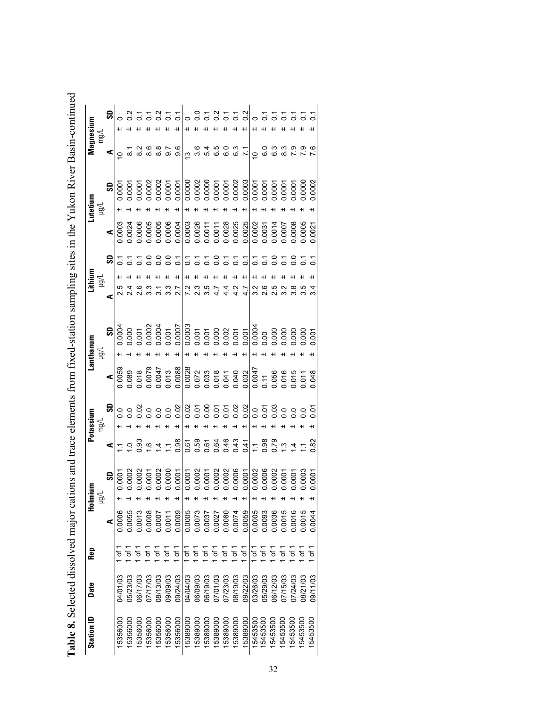| 0                    | 587                                                              | 9.6<br>ო                    |                                  |                            | 0.58558                                                                                                                     | $\begin{array}{c} 0 & 4 & 10 & 10 & 10 \\ 0 & 4 & 10 & 10 & 10 \\ 0 & 0 & 0 & 10 & 10 \end{array}$ |          | $\frac{1}{2}$<br>7.9<br>7.9<br>က<br>ထ                                                                                                                                                                                                                                                                                                                                                                                                                                                                                                                                                                                                                                                                                                                                                                                                                                                                                                                                                                                                           |
|----------------------|------------------------------------------------------------------|-----------------------------|----------------------------------|----------------------------|-----------------------------------------------------------------------------------------------------------------------------|----------------------------------------------------------------------------------------------------|----------|-------------------------------------------------------------------------------------------------------------------------------------------------------------------------------------------------------------------------------------------------------------------------------------------------------------------------------------------------------------------------------------------------------------------------------------------------------------------------------------------------------------------------------------------------------------------------------------------------------------------------------------------------------------------------------------------------------------------------------------------------------------------------------------------------------------------------------------------------------------------------------------------------------------------------------------------------------------------------------------------------------------------------------------------------|
| 0.0001               |                                                                  |                             |                                  |                            |                                                                                                                             |                                                                                                    |          |                                                                                                                                                                                                                                                                                                                                                                                                                                                                                                                                                                                                                                                                                                                                                                                                                                                                                                                                                                                                                                                 |
| 0003                 |                                                                  |                             |                                  |                            |                                                                                                                             |                                                                                                    |          |                                                                                                                                                                                                                                                                                                                                                                                                                                                                                                                                                                                                                                                                                                                                                                                                                                                                                                                                                                                                                                                 |
|                      | $\begin{array}{c} 0.0 \\ 0.0 \\ 0.0 \end{array}$                 | $\overline{c}$              | 2.3<br>3.5                       |                            | 5558555                                                                                                                     | $\overline{c}$                                                                                     |          | 7 8 7 8<br>0 0 0 0                                                                                                                                                                                                                                                                                                                                                                                                                                                                                                                                                                                                                                                                                                                                                                                                                                                                                                                                                                                                                              |
|                      |                                                                  |                             |                                  |                            |                                                                                                                             |                                                                                                    |          | $\begin{array}{r} \textbf{5} \\ \textbf{9} \\ \textbf{10} \\ \textbf{20} \\ \textbf{30} \\ \textbf{41} \\ \textbf{53} \\ \textbf{64} \\ \textbf{76} \\ \textbf{88} \\ \textbf{99} \\ \textbf{10} \\ \textbf{10} \\ \textbf{10} \\ \textbf{10} \\ \textbf{10} \\ \textbf{10} \\ \textbf{10} \\ \textbf{10} \\ \textbf{10} \\ \textbf{10} \\ \textbf{10} \\ \textbf{10} \\ \textbf{10} \\ \textbf{10} \\ \textbf{10} \\ \textbf{10}$<br>$\begin{array}{r} \bullet \ {\scriptstyle\bigcup} \raisebox{-1pt}{\scriptstyle\bigcup} \raisebox{-1pt}{\scriptstyle\bigcap} \raisebox{-1pt}{\scriptstyle\bigcap} \raisebox{-1pt}{\scriptstyle\bigcap} \raisebox{-1pt}{\scriptstyle\bigcap} \raisebox{-1pt}{\scriptstyle\bigcap} \raisebox{-1pt}{\scriptstyle\bigcap} \raisebox{-1pt}{\scriptstyle\bigcap} \raisebox{-1pt}{\scriptstyle\bigcap} \raisebox{-1pt}{\scriptstyle\bigcap} \raisebox{-1pt}{\scriptstyle\bigcap} \raisebox{-1pt}{\scriptstyle\bigcap} \raisebox{-1pt}{\scriptstyle\bigcap} \raisebox{-1pt}{\scriptstyle\bigcap} \raisebox{-1pt}{$ |
| $\supseteq$          | 93<br>$\frac{6}{1}$<br>$\overline{4}$<br>$\overline{\mathbb{Z}}$ | 0.98                        |                                  |                            | $\begin{array}{c} 6 & 0 & 0 & 0 & 0 \\ 0 & 0 & 0 & 0 & 0 & 0 \\ 0 & 0 & 0 & 0 & 0 & 0 \\ 0 & 0 & 0 & 0 & 0 & 0 \end{array}$ |                                                                                                    |          | $-880$<br>$-800$<br>$\overline{4}$                                                                                                                                                                                                                                                                                                                                                                                                                                                                                                                                                                                                                                                                                                                                                                                                                                                                                                                                                                                                              |
|                      | 0.0013<br>0.0008<br>10007<br>0.0011                              | 0.0009<br>0.0005            | 0.0073<br>1.0037                 | 0.0080<br>0.0027<br>0.0074 | 0.0059                                                                                                                      | 0.0005<br>0.0093                                                                                   | 0.0036   | 0.0015<br>0.0016                                                                                                                                                                                                                                                                                                                                                                                                                                                                                                                                                                                                                                                                                                                                                                                                                                                                                                                                                                                                                                |
| Ⴆ                    | 5r<br>5۳<br>Ⴆ                                                    | ե1<br>5۲<br>آ<br>đ          | 5<br>آ<br>7<br>of 1              | of 1<br>5<br>آ             | 5۲<br>آ                                                                                                                     | Ⴆ<br>đ                                                                                             | á        | Ⴆ                                                                                                                                                                                                                                                                                                                                                                                                                                                                                                                                                                                                                                                                                                                                                                                                                                                                                                                                                                                                                                               |
| 00/17/03<br>27/17/03 | 08/13/03<br>09/09/03                                             | 09/24/03<br><b>CO/PO/PO</b> | 06/09/03<br>06/19/03<br>07/01/03 | 07/23/03<br>08/19/03       | 09/22/03                                                                                                                    | 05/29/03<br>03/26/03                                                                               | 06/12/03 | 07/15/03<br>07/24/03                                                                                                                                                                                                                                                                                                                                                                                                                                                                                                                                                                                                                                                                                                                                                                                                                                                                                                                                                                                                                            |
| 15356000<br>5356000  |                                                                  |                             |                                  |                            |                                                                                                                             |                                                                                                    |          | 5389000<br>15356000<br>5389000<br>15389000<br>15453500<br>5356000<br>5356000<br>15389000<br>15389000<br>15389000<br>15389000<br>15453500<br>15453500<br>15453500<br>15453500                                                                                                                                                                                                                                                                                                                                                                                                                                                                                                                                                                                                                                                                                                                                                                                                                                                                    |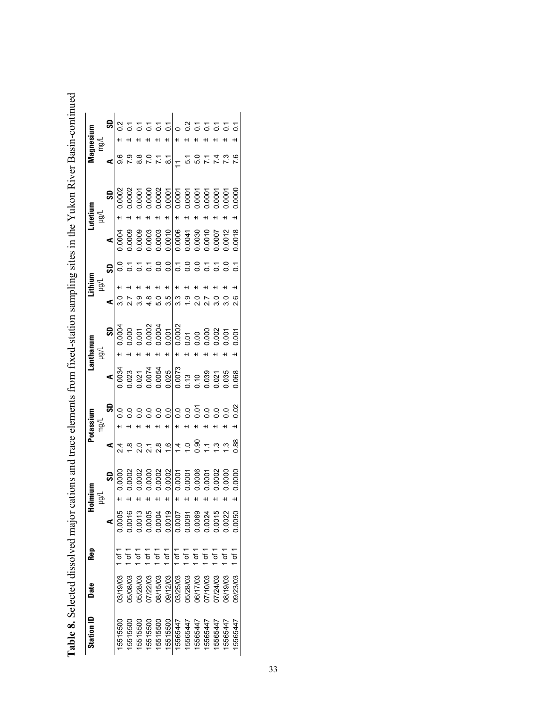|       | r Racin Anntinia                                                                                                   |
|-------|--------------------------------------------------------------------------------------------------------------------|
|       |                                                                                                                    |
|       |                                                                                                                    |
|       |                                                                                                                    |
|       |                                                                                                                    |
|       | $\sim$ $\sim$ $\sim$ $\sim$ $\sim$ $\sim$ $\sim$                                                                   |
|       |                                                                                                                    |
|       |                                                                                                                    |
|       |                                                                                                                    |
|       |                                                                                                                    |
|       |                                                                                                                    |
|       |                                                                                                                    |
|       |                                                                                                                    |
|       |                                                                                                                    |
|       |                                                                                                                    |
|       |                                                                                                                    |
|       |                                                                                                                    |
|       |                                                                                                                    |
|       |                                                                                                                    |
|       |                                                                                                                    |
|       |                                                                                                                    |
|       |                                                                                                                    |
|       |                                                                                                                    |
|       |                                                                                                                    |
|       |                                                                                                                    |
|       |                                                                                                                    |
|       | sono and trace alomants trom tived station sampling sites in the Villion Pitzer.<br>a bann am media a bann an an a |
|       |                                                                                                                    |
|       |                                                                                                                    |
|       |                                                                                                                    |
|       |                                                                                                                    |
|       |                                                                                                                    |
|       |                                                                                                                    |
|       |                                                                                                                    |
|       |                                                                                                                    |
|       |                                                                                                                    |
|       |                                                                                                                    |
|       |                                                                                                                    |
|       |                                                                                                                    |
|       |                                                                                                                    |
|       |                                                                                                                    |
|       |                                                                                                                    |
|       |                                                                                                                    |
|       | Ì                                                                                                                  |
|       |                                                                                                                    |
|       |                                                                                                                    |
|       |                                                                                                                    |
|       |                                                                                                                    |
|       |                                                                                                                    |
|       |                                                                                                                    |
|       |                                                                                                                    |
|       |                                                                                                                    |
|       |                                                                                                                    |
|       |                                                                                                                    |
|       |                                                                                                                    |
|       |                                                                                                                    |
|       |                                                                                                                    |
|       |                                                                                                                    |
|       |                                                                                                                    |
|       |                                                                                                                    |
|       |                                                                                                                    |
|       |                                                                                                                    |
|       |                                                                                                                    |
|       |                                                                                                                    |
|       |                                                                                                                    |
|       |                                                                                                                    |
|       |                                                                                                                    |
|       |                                                                                                                    |
|       |                                                                                                                    |
|       |                                                                                                                    |
|       |                                                                                                                    |
|       |                                                                                                                    |
|       |                                                                                                                    |
|       | בת האחרים במו                                                                                                      |
|       |                                                                                                                    |
|       |                                                                                                                    |
|       |                                                                                                                    |
|       | i                                                                                                                  |
|       |                                                                                                                    |
|       |                                                                                                                    |
|       | i                                                                                                                  |
|       |                                                                                                                    |
|       |                                                                                                                    |
|       |                                                                                                                    |
|       | くしてきく<br>ļ                                                                                                         |
|       |                                                                                                                    |
|       |                                                                                                                    |
|       |                                                                                                                    |
|       |                                                                                                                    |
|       |                                                                                                                    |
|       |                                                                                                                    |
|       |                                                                                                                    |
|       |                                                                                                                    |
|       |                                                                                                                    |
|       |                                                                                                                    |
|       |                                                                                                                    |
|       |                                                                                                                    |
| י<br> |                                                                                                                    |
|       |                                                                                                                    |
|       |                                                                                                                    |

| Station ID | Date     | Rep            | 훋                          |                 |                                                                                                                                |             |                                                                                                                                                                                                                                                                                                     | ithanun |                   |                  |                            |                                                             |                | lagnes!                                                                                                                                                                                                                                                                                                       |
|------------|----------|----------------|----------------------------|-----------------|--------------------------------------------------------------------------------------------------------------------------------|-------------|-----------------------------------------------------------------------------------------------------------------------------------------------------------------------------------------------------------------------------------------------------------------------------------------------------|---------|-------------------|------------------|----------------------------|-------------------------------------------------------------|----------------|---------------------------------------------------------------------------------------------------------------------------------------------------------------------------------------------------------------------------------------------------------------------------------------------------------------|
|            |          |                |                            |                 |                                                                                                                                |             |                                                                                                                                                                                                                                                                                                     |         | lğı               |                  |                            |                                                             |                | hği                                                                                                                                                                                                                                                                                                           |
|            |          |                |                            | ສ               | ⋖                                                                                                                              | ິ           | ⋖∣                                                                                                                                                                                                                                                                                                  | ဒ္တ     | ⋖                 | ន្ល              | ⋖∣                         | 5                                                           | ⋖              | 9                                                                                                                                                                                                                                                                                                             |
| 5515500    | 03/19/03 |                | 0.0005                     | 0.000           |                                                                                                                                | ္က          | 0.0034                                                                                                                                                                                                                                                                                              | 0.0004  |                   | c<br>C           | 1.0004                     | 0.0002                                                      | 9.6            | $\frac{2}{2}$                                                                                                                                                                                                                                                                                                 |
| 5515500    | 05/08/03 |                | 0.0016                     |                 |                                                                                                                                |             |                                                                                                                                                                                                                                                                                                     |         |                   |                  | 0.0009                     |                                                             | <u>ဇ</u>       |                                                                                                                                                                                                                                                                                                               |
| 5515500    | 05/28/03 |                |                            | 0002            |                                                                                                                                | $\tilde{C}$ |                                                                                                                                                                                                                                                                                                     |         | 3.9               |                  | 0.0009                     | 0.0002<br>0.0001<br>0.0000                                  | $\frac{8}{8}$  | 22222                                                                                                                                                                                                                                                                                                         |
| 5515500    | 07/22/03 | 5r             | 0.0013                     | 0000            |                                                                                                                                |             |                                                                                                                                                                                                                                                                                                     |         |                   |                  | 0.0003                     |                                                             |                |                                                                                                                                                                                                                                                                                                               |
| 5515500    | 08/15/03 |                | 0.0004                     | 0.0002          |                                                                                                                                |             |                                                                                                                                                                                                                                                                                                     |         | 5.0               | ိ                | 0.0003                     | 0.0002                                                      |                |                                                                                                                                                                                                                                                                                                               |
| 5515500    | 09/12/03 | $\frac{1}{6}$  | 0.0019                     | 1,0002          |                                                                                                                                |             |                                                                                                                                                                                                                                                                                                     |         | 3.5               | $\overline{0}$ . |                            |                                                             | 도 있는           |                                                                                                                                                                                                                                                                                                               |
| 5565447    | 03/25/03 | $1$ of $1$     |                            | 1.0001<br>1.000 | $\frac{8}{21}$ $\frac{6}{4}$ $\frac{1}{2}$ $\frac{1}{2}$ $\frac{1}{2}$ $\frac{1}{2}$ $\frac{1}{2}$ $\frac{1}{2}$ $\frac{1}{2}$ |             | $\begin{array}{l} 0.023 \\ 0.027 \\ 0.000 \\ 0.000 \\ 0.000 \\ 0.007 \\ 0.007 \\ 0.007 \\ 0.007 \\ 0.007 \\ 0.035 \\ 0.035 \\ 0.039 \\ 0.039 \\ 0.039 \\ 0.039 \\ 0.039 \\ 0.039 \\ 0.039 \\ 0.039 \\ 0.039 \\ 0.039 \\ 0.039 \\ 0.039 \\ 0.039 \\ 0.039 \\ 0.039 \\ 0.039 \\ 0.039 \\ 0.039 \\ 0.$ |         | 3.3               | $\frac{7}{0}$ 0  | 0.0010<br>0.0006<br>0.0041 | 0.0001<br>0.0001<br>0.0001<br>0.0001<br>0.0001<br>$\ddot{}$ |                |                                                                                                                                                                                                                                                                                                               |
| 15565447   | 05/28/03 | $\overline{0}$ | 0.0007                     |                 |                                                                                                                                |             |                                                                                                                                                                                                                                                                                                     |         | $\frac{0}{1}$     |                  |                            |                                                             | 51             |                                                                                                                                                                                                                                                                                                               |
| 5565447    | 06/17/03 | of 1           |                            |                 |                                                                                                                                |             |                                                                                                                                                                                                                                                                                                     |         | 2.0               | $\overline{0}$   |                            |                                                             | 5.0            |                                                                                                                                                                                                                                                                                                               |
| 5565447    | 07/10/03 | 51             | 0.0069<br>0.0024<br>0.0015 | 0006            |                                                                                                                                |             |                                                                                                                                                                                                                                                                                                     |         | 2.7               | 5                | 0.0030<br>0.0010<br>0.0007 |                                                             |                | $\begin{array}{c} 25 & 25 & 25 \\ 25 & 25 & 25 \\ 25 & 25 & 25 \\ 25 & 25 & 25 \\ 25 & 25 & 25 \\ 25 & 25 & 25 \\ 25 & 25 & 25 \\ 25 & 25 & 25 \\ 25 & 25 & 25 \\ 25 & 25 & 25 \\ 25 & 25 & 25 \\ 25 & 25 & 25 \\ 25 & 25 & 25 \\ 25 & 25 & 25 \\ 25 & 25 & 25 \\ 25 & 25 & 25 \\ 25 & 25 & 25 \\ 25 & 25 & $ |
| 5565447    | 07/24/03 | 5۳             |                            | 0.002           |                                                                                                                                |             |                                                                                                                                                                                                                                                                                                     |         | $\overline{3}$ .0 | 5                |                            |                                                             | $\overline{4}$ |                                                                                                                                                                                                                                                                                                               |
| 5565447    | 08/19/03 | 5۳             | 0.0022                     | 0.0000          |                                                                                                                                |             |                                                                                                                                                                                                                                                                                                     |         | $\frac{0}{3}$     | S                | 0.0012                     | 0.000                                                       |                |                                                                                                                                                                                                                                                                                                               |
| 15565447   | 09/23/03 | 1 of 1         | 0.0050                     |                 | 0.88                                                                                                                           | 0.02        | 0.068                                                                                                                                                                                                                                                                                               |         | 2.6               | $\sum$           | 0018                       | 0000.                                                       | 7.6            |                                                                                                                                                                                                                                                                                                               |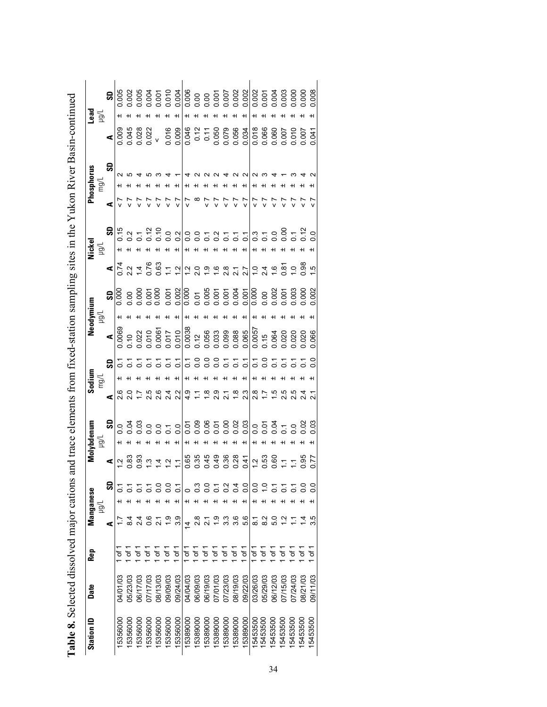| <b>Station ID</b> | Date            | Rep                 |                            | Manganese<br>ygu |                |                             | Molybdenum<br>$\sum_{i=1}^{n}$ |                               | Sodium<br>∏gm |                             |                                                                                            | Neodymium<br>$\vec{B}$ |       |                                                                                                                 | Nickel<br>$\geq$ |                |          | Phosphorus<br>mg/l |                                           | Lead<br>$\sum_{i=1}^{n}$ |                |
|-------------------|-----------------|---------------------|----------------------------|------------------|----------------|-----------------------------|--------------------------------|-------------------------------|---------------|-----------------------------|--------------------------------------------------------------------------------------------|------------------------|-------|-----------------------------------------------------------------------------------------------------------------|------------------|----------------|----------|--------------------|-------------------------------------------|--------------------------|----------------|
|                   |                 |                     | ⋖                          |                  | SD             | ⋖                           | S                              | ⋖                             |               | S                           | ⋖                                                                                          |                        | S     | ⋖                                                                                                               |                  | S              | ⋖        | င္တ                | ⋖                                         |                          | g              |
| 5356000           | <b>SO/LO/KC</b> | ъ                   |                            |                  |                | $\frac{1}{2}$               |                                |                               |               | 5                           | 0.0069                                                                                     |                        | 0.000 |                                                                                                                 |                  |                |          |                    |                                           |                          | 0.005          |
| 5356000           | 05/23/03        | Ⴆ                   | $\frac{4}{3}$              |                  |                | 0.83                        |                                |                               |               |                             | 0.10                                                                                       |                        |       | $0.74$<br>$2.2$                                                                                                 |                  |                |          |                    |                                           |                          |                |
| 15356000          | 06/17/03        | ৳                   | $\frac{24}{3}$             |                  |                | 0.93                        | e 88 e<br>o 88 e               |                               |               |                             | 0.22                                                                                       |                        | 88888 | $\frac{4}{4}$                                                                                                   |                  |                |          |                    | 00958822                                  |                          | 0.002<br>0.005 |
| 15356000          | 07/17/03        | ৳                   | 0.6                        |                  |                | $\ddot{3}$                  | H                              | 2.5                           |               | $\overline{a}$              |                                                                                            |                        |       |                                                                                                                 |                  |                |          |                    |                                           |                          |                |
| 5356000           | 08/13/03        | Ⴆ                   | $\overline{2.1}$           |                  |                |                             | $rac{0}{0}$ $rac{1}{0}$<br>ᅱ   | 2.6                           |               |                             | $\begin{array}{c} 0.010 \\ 0.0061 \\ 0.017 \\ 0.010 \end{array}$                           |                        |       | $0.63$<br>$-1.7$                                                                                                |                  |                |          |                    |                                           |                          |                |
| 5356000           | 09/09/03        | Ⴆ                   | $\frac{6}{1}$              |                  |                | $\frac{4}{7}$ $\frac{7}{7}$ |                                | $\frac{4}{2}$                 |               | 55                          |                                                                                            |                        |       |                                                                                                                 |                  |                |          |                    | 0.016                                     |                          |                |
| 15356000          | 09/24/03        | $\sigma$            | 3.9                        | +1               |                |                             | $\overline{0}$ .               | 2.2                           |               | $\overline{c}$              |                                                                                            |                        | 0.001 |                                                                                                                 |                  |                |          |                    |                                           |                          |                |
| 15389000          | 04/04/03        | Ⴆ                   | 4                          |                  |                | 0.65                        |                                | $\frac{9}{4}$                 |               |                             | $\frac{1}{0.0038}$                                                                         |                        |       | $\frac{2}{1}$ $\frac{1}{2}$ $\frac{1}{2}$ $\frac{1}{2}$ $\frac{1}{2}$ $\frac{1}{2}$ $\frac{1}{2}$ $\frac{1}{2}$ |                  |                |          |                    | 0.009                                     |                          |                |
| 5389000           | 06/09/03        | Ⴆ                   | 2.8                        |                  |                | 0.35                        |                                | $\Sigma$                      |               | $\frac{1}{5}$ $\frac{0}{5}$ |                                                                                            |                        |       |                                                                                                                 |                  |                | $\infty$ |                    |                                           |                          |                |
| 15389000          | 06/19/03        | đ                   |                            |                  |                | 0.45                        |                                |                               |               |                             | $\begin{array}{c} 0.12 \\ 0.056 \\ 0.033 \\ 0.099 \\ 0.088 \\ 0.065 \\ \hline \end{array}$ |                        |       |                                                                                                                 |                  |                |          |                    | 0.12<br>0.050<br>0.079<br>0.034           |                          |                |
| 15389000          | 07/01/03        | Ⴆ                   | $\frac{0}{1}$              |                  |                | 0.49                        |                                | $\frac{8}{10}$ 8              |               | 3377                        |                                                                                            |                        |       |                                                                                                                 |                  |                |          |                    |                                           |                          |                |
| 5389000           | 07/23/03        | $\overline{\sigma}$ | 3.3                        |                  | $\frac{2}{5}$  | 0.36<br>0.28                |                                | $\overline{2.1}$              |               |                             |                                                                                            |                        |       | $2.\overline{8}$                                                                                                |                  |                |          |                    |                                           |                          |                |
| 5389000           | 08/19/03        | Ⴆ                   | 3.6                        |                  | $\overline{0}$ |                             |                                | $\frac{8}{10}$ $\frac{8}{10}$ |               |                             |                                                                                            |                        |       |                                                                                                                 |                  |                |          |                    |                                           |                          |                |
| 15389000          | 09/22/03        | ò                   | 5.6                        |                  | ္ပိ            | 0.41                        |                                |                               |               |                             |                                                                                            |                        |       | $\frac{7}{2}$ $\frac{7}{2}$                                                                                     |                  | $\overline{c}$ |          |                    |                                           |                          |                |
| 15453500          | 03/26/03        | .<br>ځ              | $\overline{\phantom{0}}^3$ |                  | $\rm ^{\circ}$ |                             |                                |                               |               | $\overline{C}$              |                                                                                            |                        |       |                                                                                                                 |                  |                |          |                    |                                           |                          | 0.002          |
| 5453500           | 05/29/03        | Ġ                   | $\frac{2}{8}$              |                  | ₽              | $\frac{2}{1}$ 53            |                                | $\frac{8}{1}$ 7               |               | $\frac{0}{2}$               | 0.0057<br>0.15                                                                             |                        |       |                                                                                                                 |                  | 0.7            |          |                    |                                           |                          |                |
| 5453500           | 06/12/03        | Ⴆ                   | 5.0                        |                  |                |                             |                                | ro.                           |               | $\overline{5}$              |                                                                                            |                        |       | $\frac{1}{2}$ o 4 c                                                                                             |                  |                |          |                    |                                           |                          |                |
| 5453500           | 07/15/03        | Ⴆ                   | $\frac{1}{2}$              |                  |                | $rac{6}{1}$                 |                                |                               |               |                             | 0.064<br>0.020<br>0.020                                                                    |                        |       | $6 - 8$<br>$0 - 8$<br>$0 - 6$                                                                                   |                  | $0.8 - 2.0$    |          |                    | 0.018<br>0.060<br>0.007<br>0.007<br>0.000 |                          |                |
| 5453500           | 07/24/03        | đ                   |                            |                  |                |                             |                                | 5<br>2<br>2<br>2<br>2         |               |                             |                                                                                            |                        |       |                                                                                                                 |                  |                |          |                    |                                           |                          |                |
| 5453500           | 08/21/03        | $\overline{\sigma}$ |                            |                  |                | 0.35                        | $\frac{8}{3}$                  |                               |               |                             | 0.020                                                                                      |                        |       |                                                                                                                 |                  |                |          |                    |                                           |                          | 0.000          |
| 15453500          | 09/11/03        | ৳                   | 3.5                        |                  | ိ              |                             |                                |                               |               |                             |                                                                                            |                        | 0.002 |                                                                                                                 |                  |                |          |                    | 0.041                                     |                          | 0.008          |

| hons and trace elements from tixed-station sampling sites in the Virkon River Rasin-continueo<br>$\cdots$ |  |
|-----------------------------------------------------------------------------------------------------------|--|
|                                                                                                           |  |
|                                                                                                           |  |
|                                                                                                           |  |
| l                                                                                                         |  |
|                                                                                                           |  |
|                                                                                                           |  |
|                                                                                                           |  |
| ļ                                                                                                         |  |
|                                                                                                           |  |
|                                                                                                           |  |
|                                                                                                           |  |
| $\frac{1}{1}$                                                                                             |  |
|                                                                                                           |  |
|                                                                                                           |  |
|                                                                                                           |  |
|                                                                                                           |  |
|                                                                                                           |  |
|                                                                                                           |  |
|                                                                                                           |  |
|                                                                                                           |  |
|                                                                                                           |  |
|                                                                                                           |  |
|                                                                                                           |  |
|                                                                                                           |  |
|                                                                                                           |  |
| - 221-11                                                                                                  |  |
|                                                                                                           |  |
|                                                                                                           |  |
|                                                                                                           |  |
|                                                                                                           |  |
|                                                                                                           |  |
|                                                                                                           |  |
|                                                                                                           |  |
|                                                                                                           |  |
|                                                                                                           |  |
|                                                                                                           |  |
|                                                                                                           |  |
|                                                                                                           |  |
|                                                                                                           |  |
| .<br>יידע די                                                                                              |  |
|                                                                                                           |  |
|                                                                                                           |  |
|                                                                                                           |  |
|                                                                                                           |  |
| in a a a a martin composition                                                                             |  |
|                                                                                                           |  |
|                                                                                                           |  |
|                                                                                                           |  |
|                                                                                                           |  |
|                                                                                                           |  |
|                                                                                                           |  |
|                                                                                                           |  |
|                                                                                                           |  |
|                                                                                                           |  |
|                                                                                                           |  |
|                                                                                                           |  |
|                                                                                                           |  |
|                                                                                                           |  |
|                                                                                                           |  |
|                                                                                                           |  |
|                                                                                                           |  |
|                                                                                                           |  |
|                                                                                                           |  |
|                                                                                                           |  |
|                                                                                                           |  |
|                                                                                                           |  |
|                                                                                                           |  |
|                                                                                                           |  |
|                                                                                                           |  |
|                                                                                                           |  |
|                                                                                                           |  |
|                                                                                                           |  |
|                                                                                                           |  |
|                                                                                                           |  |
|                                                                                                           |  |
|                                                                                                           |  |
|                                                                                                           |  |
|                                                                                                           |  |
|                                                                                                           |  |
|                                                                                                           |  |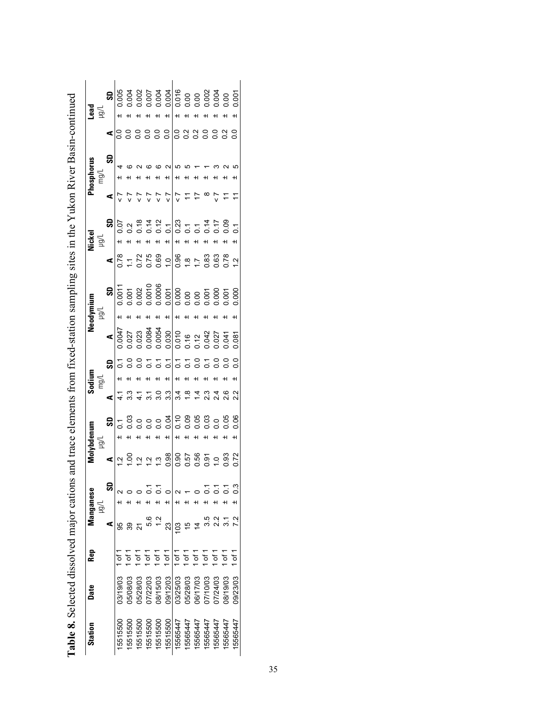| Station  | Date     | Rep      |               | Manganese<br>Tiêri |      | Molybdenum<br>Ligu | mg/l                   | Sodium       |                                                                                                                                                                                                                                                                                                     | Neodymium<br>Jíōn |    |                                                                                                                                                                                                                                                                                                                                                                                                                                             | Nickel<br>$\geq$ |                                                                                   | Phosphorus<br>mg/ |   | arg∐<br>Peq           |
|----------|----------|----------|---------------|--------------------|------|--------------------|------------------------|--------------|-----------------------------------------------------------------------------------------------------------------------------------------------------------------------------------------------------------------------------------------------------------------------------------------------------|-------------------|----|---------------------------------------------------------------------------------------------------------------------------------------------------------------------------------------------------------------------------------------------------------------------------------------------------------------------------------------------------------------------------------------------------------------------------------------------|------------------|-----------------------------------------------------------------------------------|-------------------|---|-----------------------|
|          |          |          | ⋖             | ဌ                  | ⋖    | S <sub>0</sub>     | ⋖                      | <b>GS</b>    | $\blacktriangleleft$                                                                                                                                                                                                                                                                                |                   | SD |                                                                                                                                                                                                                                                                                                                                                                                                                                             | <b>GS</b>        | ⋖                                                                                 | SD                | ⋖ | $\overline{\text{S}}$ |
| 15515500 | 03/19/03 |          |               |                    |      |                    |                        |              |                                                                                                                                                                                                                                                                                                     |                   |    | $\begin{array}{cccccccccccccc} \bullet & \mathbb{R} & \mathbb{R} & \mathbb{R} & \mathbb{R} & \mathbb{R} & \mathbb{R} & \mathbb{R} & \mathbb{R} & \mathbb{R} & \mathbb{R} & \mathbb{R} & \mathbb{R} & \mathbb{R} & \mathbb{R} & \mathbb{R} & \mathbb{R} & \mathbb{R} & \mathbb{R} & \mathbb{R} & \mathbb{R} & \mathbb{R} & \mathbb{R} & \mathbb{R} & \mathbb{R} & \mathbb{R} & \mathbb{R} & \mathbb{R} & \mathbb{R} & \mathbb{R} & \mathbb{$ |                  |                                                                                   |                   |   |                       |
| 5515500  | 05/08/03 |          | 39            |                    |      |                    |                        | 등 응          |                                                                                                                                                                                                                                                                                                     |                   |    |                                                                                                                                                                                                                                                                                                                                                                                                                                             |                  |                                                                                   |                   |   |                       |
| 15515500 | 05/28/03 | ە<br>5   |               |                    |      |                    |                        |              |                                                                                                                                                                                                                                                                                                     |                   |    |                                                                                                                                                                                                                                                                                                                                                                                                                                             |                  |                                                                                   |                   |   |                       |
| 5515500  | 07/22/03 | ္ပ်      | 5.6           |                    |      |                    |                        |              |                                                                                                                                                                                                                                                                                                     |                   |    |                                                                                                                                                                                                                                                                                                                                                                                                                                             |                  |                                                                                   |                   |   |                       |
| 5515500  | 08/15/03 | of 1     |               | H                  |      |                    |                        |              |                                                                                                                                                                                                                                                                                                     |                   |    |                                                                                                                                                                                                                                                                                                                                                                                                                                             |                  | $\begin{array}{c} \mathsf{r} \ \mathsf{r} \\ \mathsf{v} \ \mathsf{v} \end{array}$ |                   |   |                       |
| 5515500  | 09/12/03 | of 1     | 23            | H                  |      |                    | 7.07700                | $3555666666$ | $\begin{array}{l} 0.047 \\ 0.027 \\ 0.028 \\ 0.008 \\ 0.008 \\ 0.000 \\ 0.000 \\ 0.000 \\ 0.000 \\ 0.000 \\ 0.000 \\ 0.000 \\ 0.000 \\ 0.000 \\ 0.000 \\ 0.000 \\ 0.000 \\ 0.000 \\ 0.000 \\ 0.000 \\ 0.000 \\ 0.000 \\ 0.000 \\ 0.000 \\ 0.000 \\ 0.000 \\ 0.000 \\ 0.000 \\ 0.000 \\ 0.000 \\ 0.$ |                   |    |                                                                                                                                                                                                                                                                                                                                                                                                                                             |                  |                                                                                   | $\sim$            |   |                       |
| 15565447 | 03/25/03 | $1$ of 1 | $\frac{3}{2}$ |                    |      |                    |                        | $\pm$        |                                                                                                                                                                                                                                                                                                     |                   |    |                                                                                                                                                                                                                                                                                                                                                                                                                                             | $\pm$            |                                                                                   | Ю                 |   |                       |
| 5565447  | 05/28/03 | 5<br>آ   |               |                    |      |                    |                        |              |                                                                                                                                                                                                                                                                                                     |                   |    |                                                                                                                                                                                                                                                                                                                                                                                                                                             |                  | $\frac{1}{\sqrt{2}}$                                                              |                   |   |                       |
| 5565447  | 06/17/03 | of 1     |               |                    |      |                    | a a a a a<br>4 8 4 6 4 |              |                                                                                                                                                                                                                                                                                                     |                   |    |                                                                                                                                                                                                                                                                                                                                                                                                                                             |                  | 17                                                                                |                   |   |                       |
| 5565447  | 07/10/03 | 5۳       |               |                    |      |                    |                        |              |                                                                                                                                                                                                                                                                                                     |                   |    |                                                                                                                                                                                                                                                                                                                                                                                                                                             |                  | $\infty$                                                                          |                   |   |                       |
| 5565447  | 07/24/03 | ے<br>5   |               |                    |      |                    |                        |              |                                                                                                                                                                                                                                                                                                     |                   |    |                                                                                                                                                                                                                                                                                                                                                                                                                                             |                  |                                                                                   |                   |   |                       |
| 15565447 | 08/19/03 | 5۲       |               |                    | 0.93 |                    | 2.6                    |              |                                                                                                                                                                                                                                                                                                     |                   |    |                                                                                                                                                                                                                                                                                                                                                                                                                                             |                  | $\overline{ }$                                                                    |                   |   |                       |
| 15565447 | 09/23/03 | of 1     |               | H                  | 0.72 | 0.06               |                        | C.           | 0.087                                                                                                                                                                                                                                                                                               |                   |    |                                                                                                                                                                                                                                                                                                                                                                                                                                             | $\overline{c}$   | $\tilde{t}$                                                                       |                   |   | 0.001                 |

| <b>CHAMPO CATALL</b><br>anyan tenggar masa                   |
|--------------------------------------------------------------|
|                                                              |
|                                                              |
|                                                              |
|                                                              |
|                                                              |
|                                                              |
|                                                              |
| $\frac{1}{2}$                                                |
|                                                              |
|                                                              |
|                                                              |
|                                                              |
|                                                              |
|                                                              |
|                                                              |
| א דה הדה הדה ה                                               |
|                                                              |
|                                                              |
|                                                              |
|                                                              |
| .<br>.<br>.<br>.<br>.                                        |
|                                                              |
|                                                              |
|                                                              |
|                                                              |
|                                                              |
|                                                              |
|                                                              |
|                                                              |
|                                                              |
| ite trom tived-station sampling sites in the Vilkon River Re |
|                                                              |
|                                                              |
|                                                              |
|                                                              |
|                                                              |
|                                                              |
|                                                              |
|                                                              |
| - and and trace alaman-                                      |
|                                                              |
|                                                              |
|                                                              |
|                                                              |
|                                                              |
|                                                              |
|                                                              |
|                                                              |
|                                                              |
|                                                              |
| win and                                                      |
|                                                              |
|                                                              |
|                                                              |
|                                                              |
|                                                              |
|                                                              |
|                                                              |
|                                                              |
|                                                              |
|                                                              |
|                                                              |
|                                                              |
|                                                              |
|                                                              |
|                                                              |
|                                                              |
|                                                              |
|                                                              |
|                                                              |
|                                                              |
|                                                              |
|                                                              |
|                                                              |
|                                                              |
|                                                              |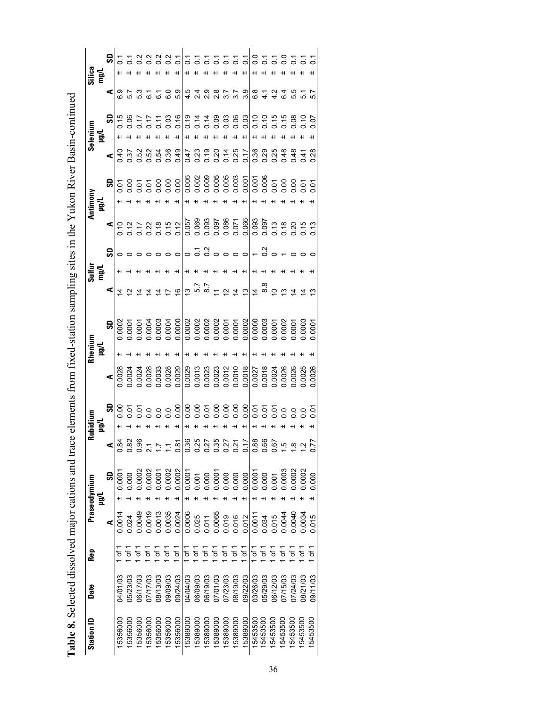| Silica<br>mg/L   |   | ဌ                    |                |                         |                                                                                                                                                                        |          |                |                                                                |          |                                    |          |          |          |          |                                                                                                                                                                                                                                                                                                                                                                                                                                    |                | 8558555          |               |          |          |          |                  |          |
|------------------|---|----------------------|----------------|-------------------------|------------------------------------------------------------------------------------------------------------------------------------------------------------------------|----------|----------------|----------------------------------------------------------------|----------|------------------------------------|----------|----------|----------|----------|------------------------------------------------------------------------------------------------------------------------------------------------------------------------------------------------------------------------------------------------------------------------------------------------------------------------------------------------------------------------------------------------------------------------------------|----------------|------------------|---------------|----------|----------|----------|------------------|----------|
|                  |   | ⋖                    |                |                         |                                                                                                                                                                        |          |                | $\begin{smallmatrix} 1 & 0 & 0 \\ 0 & 0 & 0 \end{smallmatrix}$ |          |                                    |          |          |          |          | $5.59874$<br>$0.59874$                                                                                                                                                                                                                                                                                                                                                                                                             |                |                  |               |          | 6.4      | 5<br>5   |                  |          |
| Selenium         | 둴 | <b>G</b>             |                |                         |                                                                                                                                                                        |          |                |                                                                |          |                                    |          |          |          |          | $87777899777888997778825$                                                                                                                                                                                                                                                                                                                                                                                                          |                |                  |               |          |          |          |                  |          |
|                  |   | ⋖                    | 0.40           |                         |                                                                                                                                                                        |          |                |                                                                |          |                                    |          |          |          |          |                                                                                                                                                                                                                                                                                                                                                                                                                                    |                |                  |               |          |          |          |                  |          |
| Antimony<br>µg/L |   | 6                    |                |                         |                                                                                                                                                                        |          |                |                                                                |          |                                    |          |          |          |          |                                                                                                                                                                                                                                                                                                                                                                                                                                    |                |                  |               |          |          |          |                  |          |
|                  |   |                      |                |                         |                                                                                                                                                                        |          |                |                                                                |          |                                    |          |          |          |          | $\begin{array}{c cccccc} \hline \textbf{1} & \textbf{2} & \textbf{3} & \textbf{4} & \textbf{5} & \textbf{6} & \textbf{6} & \textbf{7} & \textbf{8} & \textbf{8} & \textbf{8} & \textbf{1} & \textbf{1} & \textbf{1} & \textbf{1} & \textbf{1} & \textbf{1} & \textbf{1} & \textbf{1} & \textbf{1} & \textbf{1} & \textbf{1} & \textbf{1} & \textbf{1} & \textbf{1} & \textbf{1} & \textbf{1} & \textbf{1} & \textbf{1} & \textbf{$ |                |                  |               |          |          |          |                  |          |
|                  |   | ခ္တု                 |                |                         |                                                                                                                                                                        |          |                |                                                                |          | $\sim$ $\sim$ $\sim$ $\sim$ $\sim$ |          |          |          |          |                                                                                                                                                                                                                                                                                                                                                                                                                                    | $\circ$ $\sim$ |                  | $\frac{1}{2}$ |          |          |          |                  |          |
| ng/L<br>mg/L     |   |                      |                |                         |                                                                                                                                                                        |          |                |                                                                |          |                                    |          |          |          |          |                                                                                                                                                                                                                                                                                                                                                                                                                                    |                |                  |               |          |          |          |                  |          |
|                  |   | ⋖                    | $\overline{4}$ | $\overline{\mathbf{z}}$ | $\overline{4}$                                                                                                                                                         |          | $\overline{4}$ | $\overline{\phantom{0}}$                                       |          |                                    |          |          |          |          | $\frac{1}{6}$ $\frac{1}{6}$ $\frac{1}{6}$ $\frac{1}{6}$ $\frac{1}{6}$ $\frac{1}{6}$ $\frac{1}{6}$ $\frac{1}{6}$ $\frac{1}{6}$ $\frac{1}{6}$ $\frac{1}{6}$ $\frac{1}{6}$ $\frac{1}{6}$ $\frac{1}{6}$ $\frac{1}{6}$ $\frac{1}{6}$ $\frac{1}{6}$ $\frac{1}{6}$ $\frac{1}{6}$ $\frac{1}{6}$ $\frac{1}{6}$ $\frac{1}{6}$ $\$                                                                                                            |                |                  |               |          |          |          | $\frac{1}{4}$ is |          |
|                  |   | 의                    | 0.0002         |                         |                                                                                                                                                                        |          |                |                                                                |          |                                    |          |          |          |          |                                                                                                                                                                                                                                                                                                                                                                                                                                    |                |                  |               |          |          |          |                  |          |
| Rhenium<br>µg/L  |   |                      |                |                         |                                                                                                                                                                        |          |                |                                                                |          |                                    |          |          |          |          |                                                                                                                                                                                                                                                                                                                                                                                                                                    |                |                  |               |          |          |          |                  |          |
|                  |   | $\blacktriangleleft$ |                |                         | 0.0028<br>0.0024<br>0.0024                                                                                                                                             |          | 0.0028         | 0.0028                                                         | 0.0029   |                                    |          |          |          |          | $\begin{array}{r} 0.0029 \\ 0.0013 \\ 0.0013 \\ 0.0023 \\ 0.0012 \\ 0.0010 \\ 0.0010 \\ 0.0018 \end{array}$                                                                                                                                                                                                                                                                                                                        |                | 0.0027<br>0.0018 |               |          | 0.0024   |          | 0.0026<br>0.0025 | 0.0026   |
|                  |   | ္တု                  |                |                         |                                                                                                                                                                        |          |                |                                                                |          |                                    |          |          |          |          |                                                                                                                                                                                                                                                                                                                                                                                                                                    |                |                  |               |          |          |          |                  |          |
| Rubidium         | 둴 |                      |                |                         |                                                                                                                                                                        |          |                |                                                                |          |                                    |          |          |          |          |                                                                                                                                                                                                                                                                                                                                                                                                                                    |                |                  |               |          |          |          |                  |          |
|                  |   |                      |                |                         | $\frac{1}{3}$<br>$\frac{1}{3}$<br>$\frac{1}{3}$<br>$\frac{1}{3}$<br>$\frac{1}{3}$<br>$\frac{1}{3}$<br>$\frac{1}{3}$<br>$\frac{1}{3}$<br>$\frac{1}{3}$<br>$\frac{1}{3}$ |          |                |                                                                |          |                                    |          |          |          |          |                                                                                                                                                                                                                                                                                                                                                                                                                                    |                |                  |               |          |          |          |                  | 0.77     |
| Praseodymium     | 들 | င္တ                  | 0.000          |                         | 0.0002                                                                                                                                                                 | 0.0002   | 0.0001         | 0.0002                                                         | 0.0002   | 0.0007                             | 0.001    | 0.000    | 0.000    | 0.000    | 0.000                                                                                                                                                                                                                                                                                                                                                                                                                              | 0.000          | 0.000            | 0.000         | 0.001    | 0.0003   | 0.0002   | 0.0002           | 0.000    |
|                  |   |                      |                |                         |                                                                                                                                                                        |          |                |                                                                |          |                                    |          |          |          |          |                                                                                                                                                                                                                                                                                                                                                                                                                                    |                |                  |               |          |          |          |                  |          |
|                  |   | ⋖                    | 0.0014         | 0.024                   | 0.0049                                                                                                                                                                 | 0.0019   | 0.0013         | 0.0035                                                         | 0.0024   | 0.0006                             | 0.025    | 0.011    | 0.0065   | 0.019    | 0.016                                                                                                                                                                                                                                                                                                                                                                                                                              | 0.012          | 0.0011           | 0.034         | 0.015    | 0.0044   | 00040    | 0.0034           | 0.015    |
| Rep              |   |                      |                |                         |                                                                                                                                                                        |          | of 1           | $\frac{1}{6}$                                                  | of 1     | 5۲<br>آ                            | of 1     | 5<br>p   | 5۲       | 5۲<br>آ  | of 1                                                                                                                                                                                                                                                                                                                                                                                                                               | ە<br>5         | Ⴆ                | 5<br>5        | of 1     | 5<br>آ   | ے<br>ج   | Ⴆ                | Ⴆ        |
| Date             |   |                      | 04/01/03       | 05/23/03                | 06/17/03                                                                                                                                                               | 07/17/03 | 08/13/03       | 09/09/03                                                       | 09/24/03 | 04/04/03                           | 06/09/03 | 06/19/03 | 07/01/03 | 07/23/03 | 08/19/03                                                                                                                                                                                                                                                                                                                                                                                                                           | 09/22/03       | 03/26/03         | 05/29/03      | 06/12/03 | 07/15/03 | 07/24/03 | 08/21/03         | 09/11/03 |
| Station ID       |   |                      | 5356000        | 5356000                 | 5356000                                                                                                                                                                | 5356000  | 5356000        | 5356000                                                        | 5356000  | 5389000                            | 15389000 | 5389000  | 5389000  | 5389000  | 15389000                                                                                                                                                                                                                                                                                                                                                                                                                           | 5389000        | 5453500          | 5453500       | 5453500  | 5453500  | 5453500  | 15453500         | 15453500 |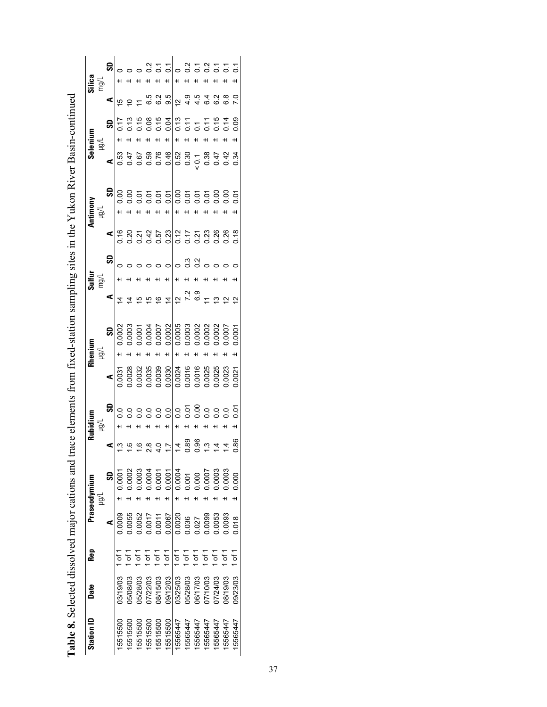| Silic                                                                                                                                |
|--------------------------------------------------------------------------------------------------------------------------------------|
| Selenium                                                                                                                             |
| Antimony                                                                                                                             |
| Sulfur<br>Ī                                                                                                                          |
| Rhenium                                                                                                                              |
| Rubidium                                                                                                                             |
| ε<br>unuboeserc                                                                                                                      |
| <b>Rep</b>                                                                                                                           |
| Date                                                                                                                                 |
| <b>Tration ID</b>                                                                                                                    |
| s and trace elements from fixed-station sampling sites in the Yukon River Basin-continue<br>Table 8. Selected dissolved major cation |

| Station ID | Date     | Rep           |        | Praseodymium |                                                                                                                                                                                                                                                                                                                     | Rubidium                             |                                                                                                                                                                         | Rhenium                                      |                      | Sulfur |                                             |   | Antimony   |     |                         | Selenium |                 |                                      |    |
|------------|----------|---------------|--------|--------------|---------------------------------------------------------------------------------------------------------------------------------------------------------------------------------------------------------------------------------------------------------------------------------------------------------------------|--------------------------------------|-------------------------------------------------------------------------------------------------------------------------------------------------------------------------|----------------------------------------------|----------------------|--------|---------------------------------------------|---|------------|-----|-------------------------|----------|-----------------|--------------------------------------|----|
|            |          |               |        | Tôn          |                                                                                                                                                                                                                                                                                                                     | $\geq$                               |                                                                                                                                                                         | ligu                                         |                      | mg/L   |                                             |   | <u>lgi</u> |     |                         | ∫igµ     |                 | $\frac{\text{Silica}}{\text{map}/L}$ |    |
|            |          |               | ⋖      | ဌ            | ⋖                                                                                                                                                                                                                                                                                                                   | S                                    | ⋖                                                                                                                                                                       | S                                            | ⋖                    |        | င္တ                                         | ⋖ |            | င္တ | ⋖                       | SD       | ⋖               |                                      | SD |
| 15515500   | 03/19/03 | $\frac{1}{6}$ | 0.0009 | 0.0001       |                                                                                                                                                                                                                                                                                                                     |                                      |                                                                                                                                                                         | 0.0002<br>$+1$                               | $\tilde{4}$          |        |                                             |   |            |     |                         |          |                 |                                      |    |
| 5515500    | 05/08/03 | 5<br>آ        | 0.0055 | 0.0002       |                                                                                                                                                                                                                                                                                                                     |                                      |                                                                                                                                                                         |                                              |                      |        |                                             |   |            |     | 83<br>846<br>856<br>856 |          | to a            |                                      |    |
| 5515500    | 05/28/03 | of 1          | 0.0052 | 0.0003       |                                                                                                                                                                                                                                                                                                                     |                                      |                                                                                                                                                                         | $0.0003$<br>$0.0001$<br>$0.0004$<br>$0.0007$ | $\overline{6}$       |        |                                             |   |            |     |                         |          | $\overline{z}$  |                                      |    |
| 5515500    | 07/22/03 | of 1          | 0.0017 | 0.0004       |                                                                                                                                                                                                                                                                                                                     |                                      |                                                                                                                                                                         | $+$                                          | $\overline{6}$       |        |                                             |   |            |     |                         |          | 6.5             |                                      |    |
| 5515500    | 08/15/03 | 5۳            | 0.0011 | 0.0001       |                                                                                                                                                                                                                                                                                                                     |                                      |                                                                                                                                                                         | $+1$                                         | $\frac{6}{5}$        |        |                                             |   |            |     |                         |          |                 |                                      |    |
| 15515500   | 09/12/03 | 5۳            | 0.0067 | 0.0001       |                                                                                                                                                                                                                                                                                                                     | H                                    |                                                                                                                                                                         | 0.0002<br>$\ddot{}$                          | $\overline{4}$       |        |                                             |   |            |     |                         |          | 6.2<br>9.5      |                                      |    |
| 15565447   | 03/25/03 | 1 of 1        | 0.0020 | 0.0004       | $\frac{1}{2}$ $\frac{1}{2}$ $\frac{1}{2}$ $\frac{1}{2}$ $\frac{1}{2}$ $\frac{1}{2}$ $\frac{1}{2}$ $\frac{1}{2}$ $\frac{1}{2}$ $\frac{1}{2}$ $\frac{1}{2}$ $\frac{1}{2}$ $\frac{1}{2}$ $\frac{1}{2}$ $\frac{1}{2}$ $\frac{1}{2}$ $\frac{1}{2}$ $\frac{1}{2}$ $\frac{1}{2}$ $\frac{1}{2}$ $\frac{1}{2}$ $\frac{1}{2}$ | 0000000000000<br>0000000000000<br>+1 | $\begin{array}{r} 0.0031 \\ 0.0028 \\ 0.0032 \\ 0.0033 \\ 0.0033 \\ 0.0030 \\ 0.0030 \\ 0.0030 \\ 0.0004 \\ 0.0004 \\ 0.0024 \\ 0.0025 \\ 0.0025 \\ 0.0025 \end{array}$ | $\ddot{}$                                    |                      |        | $\circ \circ \circ \circ \circ \circ \circ$ |   |            |     |                         | H        | $\frac{1}{2}$   |                                      |    |
| 5565447    | 05/28/03 | 5۲<br>5       | 0.036  | 0.001        |                                                                                                                                                                                                                                                                                                                     |                                      |                                                                                                                                                                         | $+1$                                         | $27.9$<br>$7.9$      |        |                                             |   |            |     |                         |          | $440$<br>$46$   |                                      |    |
| 5565447    | 06/17/03 | of 1          | 0.027  | 0.000        |                                                                                                                                                                                                                                                                                                                     |                                      |                                                                                                                                                                         | $+1$                                         |                      |        |                                             |   |            |     |                         |          |                 |                                      |    |
| 5565447    | 20/01/20 | of 1          | 0.0099 | 0.0007       |                                                                                                                                                                                                                                                                                                                     |                                      |                                                                                                                                                                         |                                              |                      |        |                                             |   |            |     |                         |          |                 |                                      |    |
| 5565447    | 07/24/03 | ۵f 1          | 0.0053 | 0.0003       |                                                                                                                                                                                                                                                                                                                     |                                      |                                                                                                                                                                         |                                              | $\tilde{\mathbf{c}}$ |        |                                             |   |            |     |                         |          | 6.2             |                                      |    |
| 5565447    | 08/19/03 | .<br>ځ        | 0.0093 | 0.0003       |                                                                                                                                                                                                                                                                                                                     |                                      | 0.0023                                                                                                                                                                  | 0.0007                                       | $\frac{N}{2}$        |        |                                             |   |            |     |                         |          | $\frac{8}{6}$   |                                      |    |
| 15565447   | 09/23/03 | 5<br>5        | 0.018  | 0.000        | 86                                                                                                                                                                                                                                                                                                                  |                                      | 0.0021                                                                                                                                                                  | 0.0001                                       |                      |        |                                             |   |            |     |                         |          | $\overline{70}$ |                                      |    |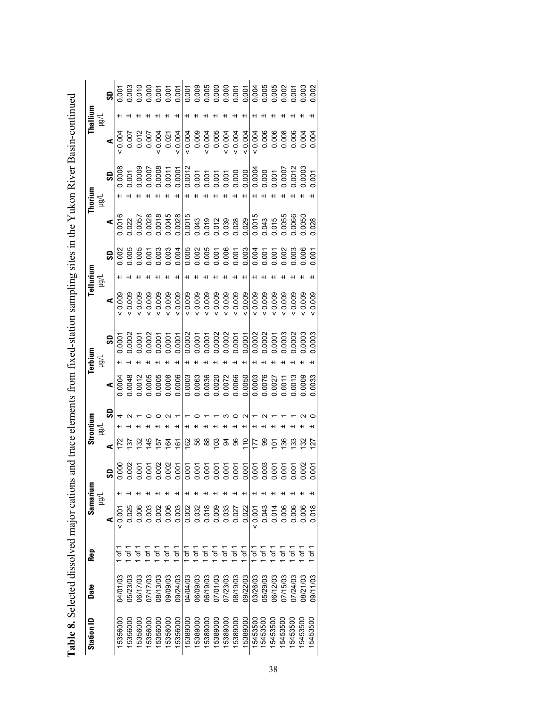| Station ID | Date     | Rep                | Samarium |        |                                                                                                                                                                                                                                                                                                                              |                                | Strontium |    | Terbium |               |                                                                                                                                                                                                                                                                                                                                                                                                                                                                | Tellurium |                                                                                                                                                                                                                                                                                                                                                                                                                                    | Thorium $\mu$ |                                                                                                                                                                                                                                                                                                                                                                                                                                    | Thallium $\mu$ |  |
|------------|----------|--------------------|----------|--------|------------------------------------------------------------------------------------------------------------------------------------------------------------------------------------------------------------------------------------------------------------------------------------------------------------------------------|--------------------------------|-----------|----|---------|---------------|----------------------------------------------------------------------------------------------------------------------------------------------------------------------------------------------------------------------------------------------------------------------------------------------------------------------------------------------------------------------------------------------------------------------------------------------------------------|-----------|------------------------------------------------------------------------------------------------------------------------------------------------------------------------------------------------------------------------------------------------------------------------------------------------------------------------------------------------------------------------------------------------------------------------------------|---------------|------------------------------------------------------------------------------------------------------------------------------------------------------------------------------------------------------------------------------------------------------------------------------------------------------------------------------------------------------------------------------------------------------------------------------------|----------------|--|
|            |          |                    |          | $\geq$ |                                                                                                                                                                                                                                                                                                                              |                                | $\geq$    |    | हैं।    |               |                                                                                                                                                                                                                                                                                                                                                                                                                                                                | 즐         |                                                                                                                                                                                                                                                                                                                                                                                                                                    |               |                                                                                                                                                                                                                                                                                                                                                                                                                                    |                |  |
|            |          |                    | ⋖        |        | SD                                                                                                                                                                                                                                                                                                                           | ⋖                              |           | ္တ |         |               |                                                                                                                                                                                                                                                                                                                                                                                                                                                                |           |                                                                                                                                                                                                                                                                                                                                                                                                                                    |               |                                                                                                                                                                                                                                                                                                                                                                                                                                    |                |  |
| 15356000   | 04/01/03 |                    | 80.02    |        |                                                                                                                                                                                                                                                                                                                              |                                |           |    |         | $\frac{1}{2}$ | $\begin{array}{r} \textbf{4} \\ \textbf{9} \\ \textbf{9} \\ \textbf{9} \\ \textbf{9} \\ \textbf{9} \\ \textbf{9} \\ \textbf{9} \\ \textbf{9} \\ \textbf{9} \\ \textbf{9} \\ \textbf{9} \\ \textbf{9} \\ \textbf{9} \\ \textbf{9} \\ \textbf{9} \\ \textbf{9} \\ \textbf{9} \\ \textbf{9} \\ \textbf{9} \\ \textbf{9} \\ \textbf{9} \\ \textbf{9} \\ \textbf{9} \\ \textbf{9} \\ \textbf{9} \\ \textbf{9} \\ \textbf{9} \\ \textbf{9} \\ \textbf{9} \\ \textbf$ |           | $\begin{array}{r} \textbf{4} \\ \textbf{9} \\ \textbf{10} \\ \textbf{01} \\ \textbf{12} \\ \textbf{13} \\ \textbf{14} \\ \textbf{15} \\ \textbf{16} \\ \textbf{18} \\ \textbf{19} \\ \textbf{19} \\ \textbf{19} \\ \textbf{19} \\ \textbf{19} \\ \textbf{19} \\ \textbf{19} \\ \textbf{19} \\ \textbf{19} \\ \textbf{19} \\ \textbf{19} \\ \textbf{19} \\ \textbf{19} \\ \textbf{19} \\ \textbf{19} \\ \textbf{19} \\ \textbf{19}$ |               | $\begin{array}{r} \textbf{50} \\ \textbf{90} \\ \textbf{10} \\ \textbf{10} \\ \textbf{10} \\ \textbf{10} \\ \textbf{10} \\ \textbf{10} \\ \textbf{10} \\ \textbf{10} \\ \textbf{10} \\ \textbf{10} \\ \textbf{10} \\ \textbf{10} \\ \textbf{10} \\ \textbf{10} \\ \textbf{10} \\ \textbf{10} \\ \textbf{11} \\ \textbf{11} \\ \textbf{11} \\ \textbf{11} \\ \textbf{12} \\ \textbf{12} \\ \textbf{13} \\ \textbf{14} \\ \textbf{1$ |                |  |
| 15356000   | 05/23/03 |                    | 0.025    |        |                                                                                                                                                                                                                                                                                                                              |                                |           |    |         |               |                                                                                                                                                                                                                                                                                                                                                                                                                                                                |           |                                                                                                                                                                                                                                                                                                                                                                                                                                    |               |                                                                                                                                                                                                                                                                                                                                                                                                                                    |                |  |
| 15356000   | 06/17/03 | Ⴆ                  | 0.006    |        |                                                                                                                                                                                                                                                                                                                              |                                |           |    |         |               |                                                                                                                                                                                                                                                                                                                                                                                                                                                                |           |                                                                                                                                                                                                                                                                                                                                                                                                                                    |               |                                                                                                                                                                                                                                                                                                                                                                                                                                    |                |  |
| 15356000   | 07/17/03 | Ⴆ                  | 0.003    |        |                                                                                                                                                                                                                                                                                                                              | 145                            |           |    |         |               |                                                                                                                                                                                                                                                                                                                                                                                                                                                                |           |                                                                                                                                                                                                                                                                                                                                                                                                                                    |               |                                                                                                                                                                                                                                                                                                                                                                                                                                    |                |  |
| 15356000   | 08/13/03 | Ġ                  | 0.002    |        |                                                                                                                                                                                                                                                                                                                              |                                |           |    |         |               |                                                                                                                                                                                                                                                                                                                                                                                                                                                                |           |                                                                                                                                                                                                                                                                                                                                                                                                                                    |               |                                                                                                                                                                                                                                                                                                                                                                                                                                    |                |  |
| 15356000   | 09/09/03 | Ġ                  | 0.006    |        |                                                                                                                                                                                                                                                                                                                              | $\frac{15}{29}$ $\frac{6}{21}$ |           |    |         |               |                                                                                                                                                                                                                                                                                                                                                                                                                                                                |           |                                                                                                                                                                                                                                                                                                                                                                                                                                    |               |                                                                                                                                                                                                                                                                                                                                                                                                                                    |                |  |
| 15356000   | 09/24/03 | of 1               | 0.003    |        |                                                                                                                                                                                                                                                                                                                              |                                |           |    |         |               |                                                                                                                                                                                                                                                                                                                                                                                                                                                                |           |                                                                                                                                                                                                                                                                                                                                                                                                                                    |               |                                                                                                                                                                                                                                                                                                                                                                                                                                    |                |  |
| 15389000   | 04/04/03 | Ġ                  | 0.002    |        |                                                                                                                                                                                                                                                                                                                              |                                |           |    |         |               |                                                                                                                                                                                                                                                                                                                                                                                                                                                                |           |                                                                                                                                                                                                                                                                                                                                                                                                                                    |               |                                                                                                                                                                                                                                                                                                                                                                                                                                    |                |  |
| 15389000   | 06/09/03 | ò                  | 0.032    |        |                                                                                                                                                                                                                                                                                                                              |                                |           |    |         |               |                                                                                                                                                                                                                                                                                                                                                                                                                                                                |           |                                                                                                                                                                                                                                                                                                                                                                                                                                    |               |                                                                                                                                                                                                                                                                                                                                                                                                                                    |                |  |
| 15389000   | 06/19/03 | á                  | 0.018    |        |                                                                                                                                                                                                                                                                                                                              |                                |           |    |         |               |                                                                                                                                                                                                                                                                                                                                                                                                                                                                |           |                                                                                                                                                                                                                                                                                                                                                                                                                                    |               |                                                                                                                                                                                                                                                                                                                                                                                                                                    |                |  |
| 15389000   | 07/01/03 | ò                  | 0.009    |        |                                                                                                                                                                                                                                                                                                                              |                                |           |    |         |               |                                                                                                                                                                                                                                                                                                                                                                                                                                                                |           |                                                                                                                                                                                                                                                                                                                                                                                                                                    |               |                                                                                                                                                                                                                                                                                                                                                                                                                                    |                |  |
| 15389000   | 07/23/03 | á                  | 0.033    |        | $\begin{array}{l} 0 & 0 & 0 & 0 & 0 \\ 0 & 0 & 0 & 0 & 0 \\ 0 & 0 & 0 & 0 & 0 \\ 0 & 0 & 0 & 0 & 0 \\ 0 & 0 & 0 & 0 & 0 \\ 0 & 0 & 0 & 0 & 0 \\ 0 & 0 & 0 & 0 & 0 \\ 0 & 0 & 0 & 0 & 0 \\ 0 & 0 & 0 & 0 & 0 \\ 0 & 0 & 0 & 0 & 0 \\ 0 & 0 & 0 & 0 & 0 \\ 0 & 0 & 0 & 0 & 0 \\ 0 & 0 & 0 & 0 & 0 \\ 0 & 0 & 0 & 0 & 0 \\ 0 &$ | 6885285                        |           |    |         |               |                                                                                                                                                                                                                                                                                                                                                                                                                                                                |           |                                                                                                                                                                                                                                                                                                                                                                                                                                    |               |                                                                                                                                                                                                                                                                                                                                                                                                                                    |                |  |
| 15389000   | 08/19/03 | .<br>6             | 0.027    |        |                                                                                                                                                                                                                                                                                                                              |                                |           |    |         |               |                                                                                                                                                                                                                                                                                                                                                                                                                                                                |           |                                                                                                                                                                                                                                                                                                                                                                                                                                    |               |                                                                                                                                                                                                                                                                                                                                                                                                                                    |                |  |
| 15389000   | 09/22/03 | $\frac{1}{10}$     | 0.022    |        |                                                                                                                                                                                                                                                                                                                              |                                |           |    |         |               |                                                                                                                                                                                                                                                                                                                                                                                                                                                                |           |                                                                                                                                                                                                                                                                                                                                                                                                                                    |               |                                                                                                                                                                                                                                                                                                                                                                                                                                    |                |  |
| 15453500   | 03/26/03 | .<br>6             | 0.001    |        |                                                                                                                                                                                                                                                                                                                              |                                |           |    |         |               |                                                                                                                                                                                                                                                                                                                                                                                                                                                                |           |                                                                                                                                                                                                                                                                                                                                                                                                                                    |               |                                                                                                                                                                                                                                                                                                                                                                                                                                    |                |  |
| 5453500    | 05/29/03 | of 1               | 0.043    |        |                                                                                                                                                                                                                                                                                                                              |                                |           |    |         |               |                                                                                                                                                                                                                                                                                                                                                                                                                                                                |           |                                                                                                                                                                                                                                                                                                                                                                                                                                    |               |                                                                                                                                                                                                                                                                                                                                                                                                                                    |                |  |
| 15453500   | 06/12/03 | ò                  | 0.014    |        |                                                                                                                                                                                                                                                                                                                              |                                |           |    |         |               |                                                                                                                                                                                                                                                                                                                                                                                                                                                                |           |                                                                                                                                                                                                                                                                                                                                                                                                                                    |               |                                                                                                                                                                                                                                                                                                                                                                                                                                    |                |  |
| 15453500   | 07/15/03 | $\sigma$           | 0.006    |        |                                                                                                                                                                                                                                                                                                                              | 2 ខេត្ត និន្ទ                  |           |    |         |               |                                                                                                                                                                                                                                                                                                                                                                                                                                                                |           |                                                                                                                                                                                                                                                                                                                                                                                                                                    |               |                                                                                                                                                                                                                                                                                                                                                                                                                                    |                |  |
| 15453500   | 0/24/03  | $\sigma$           | 0.006    |        |                                                                                                                                                                                                                                                                                                                              |                                |           |    |         |               |                                                                                                                                                                                                                                                                                                                                                                                                                                                                |           |                                                                                                                                                                                                                                                                                                                                                                                                                                    |               |                                                                                                                                                                                                                                                                                                                                                                                                                                    |                |  |
| 15453500   | 08/21/03 | $\frac{1}{\sigma}$ | 0.006    |        |                                                                                                                                                                                                                                                                                                                              |                                |           |    |         |               |                                                                                                                                                                                                                                                                                                                                                                                                                                                                |           |                                                                                                                                                                                                                                                                                                                                                                                                                                    |               |                                                                                                                                                                                                                                                                                                                                                                                                                                    |                |  |
| 15453500   | 09/11/03 | $\frac{1}{\sigma}$ | 0.018    |        |                                                                                                                                                                                                                                                                                                                              | 127                            |           |    |         |               |                                                                                                                                                                                                                                                                                                                                                                                                                                                                |           |                                                                                                                                                                                                                                                                                                                                                                                                                                    |               |                                                                                                                                                                                                                                                                                                                                                                                                                                    |                |  |

| Verbert Der Doctor over 2000                                      |
|-------------------------------------------------------------------|
| $\frac{1}{2}$                                                     |
|                                                                   |
|                                                                   |
| ļ                                                                 |
|                                                                   |
|                                                                   |
| ļ                                                                 |
|                                                                   |
|                                                                   |
|                                                                   |
| )<br>                                                             |
|                                                                   |
|                                                                   |
|                                                                   |
|                                                                   |
|                                                                   |
|                                                                   |
|                                                                   |
|                                                                   |
|                                                                   |
|                                                                   |
|                                                                   |
|                                                                   |
|                                                                   |
|                                                                   |
|                                                                   |
|                                                                   |
|                                                                   |
|                                                                   |
|                                                                   |
|                                                                   |
|                                                                   |
|                                                                   |
|                                                                   |
|                                                                   |
|                                                                   |
|                                                                   |
|                                                                   |
| ons and trace elements from fixed-station sampling sites in the Y |
|                                                                   |
|                                                                   |
|                                                                   |
|                                                                   |
|                                                                   |
|                                                                   |
|                                                                   |
|                                                                   |
|                                                                   |
|                                                                   |
|                                                                   |
|                                                                   |
|                                                                   |
|                                                                   |
|                                                                   |
|                                                                   |
|                                                                   |
|                                                                   |
|                                                                   |
|                                                                   |
|                                                                   |
|                                                                   |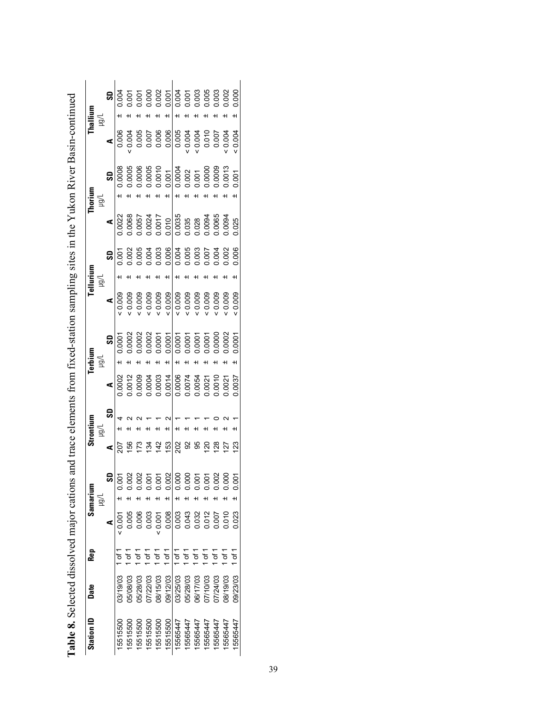| Station ID | Date     | Rep                 |       | Samarium<br>) lgu | $\geqq$         | Strontium |        | Terbium<br>lgu |       | Tellurium<br>$\geq$ |                         |                  | Thorium<br>ligu  |                | Thallium<br>Ligu |                                 |
|------------|----------|---------------------|-------|-------------------|-----------------|-----------|--------|----------------|-------|---------------------|-------------------------|------------------|------------------|----------------|------------------|---------------------------------|
|            |          |                     | ⋖     | ဌ                 | ⋖               | SD        | ⋖      | SD             | ⋖     |                     | SD                      | ⋖                | SD               | ⋖              |                  | SD                              |
| 15515500   | 03/19/03 | đ                   | 0.007 | 0.001             | 207             |           | 0.0002 | 0.0001         | 0.009 |                     | 0.001                   | 0.0022           | 0.0008           | 0.006          |                  | 0.004                           |
| 15515500   | 05/08/03 | ᡃᡃᡠ                 | 0.005 | 0.002             | 156             |           | 0.0012 | 0.0002         | 0.009 |                     | 0.002                   | 0.0068           | 0.0005           | 0.004          |                  |                                 |
| 15515500   | 05/28/03 | đ                   | 0.006 |                   | 173             |           | 0.0009 | 0.0002         | 0.009 |                     | 0.004<br>0.003<br>0.006 | 1.0057           | 0.0006           |                |                  |                                 |
| 15515500   | 07/22/03 | Ġ                   | 0.003 |                   | 134             |           | 0.0004 | 0.0002         | 0.009 |                     |                         |                  |                  | 0.005<br>0.007 |                  |                                 |
| 15515500   | 08/15/03 | $\overline{\sigma}$ | 10000 |                   | 142             |           | 0.0003 | 0.0001         | 0.009 |                     |                         | 0.0024<br>0.0017 | 0.0005<br>0.0010 | 0.006          |                  |                                 |
| 15515500   | 09/12/03 | $\overline{0}$      | 0.008 | 0.002             | 153             |           | 0.0014 | 0.0001         | 0.009 |                     |                         | 0.010            | 0.001            | 0.006          |                  | 0.001                           |
| 15565447   | 03/25/03 | $\frac{1}{\sigma}$  | 0.003 | 0.000             | 202             |           | 0.0006 | 0.0001         | 0.009 |                     |                         | 0.0035           | 0.0004           | 0.005          |                  | 0.004                           |
| 15565447   | 05/28/03 | ۵f 1                | 0.043 | 0.000             | 92              |           | 0.0074 | 0.0001         | 0.009 |                     | 3888<br>3888<br>0000    | 0.035            |                  | 0.004          |                  |                                 |
| 15565447   | 06/17/03 | of 1                | 0.032 | 0.001             | 95              |           | 0.0054 | 0.0001         | 0.009 |                     |                         | 0.028            | 0.002            | 0.004          |                  |                                 |
| 15565447   | 07/10/03 | $\sigma$ f 1        | 0.012 | 0.001             | $\overline{20}$ |           | 0.0021 | 0.0001         | 0.009 |                     |                         | 0.0094           | 0.0000           | 0.010          |                  |                                 |
| 5565447    | 07/24/03 | $\sigma$ f 1        |       | 0.002             | 128             |           | 0.0010 | 0.0000         | 0.009 |                     | 0.004                   | 0.0065           | 0.0009           | 0.007          |                  | 001<br>0008<br>000000<br>000000 |
| 5565447    | 08/19/03 | 5۳                  | 0.010 | 0.000             | $\overline{27}$ |           | 0.0021 | 0.0002         | 0.009 |                     | 0.002                   | 0.0094           | 0.0013           | 0.004          |                  |                                 |
| 15565447   | 09/23/03 | ۵f 1                | 0.023 | 0.001             | $\overline{23}$ |           | 0.0037 | 0.0001         | 0.009 |                     | 0.006                   | 0.025            | 0.001            | 0.004          |                  | 0.000                           |

| continuous more                                                                            |
|--------------------------------------------------------------------------------------------|
|                                                                                            |
|                                                                                            |
|                                                                                            |
|                                                                                            |
|                                                                                            |
| $\frac{1}{2}$                                                                              |
| where the communication<br>ife from fived-effacion earnoling eitee in the Viilzon River Re |
|                                                                                            |
|                                                                                            |
|                                                                                            |
|                                                                                            |
|                                                                                            |
|                                                                                            |
|                                                                                            |
|                                                                                            |
|                                                                                            |
| $\sim$ range direction.                                                                    |
|                                                                                            |
|                                                                                            |
|                                                                                            |
|                                                                                            |
|                                                                                            |
|                                                                                            |
|                                                                                            |
|                                                                                            |
|                                                                                            |
|                                                                                            |
|                                                                                            |
|                                                                                            |
|                                                                                            |
|                                                                                            |
|                                                                                            |
| ֧֧֧֧֧֧֧֧֧֧֦֧֦֧֧֦֧֧֦֧֧֧֧֧֧֧֧֧֧֧֧֧֧֧֧֧֧֧֧֧֧֧֧֧֚֚֡֓֓֓֓֓֓֓֓֓֓֓֓֓֓֓֝֬֓֓֝֬֓֓֓֓֓֓֓֓֬֓֬֓֬֬֓֓֓֬     |
|                                                                                            |
|                                                                                            |
|                                                                                            |
|                                                                                            |
|                                                                                            |
|                                                                                            |
|                                                                                            |
|                                                                                            |
|                                                                                            |
|                                                                                            |
| remele event pue suoi<br>when min min                                                      |
|                                                                                            |
|                                                                                            |
|                                                                                            |
|                                                                                            |
|                                                                                            |
|                                                                                            |
|                                                                                            |
|                                                                                            |
|                                                                                            |
|                                                                                            |
|                                                                                            |
|                                                                                            |
|                                                                                            |
|                                                                                            |
|                                                                                            |
|                                                                                            |
|                                                                                            |
|                                                                                            |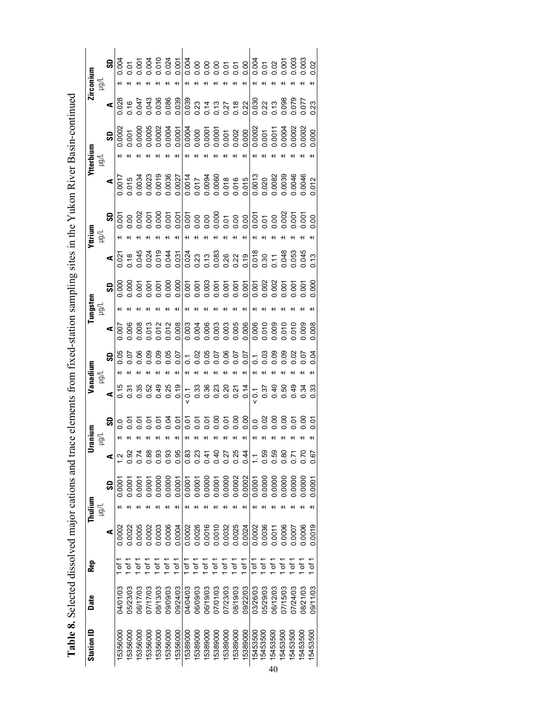|            |                 |      | $\frac{1}{3}$<br>$\frac{1}{3}$<br>$\frac{1}{3}$<br>$\frac{1}{3}$<br>$\frac{1}{3}$<br>$\frac{1}{3}$<br>$\frac{1}{3}$<br>$\frac{1}{3}$<br>$\frac{1}{3}$<br>$\frac{1}{3}$<br>$\frac{1}{3}$<br>$\frac{1}{3}$<br>$\frac{1}{3}$<br>$\frac{1}{3}$<br>$\frac{1}{3}$<br>$\frac{1}{3}$<br>$\frac{1}{3}$<br>$\frac{1}{3}$<br>$\frac{1}{3}$<br>$\frac{1}{3}$<br>                               |          |                |          |               |               |          |                |          |          |                |          |               |               |                    |          |                             |          |               |          |          |
|------------|-----------------|------|------------------------------------------------------------------------------------------------------------------------------------------------------------------------------------------------------------------------------------------------------------------------------------------------------------------------------------------------------------------------------------|----------|----------------|----------|---------------|---------------|----------|----------------|----------|----------|----------------|----------|---------------|---------------|--------------------|----------|-----------------------------|----------|---------------|----------|----------|
| Zirconium  | ्रहा            |      |                                                                                                                                                                                                                                                                                                                                                                                    |          |                |          |               |               |          |                |          |          |                |          |               |               |                    |          |                             |          |               |          |          |
|            |                 |      |                                                                                                                                                                                                                                                                                                                                                                                    |          |                |          |               |               |          |                |          |          |                |          |               |               |                    |          |                             |          |               |          |          |
| Ytterbium  | Vāri            | ္တု  |                                                                                                                                                                                                                                                                                                                                                                                    |          |                |          |               |               |          |                |          |          |                |          |               |               |                    |          |                             |          |               |          |          |
|            |                 |      | $\begin{array}{r} \begin{array}{r} \text{17.5}\ \text{18.5}\ \text{19.5}\ \text{19.5}\ \text{19.5}\ \text{19.5}\ \text{19.5}\ \text{19.5}\ \text{19.5}\ \text{19.5}\ \text{19.5}\ \text{19.5}\ \text{19.5}\ \text{19.5}\ \text{19.5}\ \text{19.5}\ \text{19.5}\ \text{19.5}\ \text{19.5}\ \text{19.5}\ \text{19.5}\ \text{19.5}\ \text{19.5}\ \text{19.5}\ \text{19.5}\ \text{19.$ |          |                |          |               |               |          |                |          |          |                |          |               |               |                    |          |                             |          |               |          |          |
| Yttrium    | $\geq$          |      |                                                                                                                                                                                                                                                                                                                                                                                    |          |                |          |               |               |          |                |          |          |                |          |               |               |                    |          |                             |          |               |          |          |
|            |                 |      |                                                                                                                                                                                                                                                                                                                                                                                    |          |                |          |               |               |          |                |          |          |                |          |               |               |                    |          |                             |          |               |          |          |
|            |                 |      |                                                                                                                                                                                                                                                                                                                                                                                    |          |                |          |               |               |          |                |          |          |                |          |               |               |                    |          |                             |          |               |          |          |
| lungsten   | ਭ੍ਰੋ            |      |                                                                                                                                                                                                                                                                                                                                                                                    |          |                |          |               |               |          |                |          |          |                |          |               |               |                    |          |                             |          |               |          |          |
|            |                 |      |                                                                                                                                                                                                                                                                                                                                                                                    |          |                |          |               |               |          |                |          |          |                |          |               |               |                    |          |                             |          |               |          |          |
| Vanadium   |                 | ခ္တု |                                                                                                                                                                                                                                                                                                                                                                                    |          |                |          |               |               |          |                |          |          |                |          |               |               |                    |          |                             |          |               |          |          |
|            | $\bar{\vec{B}}$ |      |                                                                                                                                                                                                                                                                                                                                                                                    |          |                |          |               |               |          |                |          |          |                |          |               |               |                    |          |                             |          |               |          |          |
| ranium     | ਕੁੱ             |      | $\mathbf{B}$ $\mathbf{S}$ $\mathbf{S}$ $\mathbf{S}$ $\mathbf{S}$ $\mathbf{S}$ $\mathbf{S}$ $\mathbf{S}$ $\mathbf{S}$ $\mathbf{S}$ $\mathbf{S}$ $\mathbf{S}$ $\mathbf{S}$ $\mathbf{S}$ $\mathbf{S}$ $\mathbf{S}$ $\mathbf{S}$ $\mathbf{S}$ $\mathbf{S}$ $\mathbf{S}$ $\mathbf{S}$ $\mathbf{S}$ $\mathbf{S}$ $\mathbf{S}$ $\mathbf{$                                                 |          |                |          |               |               |          |                |          |          |                |          |               |               |                    |          |                             |          |               |          |          |
|            |                 | ⋖    |                                                                                                                                                                                                                                                                                                                                                                                    | 0.92     | $\overline{5}$ | .88      | 0.93          | 0.93          | 0.95     | $\frac{83}{5}$ | 0.23     | 0.41     | 0.40           | 0.27     | 0.25          | 0.44          |                    | 0.59     | 0.59                        | 0.80     | Σí            | 0.70     | 0.67     |
| Thulium    | $\geq$          | SD   | 0.000                                                                                                                                                                                                                                                                                                                                                                              | 0.000    | 0.000          | 0.000    | 0.0000        | 0.0000        | 0.0001   | 0.0001         | 0.0001   | 0.0000   | 0.0001         | 0.0000   | 0.0002        | 0.0002        | 0.0001             | 0.0000   | 0.0000                      | 0.0000   | 0.0000        | 0.0000   | 0.0001   |
|            |                 | ⋖    | 0.0002                                                                                                                                                                                                                                                                                                                                                                             | 0.0022   | 0.0005         | 0.0002   | 0.0003        | 0.0006        | 0.0004   | 0.0002         | 0.0026   | 0.0016   | 0.0010         | 0.0032   | 0.0025        | 0.0024        | 0.0002             | 0.0036   | 0.0011                      | 0.0006   | 10007         | 0.0006   | 0.0019   |
| Rep        |                 |      |                                                                                                                                                                                                                                                                                                                                                                                    |          | 7<br>of 1      | 5۲<br>آ  | $\frac{1}{6}$ | $\frac{1}{6}$ | 1011     | ե1             | of 1     | of 1     | $\overline{0}$ | 5 م      | $\frac{1}{2}$ | $\frac{1}{6}$ | $\frac{1}{\sigma}$ | of 1     | of 1                        | of 1     | $\frac{1}{6}$ | τ        | of 1     |
| Date       |                 |      | <b>24/01/03</b>                                                                                                                                                                                                                                                                                                                                                                    | 05/23/03 | 06/17/03       | 27/17/03 | 08/13/03      | 09/09/03      | 09/24/03 | 04/04/03       | 06/09/03 | 06/19/03 | 07/01/03       | 07/23/03 | 08/19/03      | 09/22/03      | 03/26/03           | 05/29/03 | 06/12/03                    | 07/15/03 | 0/24/03       | 08/21/03 | 09/11/03 |
| Station ID |                 |      | 15356000                                                                                                                                                                                                                                                                                                                                                                           | 5356000  | 5356000        | 5356000  | 5356000       | 5356000       | 15356000 | 15389000       | 5389000  | 5389000  | 5389000        | 5389000  | 5389000       | 5389000       | 15453500           | 15453500 | 15453500<br>$\overline{10}$ | 5453500  | 5453500       | 5453500  | 15453500 |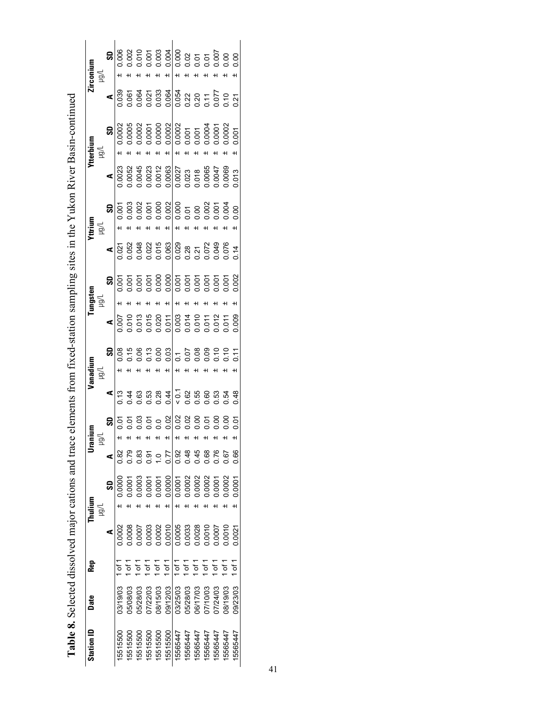| H<br>$\begin{array}{r} 1.0005 \\ 1.0002 \\ 0.0001 \\ 0.0000 \\ 0.0000 \\ 0.0001 \\ 0.0001 \\ 0.0001 \\ 0.0001 \\ 0.0001 \\ 0.0000 \\ 0.0002 \\ 0.0002 \\ 0.0002 \\ 0.0002 \\ 0.0002 \\ 0.0002 \\ 0.0003 \\ 0.0004 \\ 0.0002 \\ 0.0003 \\ 0.0004 \\ 0.0004 \\ 0.0004 \\ 0.0004 \\ 0.0004 \\ 0.00$<br>$\frac{1}{2}$<br>0.001<br>$\pm$<br>$\begin{array}{r} \textbf{4} \\ \hline 0.0023 \\ 0.0052 \\ 0.0044 \\ 0.0003 \\ 0.0001 \\ 0.0000 \\ 0.0000 \\ 0.0000 \\ 0.0000 \\ 0.0000 \\ 0.0000 \\ 0.0000 \\ 0.0000 \\ 0.0000 \\ 0.0000 \\ 0.0000 \\ 0.0000 \\ 0.0000 \\ 0.0000 \\ 0.0000 \\ 0.0000 \\ 0.0000 \\ 0.0000 \\ 0.0000 \\ 0.0000 \\ 0.$<br>0.013<br>$\bar{\mathbb{P}}$<br>$\frac{5}{5}$<br>ချ<br>$8.587888 - 5889997$<br>$\blacktriangleleft$<br>$553500000000000000$<br>ဌ<br>0.07<br>ਕੁੱਧ<br>0.92<br>0.48<br>0.66<br>3 <sup>8</sup><br>0.45<br>0.68<br>076<br>0.77<br>1.67<br>38<br>2<br>ر<br>19<br>0.0002<br>0.000<br>0.0001<br>0003<br>0002<br>0001<br>0.0002<br>0.0002<br>0001<br>1.0001<br>1,0001<br>S<br>$\geq$<br>0.0005<br>0.0010<br>0.0028<br>0.0003<br>0.0002<br>0.0033<br>0.0010<br>0.008<br>1000<br>0.0010<br>0.0002<br>1,0007<br>0.0021<br>1 of $1$<br>$1$ of $1$<br>ե1<br>Ծ<br>ե<br>7<br>ե<br>5<br>ò<br>.<br>6<br>$\overline{5}$<br><u>៦</u><br>03/19/03<br>08/15/03<br>09/12/03<br>03/25/03<br>05/28/03<br>00/61/80<br>0/23/03<br>05/08/03<br>05/28/03<br>17/22/03<br>06/17/03<br>07/10/03<br>17/24/03 | Station ID | Date | Rep | Thuiium | Ē<br>Urani | anadium | ungster |  | /ttrium | tterbium | irconiun                                 |
|---------------------------------------------------------------------------------------------------------------------------------------------------------------------------------------------------------------------------------------------------------------------------------------------------------------------------------------------------------------------------------------------------------------------------------------------------------------------------------------------------------------------------------------------------------------------------------------------------------------------------------------------------------------------------------------------------------------------------------------------------------------------------------------------------------------------------------------------------------------------------------------------------------------------------------------------------------------------------------------------------------------------------------------------------------------------------------------------------------------------------------------------------------------------------------------------------------------------------------------------------------------------------------------------------------------------------------------------------------------------------------------------------------------------------|------------|------|-----|---------|------------|---------|---------|--|---------|----------|------------------------------------------|
|                                                                                                                                                                                                                                                                                                                                                                                                                                                                                                                                                                                                                                                                                                                                                                                                                                                                                                                                                                                                                                                                                                                                                                                                                                                                                                                                                                                                                           |            |      |     |         |            |         |         |  |         |          | $\leqq$                                  |
|                                                                                                                                                                                                                                                                                                                                                                                                                                                                                                                                                                                                                                                                                                                                                                                                                                                                                                                                                                                                                                                                                                                                                                                                                                                                                                                                                                                                                           |            |      |     |         |            |         |         |  |         |          | SD                                       |
|                                                                                                                                                                                                                                                                                                                                                                                                                                                                                                                                                                                                                                                                                                                                                                                                                                                                                                                                                                                                                                                                                                                                                                                                                                                                                                                                                                                                                           | 5515500    |      |     |         |            |         |         |  |         |          | 0.006                                    |
| 5515500<br>5565447<br>5565447<br>5565447<br>5565447<br>5565447                                                                                                                                                                                                                                                                                                                                                                                                                                                                                                                                                                                                                                                                                                                                                                                                                                                                                                                                                                                                                                                                                                                                                                                                                                                                                                                                                            | 5515500    |      |     |         |            |         |         |  |         |          | $0.002$<br>$0.010$<br>$0.003$<br>$0.004$ |
| 5515500<br>5515500                                                                                                                                                                                                                                                                                                                                                                                                                                                                                                                                                                                                                                                                                                                                                                                                                                                                                                                                                                                                                                                                                                                                                                                                                                                                                                                                                                                                        | 5515500    |      |     |         |            |         |         |  |         |          |                                          |
| 15565447<br>15565447                                                                                                                                                                                                                                                                                                                                                                                                                                                                                                                                                                                                                                                                                                                                                                                                                                                                                                                                                                                                                                                                                                                                                                                                                                                                                                                                                                                                      |            |      |     |         |            |         |         |  |         |          |                                          |
|                                                                                                                                                                                                                                                                                                                                                                                                                                                                                                                                                                                                                                                                                                                                                                                                                                                                                                                                                                                                                                                                                                                                                                                                                                                                                                                                                                                                                           |            |      |     |         |            |         |         |  |         |          |                                          |
|                                                                                                                                                                                                                                                                                                                                                                                                                                                                                                                                                                                                                                                                                                                                                                                                                                                                                                                                                                                                                                                                                                                                                                                                                                                                                                                                                                                                                           |            |      |     |         |            |         |         |  |         |          |                                          |
|                                                                                                                                                                                                                                                                                                                                                                                                                                                                                                                                                                                                                                                                                                                                                                                                                                                                                                                                                                                                                                                                                                                                                                                                                                                                                                                                                                                                                           |            |      |     |         |            |         |         |  |         |          |                                          |
|                                                                                                                                                                                                                                                                                                                                                                                                                                                                                                                                                                                                                                                                                                                                                                                                                                                                                                                                                                                                                                                                                                                                                                                                                                                                                                                                                                                                                           |            |      |     |         |            |         |         |  |         |          |                                          |
|                                                                                                                                                                                                                                                                                                                                                                                                                                                                                                                                                                                                                                                                                                                                                                                                                                                                                                                                                                                                                                                                                                                                                                                                                                                                                                                                                                                                                           |            |      |     |         |            |         |         |  |         |          |                                          |
|                                                                                                                                                                                                                                                                                                                                                                                                                                                                                                                                                                                                                                                                                                                                                                                                                                                                                                                                                                                                                                                                                                                                                                                                                                                                                                                                                                                                                           |            |      |     |         |            |         |         |  |         |          |                                          |
|                                                                                                                                                                                                                                                                                                                                                                                                                                                                                                                                                                                                                                                                                                                                                                                                                                                                                                                                                                                                                                                                                                                                                                                                                                                                                                                                                                                                                           |            |      |     |         |            |         |         |  |         |          |                                          |
|                                                                                                                                                                                                                                                                                                                                                                                                                                                                                                                                                                                                                                                                                                                                                                                                                                                                                                                                                                                                                                                                                                                                                                                                                                                                                                                                                                                                                           |            |      |     |         |            |         |         |  |         |          |                                          |
|                                                                                                                                                                                                                                                                                                                                                                                                                                                                                                                                                                                                                                                                                                                                                                                                                                                                                                                                                                                                                                                                                                                                                                                                                                                                                                                                                                                                                           |            |      |     |         |            |         |         |  |         |          |                                          |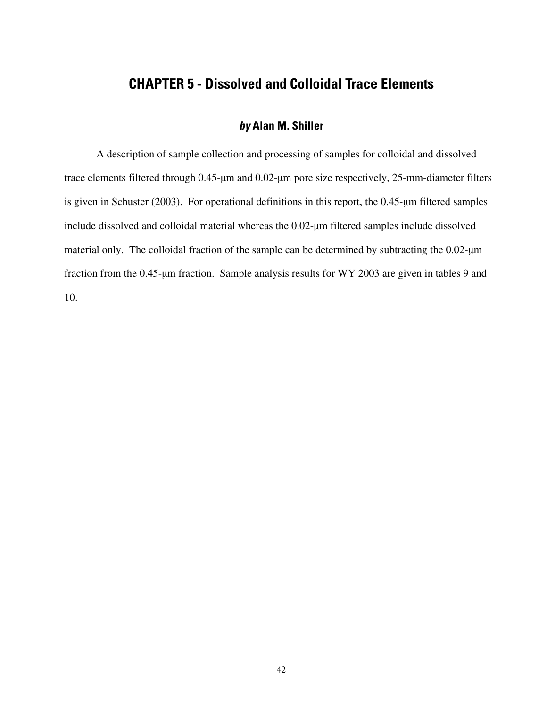# **CHAPTER 5 - Dissolved and Colloidal Trace Elements**

#### **by Alan M. Shiller**

A description of sample collection and processing of samples for colloidal and dissolved trace elements filtered through 0.45-µm and 0.02-µm pore size respectively, 25-mm-diameter filters is given in Schuster (2003). For operational definitions in this report, the 0.45-µm filtered samples include dissolved and colloidal material whereas the 0.02-µm filtered samples include dissolved material only. The colloidal fraction of the sample can be determined by subtracting the 0.02-µm fraction from the 0.45-µm fraction. Sample analysis results for WY 2003 are given in tables 9 and 10.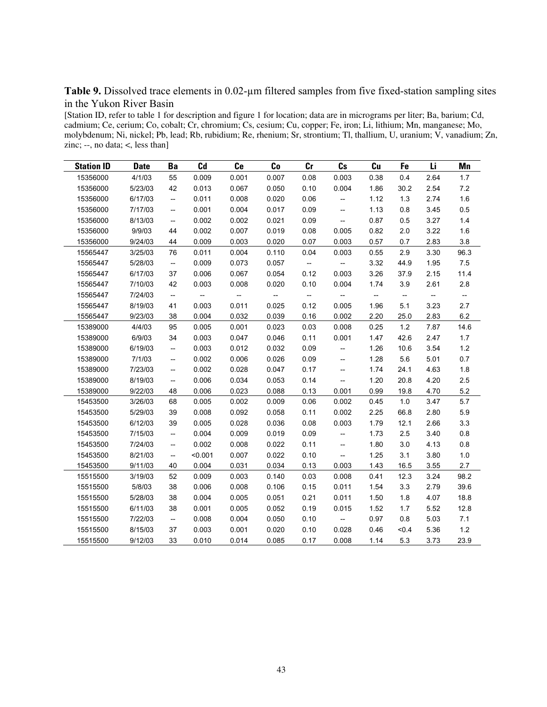Table 9. Dissolved trace elements in 0.02-um filtered samples from five fixed-station sampling sites in the Yukon River Basin

[Station ID, refer to table 1 for description and figure 1 for location; data are in micrograms per liter; Ba, barium; Cd, cadmium; Ce, cerium; Co, cobalt; Cr, chromium; Cs, cesium; Cu, copper; Fe, iron; Li, lithium; Mn, manganese; Mo, molybdenum; Ni, nickel; Pb, lead; Rb, rubidium; Re, rhenium; Sr, strontium; Tl, thallium, U, uranium; V, vanadium; Zn, zinc; --, no data;  $\lt$ , less than]

| <b>Station ID</b> | <b>Date</b> | Ba                                 | Cd                       | Ce                       | Co                                                  | Cr                                                  | $\mathbf{c}$ s                                      | Cu                       | Fe                       | Li                                 | Mn                       |
|-------------------|-------------|------------------------------------|--------------------------|--------------------------|-----------------------------------------------------|-----------------------------------------------------|-----------------------------------------------------|--------------------------|--------------------------|------------------------------------|--------------------------|
| 15356000          | 4/1/03      | 55                                 | 0.009                    | 0.001                    | 0.007                                               | 0.08                                                | 0.003                                               | 0.38                     | 0.4                      | 2.64                               | 1.7                      |
| 15356000          | 5/23/03     | 42                                 | 0.013                    | 0.067                    | 0.050                                               | 0.10                                                | 0.004                                               | 1.86                     | 30.2                     | 2.54                               | $7.2\,$                  |
| 15356000          | 6/17/03     | $\overline{\phantom{a}}$           | 0.011                    | 0.008                    | 0.020                                               | 0.06                                                | $-\!$                                               | 1.12                     | 1.3                      | 2.74                               | 1.6                      |
| 15356000          | 7/17/03     | $\overline{\phantom{a}}$           | 0.001                    | 0.004                    | 0.017                                               | 0.09                                                | $-\!$                                               | 1.13                     | 0.8                      | 3.45                               | 0.5                      |
| 15356000          | 8/13/03     | --                                 | 0.002                    | 0.002                    | 0.021                                               | 0.09                                                | $-\!$                                               | 0.87                     | 0.5                      | 3.27                               | 1.4                      |
| 15356000          | 9/9/03      | 44                                 | 0.002                    | 0.007                    | 0.019                                               | 0.08                                                | 0.005                                               | 0.82                     | 2.0                      | 3.22                               | 1.6                      |
| 15356000          | 9/24/03     | 44                                 | 0.009                    | 0.003                    | 0.020                                               | 0.07                                                | 0.003                                               | 0.57                     | 0.7                      | 2.83                               | 3.8                      |
| 15565447          | 3/25/03     | 76                                 | 0.011                    | 0.004                    | 0.110                                               | 0.04                                                | 0.003                                               | 0.55                     | 2.9                      | 3.30                               | 96.3                     |
| 15565447          | 5/28/03     | $\overline{\phantom{a}}$           | 0.009                    | 0.073                    | 0.057                                               | $\overline{\phantom{a}}$                            |                                                     | 3.32                     | 44.9                     | 1.95                               | 7.5                      |
| 15565447          | 6/17/03     | 37                                 | 0.006                    | 0.067                    | 0.054                                               | 0.12                                                | 0.003                                               | 3.26                     | 37.9                     | 2.15                               | 11.4                     |
| 15565447          | 7/10/03     | 42                                 | 0.003                    | 0.008                    | 0.020                                               | 0.10                                                | 0.004                                               | 1.74                     | 3.9                      | 2.61                               | 2.8                      |
| 15565447          | 7/24/03     | $\overline{\phantom{a}}$           | $\overline{\phantom{a}}$ | $\overline{\phantom{a}}$ | $\hspace{0.05cm} -\hspace{0.05cm} -\hspace{0.05cm}$ | $\hspace{0.05cm} -\hspace{0.05cm} -\hspace{0.05cm}$ | $\hspace{0.05cm} -\hspace{0.05cm} -\hspace{0.05cm}$ | $\overline{\phantom{a}}$ | $\overline{\phantom{a}}$ | $\hspace{0.05cm} -\hspace{0.05cm}$ | $\overline{\phantom{a}}$ |
| 15565447          | 8/19/03     | 41                                 | 0.003                    | 0.011                    | 0.025                                               | 0.12                                                | 0.005                                               | 1.96                     | 5.1                      | 3.23                               | 2.7                      |
| 15565447          | 9/23/03     | 38                                 | 0.004                    | 0.032                    | 0.039                                               | 0.16                                                | 0.002                                               | 2.20                     | 25.0                     | 2.83                               | 6.2                      |
| 15389000          | 4/4/03      | 95                                 | 0.005                    | 0.001                    | 0.023                                               | 0.03                                                | 0.008                                               | 0.25                     | 1.2                      | 7.87                               | 14.6                     |
| 15389000          | 6/9/03      | 34                                 | 0.003                    | 0.047                    | 0.046                                               | 0.11                                                | 0.001                                               | 1.47                     | 42.6                     | 2.47                               | 1.7                      |
| 15389000          | 6/19/03     | $\overline{\phantom{a}}$           | 0.003                    | 0.012                    | 0.032                                               | 0.09                                                | $\overline{\phantom{a}}$                            | 1.26                     | 10.6                     | 3.54                               | $1.2$                    |
| 15389000          | 7/1/03      | $\overline{\phantom{a}}$           | 0.002                    | 0.006                    | 0.026                                               | 0.09                                                | $\overline{\phantom{a}}$                            | 1.28                     | 5.6                      | 5.01                               | 0.7                      |
| 15389000          | 7/23/03     | --                                 | 0.002                    | 0.028                    | 0.047                                               | 0.17                                                | --                                                  | 1.74                     | 24.1                     | 4.63                               | 1.8                      |
| 15389000          | 8/19/03     | --                                 | 0.006                    | 0.034                    | 0.053                                               | 0.14                                                | $\hspace{0.05cm} -\hspace{0.05cm} -\hspace{0.05cm}$ | 1.20                     | 20.8                     | 4.20                               | 2.5                      |
| 15389000          | 9/22/03     | 48                                 | 0.006                    | 0.023                    | 0.088                                               | 0.13                                                | 0.001                                               | 0.99                     | 19.8                     | 4.70                               | 5.2                      |
| 15453500          | 3/26/03     | 68                                 | 0.005                    | 0.002                    | 0.009                                               | 0.06                                                | 0.002                                               | 0.45                     | 1.0                      | 3.47                               | 5.7                      |
| 15453500          | 5/29/03     | 39                                 | 0.008                    | 0.092                    | 0.058                                               | 0.11                                                | 0.002                                               | 2.25                     | 66.8                     | 2.80                               | 5.9                      |
| 15453500          | 6/12/03     | 39                                 | 0.005                    | 0.028                    | 0.036                                               | 0.08                                                | 0.003                                               | 1.79                     | 12.1                     | 2.66                               | 3.3                      |
| 15453500          | 7/15/03     | $\overline{\phantom{a}}$           | 0.004                    | 0.009                    | 0.019                                               | 0.09                                                | $\overline{\phantom{a}}$                            | 1.73                     | 2.5                      | 3.40                               | $0.8\,$                  |
| 15453500          | 7/24/03     | --                                 | 0.002                    | 0.008                    | 0.022                                               | 0.11                                                | $\overline{\phantom{a}}$                            | 1.80                     | 3.0                      | 4.13                               | 0.8                      |
| 15453500          | 8/21/03     | --                                 | < 0.001                  | 0.007                    | 0.022                                               | 0.10                                                | $\overline{\phantom{a}}$                            | 1.25                     | 3.1                      | 3.80                               | $1.0$                    |
| 15453500          | 9/11/03     | 40                                 | 0.004                    | 0.031                    | 0.034                                               | 0.13                                                | 0.003                                               | 1.43                     | 16.5                     | 3.55                               | 2.7                      |
| 15515500          | 3/19/03     | 52                                 | 0.009                    | 0.003                    | 0.140                                               | 0.03                                                | 0.008                                               | 0.41                     | 12.3                     | 3.24                               | 98.2                     |
| 15515500          | 5/8/03      | 38                                 | 0.006                    | 0.008                    | 0.106                                               | 0.15                                                | 0.011                                               | 1.54                     | 3.3                      | 2.79                               | 39.6                     |
| 15515500          | 5/28/03     | 38                                 | 0.004                    | 0.005                    | 0.051                                               | 0.21                                                | 0.011                                               | 1.50                     | 1.8                      | 4.07                               | 18.8                     |
| 15515500          | 6/11/03     | 38                                 | 0.001                    | 0.005                    | 0.052                                               | 0.19                                                | 0.015                                               | 1.52                     | 1.7                      | 5.52                               | 12.8                     |
| 15515500          | 7/22/03     | $\hspace{0.05cm} -\hspace{0.05cm}$ | 0.008                    | 0.004                    | 0.050                                               | 0.10                                                | $\overline{\phantom{a}}$                            | 0.97                     | 0.8                      | 5.03                               | 7.1                      |
| 15515500          | 8/15/03     | 37                                 | 0.003                    | 0.001                    | 0.020                                               | 0.10                                                | 0.028                                               | 0.46                     | < 0.4                    | 5.36                               | $1.2$                    |
| 15515500          | 9/12/03     | 33                                 | 0.010                    | 0.014                    | 0.085                                               | 0.17                                                | 0.008                                               | 1.14                     | 5.3                      | 3.73                               | 23.9                     |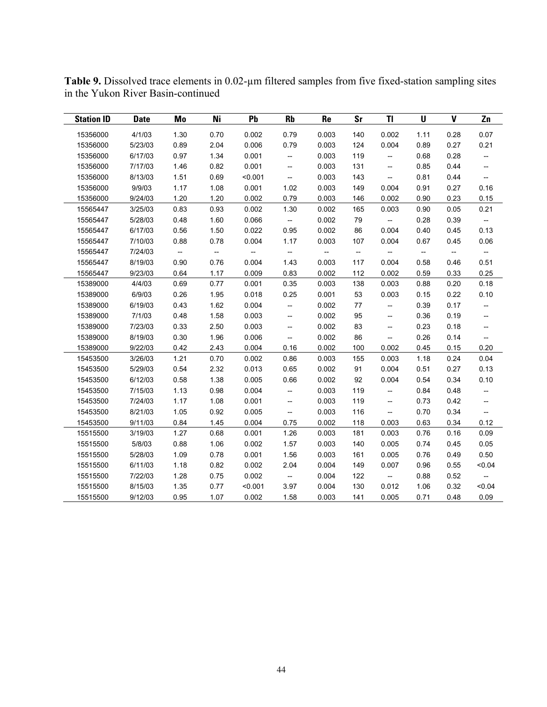| <b>Station ID</b> | <b>Date</b> | Mo                       | Ni                       | Pb                       | <b>Rb</b>                                           | <b>Re</b>                | <b>Sr</b>                | TI                       | U                 | $\mathbf V$              | Zn                                                  |
|-------------------|-------------|--------------------------|--------------------------|--------------------------|-----------------------------------------------------|--------------------------|--------------------------|--------------------------|-------------------|--------------------------|-----------------------------------------------------|
| 15356000          | 4/1/03      | 1.30                     | 0.70                     | 0.002                    | 0.79                                                | 0.003                    | 140                      | 0.002                    | 1.11              | 0.28                     | 0.07                                                |
| 15356000          | 5/23/03     | 0.89                     | 2.04                     | 0.006                    | 0.79                                                | 0.003                    | 124                      | 0.004                    | 0.89              | 0.27                     | 0.21                                                |
| 15356000          | 6/17/03     | 0.97                     | 1.34                     | 0.001                    | $\overline{\phantom{a}}$                            | 0.003                    | 119                      | $\overline{\phantom{a}}$ | 0.68              | 0.28                     | $\qquad \qquad -$                                   |
| 15356000          | 7/17/03     | 1.46                     | 0.82                     | 0.001                    | $\overline{\phantom{a}}$                            | 0.003                    | 131                      | $\overline{\phantom{a}}$ | 0.85              | 0.44                     | $\overline{\phantom{a}}$                            |
| 15356000          | 8/13/03     | 1.51                     | 0.69                     | < 0.001                  | $\hspace{0.05cm} -\hspace{0.05cm} -\hspace{0.05cm}$ | 0.003                    | 143                      | $\overline{\phantom{a}}$ | 0.81              | 0.44                     | $\hspace{0.05cm} -\hspace{0.05cm}$                  |
| 15356000          | 9/9/03      | 1.17                     | 1.08                     | 0.001                    | 1.02                                                | 0.003                    | 149                      | 0.004                    | 0.91              | 0.27                     | 0.16                                                |
| 15356000          | 9/24/03     | 1.20                     | 1.20                     | 0.002                    | 0.79                                                | 0.003                    | 146                      | 0.002                    | 0.90              | 0.23                     | 0.15                                                |
| 15565447          | 3/25/03     | 0.83                     | 0.93                     | 0.002                    | 1.30                                                | 0.002                    | 165                      | 0.003                    | 0.90              | 0.05                     | 0.21                                                |
| 15565447          | 5/28/03     | 0.48                     | 1.60                     | 0.066                    | $\overline{\phantom{a}}$                            | 0.002                    | 79                       | $\overline{\phantom{a}}$ | 0.28              | 0.39                     | $\overline{\phantom{a}}$                            |
| 15565447          | 6/17/03     | 0.56                     | 1.50                     | 0.022                    | 0.95                                                | 0.002                    | 86                       | 0.004                    | 0.40              | 0.45                     | 0.13                                                |
| 15565447          | 7/10/03     | 0.88                     | 0.78                     | 0.004                    | 1.17                                                | 0.003                    | 107                      | 0.004                    | 0.67              | 0.45                     | 0.06                                                |
| 15565447          | 7/24/03     | $\overline{\phantom{a}}$ | $\overline{\phantom{a}}$ | $\overline{\phantom{a}}$ | --                                                  | $\overline{\phantom{a}}$ | $\overline{\phantom{a}}$ | $\overline{\phantom{a}}$ | $\qquad \qquad -$ | $\overline{\phantom{a}}$ | $\overline{\phantom{a}}$                            |
| 15565447          | 8/19/03     | 0.90                     | 0.76                     | 0.004                    | 1.43                                                | 0.003                    | 117                      | 0.004                    | 0.58              | 0.46                     | 0.51                                                |
| 15565447          | 9/23/03     | 0.64                     | 1.17                     | 0.009                    | 0.83                                                | 0.002                    | 112                      | 0.002                    | 0.59              | 0.33                     | 0.25                                                |
| 15389000          | 4/4/03      | 0.69                     | 0.77                     | 0.001                    | 0.35                                                | 0.003                    | 138                      | 0.003                    | 0.88              | 0.20                     | 0.18                                                |
| 15389000          | 6/9/03      | 0.26                     | 1.95                     | 0.018                    | 0.25                                                | 0.001                    | 53                       | 0.003                    | 0.15              | 0.22                     | 0.10                                                |
| 15389000          | 6/19/03     | 0.43                     | 1.62                     | 0.004                    | $\hspace{0.05cm} -\hspace{0.05cm}$                  | 0.002                    | 77                       | $\overline{\phantom{a}}$ | 0.39              | 0.17                     | --                                                  |
| 15389000          | 7/1/03      | 0.48                     | 1.58                     | 0.003                    | --                                                  | 0.002                    | 95                       | $\overline{\phantom{a}}$ | 0.36              | 0.19                     | --                                                  |
| 15389000          | 7/23/03     | 0.33                     | 2.50                     | 0.003                    | --                                                  | 0.002                    | 83                       | --                       | 0.23              | 0.18                     | $\hspace{0.05cm} -\hspace{0.05cm} -\hspace{0.05cm}$ |
| 15389000          | 8/19/03     | 0.30                     | 1.96                     | 0.006                    | --                                                  | 0.002                    | 86                       | $\overline{\phantom{a}}$ | 0.26              | 0.14                     | $\qquad \qquad -$                                   |
| 15389000          | 9/22/03     | 0.42                     | 2.43                     | 0.004                    | 0.16                                                | 0.002                    | 100                      | 0.002                    | 0.45              | 0.15                     | 0.20                                                |
| 15453500          | 3/26/03     | 1.21                     | 0.70                     | 0.002                    | 0.86                                                | 0.003                    | 155                      | 0.003                    | 1.18              | 0.24                     | 0.04                                                |
| 15453500          | 5/29/03     | 0.54                     | 2.32                     | 0.013                    | 0.65                                                | 0.002                    | 91                       | 0.004                    | 0.51              | 0.27                     | 0.13                                                |
| 15453500          | 6/12/03     | 0.58                     | 1.38                     | 0.005                    | 0.66                                                | 0.002                    | 92                       | 0.004                    | 0.54              | 0.34                     | 0.10                                                |
| 15453500          | 7/15/03     | 1.13                     | 0.98                     | 0.004                    | $\overline{\phantom{a}}$                            | 0.003                    | 119                      | $\overline{\phantom{a}}$ | 0.84              | 0.48                     | $\hspace{0.05cm} -\hspace{0.05cm} -\hspace{0.05cm}$ |
| 15453500          | 7/24/03     | 1.17                     | 1.08                     | 0.001                    | $\overline{\phantom{a}}$                            | 0.003                    | 119                      | $\overline{\phantom{a}}$ | 0.73              | 0.42                     | $\hspace{0.05cm} \dashrightarrow$                   |
| 15453500          | 8/21/03     | 1.05                     | 0.92                     | 0.005                    | $\overline{\phantom{a}}$                            | 0.003                    | 116                      | $\overline{\phantom{a}}$ | 0.70              | 0.34                     | $\hspace{0.05cm} \dashrightarrow$                   |
| 15453500          | 9/11/03     | 0.84                     | 1.45                     | 0.004                    | 0.75                                                | 0.002                    | 118                      | 0.003                    | 0.63              | 0.34                     | 0.12                                                |
| 15515500          | 3/19/03     | 1.27                     | 0.68                     | 0.001                    | 1.26                                                | 0.003                    | 181                      | 0.003                    | 0.76              | 0.16                     | 0.09                                                |
| 15515500          | 5/8/03      | 0.88                     | 1.06                     | 0.002                    | 1.57                                                | 0.003                    | 140                      | 0.005                    | 0.74              | 0.45                     | 0.05                                                |
| 15515500          | 5/28/03     | 1.09                     | 0.78                     | 0.001                    | 1.56                                                | 0.003                    | 161                      | 0.005                    | 0.76              | 0.49                     | 0.50                                                |
| 15515500          | 6/11/03     | 1.18                     | 0.82                     | 0.002                    | 2.04                                                | 0.004                    | 149                      | 0.007                    | 0.96              | 0.55                     | < 0.04                                              |
| 15515500          | 7/22/03     | 1.28                     | 0.75                     | 0.002                    | $\overline{\phantom{a}}$                            | 0.004                    | 122                      | $\overline{\phantom{a}}$ | 0.88              | 0.52                     | $\hspace{0.05cm} -\hspace{0.05cm} -\hspace{0.05cm}$ |
| 15515500          | 8/15/03     | 1.35                     | 0.77                     | < 0.001                  | 3.97                                                | 0.004                    | 130                      | 0.012                    | 1.06              | 0.32                     | < 0.04                                              |
| 15515500          | 9/12/03     | 0.95                     | 1.07                     | 0.002                    | 1.58                                                | 0.003                    | 141                      | 0.005                    | 0.71              | 0.48                     | 0.09                                                |

**Table 9.** Dissolved trace elements in 0.02-µm filtered samples from five fixed-station sampling sites in the Yukon River Basin-continued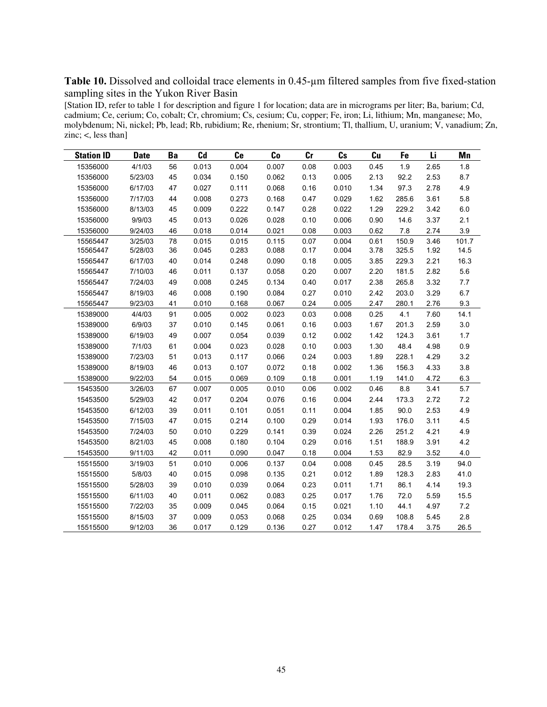Table 10. Dissolved and colloidal trace elements in 0.45-um filtered samples from five fixed-station sampling sites in the Yukon River Basin

[Station ID, refer to table 1 for description and figure 1 for location; data are in micrograms per liter; Ba, barium; Cd, cadmium; Ce, cerium; Co, cobalt; Cr, chromium; Cs, cesium; Cu, copper; Fe, iron; Li, lithium; Mn, manganese; Mo, molybdenum; Ni, nickel; Pb, lead; Rb, rubidium; Re, rhenium; Sr, strontium; Tl, thallium, U, uranium; V, vanadium; Zn, zinc;  $\lt$ , less than]

| <b>Station ID</b> | <b>Date</b> | Ba | C <sub>d</sub> | Ce    | Co    | cr   | c <sub>s</sub> | Cu   | Fe    | Li   | Mn    |
|-------------------|-------------|----|----------------|-------|-------|------|----------------|------|-------|------|-------|
| 15356000          | 4/1/03      | 56 | 0.013          | 0.004 | 0.007 | 0.08 | 0.003          | 0.45 | 1.9   | 2.65 | 1.8   |
| 15356000          | 5/23/03     | 45 | 0.034          | 0.150 | 0.062 | 0.13 | 0.005          | 2.13 | 92.2  | 2.53 | 8.7   |
| 15356000          | 6/17/03     | 47 | 0.027          | 0.111 | 0.068 | 0.16 | 0.010          | 1.34 | 97.3  | 2.78 | 4.9   |
| 15356000          | 7/17/03     | 44 | 0.008          | 0.273 | 0.168 | 0.47 | 0.029          | 1.62 | 285.6 | 3.61 | 5.8   |
| 15356000          | 8/13/03     | 45 | 0.009          | 0.222 | 0.147 | 0.28 | 0.022          | 1.29 | 229.2 | 3.42 | 6.0   |
| 15356000          | 9/9/03      | 45 | 0.013          | 0.026 | 0.028 | 0.10 | 0.006          | 0.90 | 14.6  | 3.37 | 2.1   |
| 15356000          | 9/24/03     | 46 | 0.018          | 0.014 | 0.021 | 0.08 | 0.003          | 0.62 | 7.8   | 2.74 | 3.9   |
| 15565447          | 3/25/03     | 78 | 0.015          | 0.015 | 0.115 | 0.07 | 0.004          | 0.61 | 150.9 | 3.46 | 101.7 |
| 15565447          | 5/28/03     | 36 | 0.045          | 0.283 | 0.088 | 0.17 | 0.004          | 3.78 | 325.5 | 1.92 | 14.5  |
| 15565447          | 6/17/03     | 40 | 0.014          | 0.248 | 0.090 | 0.18 | 0.005          | 3.85 | 229.3 | 2.21 | 16.3  |
| 15565447          | 7/10/03     | 46 | 0.011          | 0.137 | 0.058 | 0.20 | 0.007          | 2.20 | 181.5 | 2.82 | 5.6   |
| 15565447          | 7/24/03     | 49 | 0.008          | 0.245 | 0.134 | 0.40 | 0.017          | 2.38 | 265.8 | 3.32 | 7.7   |
| 15565447          | 8/19/03     | 46 | 0.008          | 0.190 | 0.084 | 0.27 | 0.010          | 2.42 | 203.0 | 3.29 | 6.7   |
| 15565447          | 9/23/03     | 41 | 0.010          | 0.168 | 0.067 | 0.24 | 0.005          | 2.47 | 280.1 | 2.76 | 9.3   |
| 15389000          | 4/4/03      | 91 | 0.005          | 0.002 | 0.023 | 0.03 | 0.008          | 0.25 | 4.1   | 7.60 | 14.1  |
| 15389000          | 6/9/03      | 37 | 0.010          | 0.145 | 0.061 | 0.16 | 0.003          | 1.67 | 201.3 | 2.59 | 3.0   |
| 15389000          | 6/19/03     | 49 | 0.007          | 0.054 | 0.039 | 0.12 | 0.002          | 1.42 | 124.3 | 3.61 | 1.7   |
| 15389000          | 7/1/03      | 61 | 0.004          | 0.023 | 0.028 | 0.10 | 0.003          | 1.30 | 48.4  | 4.98 | 0.9   |
| 15389000          | 7/23/03     | 51 | 0.013          | 0.117 | 0.066 | 0.24 | 0.003          | 1.89 | 228.1 | 4.29 | 3.2   |
| 15389000          | 8/19/03     | 46 | 0.013          | 0.107 | 0.072 | 0.18 | 0.002          | 1.36 | 156.3 | 4.33 | 3.8   |
| 15389000          | 9/22/03     | 54 | 0.015          | 0.069 | 0.109 | 0.18 | 0.001          | 1.19 | 141.0 | 4.72 | 6.3   |
| 15453500          | 3/26/03     | 67 | 0.007          | 0.005 | 0.010 | 0.06 | 0.002          | 0.46 | 8.8   | 3.41 | 5.7   |
| 15453500          | 5/29/03     | 42 | 0.017          | 0.204 | 0.076 | 0.16 | 0.004          | 2.44 | 173.3 | 2.72 | 7.2   |
| 15453500          | 6/12/03     | 39 | 0.011          | 0.101 | 0.051 | 0.11 | 0.004          | 1.85 | 90.0  | 2.53 | 4.9   |
| 15453500          | 7/15/03     | 47 | 0.015          | 0.214 | 0.100 | 0.29 | 0.014          | 1.93 | 176.0 | 3.11 | 4.5   |
| 15453500          | 7/24/03     | 50 | 0.010          | 0.229 | 0.141 | 0.39 | 0.024          | 2.26 | 251.2 | 4.21 | 4.9   |
| 15453500          | 8/21/03     | 45 | 0.008          | 0.180 | 0.104 | 0.29 | 0.016          | 1.51 | 188.9 | 3.91 | 4.2   |
| 15453500          | 9/11/03     | 42 | 0.011          | 0.090 | 0.047 | 0.18 | 0.004          | 1.53 | 82.9  | 3.52 | 4.0   |
| 15515500          | 3/19/03     | 51 | 0.010          | 0.006 | 0.137 | 0.04 | 0.008          | 0.45 | 28.5  | 3.19 | 94.0  |
| 15515500          | 5/8/03      | 40 | 0.015          | 0.098 | 0.135 | 0.21 | 0.012          | 1.89 | 128.3 | 2.83 | 41.0  |
| 15515500          | 5/28/03     | 39 | 0.010          | 0.039 | 0.064 | 0.23 | 0.011          | 1.71 | 86.1  | 4.14 | 19.3  |
| 15515500          | 6/11/03     | 40 | 0.011          | 0.062 | 0.083 | 0.25 | 0.017          | 1.76 | 72.0  | 5.59 | 15.5  |
| 15515500          | 7/22/03     | 35 | 0.009          | 0.045 | 0.064 | 0.15 | 0.021          | 1.10 | 44.1  | 4.97 | 7.2   |
| 15515500          | 8/15/03     | 37 | 0.009          | 0.053 | 0.068 | 0.25 | 0.034          | 0.69 | 108.8 | 5.45 | 2.8   |
| 15515500          | 9/12/03     | 36 | 0.017          | 0.129 | 0.136 | 0.27 | 0.012          | 1.47 | 178.4 | 3.75 | 26.5  |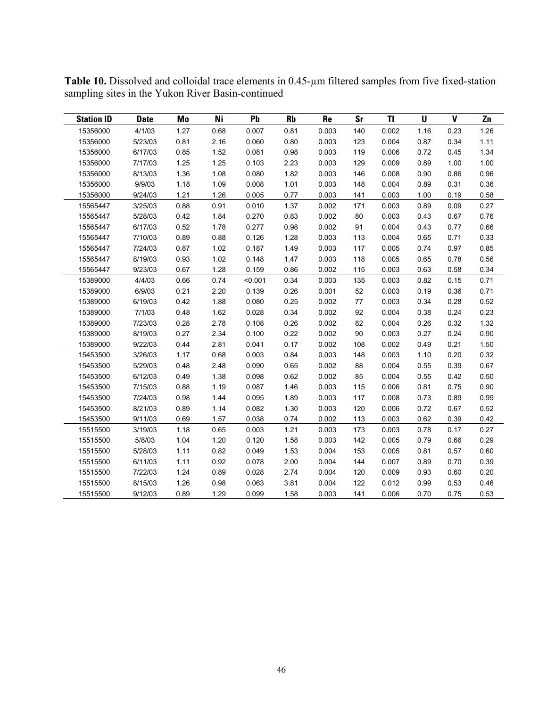| <b>Station ID</b> | <b>Date</b> | Mo   | Ni   | Pb      | <b>Rb</b> | <b>Re</b> | <b>Sr</b> | <b>TI</b> | $\mathbf U$ | $\mathbf v$ | Zn   |
|-------------------|-------------|------|------|---------|-----------|-----------|-----------|-----------|-------------|-------------|------|
| 15356000          | 4/1/03      | 1.27 | 0.68 | 0.007   | 0.81      | 0.003     | 140       | 0.002     | 1.16        | 0.23        | 1.26 |
| 15356000          | 5/23/03     | 0.81 | 2.16 | 0.060   | 0.80      | 0.003     | 123       | 0.004     | 0.87        | 0.34        | 1.11 |
| 15356000          | 6/17/03     | 0.85 | 1.52 | 0.081   | 0.98      | 0.003     | 119       | 0.006     | 0.72        | 0.45        | 1.34 |
| 15356000          | 7/17/03     | 1.25 | 1.25 | 0.103   | 2.23      | 0.003     | 129       | 0.009     | 0.89        | 1.00        | 1.00 |
| 15356000          | 8/13/03     | 1.36 | 1.08 | 0.080   | 1.82      | 0.003     | 146       | 0.008     | 0.90        | 0.86        | 0.96 |
| 15356000          | 9/9/03      | 1.18 | 1.09 | 0.008   | 1.01      | 0.003     | 148       | 0.004     | 0.89        | 0.31        | 0.36 |
| 15356000          | 9/24/03     | 1.21 | 1.26 | 0.005   | 0.77      | 0.003     | 141       | 0.003     | 1.00        | 0.19        | 0.58 |
| 15565447          | 3/25/03     | 0.88 | 0.91 | 0.010   | 1.37      | 0.002     | 171       | 0.003     | 0.89        | 0.09        | 0.27 |
| 15565447          | 5/28/03     | 0.42 | 1.84 | 0.270   | 0.83      | 0.002     | 80        | 0.003     | 0.43        | 0.67        | 0.76 |
| 15565447          | 6/17/03     | 0.52 | 1.78 | 0.277   | 0.98      | 0.002     | 91        | 0.004     | 0.43        | 0.77        | 0.66 |
| 15565447          | 7/10/03     | 0.89 | 0.88 | 0.126   | 1.28      | 0.003     | 113       | 0.004     | 0.65        | 0.71        | 0.33 |
| 15565447          | 7/24/03     | 0.87 | 1.02 | 0.187   | 1.49      | 0.003     | 117       | 0.005     | 0.74        | 0.97        | 0.85 |
| 15565447          | 8/19/03     | 0.93 | 1.02 | 0.148   | 1.47      | 0.003     | 118       | 0.005     | 0.65        | 0.78        | 0.56 |
| 15565447          | 9/23/03     | 0.67 | 1.28 | 0.159   | 0.86      | 0.002     | 115       | 0.003     | 0.63        | 0.58        | 0.34 |
| 15389000          | 4/4/03      | 0.66 | 0.74 | < 0.001 | 0.34      | 0.003     | 135       | 0.003     | 0.82        | 0.15        | 0.71 |
| 15389000          | 6/9/03      | 0.21 | 2.20 | 0.139   | 0.26      | 0.001     | 52        | 0.003     | 0.19        | 0.36        | 0.71 |
| 15389000          | 6/19/03     | 0.42 | 1.88 | 0.080   | 0.25      | 0.002     | 77        | 0.003     | 0.34        | 0.28        | 0.52 |
| 15389000          | 7/1/03      | 0.48 | 1.62 | 0.028   | 0.34      | 0.002     | 92        | 0.004     | 0.38        | 0.24        | 0.23 |
| 15389000          | 7/23/03     | 0.28 | 2.78 | 0.108   | 0.26      | 0.002     | 82        | 0.004     | 0.26        | 0.32        | 1.32 |
| 15389000          | 8/19/03     | 0.27 | 2.34 | 0.100   | 0.22      | 0.002     | 90        | 0.003     | 0.27        | 0.24        | 0.90 |
| 15389000          | 9/22/03     | 0.44 | 2.81 | 0.041   | 0.17      | 0.002     | 108       | 0.002     | 0.49        | 0.21        | 1.50 |
| 15453500          | 3/26/03     | 1.17 | 0.68 | 0.003   | 0.84      | 0.003     | 148       | 0.003     | 1.10        | 0.20        | 0.32 |
| 15453500          | 5/29/03     | 0.48 | 2.48 | 0.090   | 0.65      | 0.002     | 88        | 0.004     | 0.55        | 0.39        | 0.67 |
| 15453500          | 6/12/03     | 0.49 | 1.38 | 0.098   | 0.62      | 0.002     | 85        | 0.004     | 0.55        | 0.42        | 0.50 |
| 15453500          | 7/15/03     | 0.88 | 1.19 | 0.087   | 1.46      | 0.003     | 115       | 0.006     | 0.81        | 0.75        | 0.90 |
| 15453500          | 7/24/03     | 0.98 | 1.44 | 0.095   | 1.89      | 0.003     | 117       | 0.008     | 0.73        | 0.89        | 0.99 |
| 15453500          | 8/21/03     | 0.89 | 1.14 | 0.082   | 1.30      | 0.003     | 120       | 0.006     | 0.72        | 0.67        | 0.52 |
| 15453500          | 9/11/03     | 0.69 | 1.57 | 0.038   | 0.74      | 0.002     | 113       | 0.003     | 0.62        | 0.39        | 0.42 |
| 15515500          | 3/19/03     | 1.18 | 0.65 | 0.003   | 1.21      | 0.003     | 173       | 0.003     | 0.78        | 0.17        | 0.27 |
| 15515500          | 5/8/03      | 1.04 | 1.20 | 0.120   | 1.58      | 0.003     | 142       | 0.005     | 0.79        | 0.66        | 0.29 |
| 15515500          | 5/28/03     | 1.11 | 0.82 | 0.049   | 1.53      | 0.004     | 153       | 0.005     | 0.81        | 0.57        | 0.60 |
| 15515500          | 6/11/03     | 1.11 | 0.92 | 0.078   | 2.00      | 0.004     | 144       | 0.007     | 0.89        | 0.70        | 0.39 |
| 15515500          | 7/22/03     | 1.24 | 0.89 | 0.028   | 2.74      | 0.004     | 120       | 0.009     | 0.93        | 0.60        | 0.20 |
| 15515500          | 8/15/03     | 1.26 | 0.98 | 0.063   | 3.81      | 0.004     | 122       | 0.012     | 0.99        | 0.53        | 0.46 |
| 15515500          | 9/12/03     | 0.89 | 1.29 | 0.099   | 1.58      | 0.003     | 141       | 0.006     | 0.70        | 0.75        | 0.53 |

**Table 10.** Dissolved and colloidal trace elements in 0.45-µm filtered samples from five fixed-station sampling sites in the Yukon River Basin-continued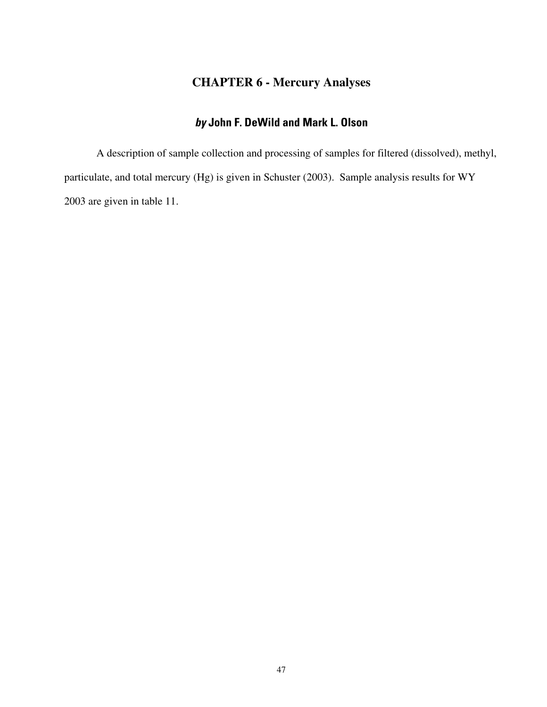# **CHAPTER 6 - Mercury Analyses**

# **by John F. DeWild and Mark L. Olson**

A description of sample collection and processing of samples for filtered (dissolved), methyl, particulate, and total mercury (Hg) is given in Schuster (2003). Sample analysis results for WY 2003 are given in table 11.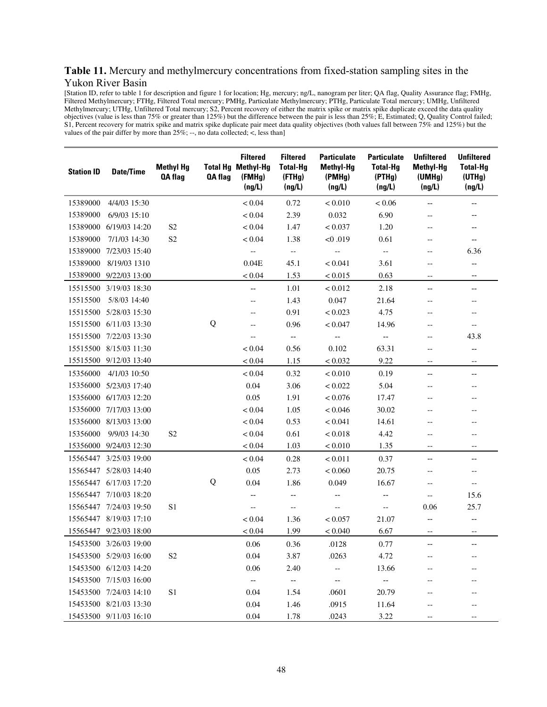#### **Table 11.** Mercury and methylmercury concentrations from fixed-station sampling sites in the Yukon River Basin

[Station ID, refer to table 1 for description and figure 1 for location; Hg, mercury; ng/L, nanogram per liter; QA flag, Quality Assurance flag; FMHg, Filtered Methylmercury; FTHg, Filtered Total mercury; PMHg, Particulate Methylmercury; PTHg, Particulate Total mercury; UMHg, Unfiltered Methylmercury; UTHg, Unfiltered Total mercury; S2, Percent recovery of either the matrix spike or matrix spike duplicate exceed the data quality objectives (value is less than 75% or greater than 125%) but the difference between the pair is less than 25%; E, Estimated; Q, Quality Control failed; S1, Percent recovery for matrix spike and matrix spike duplicate pair meet data quality objectives (both values fall between 75% and 125%) but the values of the pair differ by more than  $25\%$ ; --, no data collected; <, less than]

| <b>Station ID</b> | <b>Date/Time</b>       | <b>Methyl Hg</b><br><b>QA flag</b> | QA flag | <b>Filtered</b><br><b>Total Hg Methyl-Hg</b><br>(FMHq)<br>(ng/L) | <b>Filtered</b><br><b>Total-Hg</b><br>(FTHg)<br>(ng/L) | <b>Particulate</b><br><b>Methyl-Hg</b><br>(PMHg)<br>(ng/L) | <b>Particulate</b><br><b>Total-Hg</b><br>(PTHg)<br>(ng/L) | <b>Unfiltered</b><br><b>Methyl-Hg</b><br>(UMHg)<br>(ng/L) | <b>Unfiltered</b><br><b>Total-Hg</b><br>(UTHg)<br>(ng/L) |
|-------------------|------------------------|------------------------------------|---------|------------------------------------------------------------------|--------------------------------------------------------|------------------------------------------------------------|-----------------------------------------------------------|-----------------------------------------------------------|----------------------------------------------------------|
| 15389000          | 4/4/03 15:30           |                                    |         | < 0.04                                                           | 0.72                                                   | < 0.010                                                    | < 0.06                                                    | $\hspace{0.05cm} \dashrightarrow$                         | --                                                       |
| 15389000          | 6/9/03 15:10           |                                    |         | < 0.04                                                           | 2.39                                                   | 0.032                                                      | 6.90                                                      | $-\, -$                                                   | --                                                       |
| 15389000          | 6/19/03 14:20          | S <sub>2</sub>                     |         | < 0.04                                                           | 1.47                                                   | < 0.037                                                    | 1.20                                                      | $-\, -$                                                   |                                                          |
| 15389000          | 7/1/03 14:30           | S <sub>2</sub>                     |         | < 0.04                                                           | 1.38                                                   | < 0.019                                                    | 0.61                                                      | $-$                                                       | $\overline{\phantom{m}}$                                 |
| 15389000          | 7/23/03 15:40          |                                    |         |                                                                  | $\overline{\phantom{a}}$                               | $\overline{\phantom{a}}$                                   | $\overline{\phantom{a}}$                                  | $\qquad \qquad -$                                         | 6.36                                                     |
| 15389000          | 8/19/03 1310           |                                    |         | 0.04E                                                            | 45.1                                                   | < 0.041                                                    | 3.61                                                      | $-\, -$                                                   | --                                                       |
|                   | 15389000 9/22/03 13:00 |                                    |         | < 0.04                                                           | 1.53                                                   | < 0.015                                                    | 0.63                                                      | $-\, -$                                                   | $-\!$                                                    |
|                   | 15515500 3/19/03 18:30 |                                    |         | --                                                               | 1.01                                                   | < 0.012                                                    | 2.18                                                      | $\overline{\phantom{a}}$                                  | $\qquad \qquad -$                                        |
| 15515500          | 5/8/03 14:40           |                                    |         | $-\!$                                                            | 1.43                                                   | 0.047                                                      | 21.64                                                     | $-\, -$                                                   | $-\, -$                                                  |
| 15515500          | 5/28/03 15:30          |                                    |         |                                                                  | 0.91                                                   | < 0.023                                                    | 4.75                                                      |                                                           |                                                          |
|                   | 15515500 6/11/03 13:30 |                                    | Q       |                                                                  | 0.96                                                   | < 0.047                                                    | 14.96                                                     | $-$                                                       | $\overline{\phantom{m}}$                                 |
|                   | 15515500 7/22/03 13:30 |                                    |         |                                                                  | --                                                     | --                                                         | --                                                        |                                                           | 43.8                                                     |
|                   | 15515500 8/15/03 11:30 |                                    |         | < 0.04                                                           | 0.56                                                   | 0.102                                                      | 63.31                                                     | $-\, -$                                                   | $\overline{\phantom{a}}$                                 |
|                   | 15515500 9/12/03 13:40 |                                    |         | < 0.04                                                           | 1.15                                                   | < 0.032                                                    | 9.22                                                      | $-\, -$                                                   | $-\, -$                                                  |
| 15356000          | 4/1/03 10:50           |                                    |         | < 0.04                                                           | 0.32                                                   | < 0.010                                                    | 0.19                                                      | $\overline{\phantom{m}}$                                  | $\qquad \qquad -$                                        |
| 15356000          | 5/23/03 17:40          |                                    |         | 0.04                                                             | 3.06                                                   | < 0.022                                                    | 5.04                                                      | $-$                                                       | $\qquad \qquad -$                                        |
| 15356000          | 6/17/03 12:20          |                                    |         | 0.05                                                             | 1.91                                                   | < 0.076                                                    | 17.47                                                     | $-$                                                       | $-$                                                      |
|                   | 15356000 7/17/03 13:00 |                                    |         | < 0.04                                                           | 1.05                                                   | < 0.046                                                    | 30.02                                                     |                                                           |                                                          |
| 15356000          | 8/13/03 13:00          |                                    |         | < 0.04                                                           | 0.53                                                   | < 0.041                                                    | 14.61                                                     | $-$                                                       | $-$                                                      |
| 15356000          | 9/9/03 14:30           | S <sub>2</sub>                     |         | < 0.04                                                           | 0.61                                                   | < 0.018                                                    | 4.42                                                      | $-$                                                       | $-$                                                      |
|                   | 15356000 9/24/03 12:30 |                                    |         | < 0.04                                                           | 1.03                                                   | < 0.010                                                    | 1.35                                                      | $-$                                                       | $\overline{\phantom{m}}$                                 |
|                   | 15565447 3/25/03 19:00 |                                    |         | < 0.04                                                           | 0.28                                                   | < 0.011                                                    | 0.37                                                      | $\hspace{0.05cm} \dashrightarrow$                         | $-$                                                      |
|                   | 15565447 5/28/03 14:40 |                                    |         | 0.05                                                             | 2.73                                                   | < 0.060                                                    | 20.75                                                     | $\overline{\phantom{m}}$                                  | $-\, -$                                                  |
|                   | 15565447 6/17/03 17:20 |                                    | Q       | 0.04                                                             | 1.86                                                   | 0.049                                                      | 16.67                                                     | $-\, -$                                                   | $-\,-$                                                   |
|                   | 15565447 7/10/03 18:20 |                                    |         | --                                                               | --                                                     | $\qquad \qquad -$                                          | $\qquad \qquad -$                                         | $-$                                                       | 15.6                                                     |
|                   | 15565447 7/24/03 19:50 | S1                                 |         | $-\!$ –                                                          | $\overline{\phantom{m}}$                               | $-$                                                        | $\overline{\phantom{a}}$                                  | 0.06                                                      | 25.7                                                     |
|                   | 15565447 8/19/03 17:10 |                                    |         | < 0.04                                                           | 1.36                                                   | < 0.057                                                    | 21.07                                                     | $-\!$                                                     | $\qquad \qquad -$                                        |
|                   | 15565447 9/23/03 18:00 |                                    |         | < 0.04                                                           | 1.99                                                   | < 0.040                                                    | 6.67                                                      | $-\,-$                                                    | $-\, -$                                                  |
|                   | 15453500 3/26/03 19:00 |                                    |         | 0.06                                                             | 0.36                                                   | .0128                                                      | 0.77                                                      | $\overline{\phantom{a}}$                                  | $-\!$                                                    |
|                   | 15453500 5/29/03 16:00 | S <sub>2</sub>                     |         | 0.04                                                             | 3.87                                                   | .0263                                                      | 4.72                                                      |                                                           | $-\, -$                                                  |
|                   | 15453500 6/12/03 14:20 |                                    |         | 0.06                                                             | 2.40                                                   | --                                                         | 13.66                                                     |                                                           |                                                          |
|                   | 15453500 7/15/03 16:00 |                                    |         | $\overline{\phantom{a}}$                                         | --                                                     | --                                                         | $\overline{\phantom{a}}$                                  |                                                           |                                                          |
|                   | 15453500 7/24/03 14:10 | S1                                 |         | 0.04                                                             | 1.54                                                   | .0601                                                      | 20.79                                                     |                                                           | --                                                       |
|                   | 15453500 8/21/03 13:30 |                                    |         | 0.04                                                             | 1.46                                                   | .0915                                                      | 11.64                                                     |                                                           | $-\, -$                                                  |
|                   | 15453500 9/11/03 16:10 |                                    |         | 0.04                                                             | 1.78                                                   | .0243                                                      | 3.22                                                      |                                                           | $\hspace{0.05cm}$ $\hspace{0.05cm}$                      |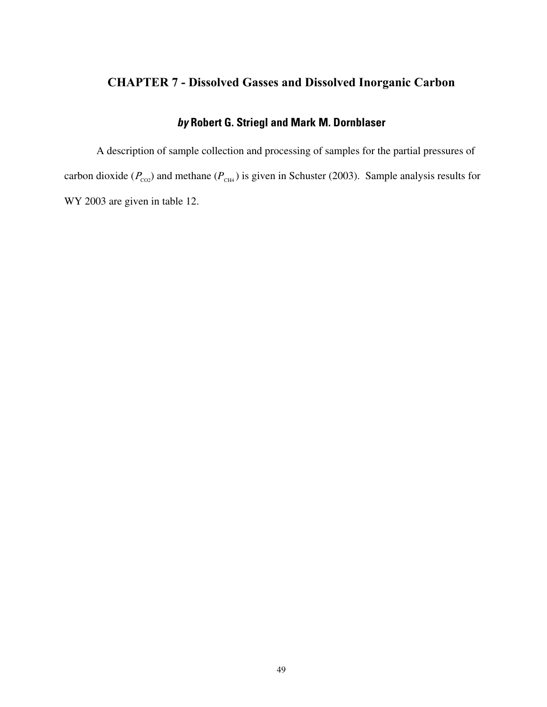# **CHAPTER 7 - Dissolved Gasses and Dissolved Inorganic Carbon**

### **by Robert G. Striegl and Mark M. Dornblaser**

A description of sample collection and processing of samples for the partial pressures of carbon dioxide ( $P_{\text{CO2}}$ ) and methane ( $P_{\text{CH4}}$ ) is given in Schuster (2003). Sample analysis results for WY 2003 are given in table 12.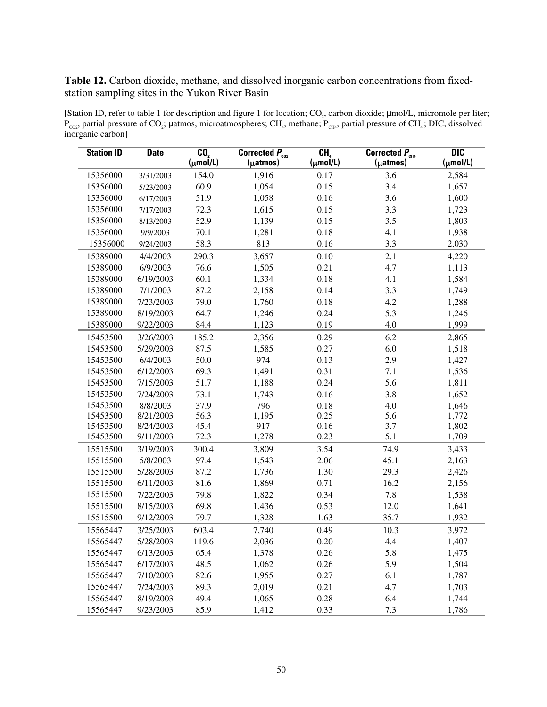Table 12. Carbon dioxide, methane, and dissolved inorganic carbon concentrations from fixedstation sampling sites in the Yukon River Basin

[Station ID, refer to table 1 for description and figure 1 for location;  $CO_2$ , carbon dioxide;  $\mu$ mol/L, micromole per liter;  $P_{\text{CO2}}$ , partial pressure of CO<sub>2</sub>; µatmos, microatmospheres; CH<sub>4</sub>, methane;  $P_{\text{CH4}}$ , partial pressure of CH<sub>4</sub>; DIC, dissolved inorganic carbon]

| <b>Station ID</b> | <b>Date</b> | $\overline{\mathbf{C}\mathbf{0}}$<br>$(\mu \text{mol/L})$ | Corrected $P_{\text{co2}}$<br>(µatmos) | CH <sub>a</sub><br>$(\mu \text{mol/L})$ | Corrected $P_{CH4}$<br>(µatmos) | $\overline{DIC}$<br>$(\mu \text{mol/L})$ |
|-------------------|-------------|-----------------------------------------------------------|----------------------------------------|-----------------------------------------|---------------------------------|------------------------------------------|
| 15356000          | 3/31/2003   | 154.0                                                     | 1,916                                  | 0.17                                    | 3.6                             | 2,584                                    |
| 15356000          | 5/23/2003   | 60.9                                                      | 1,054                                  | 0.15                                    | 3.4                             | 1,657                                    |
| 15356000          | 6/17/2003   | 51.9                                                      | 1,058                                  | 0.16                                    | 3.6                             | 1,600                                    |
| 15356000          | 7/17/2003   | 72.3                                                      | 1,615                                  | 0.15                                    | 3.3                             | 1,723                                    |
| 15356000          | 8/13/2003   | 52.9                                                      | 1,139                                  | 0.15                                    | 3.5                             | 1,803                                    |
| 15356000          | 9/9/2003    | 70.1                                                      | 1,281                                  | 0.18                                    | 4.1                             | 1,938                                    |
| 15356000          | 9/24/2003   | 58.3                                                      | 813                                    | 0.16                                    | 3.3                             | 2,030                                    |
| 15389000          | 4/4/2003    | 290.3                                                     | 3,657                                  | 0.10                                    | 2.1                             | 4,220                                    |
| 15389000          | 6/9/2003    | 76.6                                                      | 1,505                                  | 0.21                                    | 4.7                             | 1,113                                    |
| 15389000          | 6/19/2003   | 60.1                                                      | 1,334                                  | 0.18                                    | 4.1                             | 1,584                                    |
| 15389000          | 7/1/2003    | 87.2                                                      | 2,158                                  | 0.14                                    | 3.3                             | 1,749                                    |
| 15389000          | 7/23/2003   | 79.0                                                      | 1,760                                  | 0.18                                    | 4.2                             | 1,288                                    |
| 15389000          | 8/19/2003   | 64.7                                                      | 1,246                                  | 0.24                                    | 5.3                             | 1,246                                    |
| 15389000          | 9/22/2003   | 84.4                                                      | 1,123                                  | 0.19                                    | 4.0                             | 1,999                                    |
| 15453500          | 3/26/2003   | 185.2                                                     | 2,356                                  | 0.29                                    | 6.2                             | 2,865                                    |
| 15453500          | 5/29/2003   | 87.5                                                      | 1,585                                  | 0.27                                    | 6.0                             | 1,518                                    |
| 15453500          | 6/4/2003    | 50.0                                                      | 974                                    | 0.13                                    | 2.9                             | 1,427                                    |
| 15453500          | 6/12/2003   | 69.3                                                      | 1,491                                  | 0.31                                    | 7.1                             | 1,536                                    |
| 15453500          | 7/15/2003   | 51.7                                                      | 1,188                                  | 0.24                                    | 5.6                             | 1,811                                    |
| 15453500          | 7/24/2003   | 73.1                                                      | 1,743                                  | 0.16                                    | 3.8                             | 1,652                                    |
| 15453500          | 8/8/2003    | 37.9                                                      | 796                                    | 0.18                                    | 4.0                             | 1,646                                    |
| 15453500          | 8/21/2003   | 56.3                                                      | 1,195                                  | 0.25                                    | 5.6                             | 1,772                                    |
| 15453500          | 8/24/2003   | 45.4                                                      | 917                                    | 0.16                                    | 3.7                             | 1,802                                    |
| 15453500          | 9/11/2003   | 72.3                                                      | 1,278                                  | 0.23                                    | 5.1                             | 1,709                                    |
| 15515500          | 3/19/2003   | 300.4                                                     | 3,809                                  | 3.54                                    | 74.9                            | 3,433                                    |
| 15515500          | 5/8/2003    | 97.4                                                      | 1,543                                  | 2.06                                    | 45.1                            | 2,163                                    |
| 15515500          | 5/28/2003   | 87.2                                                      | 1,736                                  | 1.30                                    | 29.3                            | 2,426                                    |
| 15515500          | 6/11/2003   | 81.6                                                      | 1,869                                  | 0.71                                    | 16.2                            | 2,156                                    |
| 15515500          | 7/22/2003   | 79.8                                                      | 1,822                                  | 0.34                                    | 7.8                             | 1,538                                    |
| 15515500          | 8/15/2003   | 69.8                                                      | 1,436                                  | 0.53                                    | 12.0                            | 1,641                                    |
| 15515500          | 9/12/2003   | 79.7                                                      | 1,328                                  | 1.63                                    | 35.7                            | 1,932                                    |
| 15565447          | 3/25/2003   | 603.4                                                     | 7,740                                  | 0.49                                    | 10.3                            | 3,972                                    |
| 15565447          | 5/28/2003   | 119.6                                                     | 2,036                                  | 0.20                                    | 4.4                             | 1,407                                    |
| 15565447          | 6/13/2003   | 65.4                                                      | 1,378                                  | 0.26                                    | 5.8                             | 1,475                                    |
| 15565447          | 6/17/2003   | 48.5                                                      | 1,062                                  | 0.26                                    | 5.9                             | 1,504                                    |
| 15565447          | 7/10/2003   | 82.6                                                      | 1,955                                  | 0.27                                    | 6.1                             | 1,787                                    |
| 15565447          | 7/24/2003   | 89.3                                                      | 2,019                                  | 0.21                                    | 4.7                             | 1,703                                    |
| 15565447          | 8/19/2003   | 49.4                                                      | 1,065                                  | 0.28                                    | 6.4                             | 1,744                                    |
| 15565447          | 9/23/2003   | 85.9                                                      | 1,412                                  | 0.33                                    | 7.3                             | 1,786                                    |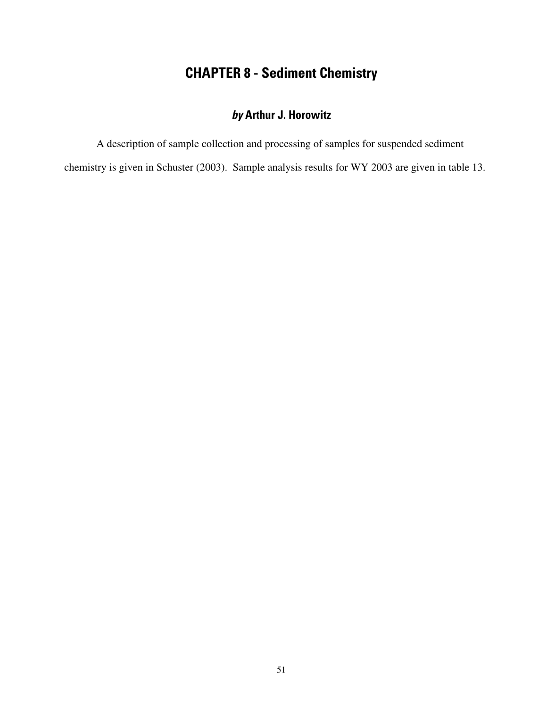# **CHAPTER 8 - Sediment Chemistry**

# **by Arthur J. Horowitz**

A description of sample collection and processing of samples for suspended sediment

chemistry is given in Schuster (2003). Sample analysis results for WY 2003 are given in table 13.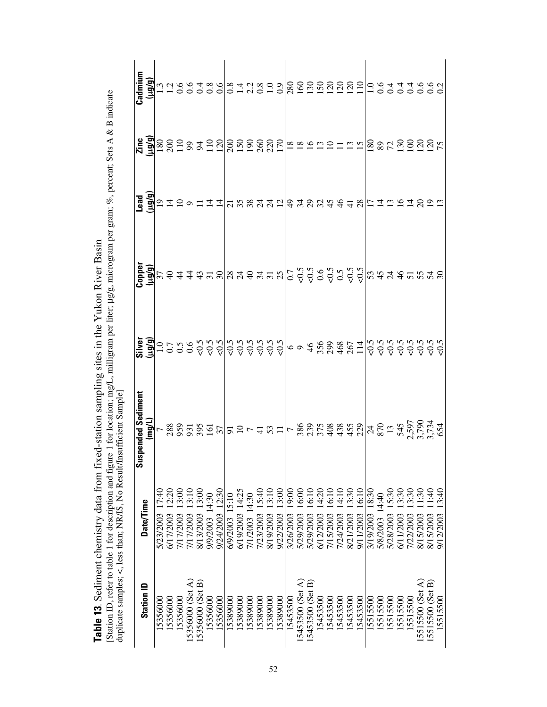**Table 13**. Sediment chemistry data from fixed-station sampling sites in the Yukon River Basin<br>[Station ID, refer to table 1 for description and figure 1 for location; mg/L, milligram per liter;  $\mu$ g/g, microgram per gra [Station ID, refer to table 1 for description and figure 1 for location; mg/L, milligram per liter; µg/g, microgram per gram; %, percent; Sets A & B indicate **Table 13**. Sediment chemistry data from fixed-station sampling sites in the Yukon River Basin

| <b>Station ID</b> | <b>Date/Time</b>     | $\frac{1}{25} \frac{1}{25} \frac{1}{25} \frac{1}{25} \frac{1}{25} \frac{1}{25} \frac{1}{25} \frac{1}{25} \frac{1}{25} \frac{1}{25} \frac{1}{25} \frac{1}{25} \frac{1}{25} \frac{1}{25} \frac{1}{25} \frac{1}{25} \frac{1}{25} \frac{1}{25} \frac{1}{25} \frac{1}{25} \frac{1}{25} \frac{1}{25} \frac{1}{25} \frac{1}{25} \frac{1}{25} \frac{1}{25} \frac{1}{25} \frac{1$ | $\frac{a}{2} = \frac{a}{2}$ |  |
|-------------------|----------------------|--------------------------------------------------------------------------------------------------------------------------------------------------------------------------------------------------------------------------------------------------------------------------------------------------------------------------------------------------------------------------|-----------------------------|--|
|                   |                      |                                                                                                                                                                                                                                                                                                                                                                          |                             |  |
| 5356000           | 7:40<br>5/23/2003    |                                                                                                                                                                                                                                                                                                                                                                          |                             |  |
| 15356000          | 12:20<br>6/17/2003   |                                                                                                                                                                                                                                                                                                                                                                          |                             |  |
| 15356000          | 13:00<br>7/17/2003   |                                                                                                                                                                                                                                                                                                                                                                          |                             |  |
| 5356000 (Set A)   | 13:10<br>7/17/2003   |                                                                                                                                                                                                                                                                                                                                                                          |                             |  |
| [5356000 (Set B)  | 13:00<br>8/13/2003   |                                                                                                                                                                                                                                                                                                                                                                          |                             |  |
| 15356000          | 9/9/2003 14:30       |                                                                                                                                                                                                                                                                                                                                                                          |                             |  |
| 5356000           | 9/24/2003 12:30      |                                                                                                                                                                                                                                                                                                                                                                          |                             |  |
| 5389000           | 6/9/2003 15:10       |                                                                                                                                                                                                                                                                                                                                                                          |                             |  |
| 5389000           | 14:25<br>6/19/2003   |                                                                                                                                                                                                                                                                                                                                                                          |                             |  |
| 5389000           | 7/1/2003 14:30       |                                                                                                                                                                                                                                                                                                                                                                          |                             |  |
| 5389000           | 7/23/2003 15:40      |                                                                                                                                                                                                                                                                                                                                                                          |                             |  |
| 5389000           | 13:10<br>8/19/2003   |                                                                                                                                                                                                                                                                                                                                                                          |                             |  |
| 5389000           | 13:00<br>9/22/2003   |                                                                                                                                                                                                                                                                                                                                                                          |                             |  |
| 15453500          | 00:61<br>3/26/2003   |                                                                                                                                                                                                                                                                                                                                                                          |                             |  |
| 5453500 (Set A    | 16:00<br>5/29/2003   |                                                                                                                                                                                                                                                                                                                                                                          |                             |  |
| 5453500 (Set B)   | 6:10<br>5/29/2003    |                                                                                                                                                                                                                                                                                                                                                                          |                             |  |
| 5453500           | 4:20<br>6/12/2003    |                                                                                                                                                                                                                                                                                                                                                                          |                             |  |
| 5453500           | 16:10<br>7/15/2003   |                                                                                                                                                                                                                                                                                                                                                                          |                             |  |
| 5453500           | 14:10<br>7/24/2003   |                                                                                                                                                                                                                                                                                                                                                                          |                             |  |
| 5453500           | 3:30<br>8/21/2003    |                                                                                                                                                                                                                                                                                                                                                                          |                             |  |
| 5453500           | 16:10<br>9/11/2003   |                                                                                                                                                                                                                                                                                                                                                                          |                             |  |
| 5515500           | 3/19/2003 18:30      |                                                                                                                                                                                                                                                                                                                                                                          |                             |  |
| 5515500           | 5/8/2003 14:40       |                                                                                                                                                                                                                                                                                                                                                                          |                             |  |
| 5515500           | 15:30<br>5/28/2003   |                                                                                                                                                                                                                                                                                                                                                                          |                             |  |
| 5515500           | 13:30<br>6/11/2003   |                                                                                                                                                                                                                                                                                                                                                                          |                             |  |
| 15515500          | 13:30<br>7/22/2003   |                                                                                                                                                                                                                                                                                                                                                                          |                             |  |
| 15515500 (Set A)  | 1:30<br>8/15/2003    |                                                                                                                                                                                                                                                                                                                                                                          |                             |  |
| 15515500 (Set B)  | $-1:40$<br>8/15/2003 |                                                                                                                                                                                                                                                                                                                                                                          |                             |  |
| 15515500          | 3:40<br>9/12/2003    |                                                                                                                                                                                                                                                                                                                                                                          |                             |  |
|                   |                      |                                                                                                                                                                                                                                                                                                                                                                          |                             |  |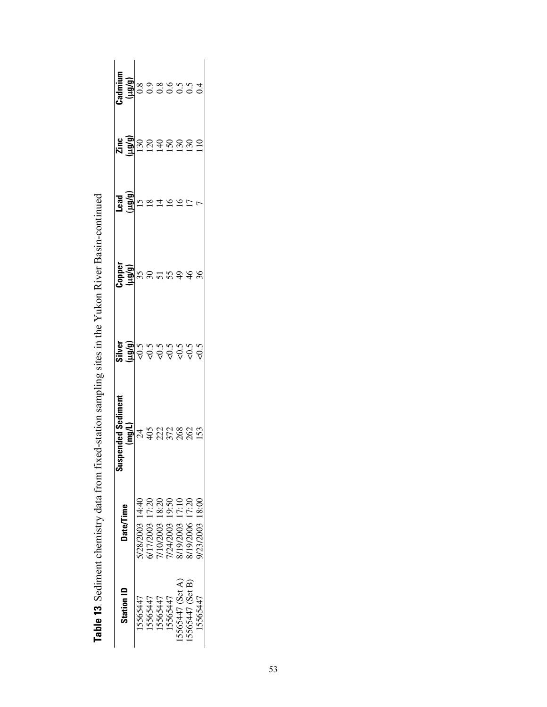| <b>Station ID</b> | <b>Date/Time</b>  | ended Sedimer<br>Susp | $\frac{\sin \theta}{\sin \theta}$ $\frac{\sin \theta}{\cos \theta}$ $\cos \theta$ $\cos \theta$ $\cos \theta$ $\cos \theta$ | apper<br>الولايا<br>35 | p/Brt<br>ead | <b>្រុម</b><br><b>មន្ទ្រី</b> ១ ១<br>មន្ទ្រី | <b>Edmium</b><br><b>Lug(g)</b><br>COCOCOCOCO<br>COCOCOCOCO |
|-------------------|-------------------|-----------------------|-----------------------------------------------------------------------------------------------------------------------------|------------------------|--------------|----------------------------------------------|------------------------------------------------------------|
| 15565447          | 128/2003 14:40    | $\mathcal{Z}$         |                                                                                                                             |                        |              |                                              |                                                            |
| 5565447           | /17/2003 17:20    |                       |                                                                                                                             |                        |              |                                              |                                                            |
| 15565447          | /10/2003 18:20    | 522882                |                                                                                                                             |                        |              | $\Xi$                                        |                                                            |
| 15565447          | 19:50<br>/24/2003 |                       |                                                                                                                             |                        |              |                                              |                                                            |
| 5565447 (Set A)   | 19/2003 17:10     |                       |                                                                                                                             | $\frac{6}{4}$          |              | $\frac{150}{130}$                            |                                                            |
| 5565447 (Set B)   | 19/2006 17:20     |                       |                                                                                                                             |                        |              |                                              |                                                            |
| 15565447          | 0.81 2003/2009    | 153                   |                                                                                                                             |                        |              |                                              |                                                            |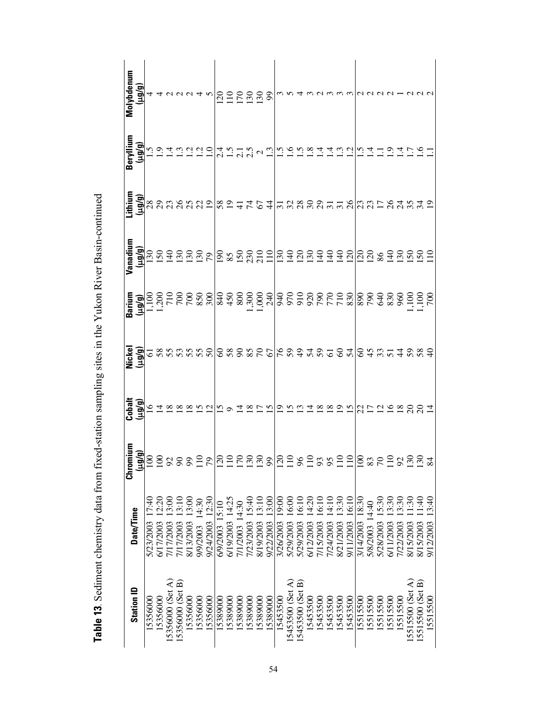| <b>Station ID</b> | Date/Time                     | 틔<br>Chromi<br>Йñт) | Cobalt<br>1հեզ                         | Nickel<br>(روروبا              |  | (P/Bri | Beryllium                                                              | Molybdenum<br>(و/وبيا             |
|-------------------|-------------------------------|---------------------|----------------------------------------|--------------------------------|--|--------|------------------------------------------------------------------------|-----------------------------------|
| 15356000          | 17:40<br>5/23/2003            | $\overline{0}$      |                                        |                                |  |        |                                                                        |                                   |
| 5356000           | 6/17/2003                     | $\overline{6}$      |                                        |                                |  |        |                                                                        |                                   |
| 15356000 (Set A)  | 7/17/2003                     | $\mathcal{S}$       |                                        |                                |  |        |                                                                        |                                   |
| 15356000 (Set B)  | 13:10<br>7/17/2003            | $\infty$            |                                        |                                |  |        |                                                                        |                                   |
| 5356000           | 13:00<br>8/13/2003            | 99                  |                                        |                                |  |        |                                                                        |                                   |
| 15356000          | 14:30<br>9/9/2003             | $\Xi$               |                                        |                                |  |        |                                                                        |                                   |
| 15356000          | 12:30<br>9/24/2003            | 79                  |                                        | $8888888886688482288848348884$ |  |        | $\begin{bmatrix} \mathbf{G} \\ \mathbf{G} \\ \mathbf{G} \end{bmatrix}$ | $4499940$ $\frac{1255228}{12552}$ |
| 5389000           | 6/9/2003 15:10                | $\mathcal{L}$       |                                        |                                |  |        |                                                                        |                                   |
| 5389000           | 6/19/2003 14:25               | $\Xi$               |                                        |                                |  |        |                                                                        |                                   |
| 5389000           | 7/1/2003 14:30                | $\overline{70}$     |                                        |                                |  |        |                                                                        |                                   |
| 5389000           | 15:40<br>7/23/2003            | $\mathcal{S}$       |                                        |                                |  |        |                                                                        |                                   |
| 5389000           | 13:10<br>8/19/2003            | $\overline{30}$     |                                        |                                |  |        |                                                                        |                                   |
| 5389000           | <u>ونۍ</u><br>9/22/2003       | g                   |                                        |                                |  |        |                                                                        |                                   |
| 15453500          | 00:6<br>3/26/2003             | $\overline{20}$     |                                        |                                |  |        |                                                                        |                                   |
| [5453500 (Set A)  | 6.00<br>5/29/2003             | $\Xi$               |                                        |                                |  |        |                                                                        |                                   |
| [5453500 (Set B)  | 6.10<br>5/29/2003             | 96                  |                                        |                                |  |        |                                                                        |                                   |
| 15453500          | 4:20<br>6/12/2003             | 10                  |                                        |                                |  |        |                                                                        |                                   |
| 5453500           | 6:10<br>7/15/2003             | 93                  |                                        |                                |  |        |                                                                        |                                   |
| 5453500           | $rac{1}{4}$<br>7/24/2003      | 95                  |                                        |                                |  |        |                                                                        |                                   |
| 5453500           | 3:30<br>8/21/2003             | $\Xi$               |                                        |                                |  |        |                                                                        |                                   |
| 5453500           | $\frac{1}{6}$<br>9/11/2003    | $\approx$           | 11 21 21 21 21 22 21 22 22 24 25 26 27 |                                |  |        |                                                                        |                                   |
| 5515500           | 8.30<br>3/14/2003             | $\overline{8}$      |                                        |                                |  |        |                                                                        |                                   |
| 15515500          | 5/8/2003 14:40                | 83                  |                                        |                                |  |        |                                                                        |                                   |
| 5515500           | 15:30<br>5/28/2003            | $\overline{2}$      |                                        |                                |  |        |                                                                        |                                   |
| 15515500          | 3.30<br>6/11/2003             | $\overline{10}$     |                                        |                                |  |        |                                                                        |                                   |
| 15515500          | 3:30<br>7/22/2003             | 92                  |                                        |                                |  |        |                                                                        |                                   |
| 15515500 (Set A)  | $\widetilde{30}$<br>8/15/2003 | 130                 |                                        |                                |  |        |                                                                        |                                   |
| 15515500 (Set B)  | $\frac{40}{5}$<br>8/15/2003   | 130                 |                                        |                                |  |        |                                                                        |                                   |
| 15515500          | 3:40<br>9/12/2003             | 84                  |                                        |                                |  |        |                                                                        |                                   |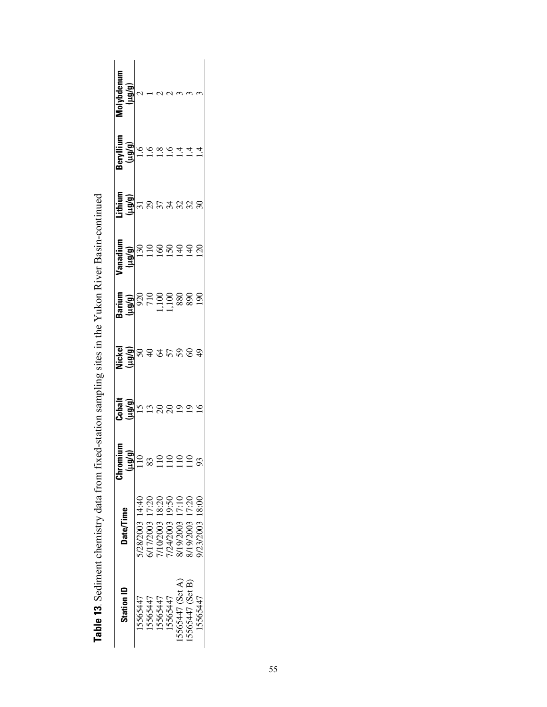| <b>Station ID</b> | <b>Date/Time</b> | ≣<br>Chromiu<br>(brith) | Cobalt<br>(µg/g) | Nickel<br>(6/6n) | Barium<br>(hā/ār                    | Vanadium<br>(hih)                        | .ithium<br>(P/Brl) | Beryllium<br>(hin) | Molybdenum<br>(hin) |
|-------------------|------------------|-------------------------|------------------|------------------|-------------------------------------|------------------------------------------|--------------------|--------------------|---------------------|
| 15565447          | 5/28/2003 14:40  | $\frac{1}{2}$           |                  |                  |                                     |                                          |                    | $\overline{6}$     |                     |
| 5565447           | 6/17/2003 17:20  |                         | $15 \Omega$      | <b>SSTPSS</b>    | 920<br>7100<br>1100<br>1100<br>1388 | $\begin{array}{c} 30 \\ 110 \end{array}$ | តនិក្ខុងនាន្ល      |                    |                     |
| 15565447          | 7/10/2003 18:20  | 2920                    |                  |                  |                                     |                                          |                    | $\dot{\infty}$     |                     |
| 15565447          | 1/24/2003 19:50  |                         | $\frac{8}{20}$   |                  |                                     |                                          |                    | ڣ                  |                     |
| 15565447 (Set A)  | 8/19/2003 17:10  |                         |                  |                  |                                     |                                          |                    | 4.                 |                     |
| 15565447 (Set B)  | 8/19/2003 17:20  | 110                     | $\frac{9}{19}$   |                  | 890<br>190                          | SSH48                                    |                    | 4.                 |                     |
| 15565447          | 9/23/2003 18:00  | 93                      | $\overline{16}$  | $\overline{9}$   |                                     |                                          |                    |                    |                     |

| $-1 - 1$                                 |   |
|------------------------------------------|---|
| $\mathbf{r}$                             |   |
|                                          |   |
| ׇׇ֧֖֖֖֖֧֚֚֚֚֚֚֚֚֚֚֚֡֝֓ <u>֚</u><br>֧֪֪֪֧ | ĺ |
|                                          |   |
| いっこくし                                    |   |
|                                          |   |
|                                          |   |
|                                          |   |
|                                          |   |
|                                          |   |
|                                          |   |
| $\frac{1}{2}$                            |   |
|                                          |   |
|                                          |   |
|                                          |   |
|                                          |   |
|                                          |   |
|                                          |   |
|                                          |   |
|                                          |   |
|                                          |   |
| -<br>-                                   |   |
| í<br>F                                   |   |
|                                          |   |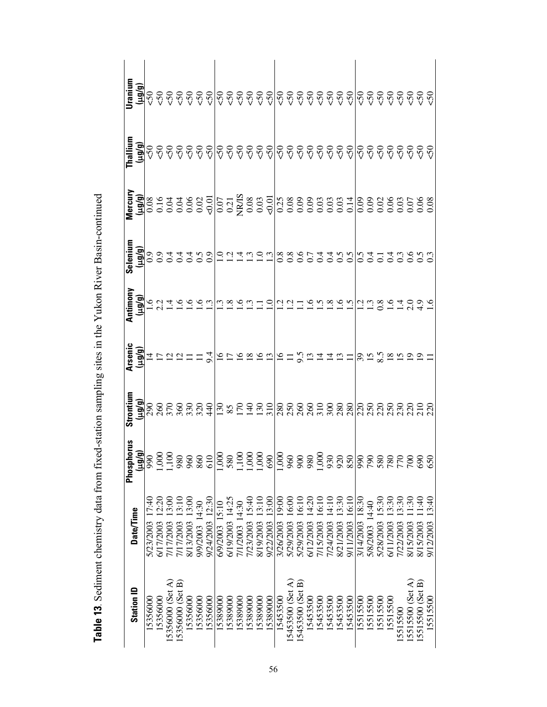| <b>Station ID</b> | Date/Time                              | Alphorus<br>( <u>pug/g)</u><br>(pug/g)<br>(1,000<br>1,100<br>Phosph | Strontium | <b>E SALA PERIODE PROFESSIONALE PROPERTIAL PROPERTY AND PERIODE PROPERTY AND PROPER SUPPLY AND PROPER SUPPLY AND P</b><br><b>E SALA PERIODE PROPERTY AND PROPER SUPPLY AND PROPER SUPPLY AND PROPERTY AND PROPERTY AND PROPERTY AND PROP</b> | Seleniun | <b></b> | ।<br>ਛੁੱਡ੍ਰੇ ଟ ଟ ଟ ଟ ଟ ଟ ମ୍ବାଟ ଟ ଟ ଟ ଟ ଟ ଟ ଟ ଟ ଟ ଟ ଟ ଟ ଟ ମ୍ବାଟ ଟ ଟ ଟ ଟ ଟ ଟ ଟ |
|-------------------|----------------------------------------|---------------------------------------------------------------------|-----------|----------------------------------------------------------------------------------------------------------------------------------------------------------------------------------------------------------------------------------------------|----------|---------|------------------------------------------------------------------------------|
| 5356000           | 5/23/2003                              |                                                                     |           |                                                                                                                                                                                                                                              |          |         |                                                                              |
| 15356000          | 6/17/2003                              |                                                                     |           |                                                                                                                                                                                                                                              |          |         |                                                                              |
| 15356000 (Set A)  | 3.00<br>7/17/2003                      |                                                                     |           |                                                                                                                                                                                                                                              |          |         |                                                                              |
| 15356000 (Set B)  | 7/17/2003 13:10                        | 980                                                                 |           |                                                                                                                                                                                                                                              |          |         |                                                                              |
| 5356000           | 13:00<br>8/13/2003                     | 960                                                                 |           |                                                                                                                                                                                                                                              |          |         |                                                                              |
| 15356000          | 9/9/2003 14:30                         | 860                                                                 |           |                                                                                                                                                                                                                                              |          |         |                                                                              |
| 5356000           | 9/24/2003 12:30                        | 610                                                                 |           |                                                                                                                                                                                                                                              |          |         |                                                                              |
| 5389000           | 6/9/2003 15:10                         | 1,000                                                               |           |                                                                                                                                                                                                                                              |          |         |                                                                              |
| 5389000           | 6/19/2003 14:25                        | 580                                                                 |           |                                                                                                                                                                                                                                              |          |         |                                                                              |
| 5389000           | 7/1/2003 14:30                         |                                                                     |           |                                                                                                                                                                                                                                              |          |         |                                                                              |
| 5389000           | 15:40<br>1/23/2003                     |                                                                     |           |                                                                                                                                                                                                                                              |          |         |                                                                              |
| 5389000           | 13:10<br>8/19/2003                     |                                                                     |           |                                                                                                                                                                                                                                              |          |         |                                                                              |
| 5389000           | 13:00<br>9/22/2003                     | 690                                                                 |           |                                                                                                                                                                                                                                              |          |         |                                                                              |
| 15453500          | 9:00<br>3/26/2003                      | 1,000                                                               |           |                                                                                                                                                                                                                                              |          |         |                                                                              |
| 15453500 (Set A)  | 6.00<br>5/29/2003                      | 960                                                                 |           |                                                                                                                                                                                                                                              |          |         |                                                                              |
| [5453500 (Set B)  | 610<br>5/29/2003                       | 900                                                                 |           |                                                                                                                                                                                                                                              |          |         |                                                                              |
| 15453500          | 4:20<br>6/12/2003                      | 980                                                                 |           |                                                                                                                                                                                                                                              |          |         |                                                                              |
| 5453500           | $\frac{6}{10}$<br>7/15/2003            | 1,000                                                               |           |                                                                                                                                                                                                                                              |          |         |                                                                              |
| 5453500           | $\frac{1}{4}$ :10<br>1/24/2003         | 930                                                                 |           |                                                                                                                                                                                                                                              |          |         |                                                                              |
| 5453500           | 3:30<br>8/21/2003                      | 920                                                                 |           |                                                                                                                                                                                                                                              |          |         |                                                                              |
| 5453500           | 6:10<br>9/11/2003                      | 850                                                                 |           |                                                                                                                                                                                                                                              |          |         |                                                                              |
| 5515500           | 18:30<br>3/14/2003                     | 990                                                                 |           |                                                                                                                                                                                                                                              |          |         |                                                                              |
| 15515500          | 5/8/2003 14:40                         | 790                                                                 |           |                                                                                                                                                                                                                                              |          |         |                                                                              |
| 5515500           | 15:30<br>5/28/2003                     | 580                                                                 |           |                                                                                                                                                                                                                                              |          |         |                                                                              |
| 15515500          | 3:30<br>5/11/2003                      | 780                                                                 |           |                                                                                                                                                                                                                                              |          |         |                                                                              |
| 15515500          | 3:30<br>1/22/2003                      | 770                                                                 |           |                                                                                                                                                                                                                                              |          |         |                                                                              |
| [5515500 (Set A)  | $\widetilde{\mathbb{S}}0$<br>8/15/2003 | 700                                                                 |           |                                                                                                                                                                                                                                              |          |         |                                                                              |
| 5515500 (Set B)   | $\frac{1}{2}$<br>8/15/2003             | 690                                                                 |           |                                                                                                                                                                                                                                              |          |         |                                                                              |
| 15515500          | 3:40<br>9/12/2003                      | 650                                                                 |           |                                                                                                                                                                                                                                              |          |         |                                                                              |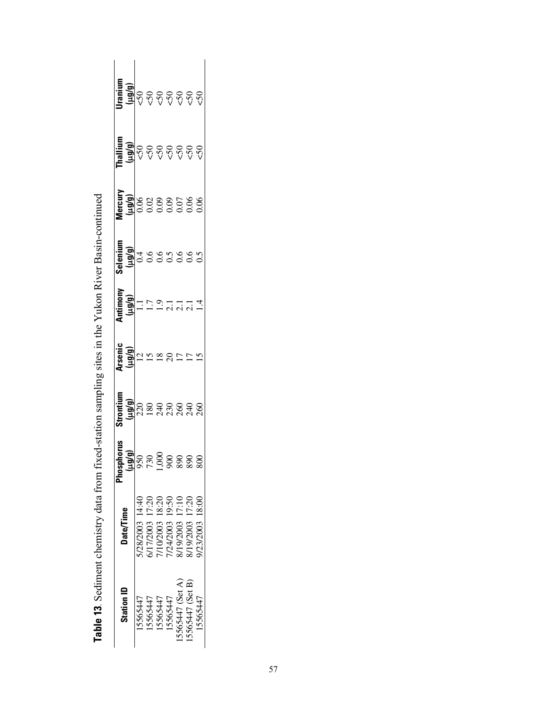| Station ID      | <b>Date/Time</b>     | Phosphorus<br>(prám) | Strontium<br>(hin) | Arsenic<br>(bíbri) | Antimony<br>(britr) | Selenium<br>(b/brl) | Mercury<br>(p/011) | <b>Thallium</b><br>(و/وبرا | Jranium<br>(و/وسا |
|-----------------|----------------------|----------------------|--------------------|--------------------|---------------------|---------------------|--------------------|----------------------------|-------------------|
| 15565447        | 5/28/2003 14:40      | 950                  |                    |                    | Ξ                   | 0.4                 |                    | $\overline{50}$            |                   |
| 15565447        | 6/17/2003 17:20      |                      |                    |                    | $\overline{1}$      | 0.6                 |                    | $\mathcal{L}$              |                   |
| 15565447        | 7/10/2003 18:20      |                      | $288728888$        | $\frac{8}{1}$      | $\overline{6}$      |                     | 8888588<br>6888588 | $\overline{50}$            | <b>99999</b>      |
| 15565447        | 1/24/2003 19:50      |                      |                    |                    | ್ಷ                  |                     |                    | $\sim$                     |                   |
| 5565447 (Set A) | 17:10<br>8/19/2003   |                      |                    |                    | 2.1                 | 0.56                |                    | $\varsigma$ <sub>5</sub>   |                   |
| 5565447 (Set B) | 17:20<br>8/19/2003 1 |                      |                    |                    | $\overline{c}$      | 0.5                 |                    | $\overline{50}$            | $\overline{50}$   |
| 15565447        | 18:00<br>9/23/2003   |                      |                    |                    |                     |                     |                    | $\overline{50}$            | $\overline{5}$    |

| I                    |
|----------------------|
|                      |
| l                    |
|                      |
|                      |
|                      |
| $\overline{a}$       |
|                      |
|                      |
|                      |
| こくしょう うちょうしょう ちょうしょう |
|                      |
|                      |
|                      |
|                      |
| i<br>Second          |
| ׇֺ֚֡֡                |
|                      |
|                      |
|                      |
|                      |
| ا<br>ا               |
|                      |
|                      |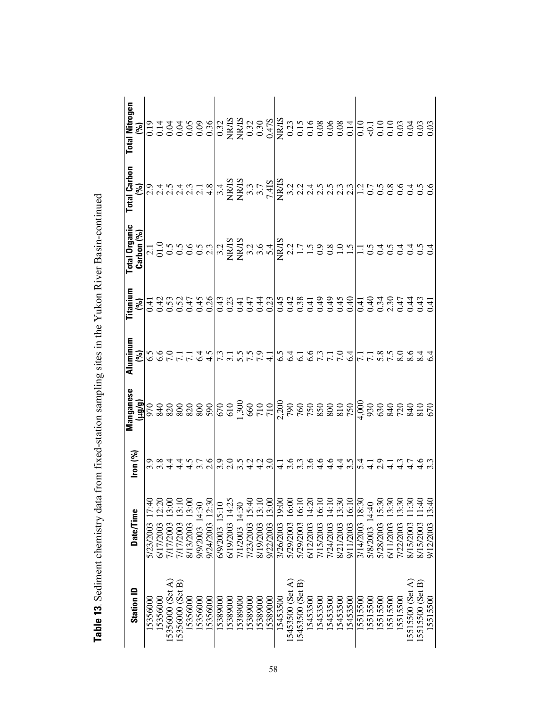|                   |                      |                                                                                                                            |           |  |  | Total Nitrogen |
|-------------------|----------------------|----------------------------------------------------------------------------------------------------------------------------|-----------|--|--|----------------|
| <b>Station ID</b> | <b>Date/Time</b>     | Iron (%)                                                                                                                   | Manganese |  |  |                |
| 15356000          | 5/23/2003 17:40      |                                                                                                                            |           |  |  |                |
| 15356000          | 12:20<br>6/17/2003   |                                                                                                                            |           |  |  |                |
| 15356000 (Set A)  | 13:00<br>7/17/2003   |                                                                                                                            |           |  |  |                |
| 15356000 (Set B)  | 13:10<br>7/17/2003   |                                                                                                                            |           |  |  |                |
| 15356000          | 13:00<br>8/13/2003   |                                                                                                                            |           |  |  |                |
| 15356000          | 9/9/2003 14:30       |                                                                                                                            |           |  |  |                |
| 15356000          | 9/24/2003 12:30      | o x q q n c v c o x q q d q m x q q q q q m x q q q q q q q q<br>o x q q n c v c o x q d d d m x q q q q q q q q q q q q q |           |  |  |                |
| 15389000          | 6/9/2003 15:10       |                                                                                                                            |           |  |  |                |
| 15389000          | 6/19/2003 14:25      |                                                                                                                            |           |  |  |                |
| 5389000           | 7/1/2003 14:30       |                                                                                                                            |           |  |  |                |
| 15389000          | 15:40<br>7/23/2003   |                                                                                                                            |           |  |  |                |
| 15389000          | 8/19/2003 13:10      |                                                                                                                            |           |  |  |                |
| 5389000           | 13:00<br>9/22/2003   |                                                                                                                            |           |  |  |                |
| 15453500          | 19:00<br>3/26/2003   |                                                                                                                            |           |  |  |                |
| [5453500 (Set A)  | 16:00<br>5/29/2003   |                                                                                                                            |           |  |  |                |
| [5453500 (Set B)  | 16:10<br>5/29/2003   |                                                                                                                            |           |  |  |                |
| 15453500          | 14:20<br>6/12/2003   |                                                                                                                            |           |  |  |                |
| 15453500          | 16:10<br>7/15/2003   |                                                                                                                            |           |  |  |                |
| 15453500          | 14:10<br>7/24/2003   |                                                                                                                            |           |  |  |                |
| 15453500          | 13:30<br>8/21/2003   |                                                                                                                            |           |  |  |                |
| 5453500           | 16:10<br>9/11/2003   |                                                                                                                            |           |  |  |                |
| 5515500           | 18:30<br>3/14/2003   |                                                                                                                            |           |  |  |                |
| 15515500          | 5/8/2003 14:40       |                                                                                                                            |           |  |  |                |
| 15515500          | 15:30<br>5/28/2003 1 |                                                                                                                            |           |  |  |                |
| 15515500          | 13:30<br>6/11/2003   |                                                                                                                            |           |  |  |                |
| 15515500          | 13:30<br>7/22/2003   |                                                                                                                            |           |  |  |                |
| 15515500 (Set A)  | 1:30<br>8/15/2003    |                                                                                                                            |           |  |  |                |
| 15515500 (Set B)  | 1:40<br>8/15/2003    |                                                                                                                            |           |  |  |                |
| 15515500          | 3:40<br>9/12/2003    |                                                                                                                            |           |  |  |                |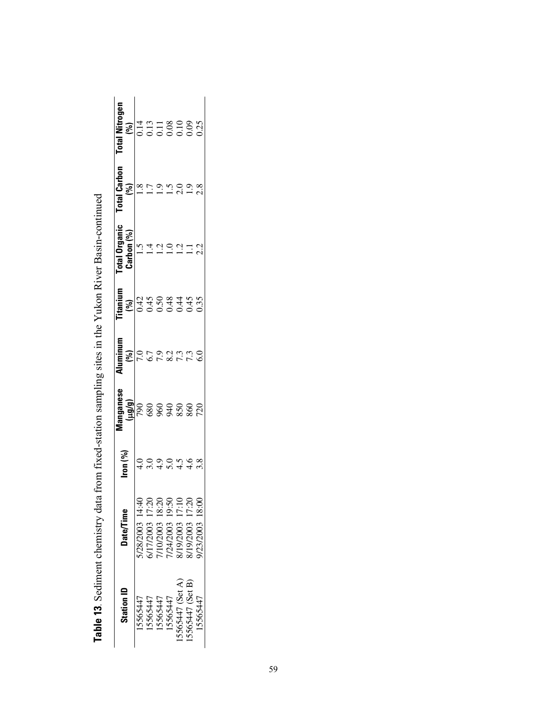| <b>Station ID</b> | <b>Date/Time</b> | $\frac{1}{2}$ on $\binom{9}{0}$ | anganese<br>(p/an) | luminum      | <b>utanium</b> | tal Organic                | <b>Hal Carhon</b> | otal Nitrone<br>(96) |
|-------------------|------------------|---------------------------------|--------------------|--------------|----------------|----------------------------|-------------------|----------------------|
| 15565447          | /28/2003 14:40   |                                 |                    | 7.0          | 80.45084455    | <b>Carbon (%)</b><br>$1.5$ | $\frac{18}{1.8}$  |                      |
| 15565447          | 17/2003 17:20    |                                 | <b>88888887</b>    | 6.7          |                |                            |                   |                      |
| 15565447          | //10/2003 18:20  |                                 |                    | 7873<br>7873 |                |                            |                   |                      |
| 15565447          | 1/24/2003 19:50  | 5.0                             |                    |              |                |                            | $\ddot{.}$        |                      |
| 5565447 (Set A)   | 19/2003 17:10    |                                 |                    |              |                |                            |                   |                      |
| 5565447 (Set B)   | 8/19/2003 17:20  |                                 |                    |              |                | $\frac{21}{11}$            |                   |                      |
| 15565447          | 00:81 2002/2003  |                                 |                    |              |                |                            |                   |                      |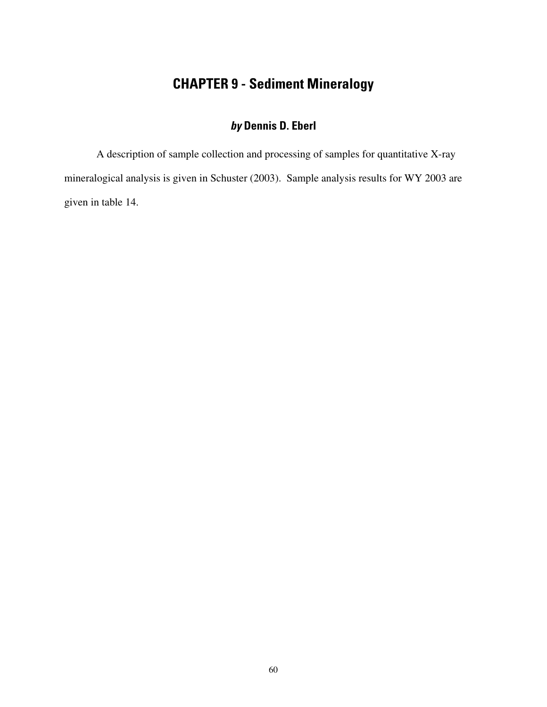# **CHAPTER 9 - Sediment Mineralogy**

# **by Dennis D. Eberl**

A description of sample collection and processing of samples for quantitative X-ray mineralogical analysis is given in Schuster (2003). Sample analysis results for WY 2003 are given in table 14.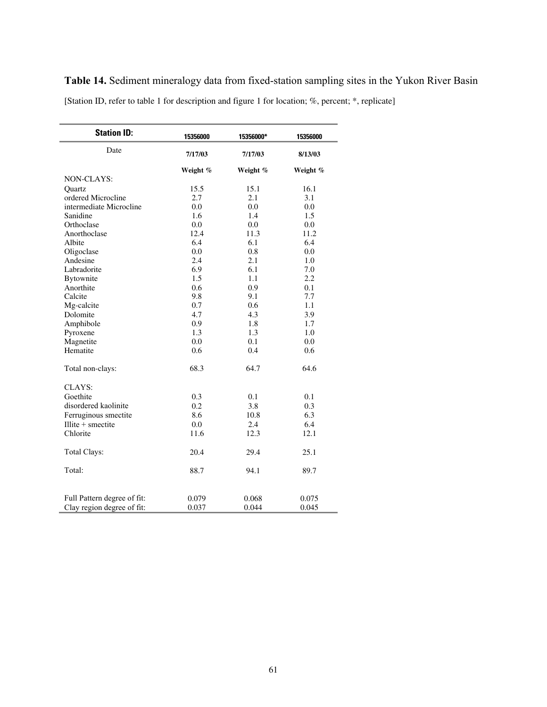[Station ID, refer to table 1 for description and figure 1 for location; %, percent; \*, replicate]

| <b>Station ID:</b>          | 15356000 | 15356000* | 15356000 |
|-----------------------------|----------|-----------|----------|
| Date                        | 7/17/03  | 7/17/03   | 8/13/03  |
|                             | Weight % | Weight %  | Weight % |
| <b>NON-CLAYS:</b>           |          |           |          |
| Quartz                      | 15.5     | 15.1      | 16.1     |
| ordered Microcline          | 2.7      | 2.1       | 3.1      |
| intermediate Microcline     | 0.0      | 0.0       | 0.0      |
| Sanidine                    | 1.6      | 1.4       | 1.5      |
| Orthoclase                  | 0.0      | 0.0       | 0.0      |
| Anorthoclase                | 12.4     | 11.3      | 11.2     |
| Albite                      | 6.4      | 6.1       | 6.4      |
| Oligoclase                  | 0.0      | 0.8       | 0.0      |
| Andesine                    | 2.4      | 2.1       | 1.0      |
| Labradorite                 | 6.9      | 6.1       | 7.0      |
| Bytownite                   | 1.5      | 1.1       | 2.2      |
| Anorthite                   | 0.6      | 0.9       | 0.1      |
| Calcite                     | 9.8      | 9.1       | 7.7      |
| Mg-calcite                  | 0.7      | 0.6       | 1.1      |
| Dolomite                    | 4.7      | 4.3       | 3.9      |
| Amphibole                   | 0.9      | 1.8       | 1.7      |
| Pyroxene                    | 1.3      | 1.3       | 1.0      |
| Magnetite                   | 0.0      | 0.1       | 0.0      |
| Hematite                    | 0.6      | 0.4       | 0.6      |
| Total non-clays:            | 68.3     | 64.7      | 64.6     |
| CLAYS:                      |          |           |          |
| Goethite                    | 0.3      | 0.1       | 0.1      |
| disordered kaolinite        | 0.2      | 3.8       | 0.3      |
| Ferruginous smectite        | 8.6      | 10.8      | 6.3      |
| Illite $+$ smectite         | 0.0      | 2.4       | 6.4      |
| Chlorite                    | 11.6     | 12.3      | 12.1     |
| Total Clays:                | 20.4     | 29.4      | 25.1     |
| Total:                      | 88.7     | 94.1      | 89.7     |
|                             |          |           |          |
| Full Pattern degree of fit: | 0.079    | 0.068     | 0.075    |
| Clay region degree of fit:  | 0.037    | 0.044     | 0.045    |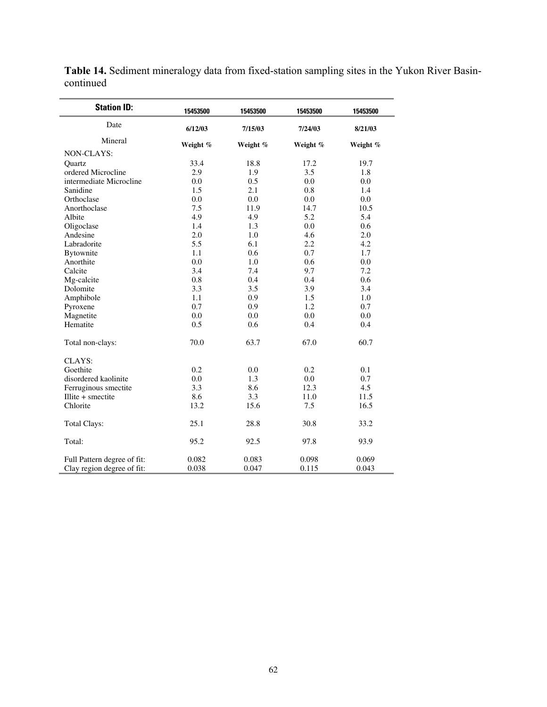| <b>Station ID:</b>                                        | 15453500       | 15453500       | 15453500       | 15453500       |
|-----------------------------------------------------------|----------------|----------------|----------------|----------------|
| Date                                                      | 6/12/03        | 7/15/03        | 7/24/03        | 8/21/03        |
| Mineral                                                   | Weight %       | Weight %       | Weight %       | Weight %       |
| NON-CLAYS:                                                |                |                |                |                |
| Quartz                                                    | 33.4           | 18.8           | 17.2           | 19.7           |
| ordered Microcline                                        | 2.9            | 1.9            | 3.5            | 1.8            |
| intermediate Microcline                                   | 0.0            | 0.5            | 0.0            | 0.0            |
| Sanidine                                                  | 1.5            | 2.1            | 0.8            | 1.4            |
| Orthoclase                                                | 0.0            | 0.0            | 0.0            | 0.0            |
| Anorthoclase                                              | 7.5            | 11.9           | 14.7           | 10.5           |
| Albite                                                    | 4.9            | 4.9            | 5.2            | 5.4            |
| Oligoclase                                                | 1.4            | 1.3            | 0.0            | 0.6            |
| Andesine                                                  | 2.0            | 1.0            | 4.6            | 2.0            |
| Labradorite                                               | 5.5            | 6.1            | 2.2            | 4.2            |
| <b>Bytownite</b>                                          | 1.1            | 0.6            | 0.7            | 1.7            |
| Anorthite                                                 | 0.0            | 1.0            | 0.6            | 0.0            |
| Calcite                                                   | 3.4            | 7.4            | 9.7            | 7.2            |
| Mg-calcite                                                | 0.8            | 0.4            | 0.4            | 0.6            |
| Dolomite                                                  | 3.3            | 3.5            | 3.9            | 3.4            |
| Amphibole                                                 | 1.1            | 0.9            | 1.5            | 1.0            |
| Pyroxene                                                  | 0.7            | 0.9            | 1.2            | 0.7            |
| Magnetite                                                 | 0.0            | 0.0            | 0.0            | 0.0            |
| Hematite                                                  | 0.5            | 0.6            | 0.4            | 0.4            |
| Total non-clays:                                          | 70.0           | 63.7           | 67.0           | 60.7           |
| CLAYS:                                                    |                |                |                |                |
| Goethite                                                  | 0.2            | 0.0            | 0.2            | 0.1            |
| disordered kaolinite                                      | 0.0            | 1.3            | 0.0            | 0.7            |
| Ferruginous smectite                                      | 3.3            | 8.6            | 12.3           | 4.5            |
| Illite $+$ smectite                                       | 8.6            | 3.3            | 11.0           | 11.5           |
| Chlorite                                                  | 13.2           | 15.6           | 7.5            | 16.5           |
| <b>Total Clays:</b>                                       | 25.1           | 28.8           | 30.8           | 33.2           |
| Total:                                                    | 95.2           | 92.5           | 97.8           | 93.9           |
| Full Pattern degree of fit:<br>Clay region degree of fit: | 0.082<br>0.038 | 0.083<br>0.047 | 0.098<br>0.115 | 0.069<br>0.043 |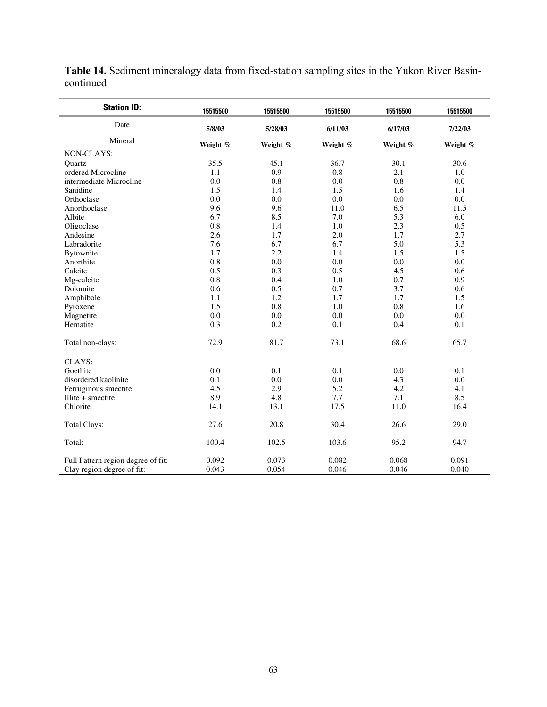| <b>Station ID:</b>                                               | 15515500       | 15515500       | 15515500       | 15515500       | 15515500       |
|------------------------------------------------------------------|----------------|----------------|----------------|----------------|----------------|
| Date                                                             | 5/8/03         | 5/28/03        | 6/11/03        | 6/17/03        | 7/22/03        |
| Mineral                                                          | Weight %       | Weight %       | Weight %       | Weight %       | Weight %       |
| NON-CLAYS:                                                       |                |                |                |                |                |
| Quartz                                                           | 35.5           | 45.1           | 36.7           | 30.1           | 30.6           |
| ordered Microcline                                               | 1.1            | 0.9            | 0.8            | 2.1            | 1.0            |
| intermediate Microcline                                          | 0.0            | 0.8            | 0.0            | 0.8            | 0.0            |
| Sanidine                                                         | 1.5            | 1.4            | 1.5            | 1.6            | 1.4            |
| Orthoclase                                                       | 0.0            | 0.0            | 0.0            | 0.0            | 0.0            |
| Anorthoclase                                                     | 9.6            | 9.6            | 11.0           | 6.5            | 11.5           |
| Albite                                                           | 6.7            | 8.5            | 7.0            | 5.3            | 6.0            |
| Oligoclase                                                       | 0.8            | 1.4            | 1.0            | 2.3            | 0.5            |
| Andesine                                                         | 2.6            | 1.7            | 2.0            | 1.7            | 2.7            |
| Labradorite                                                      | 7.6            | 6.7            | 6.7            | 5.0            | 5.3            |
| Bytownite                                                        | 1.7            | 2.2            | 1.4            | 1.5            | 1.5            |
| Anorthite                                                        | 0.8            | 0.0            | 0.0            | 0.0            | 0.0            |
| Calcite                                                          | 0.5            | 0.3            | 0.5            | 4.5            | 0.6            |
| Mg-calcite                                                       | 0.8            | 0.4            | 1.0            | 0.7            | 0.9            |
| Dolomite                                                         | 0.6            | 0.5            | 0.7            | 3.7            | 0.6            |
| Amphibole                                                        | 1.1            | 1.2            | 1.7            | 1.7            | 1.5            |
| Pyroxene                                                         | 1.5            | 0.8            | 1.0            | 0.8            | 1.6            |
| Magnetite                                                        | 0.0            | 0.0            | 0.0            | 0.0            | 0.0            |
| Hematite                                                         | 0.3            | 0.2            | 0.1            | 0.4            | 0.1            |
| Total non-clays:                                                 | 72.9           | 81.7           | 73.1           | 68.6           | 65.7           |
| CLAYS:                                                           |                |                |                |                |                |
| Goethite                                                         | 0.0            | 0.1            | 0.1            | 0.0            | 0.1            |
| disordered kaolinite                                             | 0.1            | 0.0            | 0.0            | 4.3            | 0.0            |
| Ferruginous smectite                                             | 4.5            | 2.9            | 5.2            | 4.2            | 4.1            |
| Illite $+$ smectite                                              | 8.9            | 4.8            | 7.7            | 7.1            | 8.5            |
| Chlorite                                                         | 14.1           | 13.1           | 17.5           | 11.0           | 16.4           |
| <b>Total Clays:</b>                                              | 27.6           | 20.8           | 30.4           | 26.6           | 29.0           |
| Total:                                                           | 100.4          | 102.5          | 103.6          | 95.2           | 94.7           |
| Full Pattern region degree of fit:<br>Clay region degree of fit: | 0.092<br>0.043 | 0.073<br>0.054 | 0.082<br>0.046 | 0.068<br>0.046 | 0.091<br>0.040 |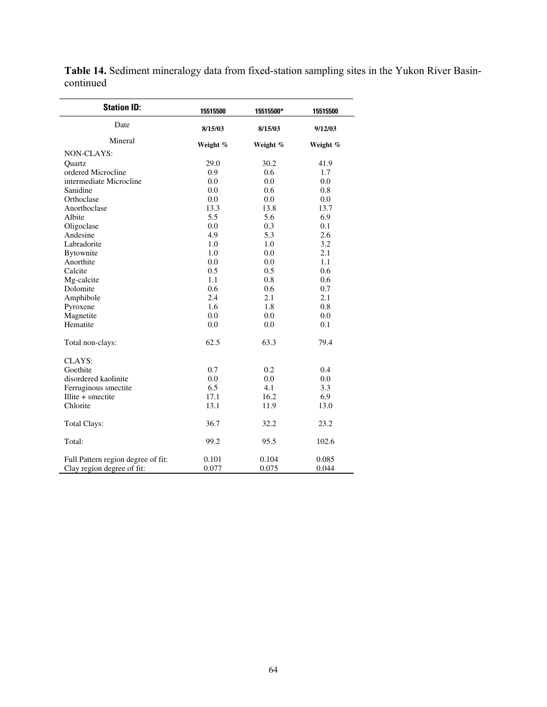| <b>Station ID:</b>                 | 15515500 | 15515500* | 15515500 |  |
|------------------------------------|----------|-----------|----------|--|
| Date                               | 8/15/03  | 8/15/03   | 9/12/03  |  |
| Mineral                            | Weight % | Weight %  | Weight % |  |
| NON-CLAYS:                         |          |           |          |  |
| Ouartz                             | 29.0     | 30.2      | 41.9     |  |
| ordered Microcline                 | 0.9      | 0.6       | 1.7      |  |
| intermediate Microcline            | 0.0      | 0.0       | 0.0      |  |
| Sanidine                           | 0.0      | 0.6       | 0.8      |  |
| Orthoclase                         | 0.0      | 0.0       | 0.0      |  |
| Anorthoclase                       | 13.3     | 13.8      | 13.7     |  |
| Albite                             | 5.5      | 5.6       | 6.9      |  |
| Oligoclase                         | 0.0      | 0.3       | 0.1      |  |
| Andesine                           | 4.9      | 5.3       | 2.6      |  |
| Labradorite                        | 1.0      | 1.0       | 3.2      |  |
| <b>Bytownite</b>                   | 1.0      | 0.0       | 2.1      |  |
| Anorthite                          | 0.0      | 0.0       | 1.1      |  |
| Calcite                            | 0.5      | 0.5       | 0.6      |  |
| Mg-calcite                         | 1.1      | 0.8       | 0.6      |  |
| Dolomite                           | 0.6      | 0.6       | 0.7      |  |
| Amphibole                          | 2.4      | 2.1       | 2.1      |  |
| Pyroxene                           | 1.6      | 1.8       | 0.8      |  |
| Magnetite                          | 0.0      | 0.0       | 0.0      |  |
| Hematite                           | 0.0      | 0.0       | 0.1      |  |
| Total non-clays:                   | 62.5     | 63.3      | 79.4     |  |
| CLAYS:                             |          |           |          |  |
| Goethite                           | 0.7      | 0.2       | 0.4      |  |
| disordered kaolinite               | 0.0      | 0.0       | 0.0      |  |
| Ferruginous smectite               | 6.5      | 4.1       | 3.3      |  |
| Illite $+$ smectite                | 17.1     | 16.2      | 6.9      |  |
| Chlorite                           | 13.1     | 11.9      | 13.0     |  |
| <b>Total Clays:</b>                | 36.7     | 32.2      | 23.2     |  |
| Total:                             | 99.2     | 95.5      | 102.6    |  |
| Full Pattern region degree of fit: | 0.101    | 0.104     | 0.085    |  |
| Clay region degree of fit:         | 0.077    | 0.075     | 0.044    |  |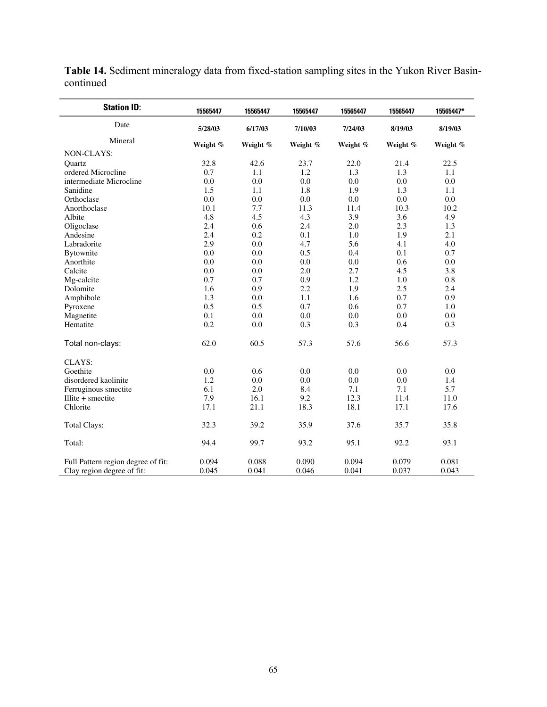| <b>Station ID:</b>                 | 15565447 | 15565447 | 15565447 | 15565447 | 15565447 | 15565447* |
|------------------------------------|----------|----------|----------|----------|----------|-----------|
| Date                               | 5/28/03  | 6/17/03  | 7/10/03  | 7/24/03  | 8/19/03  | 8/19/03   |
| Mineral                            | Weight % | Weight % | Weight % | Weight % | Weight % | Weight %  |
| NON-CLAYS:                         |          |          |          |          |          |           |
| Quartz                             | 32.8     | 42.6     | 23.7     | 22.0     | 21.4     | 22.5      |
| ordered Microcline                 | 0.7      | 1.1      | 1.2      | 1.3      | 1.3      | 1.1       |
| intermediate Microcline            | 0.0      | 0.0      | 0.0      | $0.0\,$  | 0.0      | 0.0       |
| Sanidine                           | 1.5      | 1.1      | 1.8      | 1.9      | 1.3      | 1.1       |
| Orthoclase                         | 0.0      | 0.0      | 0.0      | 0.0      | 0.0      | 0.0       |
| Anorthoclase                       | 10.1     | 7.7      | 11.3     | 11.4     | 10.3     | 10.2      |
| Albite                             | 4.8      | 4.5      | 4.3      | 3.9      | 3.6      | 4.9       |
| Oligoclase                         | 2.4      | 0.6      | 2.4      | 2.0      | 2.3      | 1.3       |
| Andesine                           | 2.4      | 0.2      | 0.1      | 1.0      | 1.9      | 2.1       |
| Labradorite                        | 2.9      | 0.0      | 4.7      | 5.6      | 4.1      | 4.0       |
| Bytownite                          | 0.0      | 0.0      | 0.5      | 0.4      | 0.1      | 0.7       |
| Anorthite                          | 0.0      | 0.0      | 0.0      | 0.0      | 0.6      | 0.0       |
| Calcite                            | 0.0      | 0.0      | 2.0      | 2.7      | 4.5      | 3.8       |
| Mg-calcite                         | 0.7      | 0.7      | 0.9      | 1.2      | 1.0      | 0.8       |
| Dolomite                           | 1.6      | 0.9      | 2.2      | 1.9      | 2.5      | 2.4       |
| Amphibole                          | 1.3      | 0.0      | 1.1      | 1.6      | 0.7      | 0.9       |
| Pyroxene                           | 0.5      | 0.5      | 0.7      | 0.6      | 0.7      | 1.0       |
| Magnetite                          | 0.1      | 0.0      | 0.0      | 0.0      | 0.0      | 0.0       |
| Hematite                           | 0.2      | 0.0      | 0.3      | 0.3      | 0.4      | 0.3       |
| Total non-clays:                   | 62.0     | 60.5     | 57.3     | 57.6     | 56.6     | 57.3      |
| CLAYS:                             |          |          |          |          |          |           |
| Goethite                           | 0.0      | 0.6      | 0.0      | 0.0      | 0.0      | 0.0       |
| disordered kaolinite               | 1.2      | 0.0      | 0.0      | 0.0      | 0.0      | 1.4       |
| Ferruginous smectite               | 6.1      | 2.0      | 8.4      | 7.1      | 7.1      | 5.7       |
| $I$ llite + smectite               | 7.9      | 16.1     | 9.2      | 12.3     | 11.4     | 11.0      |
| Chlorite                           | 17.1     | 21.1     | 18.3     | 18.1     | 17.1     | 17.6      |
| <b>Total Clays:</b>                | 32.3     | 39.2     | 35.9     | 37.6     | 35.7     | 35.8      |
| Total:                             | 94.4     | 99.7     | 93.2     | 95.1     | 92.2     | 93.1      |
| Full Pattern region degree of fit: | 0.094    | 0.088    | 0.090    | 0.094    | 0.079    | 0.081     |
| Clay region degree of fit:         | 0.045    | 0.041    | 0.046    | 0.041    | 0.037    | 0.043     |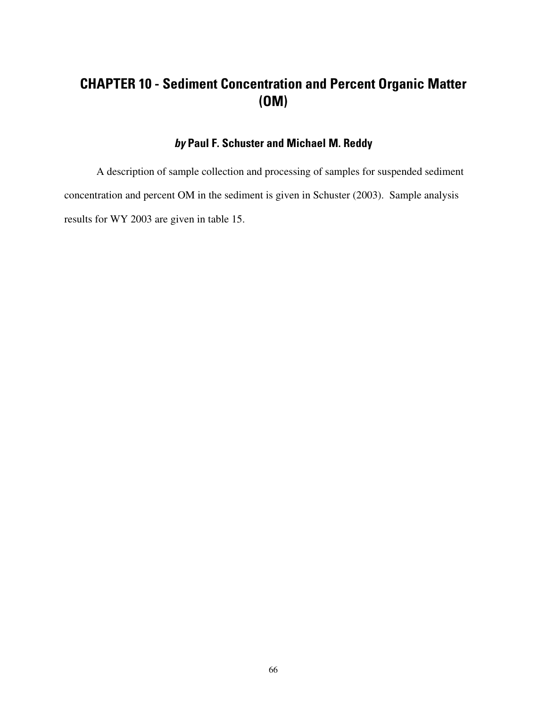# **CHAPTER 10 - Sediment Concentration and Percent Organic Matter (OM)**

#### **by Paul F. Schuster and Michael M. Reddy**

A description of sample collection and processing of samples for suspended sediment concentration and percent OM in the sediment is given in Schuster (2003). Sample analysis results for WY 2003 are given in table 15.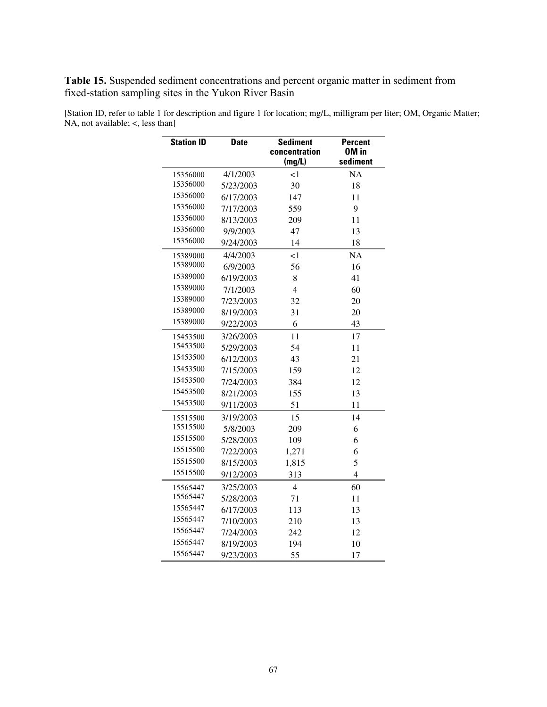**Table 15.** Suspended sediment concentrations and percent organic matter in sediment from fixed-station sampling sites in the Yukon River Basin

| <b>Station ID</b> | <b>Date</b> | <b>Sediment</b><br>concentration | <b>Percent</b><br>OM in |  |
|-------------------|-------------|----------------------------------|-------------------------|--|
|                   |             | (mg/L)                           | sediment                |  |
| 15356000          | 4/1/2003    | $\leq$ 1                         | <b>NA</b>               |  |
| 15356000          | 5/23/2003   | 30                               | 18                      |  |
| 15356000          | 6/17/2003   | 147                              | 11                      |  |
| 15356000          | 7/17/2003   | 559                              | 9                       |  |
| 15356000          | 8/13/2003   | 209                              | 11                      |  |
| 15356000          | 9/9/2003    | 47                               | 13                      |  |
| 15356000          | 9/24/2003   | 14                               | 18                      |  |
| 15389000          | 4/4/2003    | $\leq$ 1                         | <b>NA</b>               |  |
| 15389000          | 6/9/2003    | 56                               | 16                      |  |
| 15389000          | 6/19/2003   | 8                                | 41                      |  |
| 15389000          | 7/1/2003    | $\overline{4}$                   | 60                      |  |
| 15389000          | 7/23/2003   | 32                               | 20                      |  |
| 15389000          | 8/19/2003   | 31                               | 20                      |  |
| 15389000          | 9/22/2003   | 6                                | 43                      |  |
| 15453500          | 3/26/2003   | 11                               | 17                      |  |
| 15453500          | 5/29/2003   | 54                               | 11                      |  |
| 15453500          | 6/12/2003   | 43                               | 21                      |  |
| 15453500          | 7/15/2003   | 159                              | 12                      |  |
| 15453500          | 7/24/2003   | 384                              | 12                      |  |
| 15453500          | 8/21/2003   | 155                              | 13                      |  |
| 15453500          | 9/11/2003   | 51                               | 11                      |  |
| 15515500          | 3/19/2003   | 15                               | 14                      |  |
| 15515500          | 5/8/2003    | 209                              | 6                       |  |
| 15515500          | 5/28/2003   | 109                              | 6                       |  |
| 15515500          | 7/22/2003   | 1,271                            | 6                       |  |
| 15515500          | 8/15/2003   | 1,815                            | 5                       |  |
| 15515500          | 9/12/2003   | 313                              | $\overline{4}$          |  |
| 15565447          | 3/25/2003   | $\overline{4}$                   | 60                      |  |
| 15565447          | 5/28/2003   | 71                               | 11                      |  |
| 15565447          | 6/17/2003   | 113                              | 13                      |  |
| 15565447          | 7/10/2003   | 210                              | 13                      |  |
| 15565447          | 7/24/2003   | 242                              | 12                      |  |
| 15565447          | 8/19/2003   | 194                              | 10                      |  |
| 15565447          | 9/23/2003   | 55                               | 17                      |  |

[Station ID, refer to table 1 for description and figure 1 for location; mg/L, milligram per liter; OM, Organic Matter; NA, not available; <, less than]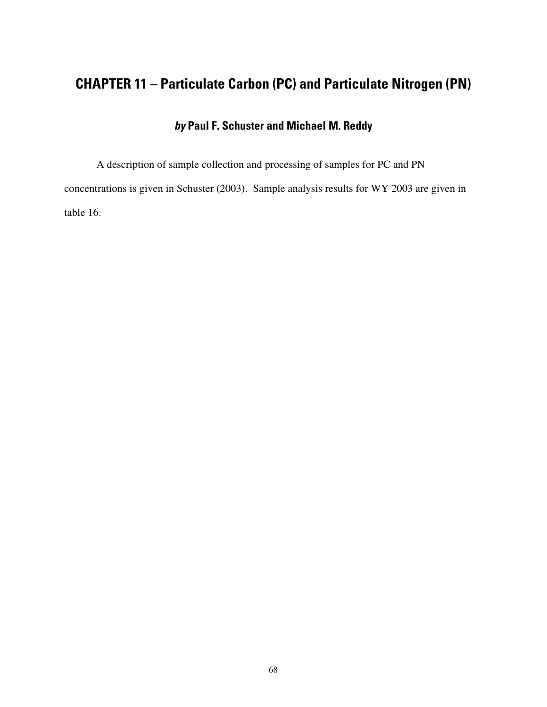## **CHAPTER 11 – Particulate Carbon (PC) and Particulate Nitrogen (PN)**

### **by Paul F. Schuster and Michael M. Reddy**

A description of sample collection and processing of samples for PC and PN concentrations is given in Schuster (2003). Sample analysis results for WY 2003 are given in table 16.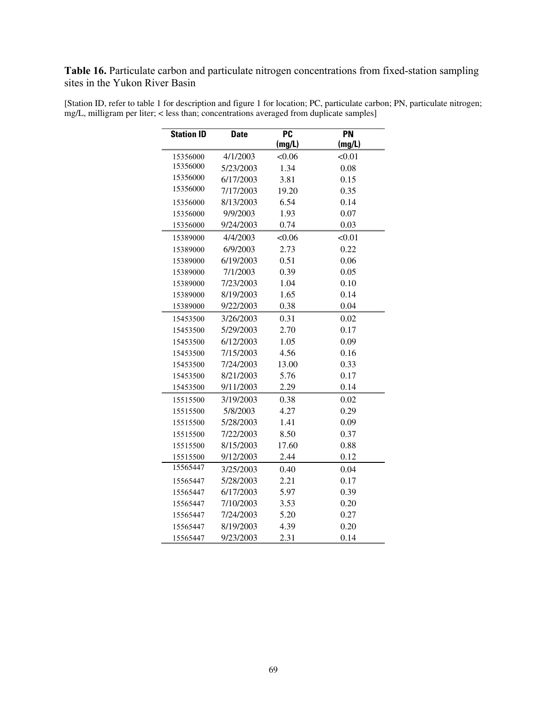**Table 16.** Particulate carbon and particulate nitrogen concentrations from fixed-station sampling sites in the Yukon River Basin

| <b>Station ID</b> | <b>Date</b>       | $\overline{PC}$<br>(mg/L) | <b>PN</b><br>(mg/L) |
|-------------------|-------------------|---------------------------|---------------------|
| 15356000          | 4/1/2003          | <0.06                     | < 0.01              |
| 15356000          | 5/23/2003         | 1.34                      | 0.08                |
| 15356000          | 6/17/2003         | 3.81                      | 0.15                |
| 15356000          | 7/17/2003         | 19.20                     | 0.35                |
| 15356000          | 8/13/2003         | 6.54                      | 0.14                |
| 15356000          | 9/9/2003          | 1.93                      | 0.07                |
| 15356000          | 9/24/2003<br>0.74 |                           | 0.03                |
| 15389000          | 4/4/2003          | <0.06                     | < 0.01              |
| 15389000          | 6/9/2003          | 2.73                      | 0.22                |
| 15389000          | 6/19/2003         | 0.51                      | 0.06                |
| 15389000          | 7/1/2003          | 0.39                      | 0.05                |
| 15389000          | 7/23/2003         | 1.04                      | 0.10                |
| 15389000          | 8/19/2003         | 1.65                      | 0.14                |
| 15389000          | 9/22/2003         | 0.38                      | 0.04                |
| 15453500          | 3/26/2003         | 0.31                      | 0.02                |
| 15453500          | 5/29/2003         | 2.70                      | 0.17                |
| 15453500          | 6/12/2003         | 1.05                      | 0.09                |
| 15453500          | 7/15/2003         | 4.56                      | 0.16                |
| 15453500          | 7/24/2003         | 13.00                     | 0.33                |
| 15453500          | 8/21/2003         | 5.76                      | 0.17                |
| 15453500          | 9/11/2003         | 2.29                      | 0.14                |
| 15515500          | 3/19/2003         | 0.38                      | 0.02                |
| 15515500          | 5/8/2003          | 4.27                      | 0.29                |
| 15515500          | 5/28/2003         | 1.41                      | 0.09                |
| 15515500          | 7/22/2003         | 8.50                      | 0.37                |
| 15515500          | 8/15/2003         | 17.60                     | 0.88                |
| 15515500          | 9/12/2003         | 2.44                      | 0.12                |
| 15565447          | 3/25/2003         | 0.40                      | 0.04                |
| 15565447          | 5/28/2003         | 2.21                      | 0.17                |
| 15565447          | 6/17/2003         | 5.97                      | 0.39                |
| 15565447          | 7/10/2003         | 3.53                      | 0.20                |
| 15565447          | 7/24/2003         | 5.20                      | 0.27                |
| 15565447          | 8/19/2003         | 4.39                      | 0.20                |
| 15565447          | 9/23/2003         | 2.31                      | 0.14                |

[Station ID, refer to table 1 for description and figure 1 for location; PC, particulate carbon; PN, particulate nitrogen; mg/L, milligram per liter; < less than; concentrations averaged from duplicate samples]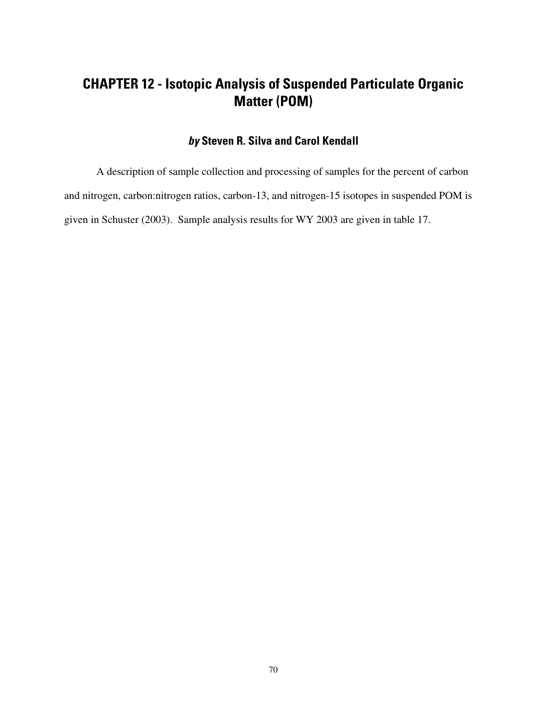## **CHAPTER 12 - Isotopic Analysis of Suspended Particulate Organic Matter (POM)**

#### **by Steven R. Silva and Carol Kendall**

A description of sample collection and processing of samples for the percent of carbon and nitrogen, carbon:nitrogen ratios, carbon-13, and nitrogen-15 isotopes in suspended POM is given in Schuster (2003). Sample analysis results for WY 2003 are given in table 17.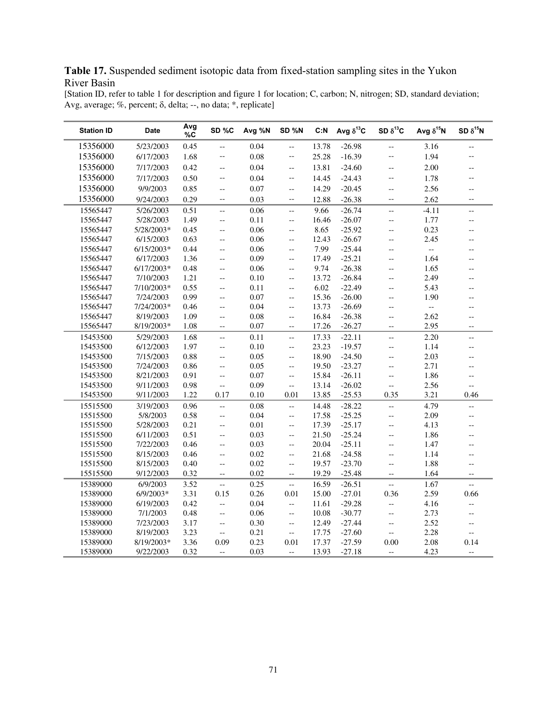#### **Table 17.** Suspended sediment isotopic data from fixed-station sampling sites in the Yukon River Basin

[Station ID, refer to table 1 for description and figure 1 for location; C, carbon; N, nitrogen; SD, standard deviation; Avg, average; %, percent;  $\delta$ , delta; --, no data; \*, replicate]

| <b>Station ID</b> | <b>Date</b>  | Avg<br>%c | SD%C                     | Avg %N | SD %N                    | C: N  | Avg $\delta^{13}C$ | SD $\delta^{13}C$        | Avg $\delta^{15}N$        | SD $\delta^{15}$ N       |
|-------------------|--------------|-----------|--------------------------|--------|--------------------------|-------|--------------------|--------------------------|---------------------------|--------------------------|
| 15356000          | 5/23/2003    | 0.45      | --                       | 0.04   | $\overline{\phantom{a}}$ | 13.78 | $-26.98$           | $-$                      | 3.16                      | $\overline{\phantom{a}}$ |
| 15356000          | 6/17/2003    | 1.68      | $\overline{\phantom{a}}$ | 0.08   | $\overline{a}$           | 25.28 | $-16.39$           | --                       | 1.94                      | $-$                      |
| 15356000          | 7/17/2003    | 0.42      | Ξ.                       | 0.04   | $\overline{a}$           | 13.81 | $-24.60$           | $\overline{\phantom{a}}$ | 2.00                      | $-$                      |
| 15356000          | 7/17/2003    | 0.50      | $\overline{\phantom{a}}$ | 0.04   | $\overline{\phantom{a}}$ | 14.45 | $-24.43$           | $\overline{\phantom{a}}$ | 1.78                      | $\overline{\phantom{a}}$ |
| 15356000          | 9/9/2003     | 0.85      | $\overline{\phantom{a}}$ | 0.07   | $\overline{a}$           | 14.29 | $-20.45$           | $\overline{\phantom{a}}$ | 2.56                      | $-$                      |
| 15356000          | 9/24/2003    | 0.29      | --                       | 0.03   | $\overline{\phantom{a}}$ | 12.88 | $-26.38$           | $-$                      | 2.62                      | $\overline{\phantom{a}}$ |
| 15565447          | 5/26/2003    | 0.51      | $\overline{\phantom{a}}$ | 0.06   | $\overline{\phantom{a}}$ | 9.66  | $-26.74$           | цĹ,                      | $-4.11$                   | $\overline{a}$           |
| 15565447          | 5/28/2003    | 1.49      | $\overline{\phantom{a}}$ | 0.11   | $\overline{a}$           | 16.46 | $-26.07$           | --                       | 1.77                      | $-$                      |
| 15565447          | 5/28/2003*   | 0.45      | $\overline{\phantom{a}}$ | 0.06   | $\overline{a}$           | 8.65  | $-25.92$           | $-$                      | 0.23                      | --                       |
| 15565447          | 6/15/2003    | 0.63      | $\overline{a}$           | 0.06   | $\overline{\phantom{a}}$ | 12.43 | $-26.67$           | $\overline{\phantom{a}}$ | 2.45                      | $-$                      |
| 15565447          | $6/15/2003*$ | 0.44      | --                       | 0.06   | <u></u>                  | 7.99  | $-25.44$           | --                       | $\mathbb{L}^{\mathbb{L}}$ | $-$                      |
| 15565447          | 6/17/2003    | 1.36      | $\overline{\phantom{a}}$ | 0.09   | $\overline{a}$           | 17.49 | $-25.21$           | $\overline{\phantom{a}}$ | 1.64                      | $-$                      |
| 15565447          | $6/17/2003*$ | 0.48      | $\overline{\phantom{a}}$ | 0.06   | $\overline{a}$           | 9.74  | $-26.38$           | Ξ.                       | 1.65                      | $-$                      |
| 15565447          | 7/10/2003    | 1.21      | L.                       | 0.10   | $\overline{a}$           | 13.72 | $-26.84$           | Ξ.                       | 2.49                      | $-$                      |
| 15565447          | 7/10/2003*   | 0.55      | $\overline{\phantom{a}}$ | 0.11   | $\overline{\phantom{a}}$ | 6.02  | $-22.49$           | $-\,-$                   | 5.43                      | $-$                      |
| 15565447          | 7/24/2003    | 0.99      | ÷.                       | 0.07   | $\overline{a}$           | 15.36 | $-26.00$           | Ξ.                       | 1.90                      | $\overline{a}$           |
| 15565447          | 7/24/2003*   | 0.46      | $\overline{\phantom{a}}$ | 0.04   | --                       | 13.73 | $-26.69$           | --                       | $\mathbb{L}^{\mathbb{L}}$ | $\overline{\phantom{a}}$ |
| 15565447          | 8/19/2003    | 1.09      | $\overline{\phantom{a}}$ | 0.08   | $\overline{\phantom{a}}$ | 16.84 | $-26.38$           | $-\,-$                   | 2.62                      | $\overline{\phantom{a}}$ |
| 15565447          | 8/19/2003*   | 1.08      | $\overline{\phantom{a}}$ | 0.07   | $\overline{a}$           | 17.26 | $-26.27$           | Ξ.                       | 2.95                      | $-$                      |
| 15453500          | 5/29/2003    | 1.68      | --                       | 0.11   | --                       | 17.33 | $-22.11$           | 44                       | 2.20                      | --                       |
| 15453500          | 6/12/2003    | 1.97      | $\overline{\phantom{a}}$ | 0.10   | $\overline{\phantom{a}}$ | 23.23 | $-19.57$           | $\overline{a}$           | 1.14                      | $\overline{\phantom{a}}$ |
| 15453500          | 7/15/2003    | 0.88      | $\overline{\phantom{a}}$ | 0.05   | $\overline{a}$           | 18.90 | $-24.50$           | $\overline{\phantom{a}}$ | 2.03                      | $-$                      |
| 15453500          | 7/24/2003    | 0.86      | $\overline{a}$           | 0.05   | $\overline{a}$           | 19.50 | $-23.27$           | Ξ.                       | 2.71                      | $\overline{a}$           |
| 15453500          | 8/21/2003    | 0.91      | $\overline{\phantom{a}}$ | 0.07   | $\overline{a}$           | 15.84 | $-26.11$           | $\overline{a}$           | 1.86                      | $\overline{\phantom{a}}$ |
| 15453500          | 9/11/2003    | 0.98      | $\overline{\phantom{a}}$ | 0.09   | $\overline{\phantom{a}}$ | 13.14 | $-26.02$           | $\overline{a}$           | 2.56                      | Ξ.                       |
| 15453500          | 9/11/2003    | 1.22      | 0.17                     | 0.10   | 0.01                     | 13.85 | $-25.53$           | 0.35                     | 3.21                      | 0.46                     |
| 15515500          | 3/19/2003    | 0.96      | --                       | 0.08   | <u></u>                  | 14.48 | $-28.22$           | $\overline{\phantom{a}}$ | 4.79                      | $\overline{\phantom{a}}$ |
| 15515500          | 5/8/2003     | 0.58      | --                       | 0.04   | $\overline{a}$           | 17.58 | $-25.25$           | 44                       | 2.09                      | $\overline{\phantom{a}}$ |
| 15515500          | 5/28/2003    | 0.21      | Ξ.                       | 0.01   | $\overline{a}$           | 17.39 | $-25.17$           | Ξ.                       | 4.13                      | $\overline{a}$           |
| 15515500          | 6/11/2003    | 0.51      | $\overline{\phantom{a}}$ | 0.03   | $\overline{\phantom{a}}$ | 21.50 | $-25.24$           | $-$                      | 1.86                      | $-$                      |
| 15515500          | 7/22/2003    | 0.46      | --                       | 0.03   | $\overline{a}$           | 20.04 | $-25.11$           | $\overline{\phantom{a}}$ | 1.47                      | $-$                      |
| 15515500          | 8/15/2003    | 0.46      | Ξ.                       | 0.02   | Ξ.                       | 21.68 | $-24.58$           | Ξ.                       | 1.14                      | $\overline{a}$           |
| 15515500          | 8/15/2003    | 0.40      | $\overline{\phantom{a}}$ | 0.02   | $\overline{\phantom{a}}$ | 19.57 | $-23.70$           | $-$                      | 1.88                      | $\overline{\phantom{a}}$ |
| 15515500          | 9/12/2003    | 0.32      | $\overline{\phantom{a}}$ | 0.02   | $\overline{\phantom{a}}$ | 19.29 | $-25.48$           | $\overline{\phantom{a}}$ | 1.64                      | $\overline{\phantom{a}}$ |
| 15389000          | 6/9/2003     | 3.52      | $\overline{\phantom{a}}$ | 0.25   | $\overline{\phantom{a}}$ | 16.59 | $-26.51$           | $\overline{\phantom{a}}$ | 1.67                      | $\overline{\phantom{a}}$ |
| 15389000          | $6/9/2003*$  | 3.31      | 0.15                     | 0.26   | 0.01                     | 15.00 | $-27.01$           | 0.36                     | 2.59                      | 0.66                     |
| 15389000          | 6/19/2003    | 0.42      | $\overline{a}$           | 0.04   | $\overline{a}$           | 11.61 | $-29.28$           | $\overline{a}$           | 4.16                      | $\overline{a}$           |
| 15389000          | 7/1/2003     | 0.48      | $\overline{\phantom{a}}$ | 0.06   | $\overline{\phantom{a}}$ | 10.08 | $-30.77$           | $\overline{a}$           | 2.73                      | Ξ.                       |
| 15389000          | 7/23/2003    | 3.17      | $\overline{\phantom{a}}$ | 0.30   | $\overline{a}$           | 12.49 | $-27.44$           | $\overline{\phantom{a}}$ | 2.52                      | $\overline{\phantom{a}}$ |
| 15389000          | 8/19/2003    | 3.23      | $\overline{a}$           | 0.21   | $\overline{\phantom{a}}$ | 17.75 | $-27.60$           | 44                       | 2.28                      | $\overline{\phantom{a}}$ |
| 15389000          | 8/19/2003*   | 3.36      | 0.09                     | 0.23   | 0.01                     | 17.37 | $-27.59$           | 0.00                     | 2.08                      | 0.14                     |
| 15389000          | 9/22/2003    | 0.32      | $\overline{a}$           | 0.03   | $\overline{a}$           | 13.93 | $-27.18$           | $\overline{\phantom{a}}$ | 4.23                      | $\overline{\phantom{a}}$ |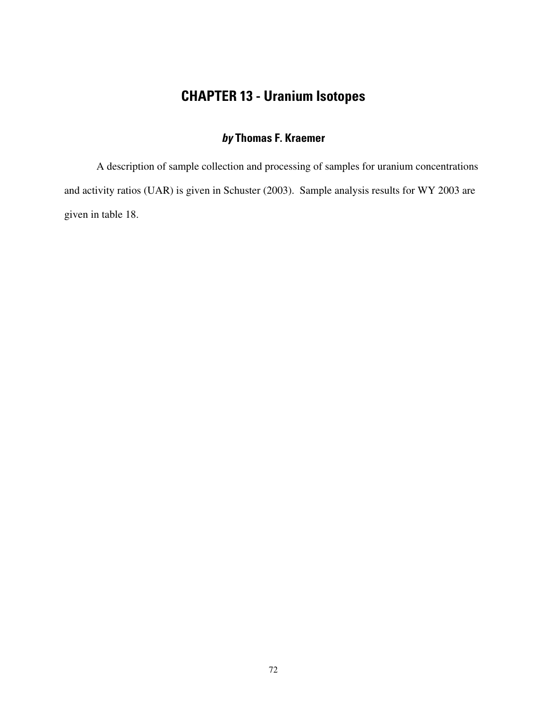# **CHAPTER 13 - Uranium Isotopes**

#### **by Thomas F. Kraemer**

A description of sample collection and processing of samples for uranium concentrations and activity ratios (UAR) is given in Schuster (2003). Sample analysis results for WY 2003 are given in table 18.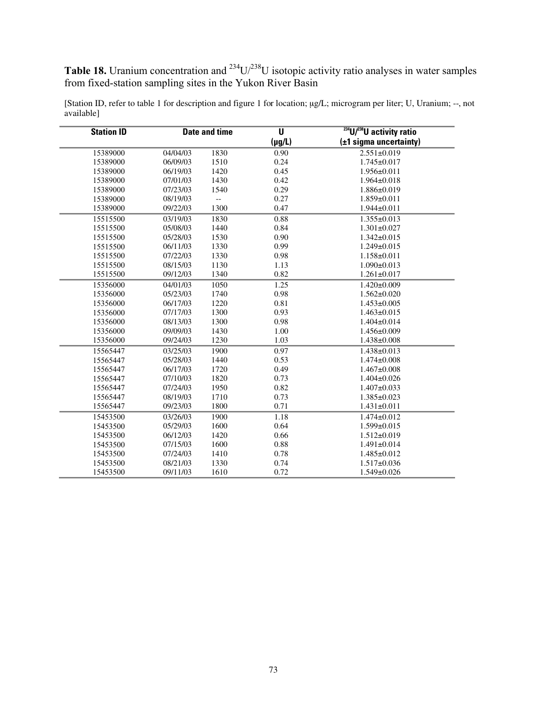**Table 18.** Uranium concentration and  $^{234}U/^{238}U$  isotopic activity ratio analyses in water samples from fixed-station sampling sites in the Yukon River Basin

| <b>Station ID</b> | <b>Date and time</b> |                          | U           | <sup>234</sup> U/ <sup>238</sup> U activity ratio |  |  |
|-------------------|----------------------|--------------------------|-------------|---------------------------------------------------|--|--|
|                   |                      |                          | $(\mu g/L)$ | (±1 sigma uncertainty)                            |  |  |
| 15389000          | 04/04/03             | 1830                     | 0.90        | $2.551 \pm 0.019$                                 |  |  |
| 15389000          | 06/09/03             | 1510                     | 0.24        | $1.745 \pm 0.017$                                 |  |  |
| 15389000          | 06/19/03             | 1420                     | 0.45        | $1.956 \pm 0.011$                                 |  |  |
| 15389000          | 07/01/03             | 1430                     | 0.42        | $1.964 \pm 0.018$                                 |  |  |
| 15389000          | 07/23/03             | 1540                     | 0.29        | $1.886 \pm 0.019$                                 |  |  |
| 15389000          | 08/19/03             | $\overline{\phantom{a}}$ | 0.27        | $1.859 \pm 0.011$                                 |  |  |
| 15389000          | 09/22/03             | 1300                     | 0.47        | $1.944 \pm 0.011$                                 |  |  |
| 15515500          | 03/19/03             | 1830                     | 0.88        | $1.355 \pm 0.013$                                 |  |  |
| 15515500          | 05/08/03             | 1440                     | 0.84        | $1.301 \pm 0.027$                                 |  |  |
| 15515500          | 05/28/03             | 1530                     | 0.90        | $1.342 \pm 0.015$                                 |  |  |
| 15515500          | 06/11/03             | 1330                     | 0.99        | $1.249 \pm 0.015$                                 |  |  |
| 15515500          | 07/22/03             | 1330                     | 0.98        | $1.158 \pm 0.011$                                 |  |  |
| 15515500          | 08/15/03             | 1130                     | 1.13        | $1.090 \pm 0.013$                                 |  |  |
| 15515500          | 09/12/03             | 1340                     | 0.82        | $1.261 \pm 0.017$                                 |  |  |
| 15356000          | 04/01/03             | 1050                     | 1.25        | $1.420 \pm 0.009$                                 |  |  |
| 15356000          | 05/23/03             | 1740                     | 0.98        | $1.562 \pm 0.020$                                 |  |  |
| 15356000          | 06/17/03             | 1220                     | 0.81        | $1.453 \pm 0.005$                                 |  |  |
| 15356000          | 07/17/03             | 1300                     | 0.93        | $1.463 \pm 0.015$                                 |  |  |
| 15356000          | 08/13/03             | 1300                     | 0.98        | $1.404 \pm 0.014$                                 |  |  |
| 15356000          | 09/09/03             | 1430                     | 1.00        | $1.456 \pm 0.009$                                 |  |  |
| 15356000          | 09/24/03             | 1230                     | 1.03        | 1.438±0.008                                       |  |  |
| 15565447          | 03/25/03             | 1900                     | 0.97        | $1.438 \pm 0.013$                                 |  |  |
| 15565447          | 05/28/03             | 1440                     | 0.53        | $1.474 \pm 0.008$                                 |  |  |
| 15565447          | 06/17/03             | 1720                     | 0.49        | $1.467 \pm 0.008$                                 |  |  |
| 15565447          | 07/10/03             | 1820                     | 0.73        | $1.404 \pm 0.026$                                 |  |  |
| 15565447          | 07/24/03             | 1950                     | 0.82        | $1.407 \pm 0.033$                                 |  |  |
| 15565447          | 08/19/03             | 1710                     | 0.73        | $1.385 \pm 0.023$                                 |  |  |
| 15565447          | 09/23/03             | 1800                     | 0.71        | $1.431 \pm 0.011$                                 |  |  |
| 15453500          | 03/26/03             | 1900                     | 1.18        | $1.474 \pm 0.012$                                 |  |  |
| 15453500          | 05/29/03             | 1600                     | 0.64        | $1.599 \pm 0.015$                                 |  |  |
| 15453500          | 06/12/03             | 1420                     | 0.66        | $1.512 \pm 0.019$                                 |  |  |
| 15453500          | 07/15/03             | 1600                     | 0.88        | $1.491 \pm 0.014$                                 |  |  |
| 15453500          | 07/24/03             | 1410                     | 0.78        | 1.485±0.012                                       |  |  |
| 15453500          | 08/21/03             | 1330                     | 0.74        | $1.517 \pm 0.036$                                 |  |  |
| 15453500          | 09/11/03             | 1610                     | 0.72        | $1.549 \pm 0.026$                                 |  |  |

[Station ID, refer to table 1 for description and figure 1 for location; µg/L; microgram per liter; U, Uranium; --, not available]